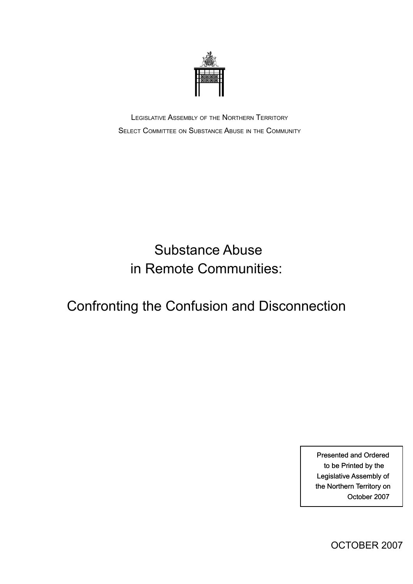

 Legislative Assembly of the Northern Territory SELECT COMMITTEE ON SUBSTANCE ABUSE IN THE COMMUNITY

# Substance Abuse in Remote Communities:

# Confronting the Confusion and Disconnection

Presented and Ordered to be Printed by the Legislative Assembly of the Northern Territory on October 2007

OCTOBER 2007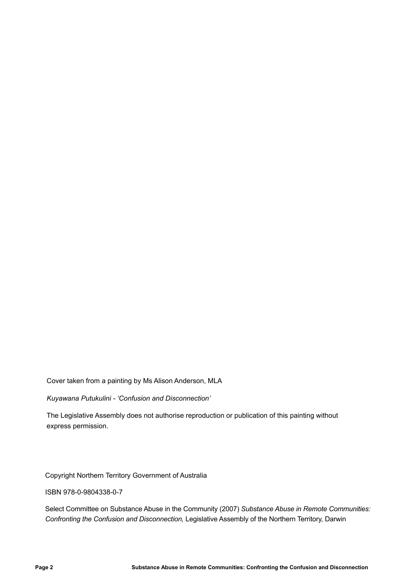Cover taken from a painting by Ms Alison Anderson, MLA

*Kuyawana Putukulini - 'Confusion and Disconnection'*

The Legislative Assembly does not authorise reproduction or publication of this painting without express permission.

Copyright Northern Territory Government of Australia

ISBN 978-0-9804338-0-7

Select Committee on Substance Abuse in the Community (2007) *Substance Abuse in Remote Communities: Confronting the Confusion and Disconnection,* Legislative Assembly of the Northern Territory, Darwin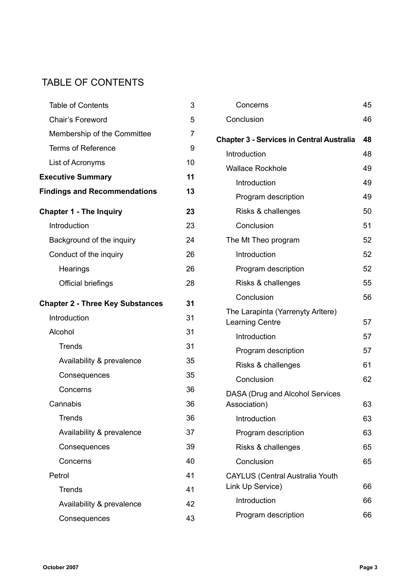# TABLE OF CONTENTS

| <b>Table of Contents</b>                | 3  |
|-----------------------------------------|----|
| Chair's Foreword                        | 5  |
| Membership of the Committee             | 7  |
| <b>Terms of Reference</b>               | 9  |
| List of Acronyms                        | 10 |
| <b>Executive Summary</b>                | 11 |
| <b>Findings and Recommendations</b>     | 13 |
| <b>Chapter 1 - The Inquiry</b>          | 23 |
| Introduction                            | 23 |
| Background of the inquiry               | 24 |
| Conduct of the inquiry                  | 26 |
| Hearings                                | 26 |
| Official briefings                      | 28 |
| <b>Chapter 2 - Three Key Substances</b> | 31 |
| Introduction                            | 31 |
| Alcohol                                 | 31 |
| Trends                                  | 31 |
| Availability & prevalence               | 35 |
| Consequences                            | 35 |
| Concerns                                | 36 |
| Cannabis                                | 36 |
| <b>Trends</b>                           | 36 |
| Availability & prevalence               | 37 |
| Consequences                            | 39 |
| Concerns                                | 40 |
| Petrol                                  | 41 |
| <b>Trends</b>                           | 41 |
| Availability & prevalence               | 42 |
| Consequences                            | 43 |

| Concerns                                                    | 45 |
|-------------------------------------------------------------|----|
| Conclusion                                                  | 46 |
| <b>Chapter 3 - Services in Central Australia</b>            | 48 |
| Introduction                                                | 48 |
| <b>Wallace Rockhole</b>                                     | 49 |
| Introduction                                                | 49 |
| Program description                                         | 49 |
| Risks & challenges                                          | 50 |
| Conclusion                                                  | 51 |
| The Mt Theo program                                         | 52 |
| Introduction                                                | 52 |
| Program description                                         | 52 |
| Risks & challenges                                          | 55 |
| Conclusion                                                  | 56 |
| The Larapinta (Yarrenyty Arltere)<br><b>Learning Centre</b> | 57 |
| Introduction                                                | 57 |
| Program description                                         | 57 |
| Risks & challenges                                          | 61 |
| Conclusion                                                  | 62 |
| DASA (Drug and Alcohol Services<br>Association)             | 63 |
| Introduction                                                | 63 |
| Program description                                         | 63 |
| Risks & challenges                                          | 65 |
| Conclusion                                                  | 65 |
| <b>CAYLUS (Central Australia Youth</b><br>Link Up Service)  | 66 |
| Introduction                                                | 66 |
| Program description                                         | 66 |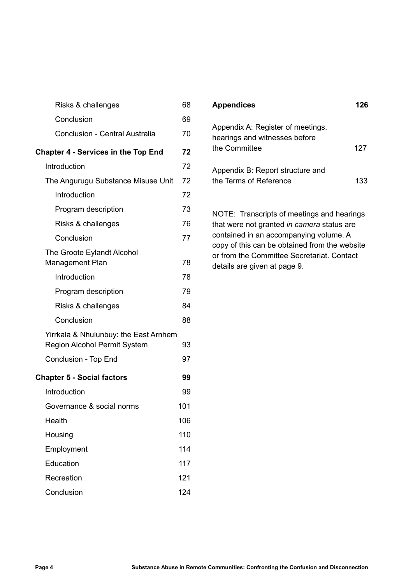| Risks & challenges                                                           | 68  |
|------------------------------------------------------------------------------|-----|
| Conclusion                                                                   | 69  |
| Conclusion - Central Australia                                               | 70  |
| <b>Chapter 4 - Services in the Top End</b>                                   | 72  |
| Introduction                                                                 | 72  |
| The Angurugu Substance Misuse Unit                                           | 72  |
| Introduction                                                                 | 72  |
| Program description                                                          | 73  |
| Risks & challenges                                                           | 76  |
| Conclusion                                                                   | 77  |
| The Groote Eylandt Alcohol<br><b>Management Plan</b>                         | 78  |
| Introduction                                                                 | 78  |
| Program description                                                          | 79  |
| Risks & challenges                                                           | 84  |
| Conclusion                                                                   | 88  |
| Yirrkala & Nhulunbuy: the East Arnhem<br><b>Region Alcohol Permit System</b> | 93  |
| Conclusion - Top End                                                         | 97  |
| <b>Chapter 5 - Social factors</b>                                            | 99  |
| Introduction                                                                 | 99  |
| Governance & social norms                                                    | 101 |
| Health                                                                       | 106 |
| Housing                                                                      | 110 |
| Employment                                                                   | 114 |
| Education                                                                    | 117 |
| Recreation                                                                   | 121 |
| Conclusion                                                                   | 124 |

| <b>Appendices</b>                                                                   | 126  |
|-------------------------------------------------------------------------------------|------|
| Appendix A: Register of meetings,<br>hearings and witnesses before<br>the Committee | 127  |
| Appendix B: Report structure and<br>the Terms of Reference                          | 133. |

NOTE: Transcripts of meetings and hearings that were not granted *in camera* status are contained in an accompanying volume. A copy of this can be obtained from the website or from the Committee Secretariat. Contact details are given at page 9.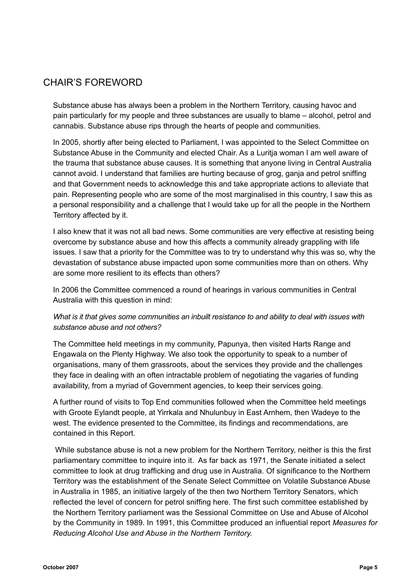# Chair's Foreword

Substance abuse has always been a problem in the Northern Territory, causing havoc and pain particularly for my people and three substances are usually to blame – alcohol, petrol and cannabis. Substance abuse rips through the hearts of people and communities.

In 2005, shortly after being elected to Parliament, I was appointed to the Select Committee on Substance Abuse in the Community and elected Chair. As a Luritja woman I am well aware of the trauma that substance abuse causes. It is something that anyone living in Central Australia cannot avoid. I understand that families are hurting because of grog, ganja and petrol sniffing and that Government needs to acknowledge this and take appropriate actions to alleviate that pain. Representing people who are some of the most marginalised in this country, I saw this as a personal responsibility and a challenge that I would take up for all the people in the Northern Territory affected by it.

I also knew that it was not all bad news. Some communities are very effective at resisting being overcome by substance abuse and how this affects a community already grappling with life issues. I saw that a priority for the Committee was to try to understand why this was so, why the devastation of substance abuse impacted upon some communities more than on others. Why are some more resilient to its effects than others?

In 2006 the Committee commenced a round of hearings in various communities in Central Australia with this question in mind:

#### *What is it that gives some communities an inbuilt resistance to and ability to deal with issues with substance abuse and not others?*

The Committee held meetings in my community, Papunya, then visited Harts Range and Engawala on the Plenty Highway. We also took the opportunity to speak to a number of organisations, many of them grassroots, about the services they provide and the challenges they face in dealing with an often intractable problem of negotiating the vagaries of funding availability, from a myriad of Government agencies, to keep their services going.

A further round of visits to Top End communities followed when the Committee held meetings with Groote Eylandt people, at Yirrkala and Nhulunbuy in East Arnhem, then Wadeye to the west. The evidence presented to the Committee, its findings and recommendations, are contained in this Report.

 While substance abuse is not a new problem for the Northern Territory, neither is this the first parliamentary committee to inquire into it. As far back as 1971, the Senate initiated a select committee to look at drug trafficking and drug use in Australia. Of significance to the Northern Territory was the establishment of the Senate Select Committee on Volatile Substance Abuse in Australia in 1985, an initiative largely of the then two Northern Territory Senators, which reflected the level of concern for petrol sniffing here. The first such committee established by the Northern Territory parliament was the Sessional Committee on Use and Abuse of Alcohol by the Community in 1989. In 1991, this Committee produced an influential report *Measures for Reducing Alcohol Use and Abuse in the Northern Territory.*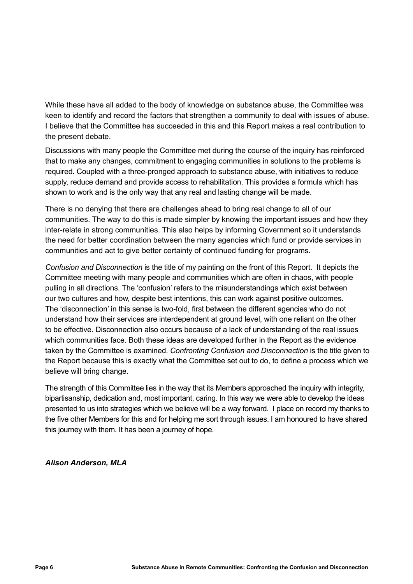While these have all added to the body of knowledge on substance abuse, the Committee was keen to identify and record the factors that strengthen a community to deal with issues of abuse. I believe that the Committee has succeeded in this and this Report makes a real contribution to the present debate.

Discussions with many people the Committee met during the course of the inquiry has reinforced that to make any changes, commitment to engaging communities in solutions to the problems is required. Coupled with a three-pronged approach to substance abuse, with initiatives to reduce supply, reduce demand and provide access to rehabilitation. This provides a formula which has shown to work and is the only way that any real and lasting change will be made.

There is no denying that there are challenges ahead to bring real change to all of our communities. The way to do this is made simpler by knowing the important issues and how they inter-relate in strong communities. This also helps by informing Government so it understands the need for better coordination between the many agencies which fund or provide services in communities and act to give better certainty of continued funding for programs.

*Confusion and Disconnection* is the title of my painting on the front of this Report. It depicts the Committee meeting with many people and communities which are often in chaos, with people pulling in all directions. The 'confusion' refers to the misunderstandings which exist between our two cultures and how, despite best intentions, this can work against positive outcomes. The 'disconnection' in this sense is two-fold, first between the different agencies who do not understand how their services are interdependent at ground level, with one reliant on the other to be effective. Disconnection also occurs because of a lack of understanding of the real issues which communities face. Both these ideas are developed further in the Report as the evidence taken by the Committee is examined. *Confronting Confusion and Disconnection* is the title given to the Report because this is exactly what the Committee set out to do, to define a process which we believe will bring change.

The strength of this Committee lies in the way that its Members approached the inquiry with integrity, bipartisanship, dedication and, most important, caring. In this way we were able to develop the ideas presented to us into strategies which we believe will be a way forward. I place on record my thanks to the five other Members for this and for helping me sort through issues. I am honoured to have shared this journey with them. It has been a journey of hope.

#### *Alison Anderson, MLA*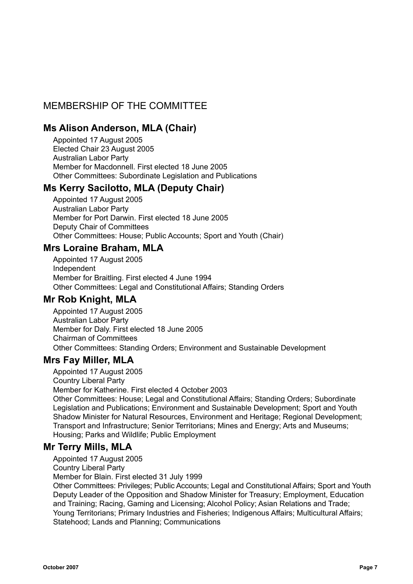# Membership of the Committee

## **Ms Alison Anderson, MLA (Chair)**

Appointed 17 August 2005 Elected Chair 23 August 2005 Australian Labor Party Member for Macdonnell. First elected 18 June 2005 Other Committees: Subordinate Legislation and Publications

## **Ms Kerry Sacilotto, MLA (Deputy Chair)**

Appointed 17 August 2005 Australian Labor Party Member for Port Darwin. First elected 18 June 2005 Deputy Chair of Committees Other Committees: House; Public Accounts; Sport and Youth (Chair)

## **Mrs Loraine Braham, MLA**

Appointed 17 August 2005 Independent Member for Braitling. First elected 4 June 1994 Other Committees: Legal and Constitutional Affairs; Standing Orders

### **Mr Rob Knight, MLA**

Appointed 17 August 2005 Australian Labor Party Member for Daly. First elected 18 June 2005 Chairman of Committees Other Committees: Standing Orders; Environment and Sustainable Development

## **Mrs Fay Miller, MLA**

Appointed 17 August 2005 Country Liberal Party Member for Katherine. First elected 4 October 2003 Other Committees: House; Legal and Constitutional Affairs; Standing Orders; Subordinate Legislation and Publications; Environment and Sustainable Development; Sport and Youth Shadow Minister for Natural Resources, Environment and Heritage; Regional Development; Transport and Infrastructure; Senior Territorians; Mines and Energy; Arts and Museums; Housing; Parks and Wildlife; Public Employment

## **Mr Terry Mills, MLA**

Appointed 17 August 2005

Country Liberal Party

Member for Blain. First elected 31 July 1999

Other Committees: Privileges; Public Accounts; Legal and Constitutional Affairs; Sport and Youth Deputy Leader of the Opposition and Shadow Minister for Treasury; Employment, Education and Training; Racing, Gaming and Licensing; Alcohol Policy; Asian Relations and Trade; Young Territorians; Primary Industries and Fisheries; Indigenous Affairs; Multicultural Affairs; Statehood; Lands and Planning; Communications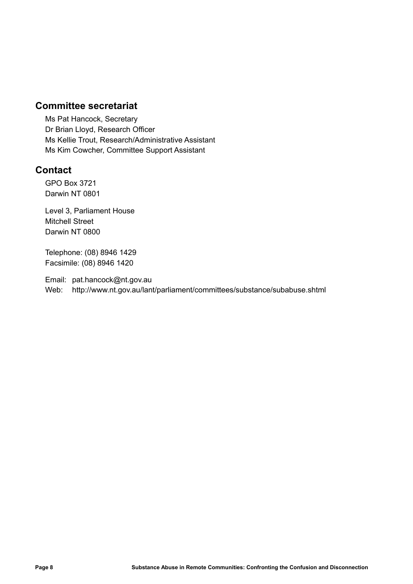## **Committee secretariat**

Ms Pat Hancock, Secretary Dr Brian Lloyd, Research Officer Ms Kellie Trout, Research/Administrative Assistant Ms Kim Cowcher, Committee Support Assistant

## **Contact**

GPO Box 3721 Darwin NT 0801

Level 3, Parliament House Mitchell Street Darwin NT 0800

Telephone: (08) 8946 1429 Facsimile: (08) 8946 1420

Email: pat.hancock@nt.gov.au Web: http://www.nt.gov.au/lant/parliament/committees/substance/subabuse.shtml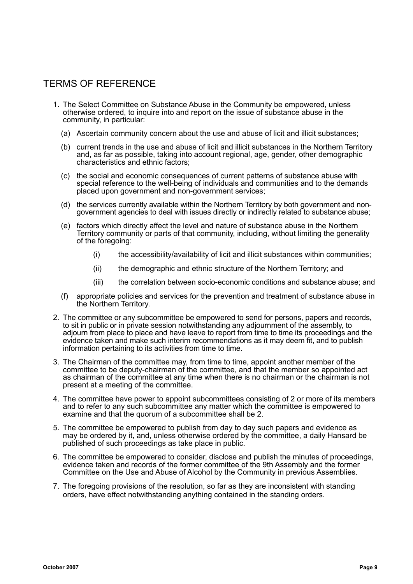# Terms of Reference

- 1. The Select Committee on Substance Abuse in the Community be empowered, unless otherwise ordered, to inquire into and report on the issue of substance abuse in the community, in particular:
	- (a) Ascertain community concern about the use and abuse of licit and illicit substances;
	- (b) current trends in the use and abuse of licit and illicit substances in the Northern Territory and, as far as possible, taking into account regional, age, gender, other demographic characteristics and ethnic factors;
	- (c) the social and economic consequences of current patterns of substance abuse with special reference to the well-being of individuals and communities and to the demands placed upon government and non-government services;
	- (d) the services currently available within the Northern Territory by both government and nongovernment agencies to deal with issues directly or indirectly related to substance abuse;
	- (e) factors which directly affect the level and nature of substance abuse in the Northern Territory community or parts of that community, including, without limiting the generality of the foregoing:
		- (i) the accessibility/availability of licit and illicit substances within communities;
		- (ii) the demographic and ethnic structure of the Northern Territory; and
		- (iii) the correlation between socio-economic conditions and substance abuse; and
	- (f) appropriate policies and services for the prevention and treatment of substance abuse in the Northern Territory.
- 2. The committee or any subcommittee be empowered to send for persons, papers and records, to sit in public or in private session notwithstanding any adjournment of the assembly, to adjourn from place to place and have leave to report from time to time its proceedings and the evidence taken and make such interim recommendations as it may deem fit, and to publish information pertaining to its activities from time to time.
- 3. The Chairman of the committee may, from time to time, appoint another member of the committee to be deputy-chairman of the committee, and that the member so appointed act as chairman of the committee at any time when there is no chairman or the chairman is not present at a meeting of the committee.
- 4. The committee have power to appoint subcommittees consisting of 2 or more of its members and to refer to any such subcommittee any matter which the committee is empowered to examine and that the quorum of a subcommittee shall be 2.
- 5. The committee be empowered to publish from day to day such papers and evidence as may be ordered by it, and, unless otherwise ordered by the committee, a daily Hansard be published of such proceedings as take place in public.
- 6. The committee be empowered to consider, disclose and publish the minutes of proceedings, evidence taken and records of the former committee of the 9th Assembly and the former Committee on the Use and Abuse of Alcohol by the Community in previous Assemblies.
- 7. The foregoing provisions of the resolution, so far as they are inconsistent with standing orders, have effect notwithstanding anything contained in the standing orders.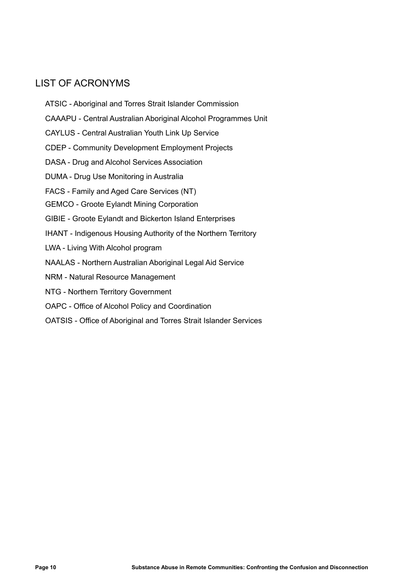## List of acronyms

- ATSIC Aboriginal and Torres Strait Islander Commission
- CAAAPU Central Australian Aboriginal Alcohol Programmes Unit
- CAYLUS Central Australian Youth Link Up Service
- CDEP Community Development Employment Projects
- DASA Drug and Alcohol Services Association
- DUMA Drug Use Monitoring in Australia
- FACS Family and Aged Care Services (NT)
- GEMCO Groote Eylandt Mining Corporation
- GIBIE Groote Eylandt and Bickerton Island Enterprises
- IHANT Indigenous Housing Authority of the Northern Territory
- LWA Living With Alcohol program
- NAALAS Northern Australian Aboriginal Legal Aid Service
- NRM Natural Resource Management
- NTG Northern Territory Government
- OAPC Office of Alcohol Policy and Coordination
- OATSIS Office of Aboriginal and Torres Strait Islander Services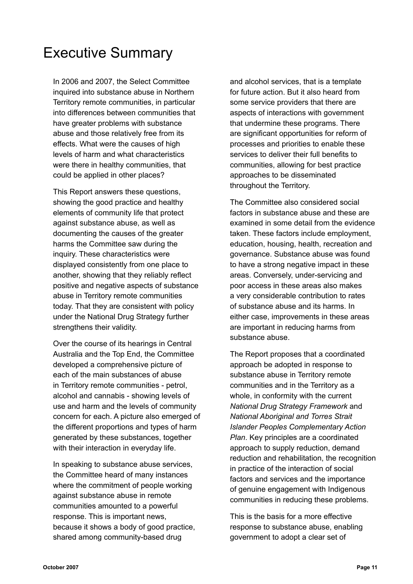# Executive Summary

In 2006 and 2007, the Select Committee inquired into substance abuse in Northern Territory remote communities, in particular into differences between communities that have greater problems with substance abuse and those relatively free from its effects. What were the causes of high levels of harm and what characteristics were there in healthy communities, that could be applied in other places?

This Report answers these questions, showing the good practice and healthy elements of community life that protect against substance abuse, as well as documenting the causes of the greater harms the Committee saw during the inquiry. These characteristics were displayed consistently from one place to another, showing that they reliably reflect positive and negative aspects of substance abuse in Territory remote communities today. That they are consistent with policy under the National Drug Strategy further strengthens their validity.

Over the course of its hearings in Central Australia and the Top End, the Committee developed a comprehensive picture of each of the main substances of abuse in Territory remote communities - petrol, alcohol and cannabis - showing levels of use and harm and the levels of community concern for each. A picture also emerged of the different proportions and types of harm generated by these substances, together with their interaction in everyday life.

In speaking to substance abuse services, the Committee heard of many instances where the commitment of people working against substance abuse in remote communities amounted to a powerful response. This is important news, because it shows a body of good practice, shared among community-based drug

and alcohol services, that is a template for future action. But it also heard from some service providers that there are aspects of interactions with government that undermine these programs. There are significant opportunities for reform of processes and priorities to enable these services to deliver their full benefits to communities, allowing for best practice approaches to be disseminated throughout the Territory.

The Committee also considered social factors in substance abuse and these are examined in some detail from the evidence taken. These factors include employment, education, housing, health, recreation and governance. Substance abuse was found to have a strong negative impact in these areas. Conversely, under-servicing and poor access in these areas also makes a very considerable contribution to rates of substance abuse and its harms. In either case, improvements in these areas are important in reducing harms from substance abuse.

The Report proposes that a coordinated approach be adopted in response to substance abuse in Territory remote communities and in the Territory as a whole, in conformity with the current *National Drug Strategy Framework* and *National Aboriginal and Torres Strait Islander Peoples Complementary Action Plan*. Key principles are a coordinated approach to supply reduction, demand reduction and rehabilitation, the recognition in practice of the interaction of social factors and services and the importance of genuine engagement with Indigenous communities in reducing these problems.

This is the basis for a more effective response to substance abuse, enabling government to adopt a clear set of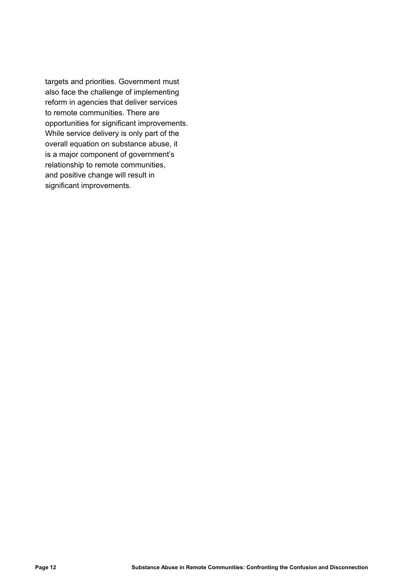targets and priorities. Government must also face the challenge of implementing reform in agencies that deliver services to remote communities. There are opportunities for significant improvements. While service delivery is only part of the overall equation on substance abuse, it is a major component of government's relationship to remote communities, and positive change will result in significant improvements.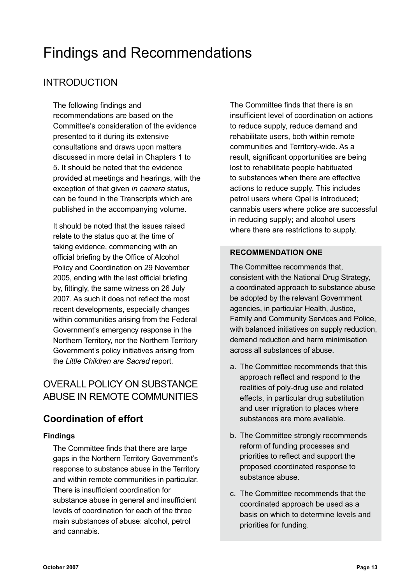# Findings and Recommendations

# **INTRODUCTION**

The following findings and recommendations are based on the Committee's consideration of the evidence presented to it during its extensive consultations and draws upon matters discussed in more detail in Chapters 1 to 5. It should be noted that the evidence provided at meetings and hearings, with the exception of that given *in camera* status, can be found in the Transcripts which are published in the accompanying volume.

It should be noted that the issues raised relate to the status quo at the time of taking evidence, commencing with an official briefing by the Office of Alcohol Policy and Coordination on 29 November 2005, ending with the last official briefing by, fittingly, the same witness on 26 July 2007. As such it does not reflect the most recent developments, especially changes within communities arising from the Federal Government's emergency response in the Northern Territory, nor the Northern Territory Government's policy initiatives arising from the *Little Children are Sacred* report.

# Overall policy on substance abuse in remote communities

# **Coordination of effort**

#### **Findings**

The Committee finds that there are large gaps in the Northern Territory Government's response to substance abuse in the Territory and within remote communities in particular. There is insufficient coordination for substance abuse in general and insufficient levels of coordination for each of the three main substances of abuse: alcohol, petrol and cannabis.

The Committee finds that there is an insufficient level of coordination on actions to reduce supply, reduce demand and rehabilitate users, both within remote communities and Territory-wide. As a result, significant opportunities are being lost to rehabilitate people habituated to substances when there are effective actions to reduce supply. This includes petrol users where Opal is introduced; cannabis users where police are successful in reducing supply; and alcohol users where there are restrictions to supply.

#### **RECOMMENDATION ONE**

The Committee recommends that, consistent with the National Drug Strategy, a coordinated approach to substance abuse be adopted by the relevant Government agencies, in particular Health, Justice, Family and Community Services and Police, with balanced initiatives on supply reduction, demand reduction and harm minimisation across all substances of abuse.

- a. The Committee recommends that this approach reflect and respond to the realities of poly-drug use and related effects, in particular drug substitution and user migration to places where substances are more available.
- b. The Committee strongly recommends reform of funding processes and priorities to reflect and support the proposed coordinated response to substance abuse.
- c. The Committee recommends that the coordinated approach be used as a basis on which to determine levels and priorities for funding.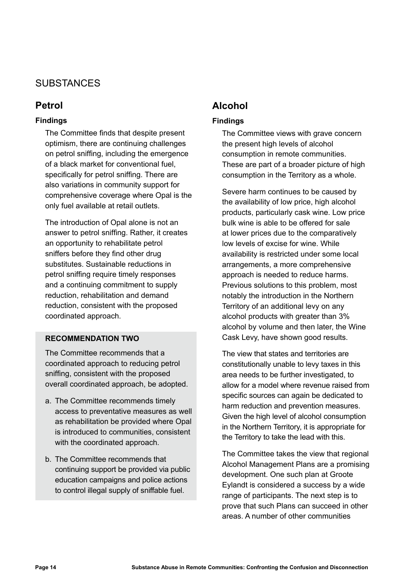# **SUBSTANCES**

# **Petrol**

### **Findings**

The Committee finds that despite present optimism, there are continuing challenges on petrol sniffing, including the emergence of a black market for conventional fuel, specifically for petrol sniffing. There are also variations in community support for comprehensive coverage where Opal is the only fuel available at retail outlets.

The introduction of Opal alone is not an answer to petrol sniffing. Rather, it creates an opportunity to rehabilitate petrol sniffers before they find other drug substitutes. Sustainable reductions in petrol sniffing require timely responses and a continuing commitment to supply reduction, rehabilitation and demand reduction, consistent with the proposed coordinated approach.

#### **RECOMMENDATION TWO**

The Committee recommends that a coordinated approach to reducing petrol sniffing, consistent with the proposed overall coordinated approach, be adopted.

- a. The Committee recommends timely access to preventative measures as well as rehabilitation be provided where Opal is introduced to communities, consistent with the coordinated approach.
- b. The Committee recommends that continuing support be provided via public education campaigns and police actions to control illegal supply of sniffable fuel.

# **Alcohol**

### **Findings**

The Committee views with grave concern the present high levels of alcohol consumption in remote communities. These are part of a broader picture of high consumption in the Territory as a whole.

Severe harm continues to be caused by the availability of low price, high alcohol products, particularly cask wine. Low price bulk wine is able to be offered for sale at lower prices due to the comparatively low levels of excise for wine. While availability is restricted under some local arrangements, a more comprehensive approach is needed to reduce harms. Previous solutions to this problem, most notably the introduction in the Northern Territory of an additional levy on any alcohol products with greater than 3% alcohol by volume and then later, the Wine Cask Levy, have shown good results.

The view that states and territories are constitutionally unable to levy taxes in this area needs to be further investigated, to allow for a model where revenue raised from specific sources can again be dedicated to harm reduction and prevention measures. Given the high level of alcohol consumption in the Northern Territory, it is appropriate for the Territory to take the lead with this.

The Committee takes the view that regional Alcohol Management Plans are a promising development. One such plan at Groote Eylandt is considered a success by a wide range of participants. The next step is to prove that such Plans can succeed in other areas. A number of other communities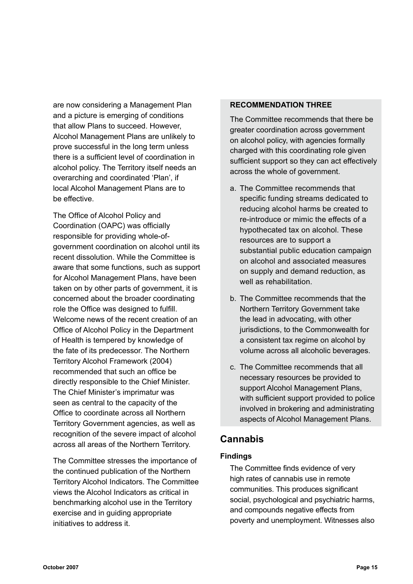are now considering a Management Plan and a picture is emerging of conditions that allow Plans to succeed. However, Alcohol Management Plans are unlikely to prove successful in the long term unless there is a sufficient level of coordination in alcohol policy. The Territory itself needs an overarching and coordinated 'Plan', if local Alcohol Management Plans are to be effective.

The Office of Alcohol Policy and Coordination (OAPC) was officially responsible for providing whole-ofgovernment coordination on alcohol until its recent dissolution. While the Committee is aware that some functions, such as support for Alcohol Management Plans, have been taken on by other parts of government, it is concerned about the broader coordinating role the Office was designed to fulfill. Welcome news of the recent creation of an Office of Alcohol Policy in the Department of Health is tempered by knowledge of the fate of its predecessor. The Northern Territory Alcohol Framework (2004) recommended that such an office be directly responsible to the Chief Minister. The Chief Minister's imprimatur was seen as central to the capacity of the Office to coordinate across all Northern Territory Government agencies, as well as recognition of the severe impact of alcohol across all areas of the Northern Territory.

The Committee stresses the importance of the continued publication of the Northern Territory Alcohol Indicators. The Committee views the Alcohol Indicators as critical in benchmarking alcohol use in the Territory exercise and in guiding appropriate initiatives to address it.

#### **RECOMMENDATION THREE**

The Committee recommends that there be greater coordination across government on alcohol policy, with agencies formally charged with this coordinating role given sufficient support so they can act effectively across the whole of government.

- a. The Committee recommends that specific funding streams dedicated to reducing alcohol harms be created to re-introduce or mimic the effects of a hypothecated tax on alcohol. These resources are to support a substantial public education campaign on alcohol and associated measures on supply and demand reduction, as well as rehabilitation.
- b. The Committee recommends that the Northern Territory Government take the lead in advocating, with other jurisdictions, to the Commonwealth for a consistent tax regime on alcohol by volume across all alcoholic beverages.
- c. The Committee recommends that all necessary resources be provided to support Alcohol Management Plans, with sufficient support provided to police involved in brokering and administrating aspects of Alcohol Management Plans.

# **Cannabis**

#### **Findings**

The Committee finds evidence of very high rates of cannabis use in remote communities. This produces significant social, psychological and psychiatric harms, and compounds negative effects from poverty and unemployment. Witnesses also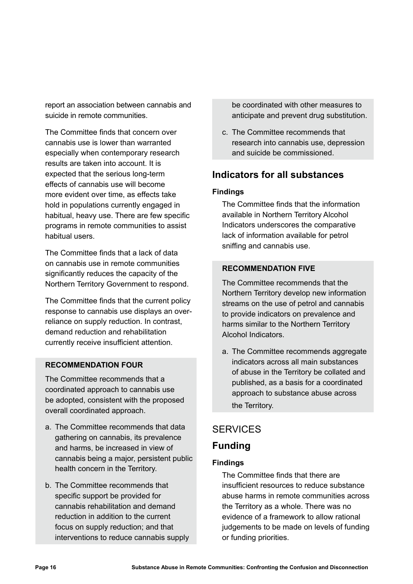report an association between cannabis and suicide in remote communities.

The Committee finds that concern over cannabis use is lower than warranted especially when contemporary research results are taken into account. It is expected that the serious long-term effects of cannabis use will become more evident over time, as effects take hold in populations currently engaged in habitual, heavy use. There are few specific programs in remote communities to assist habitual users.

The Committee finds that a lack of data on cannabis use in remote communities significantly reduces the capacity of the Northern Territory Government to respond.

The Committee finds that the current policy response to cannabis use displays an overreliance on supply reduction. In contrast, demand reduction and rehabilitation currently receive insufficient attention.

#### **RECOMMENDATION FOUR**

The Committee recommends that a coordinated approach to cannabis use be adopted, consistent with the proposed overall coordinated approach.

- a. The Committee recommends that data gathering on cannabis, its prevalence and harms, be increased in view of cannabis being a major, persistent public health concern in the Territory.
- b. The Committee recommends that specific support be provided for cannabis rehabilitation and demand reduction in addition to the current focus on supply reduction; and that interventions to reduce cannabis supply

be coordinated with other measures to anticipate and prevent drug substitution.

c. The Committee recommends that research into cannabis use, depression and suicide be commissioned.

# **Indicators for all substances**

#### **Findings**

The Committee finds that the information available in Northern Territory Alcohol Indicators underscores the comparative lack of information available for petrol sniffing and cannabis use.

#### **RECOMMENDATION FIVE**

The Committee recommends that the Northern Territory develop new information streams on the use of petrol and cannabis to provide indicators on prevalence and harms similar to the Northern Territory Alcohol Indicators.

a. The Committee recommends aggregate indicators across all main substances of abuse in the Territory be collated and published, as a basis for a coordinated approach to substance abuse across the Territory.

# **SERVICES**

# **Funding**

#### **Findings**

The Committee finds that there are insufficient resources to reduce substance abuse harms in remote communities across the Territory as a whole. There was no evidence of a framework to allow rational judgements to be made on levels of funding or funding priorities.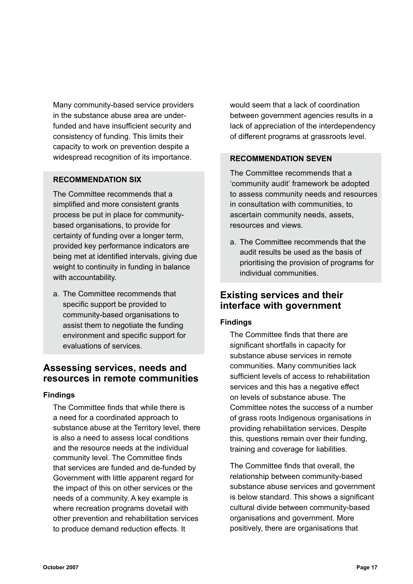Many community-based service providers in the substance abuse area are underfunded and have insufficient security and consistency of funding. This limits their capacity to work on prevention despite a widespread recognition of its importance.

#### **RECOMMENDATION SIX**

The Committee recommends that a simplified and more consistent grants process be put in place for communitybased organisations, to provide for certainty of funding over a longer term, provided key performance indicators are being met at identified intervals, giving due weight to continuity in funding in balance with accountability.

a. The Committee recommends that specific support be provided to community-based organisations to assist them to negotiate the funding environment and specific support for evaluations of services.

## **Assessing services, needs and resources in remote communities**

#### **Findings**

The Committee finds that while there is a need for a coordinated approach to substance abuse at the Territory level, there is also a need to assess local conditions and the resource needs at the individual community level. The Committee finds that services are funded and de-funded by Government with little apparent regard for the impact of this on other services or the needs of a community. A key example is where recreation programs dovetail with other prevention and rehabilitation services to produce demand reduction effects. It

would seem that a lack of coordination between government agencies results in a lack of appreciation of the interdependency of different programs at grassroots level.

#### **RECOMMENDATION SEVEN**

The Committee recommends that a 'community audit' framework be adopted to assess community needs and resources in consultation with communities, to ascertain community needs, assets, resources and views.

a. The Committee recommends that the audit results be used as the basis of prioritising the provision of programs for individual communities.

## **Existing services and their interface with government**

#### **Findings**

The Committee finds that there are significant shortfalls in capacity for substance abuse services in remote communities. Many communities lack sufficient levels of access to rehabilitation services and this has a negative effect on levels of substance abuse. The Committee notes the success of a number of grass roots Indigenous organisations in providing rehabilitation services. Despite this, questions remain over their funding, training and coverage for liabilities.

The Committee finds that overall, the relationship between community-based substance abuse services and government is below standard. This shows a significant cultural divide between community-based organisations and government. More positively, there are organisations that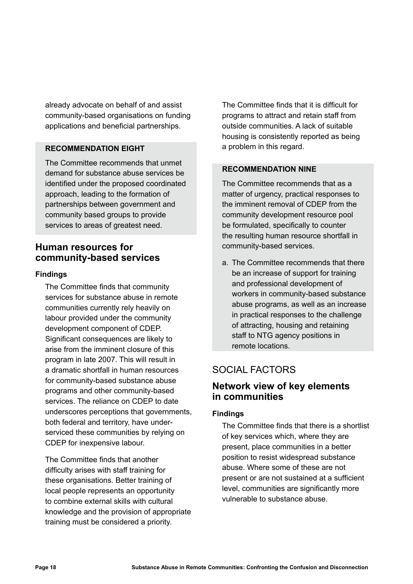already advocate on behalf of and assist community-based organisations on funding applications and beneficial partnerships.

#### **RECOMMENDATION EIGHT**

The Committee recommends that unmet demand for substance abuse services be identified under the proposed coordinated approach, leading to the formation of partnerships between government and community based groups to provide services to areas of greatest need.

## **Human resources for community-based services**

#### **Findings**

The Committee finds that community services for substance abuse in remote communities currently rely heavily on labour provided under the community development component of CDEP. Significant consequences are likely to arise from the imminent closure of this program in late 2007. This will result in a dramatic shortfall in human resources for community-based substance abuse programs and other community-based services. The reliance on CDEP to date underscores perceptions that governments, both federal and territory, have underserviced these communities by relying on CDEP for inexpensive labour.

The Committee finds that another difficulty arises with staff training for these organisations. Better training of local people represents an opportunity to combine external skills with cultural knowledge and the provision of appropriate training must be considered a priority.

The Committee finds that it is difficult for programs to attract and retain staff from outside communities. A lack of suitable housing is consistently reported as being a problem in this regard.

#### **RECOMMENDATION NINE**

The Committee recommends that as a matter of urgency, practical responses to the imminent removal of CDEP from the community development resource pool be formulated, specifically to counter the resulting human resource shortfall in community-based services.

a. The Committee recommends that there be an increase of support for training and professional development of workers in community-based substance abuse programs, as well as an increase in practical responses to the challenge of attracting, housing and retaining staff to NTG agency positions in remote locations.

# Social factors

## **Network view of key elements in communities**

#### **Findings**

The Committee finds that there is a shortlist of key services which, where they are present, place communities in a better position to resist widespread substance abuse. Where some of these are not present or are not sustained at a sufficient level, communities are significantly more vulnerable to substance abuse.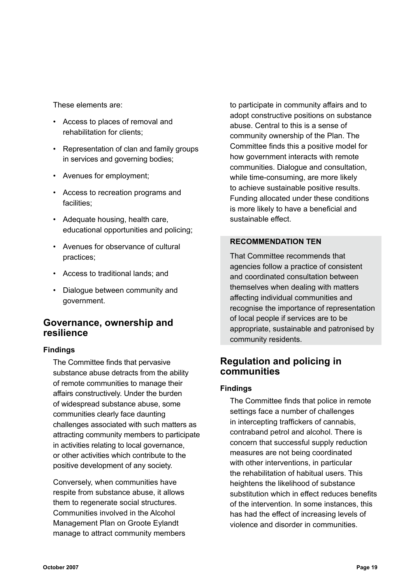These elements are:

- Access to places of removal and rehabilitation for clients;
- Representation of clan and family groups in services and governing bodies;
- Avenues for employment;
- Access to recreation programs and facilities;
- Adequate housing, health care, educational opportunities and policing;
- Avenues for observance of cultural practices;
- Access to traditional lands; and
- Dialogue between community and government.

## **Governance, ownership and resilience**

#### **Findings**

The Committee finds that pervasive substance abuse detracts from the ability of remote communities to manage their affairs constructively. Under the burden of widespread substance abuse, some communities clearly face daunting challenges associated with such matters as attracting community members to participate in activities relating to local governance, or other activities which contribute to the positive development of any society.

Conversely, when communities have respite from substance abuse, it allows them to regenerate social structures. Communities involved in the Alcohol Management Plan on Groote Eylandt manage to attract community members to participate in community affairs and to adopt constructive positions on substance abuse. Central to this is a sense of community ownership of the Plan. The Committee finds this a positive model for how government interacts with remote communities. Dialogue and consultation, while time-consuming, are more likely to achieve sustainable positive results. Funding allocated under these conditions is more likely to have a beneficial and sustainable effect.

#### **RECOMMENDATION TEN**

That Committee recommends that agencies follow a practice of consistent and coordinated consultation between themselves when dealing with matters affecting individual communities and recognise the importance of representation of local people if services are to be appropriate, sustainable and patronised by community residents.

## **Regulation and policing in communities**

#### **Findings**

The Committee finds that police in remote settings face a number of challenges in intercepting traffickers of cannabis, contraband petrol and alcohol. There is concern that successful supply reduction measures are not being coordinated with other interventions, in particular the rehabilitation of habitual users. This heightens the likelihood of substance substitution which in effect reduces benefits of the intervention. In some instances, this has had the effect of increasing levels of violence and disorder in communities.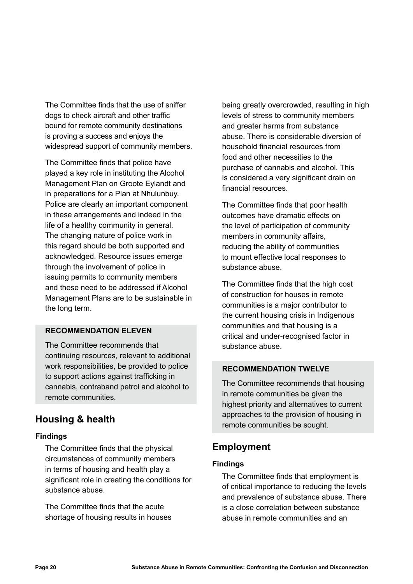The Committee finds that the use of sniffer dogs to check aircraft and other traffic bound for remote community destinations is proving a success and enjoys the widespread support of community members.

The Committee finds that police have played a key role in instituting the Alcohol Management Plan on Groote Eylandt and in preparations for a Plan at Nhulunbuy. Police are clearly an important component in these arrangements and indeed in the life of a healthy community in general. The changing nature of police work in this regard should be both supported and acknowledged. Resource issues emerge through the involvement of police in issuing permits to community members and these need to be addressed if Alcohol Management Plans are to be sustainable in the long term.

#### **RECOMMENDATION ELEVEN**

The Committee recommends that continuing resources, relevant to additional work responsibilities, be provided to police to support actions against trafficking in cannabis, contraband petrol and alcohol to remote communities.

## **Housing & health**

#### **Findings**

The Committee finds that the physical circumstances of community members in terms of housing and health play a significant role in creating the conditions for substance abuse.

The Committee finds that the acute shortage of housing results in houses being greatly overcrowded, resulting in high levels of stress to community members and greater harms from substance abuse. There is considerable diversion of household financial resources from food and other necessities to the purchase of cannabis and alcohol. This is considered a very significant drain on financial resources.

The Committee finds that poor health outcomes have dramatic effects on the level of participation of community members in community affairs, reducing the ability of communities to mount effective local responses to substance abuse.

The Committee finds that the high cost of construction for houses in remote communities is a major contributor to the current housing crisis in Indigenous communities and that housing is a critical and under-recognised factor in substance abuse.

#### **RECOMMENDATION TWELVE**

The Committee recommends that housing in remote communities be given the highest priority and alternatives to current approaches to the provision of housing in remote communities be sought.

### **Employment**

#### **Findings**

The Committee finds that employment is of critical importance to reducing the levels and prevalence of substance abuse. There is a close correlation between substance abuse in remote communities and an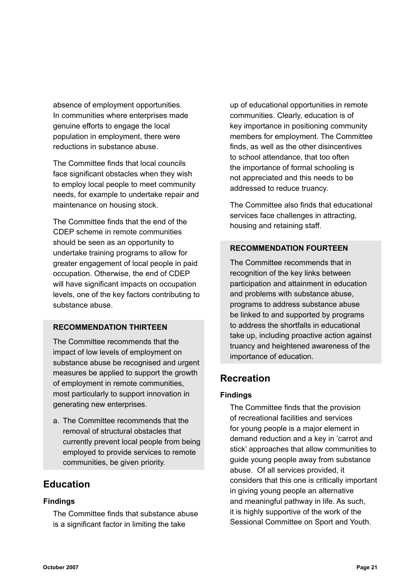absence of employment opportunities. In communities where enterprises made genuine efforts to engage the local population in employment, there were reductions in substance abuse.

The Committee finds that local councils face significant obstacles when they wish to employ local people to meet community needs, for example to undertake repair and maintenance on housing stock.

The Committee finds that the end of the CDEP scheme in remote communities should be seen as an opportunity to undertake training programs to allow for greater engagement of local people in paid occupation. Otherwise, the end of CDEP will have significant impacts on occupation levels, one of the key factors contributing to substance abuse.

#### **RECOMMENDATION THIRTEEN**

The Committee recommends that the impact of low levels of employment on substance abuse be recognised and urgent measures be applied to support the growth of employment in remote communities, most particularly to support innovation in generating new enterprises.

a. The Committee recommends that the removal of structural obstacles that currently prevent local people from being employed to provide services to remote communities, be given priority.

# **Education**

#### **Findings**

The Committee finds that substance abuse is a significant factor in limiting the take

up of educational opportunities in remote communities. Clearly, education is of key importance in positioning community members for employment. The Committee finds, as well as the other disincentives to school attendance, that too often the importance of formal schooling is not appreciated and this needs to be addressed to reduce truancy.

The Committee also finds that educational services face challenges in attracting, housing and retaining staff.

#### **RECOMMENDATION FOURTEEN**

The Committee recommends that in recognition of the key links between participation and attainment in education and problems with substance abuse, programs to address substance abuse be linked to and supported by programs to address the shortfalls in educational take up, including proactive action against truancy and heightened awareness of the importance of education.

# **Recreation**

#### **Findings**

The Committee finds that the provision of recreational facilities and services for young people is a major element in demand reduction and a key in 'carrot and stick' approaches that allow communities to guide young people away from substance abuse. Of all services provided, it considers that this one is critically important in giving young people an alternative and meaningful pathway in life. As such, it is highly supportive of the work of the Sessional Committee on Sport and Youth.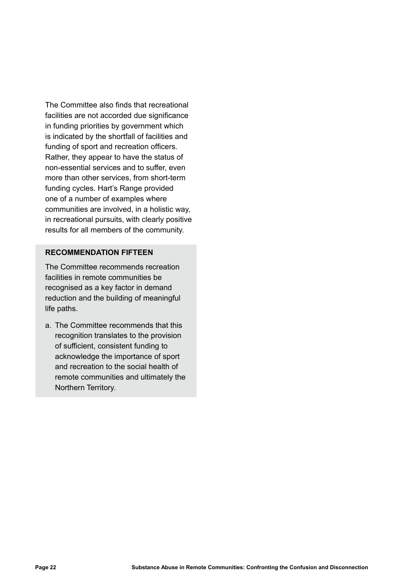The Committee also finds that recreational facilities are not accorded due significance in funding priorities by government which is indicated by the shortfall of facilities and funding of sport and recreation officers. Rather, they appear to have the status of non-essential services and to suffer, even more than other services, from short-term funding cycles. Hart's Range provided one of a number of examples where communities are involved, in a holistic way, in recreational pursuits, with clearly positive results for all members of the community.

#### **RECOMMENDATION FIFTEEN**

The Committee recommends recreation facilities in remote communities be recognised as a key factor in demand reduction and the building of meaningful life paths.

a. The Committee recommends that this recognition translates to the provision of sufficient, consistent funding to acknowledge the importance of sport and recreation to the social health of remote communities and ultimately the Northern Territory.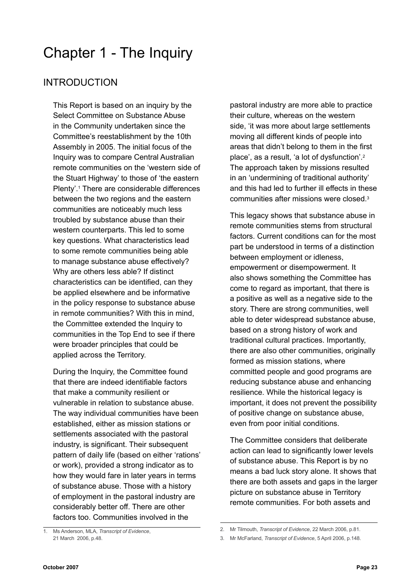# Chapter 1 - The Inquiry

## **INTRODUCTION**

This Report is based on an inquiry by the Select Committee on Substance Abuse in the Community undertaken since the Committee's reestablishment by the 10th Assembly in 2005. The initial focus of the Inquiry was to compare Central Australian remote communities on the 'western side of the Stuart Highway' to those of 'the eastern Plenty'.1 There are considerable differences between the two regions and the eastern communities are noticeably much less troubled by substance abuse than their western counterparts. This led to some key questions. What characteristics lead to some remote communities being able to manage substance abuse effectively? Why are others less able? If distinct characteristics can be identified, can they be applied elsewhere and be informative in the policy response to substance abuse in remote communities? With this in mind, the Committee extended the Inquiry to communities in the Top End to see if there were broader principles that could be applied across the Territory.

During the Inquiry, the Committee found that there are indeed identifiable factors that make a community resilient or vulnerable in relation to substance abuse. The way individual communities have been established, either as mission stations or settlements associated with the pastoral industry, is significant. Their subsequent pattern of daily life (based on either 'rations' or work), provided a strong indicator as to how they would fare in later years in terms of substance abuse. Those with a history of employment in the pastoral industry are considerably better off. There are other factors too. Communities involved in the

pastoral industry are more able to practice their culture, whereas on the western side, 'it was more about large settlements moving all different kinds of people into areas that didn't belong to them in the first place', as a result, 'a lot of dysfunction'.2 The approach taken by missions resulted in an 'undermining of traditional authority' and this had led to further ill effects in these communities after missions were closed.3

This legacy shows that substance abuse in remote communities stems from structural factors. Current conditions can for the most part be understood in terms of a distinction between employment or idleness, empowerment or disempowerment. It also shows something the Committee has come to regard as important, that there is a positive as well as a negative side to the story. There are strong communities, well able to deter widespread substance abuse, based on a strong history of work and traditional cultural practices. Importantly, there are also other communities, originally formed as mission stations, where committed people and good programs are reducing substance abuse and enhancing resilience. While the historical legacy is important, it does not prevent the possibility of positive change on substance abuse, even from poor initial conditions.

The Committee considers that deliberate action can lead to significantly lower levels of substance abuse. This Report is by no means a bad luck story alone. It shows that there are both assets and gaps in the larger picture on substance abuse in Territory remote communities. For both assets and

<sup>1.</sup> Ms Anderson, MLA, *Transcript of Evidence*, 21 March 2006, p.48.

<sup>2.</sup> Mr Tilmouth, *Transcript of Evidence*, 22 March 2006, p.81.

<sup>3.</sup> Mr McFarland, *Transcript of Evidence*, 5 April 2006, p.148.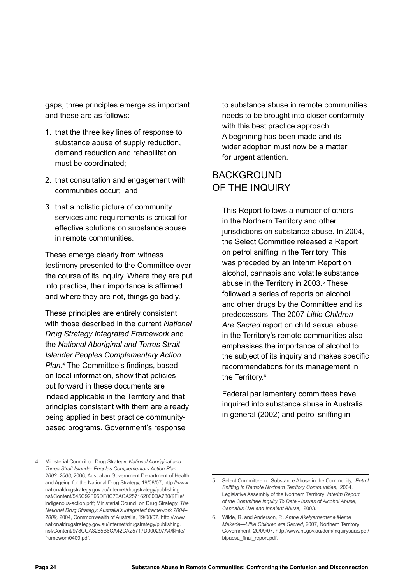gaps, three principles emerge as important and these are as follows:

- 1. that the three key lines of response to substance abuse of supply reduction. demand reduction and rehabilitation must be coordinated;
- 2. that consultation and engagement with communities occur; and
- 3. that a holistic picture of community services and requirements is critical for effective solutions on substance abuse in remote communities.

These emerge clearly from witness testimony presented to the Committee over the course of its inquiry. Where they are put into practice, their importance is affirmed and where they are not, things go badly.

These principles are entirely consistent with those described in the current *National Drug Strategy Integrated Framework* and the *National Aboriginal and Torres Strait Islander Peoples Complementary Action Plan*.4 The Committee's findings, based on local information, show that policies put forward in these documents are indeed applicable in the Territory and that principles consistent with them are already being applied in best practice communitybased programs. Government's response

to substance abuse in remote communities needs to be brought into closer conformity with this best practice approach. A beginning has been made and its wider adoption must now be a matter for urgent attention.

# **BACKGROUND** of the Inquiry

This Report follows a number of others in the Northern Territory and other jurisdictions on substance abuse. In 2004, the Select Committee released a Report on petrol sniffing in the Territory. This was preceded by an Interim Report on alcohol, cannabis and volatile substance abuse in the Territory in 2003.<sup>5</sup> These followed a series of reports on alcohol and other drugs by the Committee and its predecessors. The 2007 *Little Children Are Sacred* report on child sexual abuse in the Territory's remote communities also emphasises the importance of alcohol to the subject of its inquiry and makes specific recommendations for its management in the Territory.<sup>6</sup>

Federal parliamentary committees have inquired into substance abuse in Australia in general (2002) and petrol sniffing in

<sup>4.</sup> Ministerial Council on Drug Strategy, *National Aboriginal and Torres Strait Islander Peoples Complementary Action Plan 2003–2006*, 2006, Australian Government Department of Health and Ageing for the National Drug Strategy, 19/08/07, http://www. nationaldrugstrategy.gov.au/internet/drugstrategy/publishing. nsf/Content/545C92F95DF8C76ACA257162000DA780/\$File/ indigenous-action.pdf; Ministerial Council on Drug Strategy, *The National Drug Strategy: Australia's integrated framework 2004– 2009,* 2004, Commonwealth of Australia, 19/08/07. http://www. nationaldrugstrategy.gov.au/internet/drugstrategy/publishing. nsf/Content/978CCA3285B6CA42CA25717D000297A4/\$File/ framework0409.pdf.

<sup>5.</sup> Select Committee on Substance Abuse in the Community, *Petrol Sniffing in Remote Northern Territory Communities,* 2004, Legislative Assembly of the Northern Territory; *Interim Report of the Committee Inquiry To Date - Issues of Alcohol Abuse, Cannabis Use and Inhalant Abuse,* 2003.

<sup>6.</sup> Wilde, R. and Anderson, P., *Ampe Akelyernemane Meme Mekarle*—*Little Children are Sacred*, 2007, Northern Territory Government, 20/09/07, http://www.nt.gov.au/dcm/inquirysaac/pdf/ bipacsa\_final\_report.pdf.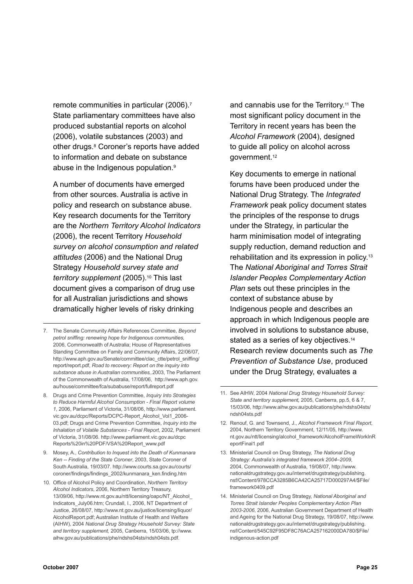remote communities in particular (2006).7 State parliamentary committees have also produced substantial reports on alcohol (2006), volatile substances (2003) and other drugs.<sup>8</sup> Coroner's reports have added to information and debate on substance abuse in the Indigenous population.9

A number of documents have emerged from other sources. Australia is active in policy and research on substance abuse. Key research documents for the Territory are the *Northern Territory Alcohol Indicators* (2006), the recent Territory *Household survey on alcohol consumption and related attitudes* (2006) and the National Drug Strategy *Household survey state and territory supplement* (2005).10 This last document gives a comparison of drug use for all Australian jurisdictions and shows dramatically higher levels of risky drinking

- 7. The Senate Community Affairs References Committee, *Beyond petrol sniffing: renewing hope for Indigenous communities,* 2006, Commonwealth of Australia; House of Representatives Standing Committee on Family and Community Affairs, 22/06/07, http://www.aph.gov.au/Senate/committee/clac\_ctte/petrol\_sniffing/ report/report.pdf, *Road to recovery: Report on the inquiry into substance abuse in Australian communities,*.2003, The Parliament of the Commonwealth of Australia, 17/08/06, http://www.aph.gov. au/house/committee/fca/subabuse/report/fullreport.pdf
- 8. Drugs and Crime Prevention Committee, *Inquiry Into Strategies to Reduce Harmful Alcohol Consumption - Final Report volume 1*, 2006, Parliament of Victoria, 31/08/06, http://www.parliament. vic.gov.au/dcpc/Reports/DCPC-Report\_Alcohol\_Vol1\_2006- 03.pdf; Drugs and Crime Prevention Committee, *Inquiry into the Inhalation of Volatile Substances - Final Report*, 2002, Parliament of Victoria, 31/08/06. http://www.parliament.vic.gov.au/dcpc Reports%20in%20PDF/VSA%20Report\_www.pdf
- 9. Mosey, A., *Contribution to Inquest into the Death of Kunmanara Ken -- Finding of the State Coroner*, 2003, State Coroner of South Australia, 19/03/07. http://www.courts.sa.gov.au/courts/ coroner/findings/findings\_2002/kunmanara\_ken.finding.htm
- 10. Office of Alcohol Policy and Coordination, *Northern Territory Alcohol Indicators*, 2006, Northern Territory Treasury, 13/09/06, http://www.nt.gov.au/ntt/licensing/oapc/NT\_Alcohol\_ Indicators\_July06.htm; Crundall, I., 2006, NT Department of Justice, 26/08/07, http://www.nt.gov.au/justice/licensing/liquor/ AlcoholReport.pdf; Australian Institute of Health and Welfare (AIHW), 2004 *National Drug Strategy Household Survey: State and territory supplement,* 2005, Canberra, 15/03/06, tp://www. aihw.gov.au/publications/phe/ndshs04sts/ndsh04sts.pdf.

and cannabis use for the Territory.11 The most significant policy document in the Territory in recent years has been the *Alcohol Framework* (2004), designed to guide all policy on alcohol across government.12

Key documents to emerge in national forums have been produced under the National Drug Strategy. The *Integrated Framework* peak policy document states the principles of the response to drugs under the Strategy, in particular the harm minimisation model of integrating supply reduction, demand reduction and rehabilitation and its expression in policy.13 The *National Aboriginal and Torres Strait Islander Peoples Complementary Action Plan* sets out these principles in the context of substance abuse by Indigenous people and describes an approach in which Indigenous people are involved in solutions to substance abuse, stated as a series of key objectives.<sup>14</sup> Research review documents such as *The Prevention of Substance Use*, produced under the Drug Strategy, evaluates a

- 12. Renouf, G. and Townsend, J., *Alcohol Framework Final Report*, 2004, Northern Territory Government, 12/11/05, http://www. nt.gov.au/ntt/licensing/alcohol\_framework/AlcoholFrameWorkInR eportFinal1.pdf
- 13. Ministerial Council on Drug Strategy, *The National Drug Strategy: Australia's integrated framework 2004–2009*, 2004, Commonwealth of Australia, 19/08/07, http://www. nationaldrugstrategy.gov.au/internet/drugstrategy/publishing. nsf/Content/978CCA3285B6CA42CA25717D000297A4/\$File/ framework0409.pdf
- 14. Ministerial Council on Drug Strategy, *National Aboriginal and Torres Strait Islander Peoples Complementary Action Plan 2003-2006*, 2006, Australian Government Department of Health and Ageing for the National Drug Strategy, 19/08/07, http://www. nationaldrugstrategy.gov.au/internet/drugstrategy/publishing. nsf/Content/545C92F95DF8C76ACA257162000DA780/\$File/ indigenous-action.pdf

<sup>11.</sup> See AIHW, 2004 *National Drug Strategy Household Survey: State and territory supplement,* 2005, Canberra, pp.5, 6 & 7, 15/03/06, http://www.aihw.gov.au/publications/phe/ndshs04sts/ ndsh04sts.pdf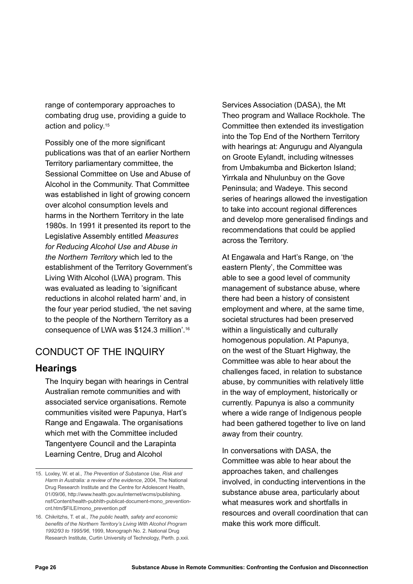range of contemporary approaches to combating drug use, providing a guide to action and policy.15

Possibly one of the more significant publications was that of an earlier Northern Territory parliamentary committee, the Sessional Committee on Use and Abuse of Alcohol in the Community. That Committee was established in light of growing concern over alcohol consumption levels and harms in the Northern Territory in the late 1980s. In 1991 it presented its report to the Legislative Assembly entitled *Measures for Reducing Alcohol Use and Abuse in the Northern Territory* which led to the establishment of the Territory Government's Living With Alcohol (LWA) program. This was evaluated as leading to 'significant reductions in alcohol related harm' and, in the four year period studied, 'the net saving to the people of the Northern Territory as a consequence of LWA was \$124.3 million'.16

# Conduct of the Inquiry

## **Hearings**

The Inquiry began with hearings in Central Australian remote communities and with associated service organisations. Remote communities visited were Papunya, Hart's Range and Engawala. The organisations which met with the Committee included Tangentyere Council and the Larapinta Learning Centre, Drug and Alcohol

Services Association (DASA), the Mt Theo program and Wallace Rockhole. The Committee then extended its investigation into the Top End of the Northern Territory with hearings at: Angurugu and Alyangula on Groote Eylandt, including witnesses from Umbakumba and Bickerton Island; Yirrkala and Nhulunbuy on the Gove Peninsula; and Wadeye. This second series of hearings allowed the investigation to take into account regional differences and develop more generalised findings and recommendations that could be applied across the Territory.

At Engawala and Hart's Range, on 'the eastern Plenty', the Committee was able to see a good level of community management of substance abuse, where there had been a history of consistent employment and where, at the same time, societal structures had been preserved within a linguistically and culturally homogenous population. At Papunya, on the west of the Stuart Highway, the Committee was able to hear about the challenges faced, in relation to substance abuse, by communities with relatively little in the way of employment, historically or currently. Papunya is also a community where a wide range of Indigenous people had been gathered together to live on land away from their country.

In conversations with DASA, the Committee was able to hear about the approaches taken, and challenges involved, in conducting interventions in the substance abuse area, particularly about what measures work and shortfalls in resources and overall coordination that can make this work more difficult.

<sup>15.</sup> Loxley, W. et al., *The Prevention of Substance Use, Risk and Harm in Australia: a review of the evidence*, 2004, The National Drug Research Institute and the Centre for Adolescent Health, 01/09/06, http://www.health.gov.au/internet/wcms/publishing. nsf/Content/health-pubhlth-publicat-document-mono\_preventioncnt.htm/\$FILE/mono\_prevention.pdf

<sup>16.</sup> Chikritzhs, T. et al., *The public health, safety and economic benefits of the Northern Territory's Living With Alcohol Program 1992/93 to 1995/96*, 1999, Monograph No. 2. National Drug Research Institute, Curtin University of Technology, Perth. p.xxii.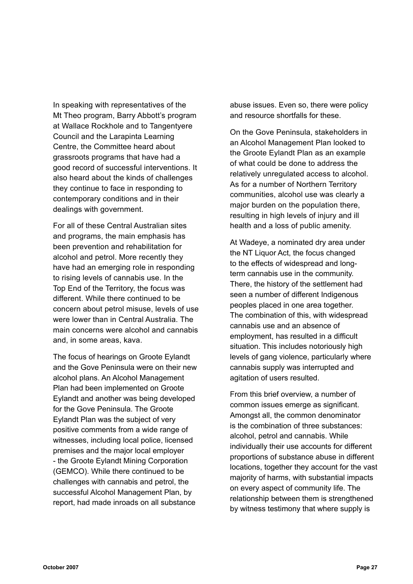In speaking with representatives of the Mt Theo program, Barry Abbott's program at Wallace Rockhole and to Tangentyere Council and the Larapinta Learning Centre, the Committee heard about grassroots programs that have had a good record of successful interventions. It also heard about the kinds of challenges they continue to face in responding to contemporary conditions and in their dealings with government.

For all of these Central Australian sites and programs, the main emphasis has been prevention and rehabilitation for alcohol and petrol. More recently they have had an emerging role in responding to rising levels of cannabis use. In the Top End of the Territory, the focus was different. While there continued to be concern about petrol misuse, levels of use were lower than in Central Australia. The main concerns were alcohol and cannabis and, in some areas, kava.

The focus of hearings on Groote Eylandt and the Gove Peninsula were on their new alcohol plans. An Alcohol Management Plan had been implemented on Groote Eylandt and another was being developed for the Gove Peninsula. The Groote Eylandt Plan was the subject of very positive comments from a wide range of witnesses, including local police, licensed premises and the major local employer - the Groote Eylandt Mining Corporation (GEMCO). While there continued to be challenges with cannabis and petrol, the successful Alcohol Management Plan, by report, had made inroads on all substance

abuse issues. Even so, there were policy and resource shortfalls for these.

On the Gove Peninsula, stakeholders in an Alcohol Management Plan looked to the Groote Eylandt Plan as an example of what could be done to address the relatively unregulated access to alcohol. As for a number of Northern Territory communities, alcohol use was clearly a major burden on the population there, resulting in high levels of injury and ill health and a loss of public amenity.

At Wadeye, a nominated dry area under the NT Liquor Act, the focus changed to the effects of widespread and longterm cannabis use in the community. There, the history of the settlement had seen a number of different Indigenous peoples placed in one area together. The combination of this, with widespread cannabis use and an absence of employment, has resulted in a difficult situation. This includes notoriously high levels of gang violence, particularly where cannabis supply was interrupted and agitation of users resulted.

From this brief overview, a number of common issues emerge as significant. Amongst all, the common denominator is the combination of three substances: alcohol, petrol and cannabis. While individually their use accounts for different proportions of substance abuse in different locations, together they account for the vast majority of harms, with substantial impacts on every aspect of community life. The relationship between them is strengthened by witness testimony that where supply is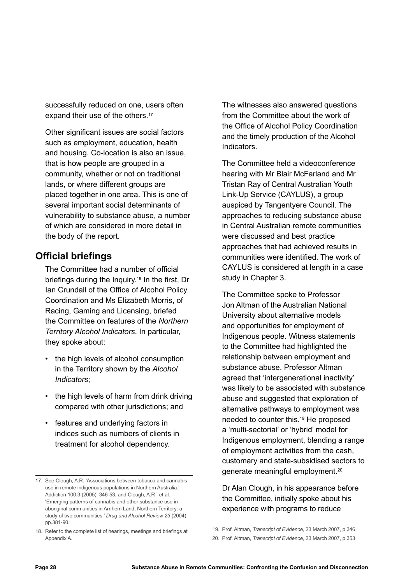successfully reduced on one, users often expand their use of the others.<sup>17</sup>

Other significant issues are social factors such as employment, education, health and housing. Co-location is also an issue, that is how people are grouped in a community, whether or not on traditional lands, or where different groups are placed together in one area. This is one of several important social determinants of vulnerability to substance abuse, a number of which are considered in more detail in the body of the report.

## **Official briefings**

The Committee had a number of official briefings during the Inquiry.18 In the first, Dr Ian Crundall of the Office of Alcohol Policy Coordination and Ms Elizabeth Morris, of Racing, Gaming and Licensing, briefed the Committee on features of the *Northern Territory Alcohol Indicators*. In particular, they spoke about:

- the high levels of alcohol consumption in the Territory shown by the *Alcohol Indicators*;
- the high levels of harm from drink driving compared with other jurisdictions; and
- features and underlying factors in indices such as numbers of clients in treatment for alcohol dependency.

The witnesses also answered questions from the Committee about the work of the Office of Alcohol Policy Coordination and the timely production of the Alcohol Indicators.

The Committee held a videoconference hearing with Mr Blair McFarland and Mr Tristan Ray of Central Australian Youth Link-Up Service (CAYLUS), a group auspiced by Tangentyere Council. The approaches to reducing substance abuse in Central Australian remote communities were discussed and best practice approaches that had achieved results in communities were identified. The work of CAYLUS is considered at length in a case study in Chapter 3.

The Committee spoke to Professor Jon Altman of the Australian National University about alternative models and opportunities for employment of Indigenous people. Witness statements to the Committee had highlighted the relationship between employment and substance abuse. Professor Altman agreed that 'intergenerational inactivity' was likely to be associated with substance abuse and suggested that exploration of alternative pathways to employment was needed to counter this.19 He proposed a 'multi-sectorial' or 'hybrid' model for Indigenous employment, blending a range of employment activities from the cash, customary and state-subsidised sectors to generate meaningful employment.20

Dr Alan Clough, in his appearance before the Committee, initially spoke about his experience with programs to reduce

<sup>17.</sup> See Clough, A.R. 'Associations between tobacco and cannabis use in remote indigenous populations in Northern Australia.' Addiction 100.3 (2005): 346-53, and Clough, A.R , et al. 'Emerging patterns of cannabis and other substance use in aboriginal communities in Arnhem Land, Northern Territory: a study of two communities.' *Drug and Alcohol Review 23* (2004), pp.381-90.

<sup>18.</sup> Refer to the complete list of hearings, meetings and briefings at Appendix A.

<sup>19.</sup> Prof. Altman, *Transcript of Evidence*, 23 March 2007, p.346.

<sup>20.</sup> Prof. Altman, *Transcript of Evidence*, 23 March 2007, p.353.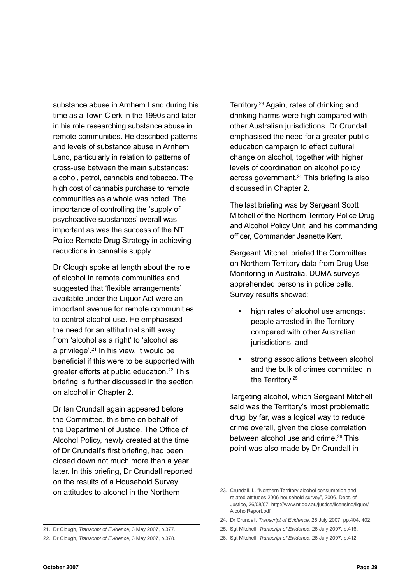substance abuse in Arnhem Land during his time as a Town Clerk in the 1990s and later in his role researching substance abuse in remote communities. He described patterns and levels of substance abuse in Arnhem Land, particularly in relation to patterns of cross-use between the main substances: alcohol, petrol, cannabis and tobacco. The high cost of cannabis purchase to remote communities as a whole was noted. The importance of controlling the 'supply of psychoactive substances' overall was important as was the success of the NT Police Remote Drug Strategy in achieving reductions in cannabis supply.

Dr Clough spoke at length about the role of alcohol in remote communities and suggested that 'flexible arrangements' available under the Liquor Act were an important avenue for remote communities to control alcohol use. He emphasised the need for an attitudinal shift away from 'alcohol as a right' to 'alcohol as a privilege'.21 In his view, it would be beneficial if this were to be supported with greater efforts at public education.<sup>22</sup> This briefing is further discussed in the section on alcohol in Chapter 2.

Dr Ian Crundall again appeared before the Committee, this time on behalf of the Department of Justice. The Office of Alcohol Policy, newly created at the time of Dr Crundall's first briefing, had been closed down not much more than a year later. In this briefing, Dr Crundall reported on the results of a Household Survey on attitudes to alcohol in the Northern

Territory.23 Again, rates of drinking and drinking harms were high compared with other Australian jurisdictions. Dr Crundall emphasised the need for a greater public education campaign to effect cultural change on alcohol, together with higher levels of coordination on alcohol policy across government.<sup>24</sup> This briefing is also discussed in Chapter 2.

The last briefing was by Sergeant Scott Mitchell of the Northern Territory Police Drug and Alcohol Policy Unit, and his commanding officer, Commander Jeanette Kerr.

Sergeant Mitchell briefed the Committee on Northern Territory data from Drug Use Monitoring in Australia. DUMA surveys apprehended persons in police cells. Survey results showed:

- high rates of alcohol use amongst people arrested in the Territory compared with other Australian jurisdictions; and
- strong associations between alcohol and the bulk of crimes committed in the Territory.25

Targeting alcohol, which Sergeant Mitchell said was the Territory's 'most problematic drug' by far, was a logical way to reduce crime overall, given the close correlation between alcohol use and crime.<sup>26</sup> This point was also made by Dr Crundall in

<sup>21.</sup> Dr Clough, *Transcript of Evidence*, 3 May 2007, p.377.

<sup>22.</sup> Dr Clough, *Transcript of Evidence*, 3 May 2007, p.378.

<sup>23.</sup> Crundall, I.. "Northern Territory alcohol consumption and related attitudes 2006 household survey", 2006, Dept. of Justice, 26/08/07, http://www.nt.gov.au/justice/licensing/liquor/ AlcoholReport.pdf

<sup>24.</sup> Dr Crundall, *Transcript of Evidence*, 26 July 2007, pp.404, 402.

<sup>25.</sup> Sgt Mitchell, *Transcript of Evidence*, 26 July 2007, p.416.

<sup>26.</sup> Sgt Mitchell, *Transcript of Evidence*, 26 July 2007, p.412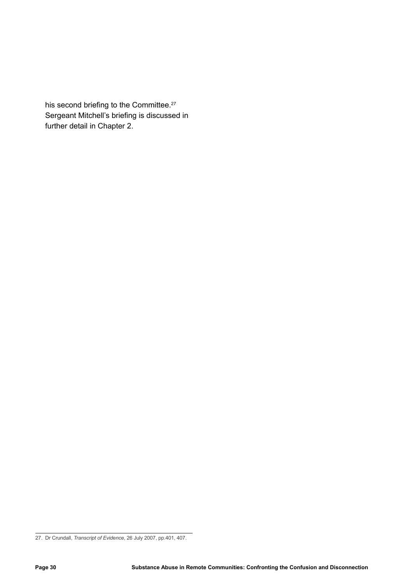his second briefing to the Committee.<sup>27</sup> Sergeant Mitchell's briefing is discussed in further detail in Chapter 2.

<sup>27.</sup> Dr Crundall, *Transcript of Evidence*, 26 July 2007, pp.401, 407.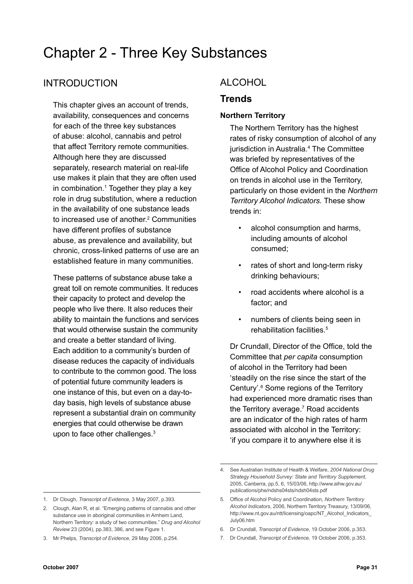# Chapter 2 - Three Key Substances

# **INTRODUCTION**

This chapter gives an account of trends, availability, consequences and concerns for each of the three key substances of abuse: alcohol, cannabis and petrol that affect Territory remote communities. Although here they are discussed separately, research material on real-life use makes it plain that they are often used in combination. $1$  Together they play a key role in drug substitution, where a reduction in the availability of one substance leads to increased use of another.<sup>2</sup> Communities have different profiles of substance abuse, as prevalence and availability, but chronic, cross-linked patterns of use are an established feature in many communities.

These patterns of substance abuse take a great toll on remote communities. It reduces their capacity to protect and develop the people who live there. It also reduces their ability to maintain the functions and services that would otherwise sustain the community and create a better standard of living. Each addition to a community's burden of disease reduces the capacity of individuals to contribute to the common good. The loss of potential future community leaders is one instance of this, but even on a day-today basis, high levels of substance abuse represent a substantial drain on community energies that could otherwise be drawn upon to face other challenges.<sup>3</sup>

# Alcohol

## **Trends**

#### **Northern Territory**

The Northern Territory has the highest rates of risky consumption of alcohol of any jurisdiction in Australia.<sup>4</sup> The Committee was briefed by representatives of the Office of Alcohol Policy and Coordination on trends in alcohol use in the Territory, particularly on those evident in the *Northern Territory Alcohol Indicators*. These show trends in:

- alcohol consumption and harms, including amounts of alcohol consumed;
- rates of short and long-term risky drinking behaviours;
- road accidents where alcohol is a factor; and
- numbers of clients being seen in rehabilitation facilities.5

Dr Crundall, Director of the Office, told the Committee that *per capita* consumption of alcohol in the Territory had been 'steadily on the rise since the start of the Century'.6 Some regions of the Territory had experienced more dramatic rises than the Territory average.7 Road accidents are an indicator of the high rates of harm associated with alcohol in the Territory: 'if you compare it to anywhere else it is

<sup>1.</sup> Dr Clough, *Transcript of Evidence*, 3 May 2007, p.393.

<sup>2.</sup> Clough, Alan R, et al. "Emerging patterns of cannabis and other substance use in aboriginal communities in Arnhem Land, Northern Territory: a study of two communities." *Drug and Alcohol Review* 23 (2004), pp.383, 386, and see Figure 1.

<sup>3.</sup> Mr Phelps, *Transcript of Evidence*, 29 May 2006, p.254.

<sup>4.</sup> See Australian Institute of Health & Welfare, *2004 National Drug Strategy Household Survey: State and Territory Supplement*, 2005, Canberra, pp.5, 6, 15/03/06, http://www.aihw.gov.au/ publications/phe/ndshs04sts/ndsh04sts.pdf

<sup>5.</sup> Office of Alcohol Policy and Coordination, *Northern Territory Alcohol Indicators*, 2006, Northern Territory Treasury, 13/09/06, http://www.nt.gov.au/ntt/licensing/oapc/NT\_Alcohol\_Indicators July06.htm

<sup>6.</sup> Dr Crundall, *Transcript of Evidence*, 19 October 2006, p.353.

<sup>7.</sup> Dr Crundall, *Transcript of Evidence,* 19 October 2006, p.353.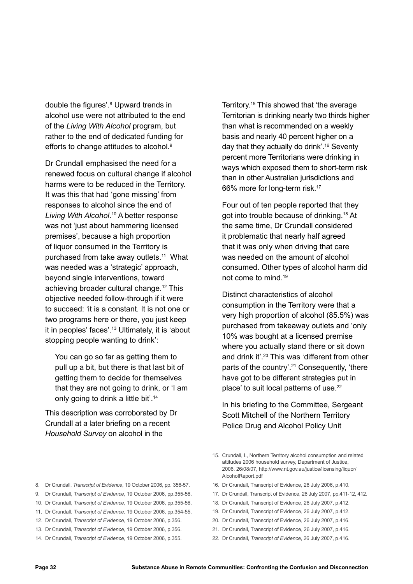double the figures'.<sup>8</sup> Upward trends in alcohol use were not attributed to the end of the *Living With Alcohol* program, but rather to the end of dedicated funding for efforts to change attitudes to alcohol.<sup>9</sup>

Dr Crundall emphasised the need for a renewed focus on cultural change if alcohol harms were to be reduced in the Territory. It was this that had 'gone missing' from responses to alcohol since the end of *Living With Alcohol*. 10 A better response was not 'just about hammering licensed premises', because a high proportion of liquor consumed in the Territory is purchased from take away outlets.11 What was needed was a 'strategic' approach, beyond single interventions, toward achieving broader cultural change.12 This objective needed follow-through if it were to succeed: 'it is a constant. It is not one or two programs here or there, you just keep it in peoples' faces'.13 Ultimately, it is 'about stopping people wanting to drink':

You can go so far as getting them to pull up a bit, but there is that last bit of getting them to decide for themselves that they are not going to drink, or 'I am only going to drink a little bit'.14

This description was corroborated by Dr Crundall at a later briefing on a recent *Household Survey* on alcohol in the

Territory.15 This showed that 'the average Territorian is drinking nearly two thirds higher than what is recommended on a weekly basis and nearly 40 percent higher on a day that they actually do drink'.16 Seventy percent more Territorians were drinking in ways which exposed them to short-term risk than in other Australian jurisdictions and 66% more for long-term risk.17

Four out of ten people reported that they got into trouble because of drinking.18 At the same time, Dr Crundall considered it problematic that nearly half agreed that it was only when driving that care was needed on the amount of alcohol consumed. Other types of alcohol harm did not come to mind.19

Distinct characteristics of alcohol consumption in the Territory were that a very high proportion of alcohol (85.5%) was purchased from takeaway outlets and 'only 10% was bought at a licensed premise where you actually stand there or sit down and drink it'.20 This was 'different from other parts of the country'.<sup>21</sup> Consequently, 'there have got to be different strategies put in place' to suit local patterns of use.<sup>22</sup>

In his briefing to the Committee, Sergeant Scott Mitchell of the Northern Territory Police Drug and Alcohol Policy Unit

20. Dr Crundall, Transcript of Evidence, 26 July 2007, p.416.

12. Dr Crundall, *Transcript of Evidence*, 19 October 2006, p.356.

<sup>15.</sup> Crundall, I., Northern Territory alcohol consumption and related attitudes 2006 household survey, Department of Justice, 2006. 26/08/07, http://www.nt.gov.au/justice/licensing/liquor/ AlcoholReport.pdf

<sup>16.</sup> Dr Crundall, Transcript of Evidence, 26 July 2006, p.410.

<sup>17.</sup> Dr Crundall, Transcript of Evidence, 26 July 2007, pp.411-12, 412.

<sup>18.</sup> Dr Crundall, Transcript of Evidence, 26 July 2007, p.412.

<sup>19.</sup> Dr Crundall, Transcript of Evidence, 26 July 2007, p.412.

<sup>21.</sup> Dr Crundall, Transcript of Evidence, 26 July 2007, p.416.

<sup>22.</sup> Dr Crundall, *Transcript of Evidence*, 26 July 2007, p.416.

<sup>8.</sup> Dr Crundall, *Transcript of Evidence*, 19 October 2006, pp. 356-57.

<sup>9.</sup> Dr Crundall, *Transcript of Evidence*, 19 October 2006, pp.355-56.

<sup>10.</sup> Dr Crundall, *Transcript of Evidence*, 19 October 2006, pp.355-56.

<sup>11.</sup> Dr Crundall, *Transcript of Evidence*, 19 October 2006, pp.354-55.

<sup>13.</sup> Dr Crundall, *Transcript of Evidence*, 19 October 2006, p.356.

<sup>14.</sup> Dr Crundall, *Transcript of Evidence*, 19 October 2006, p.355.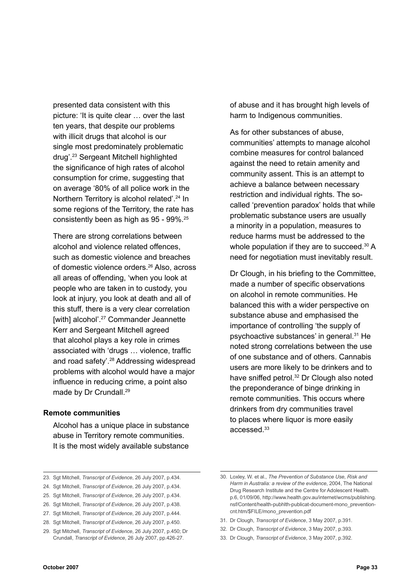presented data consistent with this picture: 'It is quite clear … over the last ten years, that despite our problems with illicit drugs that alcohol is our single most predominately problematic drug'.23 Sergeant Mitchell highlighted the significance of high rates of alcohol consumption for crime, suggesting that on average '80% of all police work in the Northern Territory is alcohol related'.24 In some regions of the Territory, the rate has consistently been as high as 95 - 99%.25

There are strong correlations between alcohol and violence related offences, such as domestic violence and breaches of domestic violence orders.26 Also, across all areas of offending, 'when you look at people who are taken in to custody, you look at injury, you look at death and all of this stuff, there is a very clear correlation [with] alcohol'.<sup>27</sup> Commander Jeannette Kerr and Sergeant Mitchell agreed that alcohol plays a key role in crimes associated with 'drugs … violence, traffic and road safety'.28 Addressing widespread problems with alcohol would have a major influence in reducing crime, a point also made by Dr Crundall.<sup>29</sup>

#### **Remote communities**

Alcohol has a unique place in substance abuse in Territory remote communities. It is the most widely available substance

of abuse and it has brought high levels of harm to Indigenous communities.

As for other substances of abuse, communities' attempts to manage alcohol combine measures for control balanced against the need to retain amenity and community assent. This is an attempt to achieve a balance between necessary restriction and individual rights. The socalled 'prevention paradox' holds that while problematic substance users are usually a minority in a population, measures to reduce harms must be addressed to the whole population if they are to succeed.<sup>30</sup> A need for negotiation must inevitably result.

Dr Clough, in his briefing to the Committee, made a number of specific observations on alcohol in remote communities. He balanced this with a wider perspective on substance abuse and emphasised the importance of controlling 'the supply of psychoactive substances' in general.31 He noted strong correlations between the use of one substance and of others. Cannabis users are more likely to be drinkers and to have sniffed petrol.<sup>32</sup> Dr Clough also noted the preponderance of binge drinking in remote communities. This occurs where drinkers from dry communities travel to places where liquor is more easily accessed.33

- 26. Sgt Mitchell, *Transcript of Evidence*, 26 July 2007, p.438.
- 27. Sgt Mitchell, *Transcript of Evidence*, 26 July 2007, p.444.
- 28. Sgt Mitchell, *Transcript of Evidence*, 26 July 2007, p.450.
- 31. Dr Clough, *Transcript of Evidence*, 3 May 2007, p.391.
- 32. Dr Clough, *Transcript of Evidence*, 3 May 2007, p.393.
- 33. Dr Clough, *Transcript of Evidence*, 3 May 2007, p.392.

<sup>23.</sup> Sgt Mitchell, *Transcript of Evidence*, 26 July 2007, p.434.

<sup>24.</sup> Sgt Mitchell, *Transcript of Evidence*, 26 July 2007, p.434.

<sup>25.</sup> Sgt Mitchell, *Transcript of Evidence*, 26 July 2007, p.434.

<sup>29.</sup> Sgt Mitchell, *Transcript of Evidence*, 26 July 2007, p.450; Dr Crundall, *Transcript of Evidence*, 26 July 2007, pp.426-27.

<sup>30.</sup> Loxley, W. et al., *The Prevention of Substance Use, Risk and Harm in Australia: a review of the evidence*, 2004, The National Drug Research Institute and the Centre for Adolescent Health. p.6, 01/09/06, http://www.health.gov.au/internet/wcms/publishing. nsf/Content/health-pubhlth-publicat-document-mono\_preventioncnt.htm/\$FILE/mono\_prevention.pdf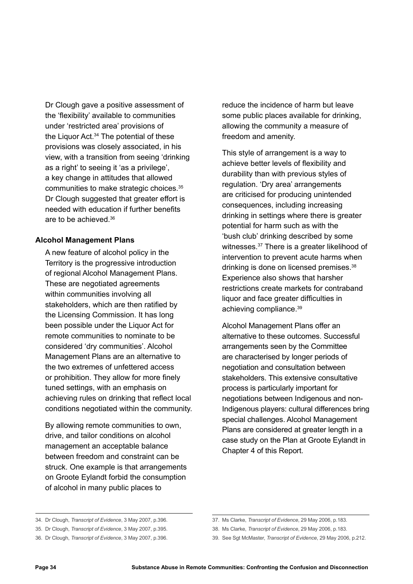Dr Clough gave a positive assessment of the 'flexibility' available to communities under 'restricted area' provisions of the Liquor Act.<sup>34</sup> The potential of these provisions was closely associated, in his view, with a transition from seeing 'drinking as a right' to seeing it 'as a privilege', a key change in attitudes that allowed communities to make strategic choices.35 Dr Clough suggested that greater effort is needed with education if further benefits are to be achieved.36

#### **Alcohol Management Plans**

A new feature of alcohol policy in the Territory is the progressive introduction of regional Alcohol Management Plans. These are negotiated agreements within communities involving all stakeholders, which are then ratified by the Licensing Commission. It has long been possible under the Liquor Act for remote communities to nominate to be considered 'dry communities'. Alcohol Management Plans are an alternative to the two extremes of unfettered access or prohibition. They allow for more finely tuned settings, with an emphasis on achieving rules on drinking that reflect local conditions negotiated within the community.

By allowing remote communities to own, drive, and tailor conditions on alcohol management an acceptable balance between freedom and constraint can be struck. One example is that arrangements on Groote Eylandt forbid the consumption of alcohol in many public places to

reduce the incidence of harm but leave some public places available for drinking, allowing the community a measure of freedom and amenity.

This style of arrangement is a way to achieve better levels of flexibility and durability than with previous styles of regulation. 'Dry area' arrangements are criticised for producing unintended consequences, including increasing drinking in settings where there is greater potential for harm such as with the 'bush club' drinking described by some witnesses.<sup>37</sup> There is a greater likelihood of intervention to prevent acute harms when drinking is done on licensed premises.<sup>38</sup> Experience also shows that harsher restrictions create markets for contraband liquor and face greater difficulties in achieving compliance.<sup>39</sup>

Alcohol Management Plans offer an alternative to these outcomes. Successful arrangements seen by the Committee are characterised by longer periods of negotiation and consultation between stakeholders. This extensive consultative process is particularly important for negotiations between Indigenous and non-Indigenous players: cultural differences bring special challenges. Alcohol Management Plans are considered at greater length in a case study on the Plan at Groote Eylandt in Chapter 4 of this Report.

<sup>34.</sup> Dr Clough, *Transcript of Evidence*, 3 May 2007, p.396.

<sup>35.</sup> Dr Clough, *Transcript of Evidence*, 3 May 2007, p.395.

<sup>36.</sup> Dr Clough, *Transcript of Evidence*, 3 May 2007, p.396.

<sup>37.</sup> Ms Clarke, *Transcript of Evidence*, 29 May 2006, p.183.

<sup>38.</sup> Ms Clarke, *Transcript of Evidence*, 29 May 2006, p.183.

<sup>39.</sup> See Sgt McMaster, *Transcript of Evidence*, 29 May 2006, p.212.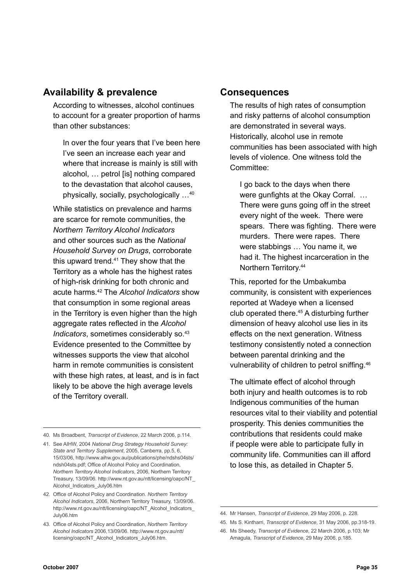## **Availability & prevalence**

According to witnesses, alcohol continues to account for a greater proportion of harms than other substances:

In over the four years that I've been here I've seen an increase each year and where that increase is mainly is still with alcohol, … petrol [is] nothing compared to the devastation that alcohol causes, physically, socially, psychologically …40

While statistics on prevalence and harms are scarce for remote communities, the *Northern Territory Alcohol Indicators* and other sources such as the *National Household Survey on Drugs*, corroborate this upward trend.41 They show that the Territory as a whole has the highest rates of high-risk drinking for both chronic and acute harms.42 The *Alcohol Indicators* show that consumption in some regional areas in the Territory is even higher than the high aggregate rates reflected in the *Alcohol Indicators*, sometimes considerably so.<sup>43</sup> Evidence presented to the Committee by witnesses supports the view that alcohol harm in remote communities is consistent with these high rates, at least, and is in fact likely to be above the high average levels of the Territory overall.

40. Ms Broadbent, *Transcript of Evidence*, 22 March 2006, p.114.

41. See AIHW, 2004 *National Drug Strategy Household Survey: State and Territory Supplement*, 2005, Canberra, pp.5, 6, 15/03/06, http://www.aihw.gov.au/publications/phe/ndshs04sts/ ndsh04sts.pdf; Office of Alcohol Policy and Coordination, *Northern Territory Alcohol Indicators*, 2006, Northern Territory Treasury, 13/09/06. http://www.nt.gov.au/ntt/licensing/oapc/NT\_ Alcohol\_Indicators\_July06.htm

42. Office of Alcohol Policy and Coordination. *Northern Territory Alcohol Indicators*, 2006, Northern Territory Treasury, 13/09/06. http://www.nt.gov.au/ntt/licensing/oapc/NT\_Alcohol\_Indicators\_ July06.htm

43. Office of Alcohol Policy and Coordination, *Northern Territory Alcohol Indicators* 2006,13/09/06. http://www.nt.gov.au/ntt/ licensing/oapc/NT\_Alcohol\_Indicators\_July06.htm.

#### **Consequences**

The results of high rates of consumption and risky patterns of alcohol consumption are demonstrated in several ways. Historically, alcohol use in remote communities has been associated with high levels of violence. One witness told the Committee:

I go back to the days when there were gunfights at the Okay Corral. … There were guns going off in the street every night of the week. There were spears. There was fighting. There were murders. There were rapes. There were stabbings … You name it, we had it. The highest incarceration in the Northern Territory.44

This, reported for the Umbakumba community, is consistent with experiences reported at Wadeye when a licensed club operated there.45 A disturbing further dimension of heavy alcohol use lies in its effects on the next generation. Witness testimony consistently noted a connection between parental drinking and the vulnerability of children to petrol sniffing.<sup>46</sup>

The ultimate effect of alcohol through both injury and health outcomes is to rob Indigenous communities of the human resources vital to their viability and potential prosperity. This denies communities the contributions that residents could make if people were able to participate fully in community life. Communities can ill afford to lose this, as detailed in Chapter 5.

<sup>44.</sup> Mr Hansen, *Transcript of Evidence*, 29 May 2006, p. 228.

<sup>45.</sup> Ms S. Kintharri, *Transcript of Evidence*, 31 May 2006, pp.318-19.

<sup>46.</sup> Ms Sheedy, *Transcript of Evidence*, 22 March 2006, p.103; Mr Amagula, *Transcript of Evidence*, 29 May 2006, p.185.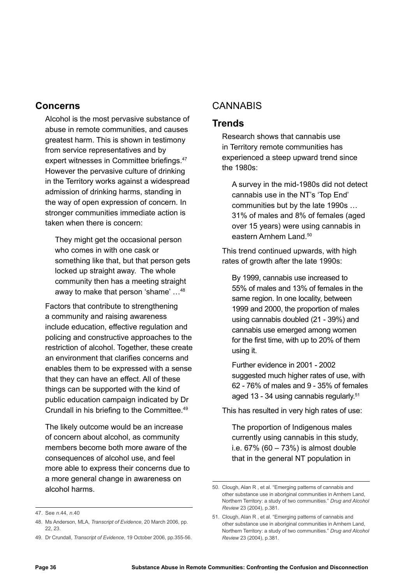## **Concerns**

Alcohol is the most pervasive substance of abuse in remote communities, and causes greatest harm. This is shown in testimony from service representatives and by expert witnesses in Committee briefings.<sup>47</sup> However the pervasive culture of drinking in the Territory works against a widespread admission of drinking harms, standing in the way of open expression of concern. In stronger communities immediate action is taken when there is concern:

They might get the occasional person who comes in with one cask or something like that, but that person gets locked up straight away. The whole community then has a meeting straight away to make that person 'shame' …48

Factors that contribute to strengthening a community and raising awareness include education, effective regulation and policing and constructive approaches to the restriction of alcohol. Together, these create an environment that clarifies concerns and enables them to be expressed with a sense that they can have an effect. All of these things can be supported with the kind of public education campaign indicated by Dr Crundall in his briefing to the Committee.<sup>49</sup>

The likely outcome would be an increase of concern about alcohol, as community members become both more aware of the consequences of alcohol use, and feel more able to express their concerns due to a more general change in awareness on alcohol harms.

### **CANNABIS**

#### **Trends**

Research shows that cannabis use in Territory remote communities has experienced a steep upward trend since the 1980s:

A survey in the mid-1980s did not detect cannabis use in the NT's 'Top End' communities but by the late 1990s … 31% of males and 8% of females (aged over 15 years) were using cannabis in eastern Arnhem Land.50

This trend continued upwards, with high rates of growth after the late 1990s:

By 1999, cannabis use increased to 55% of males and 13% of females in the same region. In one locality, between 1999 and 2000, the proportion of males using cannabis doubled (21 - 39%) and cannabis use emerged among women for the first time, with up to 20% of them using it.

Further evidence in 2001 - 2002 suggested much higher rates of use, with 62 - 76% of males and 9 - 35% of females aged 13 - 34 using cannabis regularly.51

This has resulted in very high rates of use:

The proportion of Indigenous males currently using cannabis in this study, i.e. 67% (60 – 73%) is almost double that in the general NT population in

<sup>47.</sup> See *n*.44, *n*.40

<sup>48.</sup> Ms Anderson, MLA, *Transcript of Evidence*, 20 March 2006, pp. 22, 23.

<sup>49.</sup> Dr Crundall, *Transcript of Evidence*, 19 October 2006, pp.355-56.

<sup>50.</sup> Clough, Alan R , et al. "Emerging patterns of cannabis and other substance use in aboriginal communities in Arnhem Land, Northern Territory: a study of two communities." *Drug and Alcohol Review* 23 (2004), p.381.

<sup>51.</sup> Clough, Alan R , et al. "Emerging patterns of cannabis and other substance use in aboriginal communities in Arnhem Land, Northern Territory: a study of two communities." *Drug and Alcohol Review* 23 (2004), p.381.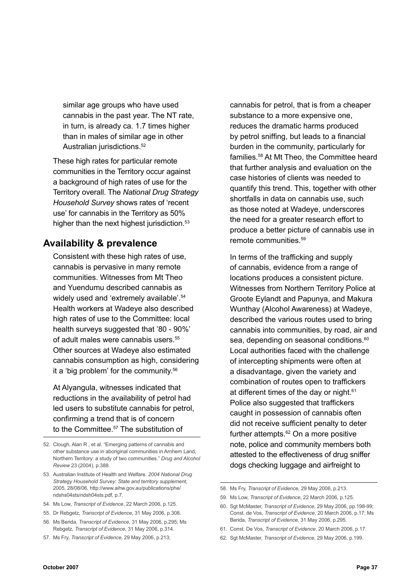similar age groups who have used cannabis in the past year. The NT rate, in turn, is already ca. 1.7 times higher than in males of similar age in other Australian jurisdictions.52

These high rates for particular remote communities in the Territory occur against a background of high rates of use for the Territory overall. The *National Drug Strategy Household Survey* shows rates of 'recent use' for cannabis in the Territory as 50% higher than the next highest jurisdiction.<sup>53</sup>

## **Availability & prevalence**

Consistent with these high rates of use, cannabis is pervasive in many remote communities. Witnesses from Mt Theo and Yuendumu described cannabis as widely used and 'extremely available'.<sup>54</sup> Health workers at Wadeye also described high rates of use to the Committee: local health surveys suggested that '80 - 90%' of adult males were cannabis users.55 Other sources at Wadeye also estimated cannabis consumption as high, considering it a 'big problem' for the community.56

At Alyangula, witnesses indicated that reductions in the availability of petrol had led users to substitute cannabis for petrol, confirming a trend that is of concern to the Committee.<sup>57</sup> The substitution of

53. Australian Institute of Health and Welfare. *2004 National Drug Strategy Household Survey: State and territory supplement*, 2005, 28/08/06, http://www.aihw.gov.au/publications/phe/ ndshs04sts/ndsh04sts.pdf, p.7.

57. Ms Fry, *Transcript of Evidence*, 29 May 2006, p.213;

cannabis for petrol, that is from a cheaper substance to a more expensive one, reduces the dramatic harms produced by petrol sniffing, but leads to a financial burden in the community, particularly for families.58 At Mt Theo, the Committee heard that further analysis and evaluation on the case histories of clients was needed to quantify this trend. This, together with other shortfalls in data on cannabis use, such as those noted at Wadeye, underscores the need for a greater research effort to produce a better picture of cannabis use in remote communities.59

In terms of the trafficking and supply of cannabis, evidence from a range of locations produces a consistent picture. Witnesses from Northern Territory Police at Groote Eylandt and Papunya, and Makura Wunthay (Alcohol Awareness) at Wadeye, described the various routes used to bring cannabis into communities, by road, air and sea, depending on seasonal conditions.<sup>60</sup> Local authorities faced with the challenge of intercepting shipments were often at a disadvantage, given the variety and combination of routes open to traffickers at different times of the day or night.<sup>61</sup> Police also suggested that traffickers caught in possession of cannabis often did not receive sufficient penalty to deter further attempts. $62$  On a more positive note, police and community members both attested to the effectiveness of drug sniffer dogs checking luggage and airfreight to

- 61. Const. De Vos, *Transcript of Evidence*, 20 March 2006, p.17.
- 62. Sgt McMaster, *Transcript of Evidence*, 29 May 2006, p.199.

<sup>52.</sup> Clough, Alan R , et al. "Emerging patterns of cannabis and other substance use in aboriginal communities in Arnhem Land, Northern Territory: a study of two communities." *Drug and Alcohol Review* 23 (2004), p.388.

<sup>54.</sup> Ms Low, *Transcript of Evidence*, 22 March 2006, p.125.

<sup>55.</sup> Dr Rebgetz, *Transcript of Evidence*, 31 May 2006, p.308.

<sup>56.</sup> Ms Berida, *Transcript of Evidence*, 31 May 2006, p.295; Ms Rebgetz, *Transcript of Evidence*, 31 May 2006, p.314.

<sup>58.</sup> Ms Fry, *Transcript of Evidence*, 29 May 2006, p.213.

<sup>59.</sup> Ms Low, *Transcript of Evidence*, 22 March 2006, p.125.

<sup>60.</sup> Sgt McMaster, *Transcript of Evidence*, 29 May 2006, pp.198-99; Const. de Vos, *Transcript of Evidence*, 20 March 2006, p.17; Ms Berida, *Transcript of Evidence*, 31 May 2006, p.295.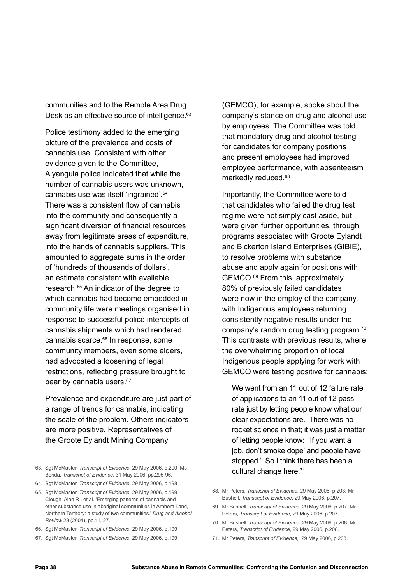communities and to the Remote Area Drug Desk as an effective source of intelligence.<sup>63</sup>

Police testimony added to the emerging picture of the prevalence and costs of cannabis use. Consistent with other evidence given to the Committee, Alyangula police indicated that while the number of cannabis users was unknown, cannabis use was itself 'ingrained'.64 There was a consistent flow of cannabis into the community and consequently a significant diversion of financial resources away from legitimate areas of expenditure, into the hands of cannabis suppliers. This amounted to aggregate sums in the order of 'hundreds of thousands of dollars', an estimate consistent with available research.65 An indicator of the degree to which cannabis had become embedded in community life were meetings organised in response to successful police intercepts of cannabis shipments which had rendered cannabis scarce.<sup>66</sup> In response, some community members, even some elders, had advocated a loosening of legal restrictions, reflecting pressure brought to bear by cannabis users.<sup>67</sup>

Prevalence and expenditure are just part of a range of trends for cannabis, indicating the scale of the problem. Others indicators are more positive. Representatives of the Groote Eylandt Mining Company

- 64. Sgt McMaster, *Transcript of Evidence*, 29 May 2006, p.198.
- 65. Sgt McMaster, *Transcript of Evidence*, 29 May 2006, p.199; Clough, Alan R , et al. 'Emerging patterns of cannabis and other substance use in aboriginal communities in Arnhem Land, Northern Territory: a study of two communities.' *Drug and Alcohol Review* 23 (2004), pp.11, 27.
- 66. Sgt McMaster, *Transcript of Evidence*, 29 May 2006, p.199.
- 67. Sgt McMaster, *Transcript of Evidence*, 29 May 2006, p.199.

(GEMCO), for example, spoke about the company's stance on drug and alcohol use by employees. The Committee was told that mandatory drug and alcohol testing for candidates for company positions and present employees had improved employee performance, with absenteeism markedly reduced.68

Importantly, the Committee were told that candidates who failed the drug test regime were not simply cast aside, but were given further opportunities, through programs associated with Groote Eylandt and Bickerton Island Enterprises (GIBIE), to resolve problems with substance abuse and apply again for positions with GEMCO.69 From this, approximately 80% of previously failed candidates were now in the employ of the company, with Indigenous employees returning consistently negative results under the company's random drug testing program.70 This contrasts with previous results, where the overwhelming proportion of local Indigenous people applying for work with GEMCO were testing positive for cannabis:

We went from an 11 out of 12 failure rate of applications to an 11 out of 12 pass rate just by letting people know what our clear expectations are. There was no rocket science in that; it was just a matter of letting people know: 'If you want a job, don't smoke dope' and people have stopped.' So I think there has been a cultural change here.<sup>71</sup>

71. Mr Peters, *Transcript of Evidence,* 29 May 2006, p.203.

<sup>63.</sup> Sgt McMaster, *Transcript of Evidence*, 29 May 2006, p.200; Ms Berida, *Transcript of Evidence*, 31 May 2006, pp.295-96.

<sup>68.</sup> Mr Peters, *Transcript of Evidence*, 29 May 2006 p.203; Mr Bushell, *Transcript of Evidence*, 29 May 2006, p.207.

<sup>69.</sup> Mr Bushell, *Transcript of Evidence*, 29 May 2006, p.207; Mr Peters, *Transcript of Evidence*, 29 May 2006, p.207.

<sup>70.</sup> Mr Bushell, *Transcript of Evidence*, 29 May 2006, p.208; Mr Peters, *Transcript of Evidence*, 29 May 2006, p.208.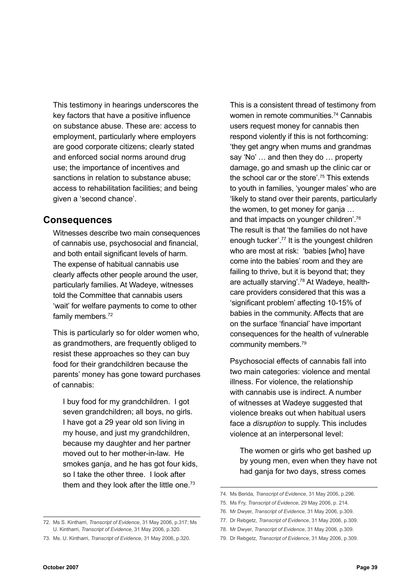This testimony in hearings underscores the key factors that have a positive influence on substance abuse. These are: access to employment, particularly where employers are good corporate citizens; clearly stated and enforced social norms around drug use; the importance of incentives and sanctions in relation to substance abuse; access to rehabilitation facilities; and being given a 'second chance'.

#### **Consequences**

Witnesses describe two main consequences of cannabis use, psychosocial and financial, and both entail significant levels of harm. The expense of habitual cannabis use clearly affects other people around the user, particularly families. At Wadeye, witnesses told the Committee that cannabis users 'wait' for welfare payments to come to other family members.<sup>72</sup>

This is particularly so for older women who, as grandmothers, are frequently obliged to resist these approaches so they can buy food for their grandchildren because the parents' money has gone toward purchases of cannabis:

I buy food for my grandchildren. I got seven grandchildren; all boys, no girls. I have got a 29 year old son living in my house, and just my grandchildren, because my daughter and her partner moved out to her mother-in-law. He smokes ganja, and he has got four kids, so I take the other three. I look after them and they look after the little one. $73$ 

72. Ms S. Kintharri, *Transcript of Evidence*, 31 May 2006, p.317; Ms U. Kintharri, *Transcript of Evidence*, 31 May 2006, p.320.

73. Ms. U. Kintharri, *Transcript of Evidence*, 31 May 2006, p.320.

This is a consistent thread of testimony from women in remote communities.<sup>74</sup> Cannabis users request money for cannabis then respond violently if this is not forthcoming: 'they get angry when mums and grandmas say 'No' … and then they do … property damage, go and smash up the clinic car or the school car or the store'.75 This extends to youth in families, 'younger males' who are 'likely to stand over their parents, particularly the women, to get money for gania ... and that impacts on younger children'.76 The result is that 'the families do not have enough tucker'.77 It is the youngest children who are most at risk: 'babies [who] have come into the babies' room and they are failing to thrive, but it is beyond that; they are actually starving'.78 At Wadeye, healthcare providers considered that this was a 'significant problem' affecting 10-15% of babies in the community. Affects that are on the surface 'financial' have important consequences for the health of vulnerable community members.79

Psychosocial effects of cannabis fall into two main categories: violence and mental illness. For violence, the relationship with cannabis use is indirect. A number of witnesses at Wadeye suggested that violence breaks out when habitual users face a *disruption* to supply. This includes violence at an interpersonal level:

The women or girls who get bashed up by young men, even when they have not had ganja for two days, stress comes

<sup>74.</sup> Ms Berida, *Transcript of Evidence*, 31 May 2006, p.296.

<sup>75.</sup> Ms Fry, *Transcript of Evidence*, 29 May 2006, p. 214.

<sup>76.</sup> Mr Dwyer, *Transcript of Evidence*, 31 May 2006, p.309.

<sup>77.</sup> Dr Rebgetz, *Transcript of Evidence*, 31 May 2006, p.309.

<sup>78.</sup> Mr Dwyer, *Transcript of Evidence*, 31 May 2006, p.309.

<sup>79.</sup> Dr Rebgetz, *Transcript of Evidence*, 31 May 2006, p.309.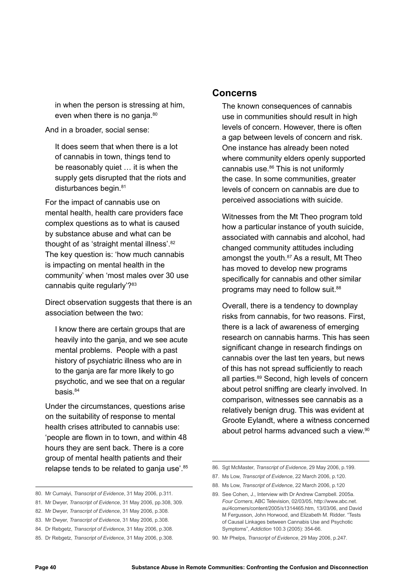in when the person is stressing at him, even when there is no ganja.<sup>80</sup>

And in a broader, social sense:

It does seem that when there is a lot of cannabis in town, things tend to be reasonably quiet … it is when the supply gets disrupted that the riots and disturbances begin.<sup>81</sup>

For the impact of cannabis use on mental health, health care providers face complex questions as to what is caused by substance abuse and what can be thought of as 'straight mental illness'.82 The key question is: 'how much cannabis is impacting on mental health in the community' when 'most males over 30 use cannabis quite regularly'?83

Direct observation suggests that there is an association between the two:

I know there are certain groups that are heavily into the ganja, and we see acute mental problems. People with a past history of psychiatric illness who are in to the ganja are far more likely to go psychotic, and we see that on a regular basis.84

Under the circumstances, questions arise on the suitability of response to mental health crises attributed to cannabis use: 'people are flown in to town, and within 48 hours they are sent back. There is a core group of mental health patients and their relapse tends to be related to ganja use'.<sup>85</sup>

#### **Concerns**

The known consequences of cannabis use in communities should result in high levels of concern. However, there is often a gap between levels of concern and risk. One instance has already been noted where community elders openly supported cannabis use.<sup>86</sup> This is not uniformly the case. In some communities, greater levels of concern on cannabis are due to perceived associations with suicide.

Witnesses from the Mt Theo program told how a particular instance of youth suicide, associated with cannabis and alcohol, had changed community attitudes including amongst the youth.<sup>87</sup> As a result, Mt Theo has moved to develop new programs specifically for cannabis and other similar programs may need to follow suit.<sup>88</sup>

Overall, there is a tendency to downplay risks from cannabis, for two reasons. First, there is a lack of awareness of emerging research on cannabis harms. This has seen significant change in research findings on cannabis over the last ten years, but news of this has not spread sufficiently to reach all parties.89 Second, high levels of concern about petrol sniffing are clearly involved. In comparison, witnesses see cannabis as a relatively benign drug. This was evident at Groote Eylandt, where a witness concerned about petrol harms advanced such a view.90

<sup>80.</sup> Mr Cumaiyi, *Transcript of Evidence*, 31 May 2006, p.311.

<sup>81.</sup> Mr Dwyer, *Transcript of Evidence*, 31 May 2006, pp.308, 309.

<sup>82.</sup> Mr Dwyer, *Transcript of Evidence*, 31 May 2006, p.308.

<sup>83.</sup> Mr Dwyer, *Transcript of Evidence*, 31 May 2006, p.308.

<sup>84.</sup> Dr Rebgetz, *Transcript of Evidence*, 31 May 2006, p.308.

<sup>85.</sup> Dr Rebgetz, *Transcript of Evidence*, 31 May 2006, p.308.

<sup>86.</sup> Sgt McMaster, *Transcript of Evidence*, 29 May 2006, p.199.

<sup>87.</sup> Ms Low, *Transcript of Evidence*, 22 March 2006, p.120.

<sup>88.</sup> Ms Low, *Transcript of Evidence*, 22 March 2006, p.120

<sup>89.</sup> See Cohen, J., Interview with Dr Andrew Campbell. 2005a. *Four Corners*, ABC Television, 02/03/05, http://www.abc.net. au/4corners/content/2005/s1314465.htm, 13/03/06, and David M Fergusson, John Horwood, and Elizabeth M. Ridder. "Tests of Causal Linkages between Cannabis Use and Psychotic Symptoms", *Addiction* 100.3 (2005): 354-66.

<sup>90.</sup> Mr Phelps, *Transcript of Evidence*, 29 May 2006, p.247.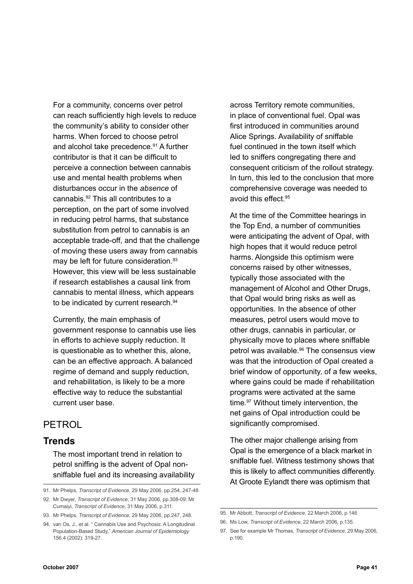For a community, concerns over petrol can reach sufficiently high levels to reduce the community's ability to consider other harms. When forced to choose petrol and alcohol take precedence.<sup>91</sup> A further contributor is that it can be difficult to perceive a connection between cannabis use and mental health problems when disturbances occur in the *absence* of cannabis.92 This all contributes to a perception, on the part of some involved in reducing petrol harms, that substance substitution from petrol to cannabis is an acceptable trade-off, and that the challenge of moving these users away from cannabis may be left for future consideration.<sup>93</sup> However, this view will be less sustainable if research establishes a causal link from cannabis to mental illness, which appears to be indicated by current research.<sup>94</sup>

Currently, the main emphasis of government response to cannabis use lies in efforts to achieve supply reduction. It is questionable as to whether this, alone, can be an effective approach. A balanced regime of demand and supply reduction, and rehabilitation, is likely to be a more effective way to reduce the substantial current user base.

## **PETROL**

## **Trends**

The most important trend in relation to petrol sniffing is the advent of Opal nonsniffable fuel and its increasing availability

93. Mr Phelps, *Transcript of Evidence*, 29 May 2006, pp.247, 248.

across Territory remote communities, in place of conventional fuel. Opal was first introduced in communities around Alice Springs. Availability of sniffable fuel continued in the town itself which led to sniffers congregating there and consequent criticism of the rollout strategy. In turn, this led to the conclusion that more comprehensive coverage was needed to avoid this effect.95

At the time of the Committee hearings in the Top End, a number of communities were anticipating the advent of Opal, with high hopes that it would reduce petrol harms. Alongside this optimism were concerns raised by other witnesses, typically those associated with the management of Alcohol and Other Drugs, that Opal would bring risks as well as opportunities. In the absence of other measures, petrol users would move to other drugs, cannabis in particular, or physically move to places where sniffable petrol was available.<sup>96</sup> The consensus view was that the introduction of Opal created a brief window of opportunity, of a few weeks, where gains could be made if rehabilitation programs were activated at the same time.97 Without timely intervention, the net gains of Opal introduction could be significantly compromised.

The other major challenge arising from Opal is the emergence of a black market in sniffable fuel. Witness testimony shows that this is likely to affect communities differently. At Groote Eylandt there was optimism that

<sup>91.</sup> Mr Phelps, *Transcript of Evidence*, 29 May 2006, pp.254,.247-48.

<sup>92.</sup> Mr Dwyer, *Transcript of Evidence*, 31 May 2006, pp.308-09; Mr Cumaiyi, *Transcript of Evidence*, 31 May 2006, p.311.

<sup>94.</sup> van Os, J., et al. " Cannabis Use and Psychosis: A Longitudinal Population-Based Study," *American Journal of Epidemiology* 156.4 (2002): 319-27.

<sup>95.</sup> Mr Abbott, *Transcript of Evidence*, 22 March 2006, p.146

<sup>96.</sup> Ms Low, *Transcript of Evidence*, 22 March 2006, p.135.

<sup>97.</sup> See for example Mr Thomas, *Transcript of Evidence*, 29 May 2006, p.190.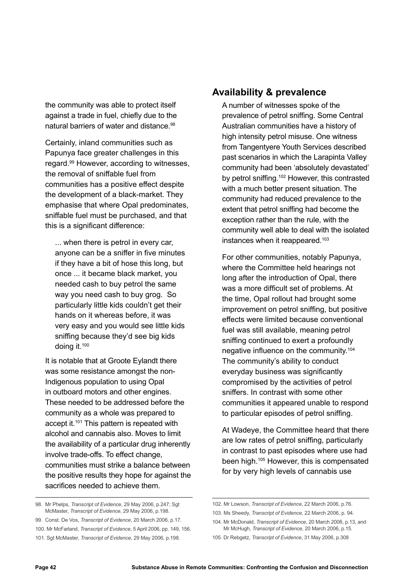the community was able to protect itself against a trade in fuel, chiefly due to the natural barriers of water and distance.<sup>98</sup>

Certainly, inland communities such as Papunya face greater challenges in this regard.99 However, according to witnesses, the removal of sniffable fuel from communities has a positive effect despite the development of a black-market. They emphasise that where Opal predominates, sniffable fuel must be purchased, and that this is a significant difference:

... when there is petrol in every car, anyone can be a sniffer in five minutes if they have a bit of hose this long, but once ... it became black market, you needed cash to buy petrol the same way you need cash to buy grog. So particularly little kids couldn't get their hands on it whereas before, it was very easy and you would see little kids sniffing because they'd see big kids doing it.100

It is notable that at Groote Eylandt there was some resistance amongst the non-Indigenous population to using Opal in outboard motors and other engines. These needed to be addressed before the community as a whole was prepared to accept it.<sup>101</sup> This pattern is repeated with alcohol and cannabis also. Moves to limit the availability of a particular drug inherently involve trade-offs. To effect change, communities must strike a balance between the positive results they hope for against the sacrifices needed to achieve them.

## **Availability & prevalence**

A number of witnesses spoke of the prevalence of petrol sniffing. Some Central Australian communities have a history of high intensity petrol misuse. One witness from Tangentyere Youth Services described past scenarios in which the Larapinta Valley community had been 'absolutely devastated' by petrol sniffing.<sup>102</sup> However, this contrasted with a much better present situation. The community had reduced prevalence to the extent that petrol sniffing had become the exception rather than the rule, with the community well able to deal with the isolated instances when it reappeared.<sup>103</sup>

For other communities, notably Papunya, where the Committee held hearings not long after the introduction of Opal, there was a more difficult set of problems. At the time, Opal rollout had brought some improvement on petrol sniffing, but positive effects were limited because conventional fuel was still available, meaning petrol sniffing continued to exert a profoundly negative influence on the community.104 The community's ability to conduct everyday business was significantly compromised by the activities of petrol sniffers. In contrast with some other communities it appeared unable to respond to particular episodes of petrol sniffing.

At Wadeye, the Committee heard that there are low rates of petrol sniffing, particularly in contrast to past episodes where use had been high.105 However, this is compensated for by very high levels of cannabis use

99. Const. De Vos, *Transcript of Evidence*, 20 March 2006, p.17. 100. Mr McFarland, *Transcript of Evidence*, 5 April 2006, pp. 149, 156.

104. Mr McDonald, *Transcript of Evidence*, 20 March 2006, p.13, and Mr McHugh, *Transcript of Evidence*, 20 March 2006, p.15.

<sup>98.</sup> Mr Phelps, *Transcript of Evidence*, 29 May 2006, p.247; Sgt McMaster, *Transcript of Evidence*, 29 May 2006, p.198.

<sup>101.</sup> Sgt McMaster, *Transcript of Evidence*, 29 May 2006, p.198.

<sup>102.</sup> Mr Lowson, *Transcript of Evidence*, 22 March 2006, p.76.

<sup>103.</sup> Ms Sheedy, *Transcript of Evidence*, 22 March 2006, p. 94.

<sup>105.</sup> Dr Rebgetz, *Transcript of Evidence*, 31 May 2006, p.308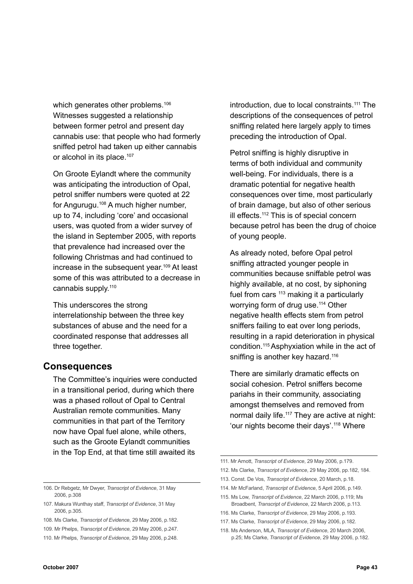which generates other problems.<sup>106</sup> Witnesses suggested a relationship between former petrol and present day cannabis use: that people who had formerly sniffed petrol had taken up either cannabis or alcohol in its place.<sup>107</sup>

On Groote Eylandt where the community was anticipating the introduction of Opal, petrol sniffer numbers were quoted at 22 for Angurugu.108 A much higher number, up to 74, including 'core' and occasional users, was quoted from a wider survey of the island in September 2005, with reports that prevalence had increased over the following Christmas and had continued to increase in the subsequent year.109 At least some of this was attributed to a decrease in cannabis supply.110

This underscores the strong interrelationship between the three key substances of abuse and the need for a coordinated response that addresses all three together.

#### **Consequences**

The Committee's inquiries were conducted in a transitional period, during which there was a phased rollout of Opal to Central Australian remote communities. Many communities in that part of the Territory now have Opal fuel alone, while others, such as the Groote Eylandt communities in the Top End, at that time still awaited its

introduction, due to local constraints.111 The descriptions of the consequences of petrol sniffing related here largely apply to times preceding the introduction of Opal.

Petrol sniffing is highly disruptive in terms of both individual and community well-being. For individuals, there is a dramatic potential for negative health consequences over time, most particularly of brain damage, but also of other serious ill effects.<sup>112</sup> This is of special concern because petrol has been the drug of choice of young people.

As already noted, before Opal petrol sniffing attracted younger people in communities because sniffable petrol was highly available, at no cost, by siphoning fuel from cars  $113$  making it a particularly worrying form of drug use.<sup>114</sup> Other negative health effects stem from petrol sniffers failing to eat over long periods, resulting in a rapid deterioration in physical condition.115Asphyxiation while in the act of sniffing is another key hazard.<sup>116</sup>

There are similarly dramatic effects on social cohesion. Petrol sniffers become pariahs in their community, associating amongst themselves and removed from normal daily life.<sup>117</sup> They are active at night: 'our nights become their days'.<sup>118</sup> Where

- 113. Const. De Vos, *Transcript of Evidence*, 20 March, p.18.
- 114. Mr McFarland, *Transcript of Evidence*, 5 April 2006, p.149.
- 115. Ms Low, *Transcript of Evidence*, 22 March 2006, p.119; Ms Broadbent, *Transcript of Evidence*, 22 March 2006, p.113.
- 116. Ms Clarke, *Transcript of Evidence*, 29 May 2006, p.193.
- 117. Ms Clarke, *Transcript of Evidence*, 29 May 2006, p.182.

<sup>106.</sup> Dr Rebgetz, Mr Dwyer, *Transcript of Evidence*, 31 May 2006, p.308

<sup>107.</sup> Makura Wunthay staff, *Transcript of Evidence*, 31 May 2006, p.305.

<sup>108.</sup> Ms Clarke, *Transcript of Evidence*, 29 May 2006, p.182.

<sup>109.</sup> Mr Phelps, *Transcript of Evidence*, 29 May 2006, p.247.

<sup>110.</sup> Mr Phelps, *Transcript of Evidence*, 29 May 2006, p.248.

<sup>111.</sup> Mr Arnott, *Transcript of Evidence*, 29 May 2006, p.179.

<sup>112.</sup> Ms Clarke, *Transcript of Evidence*, 29 May 2006, pp.182, 184.

<sup>118.</sup> Ms Anderson, MLA, *Transcript of Evidence*, 20 March 2006, p.25; Ms Clarke, *Transcript of Evidence*, 29 May 2006, p.182.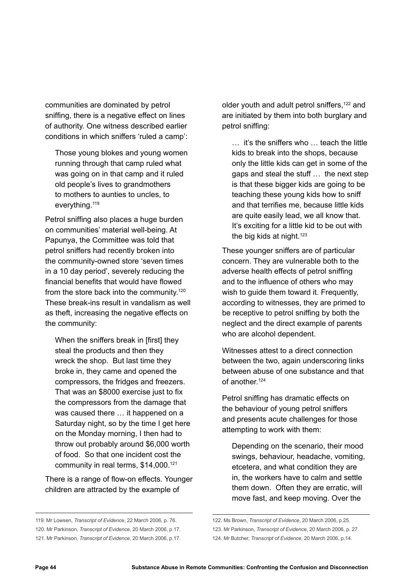communities are dominated by petrol sniffing, there is a negative effect on lines of authority. One witness described earlier conditions in which sniffers 'ruled a camp':

Those young blokes and young women running through that camp ruled what was going on in that camp and it ruled old people's lives to grandmothers to mothers to aunties to uncles, to everything.<sup>119</sup>

Petrol sniffing also places a huge burden on communities' material well-being. At Papunya, the Committee was told that petrol sniffers had recently broken into the community-owned store 'seven times in a 10 day period', severely reducing the financial benefits that would have flowed from the store back into the community.<sup>120</sup> These break-ins result in vandalism as well as theft, increasing the negative effects on the community:

When the sniffers break in [first] they steal the products and then they wreck the shop. But last time they broke in, they came and opened the compressors, the fridges and freezers. That was an \$8000 exercise just to fix the compressors from the damage that was caused there … it happened on a Saturday night, so by the time I get here on the Monday morning, I then had to throw out probably around \$6,000 worth of food. So that one incident cost the community in real terms, \$14,000.<sup>121</sup>

There is a range of flow-on effects. Younger children are attracted by the example of

older youth and adult petrol sniffers,122 and are initiated by them into both burglary and petrol sniffing:

… it's the sniffers who … teach the little kids to break into the shops, because only the little kids can get in some of the gaps and steal the stuff … the next step is that these bigger kids are going to be teaching these young kids how to sniff and that terrifies me, because little kids are quite easily lead, we all know that. It's exciting for a little kid to be out with the big kids at night. $123$ 

These younger sniffers are of particular concern. They are vulnerable both to the adverse health effects of petrol sniffing and to the influence of others who may wish to guide them toward it. Frequently, according to witnesses, they are primed to be receptive to petrol sniffing by both the neglect and the direct example of parents who are alcohol dependent.

Witnesses attest to a direct connection between the two, again underscoring links between abuse of one substance and that of another.<sup>124</sup>

Petrol sniffing has dramatic effects on the behaviour of young petrol sniffers and presents acute challenges for those attempting to work with them:

Depending on the scenario, their mood swings, behaviour, headache, vomiting, etcetera, and what condition they are in, the workers have to calm and settle them down. Often they are erratic, will move fast, and keep moving. Over the

<sup>119.</sup> Mr Lowsen, *Transcript of Evidence*, 22 March 2006, p. 76.

<sup>120.</sup> Mr Parkinson, *Transcript of Evidence*, 20 March 2006, p.17.

<sup>121.</sup> Mr Parkinson, *Transcript of Evidence*, 20 March 2006, p.17.

<sup>122.</sup> Ms Brown, *Transcript of Evidence*, 20 March 2006, p.25.

<sup>123.</sup> Mr Parkinson, *Transcript of Evidence*, 20 March 2006, p. 27.

<sup>124.</sup> Mr Butcher, *Transcript of Evidence*, 20 March 2006, p.14.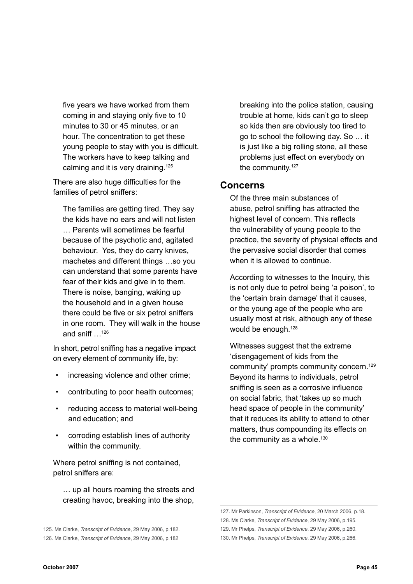five years we have worked from them coming in and staying only five to 10 minutes to 30 or 45 minutes, or an hour. The concentration to get these young people to stay with you is difficult. The workers have to keep talking and calming and it is very draining.<sup>125</sup>

There are also huge difficulties for the families of petrol sniffers:

The families are getting tired. They say the kids have no ears and will not listen … Parents will sometimes be fearful because of the psychotic and, agitated behaviour. Yes, they do carry knives, machetes and different things …so you can understand that some parents have fear of their kids and give in to them. There is noise, banging, waking up the household and in a given house there could be five or six petrol sniffers in one room. They will walk in the house and sniff  $126$ 

In short, petrol sniffing has a negative impact on every element of community life, by:

- increasing violence and other crime;
- contributing to poor health outcomes;
- reducing access to material well-being and education; and
- corroding establish lines of authority within the community.

Where petrol sniffing is not contained, petrol sniffers are:

… up all hours roaming the streets and creating havoc, breaking into the shop,

breaking into the police station, causing trouble at home, kids can't go to sleep so kids then are obviously too tired to go to school the following day. So … it is just like a big rolling stone, all these problems just effect on everybody on the community.<sup>127</sup>

## **Concerns**

Of the three main substances of abuse, petrol sniffing has attracted the highest level of concern. This reflects the vulnerability of young people to the practice, the severity of physical effects and the pervasive social disorder that comes when it is allowed to continue.

According to witnesses to the Inquiry, this is not only due to petrol being 'a poison', to the 'certain brain damage' that it causes, or the young age of the people who are usually most at risk, although any of these would be enough.128

Witnesses suggest that the extreme 'disengagement of kids from the community' prompts community concern.129 Beyond its harms to individuals, petrol sniffing is seen as a corrosive influence on social fabric, that 'takes up so much head space of people in the community' that it reduces its ability to attend to other matters, thus compounding its effects on the community as a whole.<sup>130</sup>

<sup>125.</sup> Ms Clarke, *Transcript of Evidence*, 29 May 2006, p.182. 126. Ms Clarke, *Transcript of Evidence*, 29 May 2006, p.182

<sup>127.</sup> Mr Parkinson, *Transcript of Evidence*, 20 March 2006, p.18. 128. Ms Clarke, *Transcript of Evidence*, 29 May 2006, p.195. 129. Mr Phelps, *Transcript of Evidence*, 29 May 2006, p.260. 130. Mr Phelps, *Transcript of Evidence*, 29 May 2006, p.266.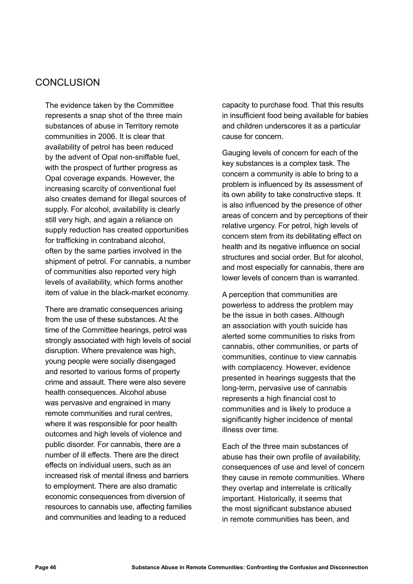# **CONCLUSION**

The evidence taken by the Committee represents a snap shot of the three main substances of abuse in Territory remote communities in 2006. It is clear that availability of petrol has been reduced by the advent of Opal non-sniffable fuel, with the prospect of further progress as Opal coverage expands. However, the increasing scarcity of conventional fuel also creates demand for illegal sources of supply. For alcohol, availability is clearly still very high, and again a reliance on supply reduction has created opportunities for trafficking in contraband alcohol, often by the same parties involved in the shipment of petrol. For cannabis, a number of communities also reported very high levels of availability, which forms another item of value in the black-market economy.

There are dramatic consequences arising from the use of these substances. At the time of the Committee hearings, petrol was strongly associated with high levels of social disruption. Where prevalence was high, young people were socially disengaged and resorted to various forms of property crime and assault. There were also severe health consequences. Alcohol abuse was pervasive and engrained in many remote communities and rural centres, where it was responsible for poor health outcomes and high levels of violence and public disorder. For cannabis, there are a number of ill effects. There are the direct effects on individual users, such as an increased risk of mental illness and barriers to employment. There are also dramatic economic consequences from diversion of resources to cannabis use, affecting families and communities and leading to a reduced

capacity to purchase food. That this results in insufficient food being available for babies and children underscores it as a particular cause for concern.

Gauging levels of concern for each of the key substances is a complex task. The concern a community is able to bring to a problem is influenced by its assessment of its own ability to take constructive steps. It is also influenced by the presence of other areas of concern and by perceptions of their relative urgency. For petrol, high levels of concern stem from its debilitating effect on health and its negative influence on social structures and social order. But for alcohol, and most especially for cannabis, there are lower levels of concern than is warranted.

A perception that communities are powerless to address the problem may be the issue in both cases. Although an association with youth suicide has alerted some communities to risks from cannabis, other communities, or parts of communities, continue to view cannabis with complacency. However, evidence presented in hearings suggests that the long-term, pervasive use of cannabis represents a high financial cost to communities and is likely to produce a significantly higher incidence of mental illness over time.

Each of the three main substances of abuse has their own profile of availability, consequences of use and level of concern they cause in remote communities. Where they overlap and interrelate is critically important. Historically, it seems that the most significant substance abused in remote communities has been, and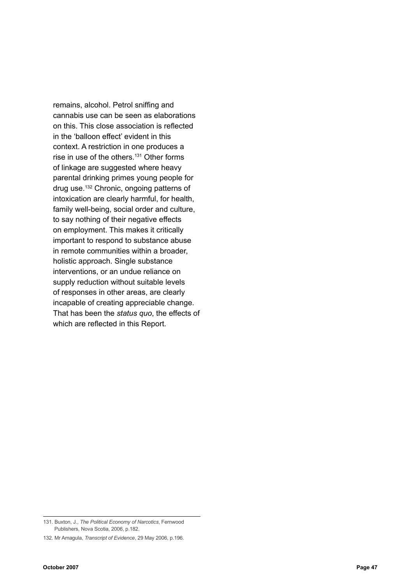remains, alcohol. Petrol sniffing and cannabis use can be seen as elaborations on this. This close association is reflected in the 'balloon effect' evident in this context. A restriction in one produces a rise in use of the others.<sup>131</sup> Other forms of linkage are suggested where heavy parental drinking primes young people for drug use.132 Chronic, ongoing patterns of intoxication are clearly harmful, for health, family well-being, social order and culture, to say nothing of their negative effects on employment. This makes it critically important to respond to substance abuse in remote communities within a broader, holistic approach. Single substance interventions, or an undue reliance on supply reduction without suitable levels of responses in other areas, are clearly incapable of creating appreciable change. That has been the *status quo*, the effects of which are reflected in this Report.

<sup>131.</sup> Buxton, J., *The Political Economy of Narcotics*, Fernwood Publishers, Nova Scotia, 2006, p.182.

<sup>132.</sup> Mr Amagula, *Transcript of Evidence*, 29 May 2006, p.196.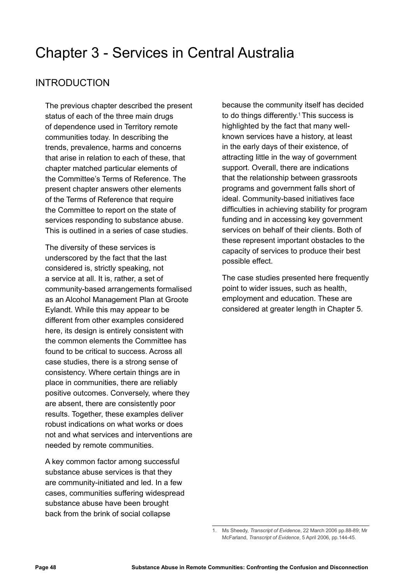# **INTRODUCTION**

The previous chapter described the present status of each of the three main drugs of dependence used in Territory remote communities today. In describing the trends, prevalence, harms and concerns that arise in relation to each of these, that chapter matched particular elements of the Committee's Terms of Reference. The present chapter answers other elements of the Terms of Reference that require the Committee to report on the state of services responding to substance abuse. This is outlined in a series of case studies.

The diversity of these services is underscored by the fact that the last considered is, strictly speaking, not a service at all. It is, rather, a set of community-based arrangements formalised as an Alcohol Management Plan at Groote Eylandt. While this may appear to be different from other examples considered here, its design is entirely consistent with the common elements the Committee has found to be critical to success. Across all case studies, there is a strong sense of consistency. Where certain things are in place in communities, there are reliably positive outcomes. Conversely, where they are absent, there are consistently poor results. Together, these examples deliver robust indications on what works or does not and what services and interventions are needed by remote communities.

A key common factor among successful substance abuse services is that they are community-initiated and led. In a few cases, communities suffering widespread substance abuse have been brought back from the brink of social collapse

because the community itself has decided to do things differently.<sup>1</sup> This success is highlighted by the fact that many wellknown services have a history, at least in the early days of their existence, of attracting little in the way of government support. Overall, there are indications that the relationship between grassroots programs and government falls short of ideal. Community-based initiatives face difficulties in achieving stability for program funding and in accessing key government services on behalf of their clients. Both of these represent important obstacles to the capacity of services to produce their best possible effect.

The case studies presented here frequently point to wider issues, such as health, employment and education. These are considered at greater length in Chapter 5.

<sup>1.</sup> Ms Sheedy, *Transcript of Evidence*, 22 March 2006 pp.88-89; Mr McFarland, *Transcript of Evidence*, 5 April 2006, pp.144-45.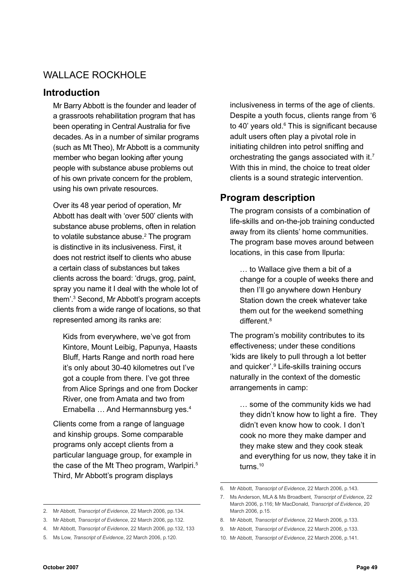## Wallace Rockhole

#### **Introduction**

Mr Barry Abbott is the founder and leader of a grassroots rehabilitation program that has been operating in Central Australia for five decades. As in a number of similar programs (such as Mt Theo), Mr Abbott is a community member who began looking after young people with substance abuse problems out of his own private concern for the problem, using his own private resources.

Over its 48 year period of operation, Mr Abbott has dealt with 'over 500' clients with substance abuse problems, often in relation to volatile substance abuse.<sup>2</sup> The program is distinctive in its inclusiveness. First, it does not restrict itself to clients who abuse a certain class of substances but takes clients across the board: 'drugs, grog, paint, spray you name it I deal with the whole lot of them'.3 Second, Mr Abbott's program accepts clients from a wide range of locations, so that represented among its ranks are:

Kids from everywhere, we've got from Kintore, Mount Leibig, Papunya, Haasts Bluff, Harts Range and north road here it's only about 30-40 kilometres out I've got a couple from there. I've got three from Alice Springs and one from Docker River, one from Amata and two from Ernabella … And Hermannsburg yes.4

Clients come from a range of language and kinship groups. Some comparable programs only accept clients from a particular language group, for example in the case of the Mt Theo program, Warlpiri.<sup>5</sup> Third, Mr Abbott's program displays

inclusiveness in terms of the age of clients. Despite a youth focus, clients range from '6 to 40' years old.<sup>6</sup> This is significant because adult users often play a pivotal role in initiating children into petrol sniffing and orchestrating the gangs associated with it.<sup>7</sup> With this in mind, the choice to treat older clients is a sound strategic intervention.

## **Program description**

The program consists of a combination of life-skills and on-the-job training conducted away from its clients' home communities. The program base moves around between locations, in this case from Ilpurla:

… to Wallace give them a bit of a change for a couple of weeks there and then I'll go anywhere down Henbury Station down the creek whatever take them out for the weekend something different.8

The program's mobility contributes to its effectiveness; under these conditions 'kids are likely to pull through a lot better and quicker'.9 Life-skills training occurs naturally in the context of the domestic arrangements in camp:

… some of the community kids we had they didn't know how to light a fire. They didn't even know how to cook. I don't cook no more they make damper and they make stew and they cook steak and everything for us now, they take it in turns.<sup>10</sup>

8. Mr Abbott, *Transcript of Evidence*, 22 March 2006, p.133.

<sup>2.</sup> Mr Abbott, *Transcript of Evidence*, 22 March 2006, pp.134.

<sup>3.</sup> Mr Abbott, *Transcript of Evidence*, 22 March 2006, pp.132.

<sup>4.</sup> Mr Abbott, *Transcript of Evidence*, 22 March 2006, pp.132, 133

<sup>5.</sup> Ms Low, *Transcript of Evidence*, 22 March 2006, p.120.

<sup>6.</sup> Mr Abbott, *Transcript of Evidence*, 22 March 2006, p.143.

<sup>7.</sup> Ms Anderson, MLA & Ms Broadbent, *Transcript of Evidence*, 22 March 2006, p.116; Mr MacDonald, *Transcript of Evidence*, 20 March 2006, p.15.

<sup>9.</sup> Mr Abbott, *Transcript of Evidence*, 22 March 2006, p.133.

<sup>10.</sup> Mr Abbott, *Transcript of Evidence*, 22 March 2006, p.141.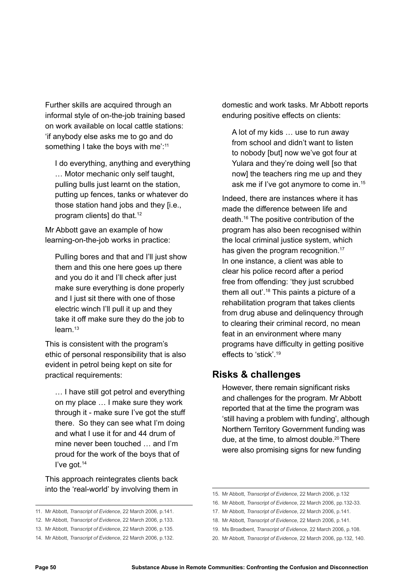Further skills are acquired through an informal style of on-the-job training based on work available on local cattle stations: 'if anybody else asks me to go and do something I take the boys with me':<sup>11</sup>

I do everything, anything and everything … Motor mechanic only self taught, pulling bulls just learnt on the station, putting up fences, tanks or whatever do those station hand jobs and they [i.e., program clients] do that.<sup>12</sup>

Mr Abbott gave an example of how learning-on-the-job works in practice:

Pulling bores and that and I'll just show them and this one here goes up there and you do it and I'll check after just make sure everything is done properly and I just sit there with one of those electric winch I'll pull it up and they take it off make sure they do the job to  $learn<sup>13</sup>$ 

This is consistent with the program's ethic of personal responsibility that is also evident in petrol being kept on site for practical requirements:

… I have still got petrol and everything on my place … I make sure they work through it - make sure I've got the stuff there. So they can see what I'm doing and what I use it for and 44 drum of mine never been touched … and I'm proud for the work of the boys that of I've got.14

This approach reintegrates clients back into the 'real-world' by involving them in

- 12. Mr Abbott, *Transcript of Evidence*, 22 March 2006, p.133.
- 13. Mr Abbott, *Transcript of Evidence*, 22 March 2006, p.135.
- 14. Mr Abbott, *Transcript of Evidence*, 22 March 2006, p.132.

domestic and work tasks. Mr Abbott reports enduring positive effects on clients:

A lot of my kids … use to run away from school and didn't want to listen to nobody [but] now we've got four at Yulara and they're doing well [so that now] the teachers ring me up and they ask me if I've got anymore to come in.15

Indeed, there are instances where it has made the difference between life and death.16 The positive contribution of the program has also been recognised within the local criminal justice system, which has given the program recognition.<sup>17</sup> In one instance, a client was able to clear his police record after a period free from offending: 'they just scrubbed them all out'.18 This paints a picture of a rehabilitation program that takes clients from drug abuse and delinquency through to clearing their criminal record, no mean feat in an environment where many programs have difficulty in getting positive effects to 'stick' 19

#### **Risks & challenges**

However, there remain significant risks and challenges for the program. Mr Abbott reported that at the time the program was 'still having a problem with funding', although Northern Territory Government funding was due, at the time, to almost double.<sup>20</sup> There were also promising signs for new funding

18. Mr Abbott, *Transcript of Evidence*, 22 March 2006, p.141.

<sup>11.</sup> Mr Abbott, *Transcript of Evidence*, 22 March 2006, p.141.

<sup>15.</sup> Mr Abbott, *Transcript of Evidence*, 22 March 2006, p.132

<sup>16.</sup> Mr Abbott, *Transcript of Evidence*, 22 March 2006, pp.132-33.

<sup>17.</sup> Mr Abbott, *Transcript of Evidence*, 22 March 2006, p.141.

<sup>19.</sup> Ms Broadbent, *Transcript of Evidence*, 22 March 2006, p.108.

<sup>20.</sup> Mr Abbott, *Transcript of Evidence*, 22 March 2006, pp.132, 140.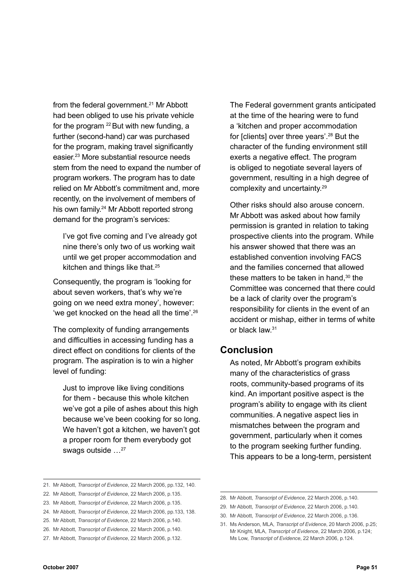from the federal government.<sup>21</sup> Mr Abbott had been obliged to use his private vehicle for the program <sup>22</sup> But with new funding, a further (second-hand) car was purchased for the program, making travel significantly easier.23 More substantial resource needs stem from the need to expand the number of program workers. The program has to date relied on Mr Abbott's commitment and, more recently, on the involvement of members of his own family.<sup>24</sup> Mr Abbott reported strong demand for the program's services:

I've got five coming and I've already got nine there's only two of us working wait until we get proper accommodation and kitchen and things like that.<sup>25</sup>

Consequently, the program is 'looking for about seven workers, that's why we're going on we need extra money', however: 'we get knocked on the head all the time'.26

The complexity of funding arrangements and difficulties in accessing funding has a direct effect on conditions for clients of the program. The aspiration is to win a higher level of funding:

Just to improve like living conditions for them - because this whole kitchen we've got a pile of ashes about this high because we've been cooking for so long. We haven't got a kitchen, we haven't got a proper room for them everybody got swags outside …27

The Federal government grants anticipated at the time of the hearing were to fund a 'kitchen and proper accommodation for Iclients] over three years'.<sup>28</sup> But the character of the funding environment still exerts a negative effect. The program is obliged to negotiate several layers of government, resulting in a high degree of complexity and uncertainty.29

Other risks should also arouse concern. Mr Abbott was asked about how family permission is granted in relation to taking prospective clients into the program. While his answer showed that there was an established convention involving FACS and the families concerned that allowed these matters to be taken in hand.<sup>30</sup> the Committee was concerned that there could be a lack of clarity over the program's responsibility for clients in the event of an accident or mishap, either in terms of white or black law.31

# **Conclusion**

As noted, Mr Abbott's program exhibits many of the characteristics of grass roots, community-based programs of its kind. An important positive aspect is the program's ability to engage with its client communities. A negative aspect lies in mismatches between the program and government, particularly when it comes to the program seeking further funding. This appears to be a long-term, persistent

<sup>21.</sup> Mr Abbott, *Transcript of Evidence*, 22 March 2006, pp.132, 140.

<sup>22.</sup> Mr Abbott, *Transcript of Evidence*, 22 March 2006, p.135.

<sup>23.</sup> Mr Abbott, *Transcript of Evidence*, 22 March 2006, p.135.

<sup>24.</sup> Mr Abbott, *Transcript of Evidence*, 22 March 2006, pp.133, 138.

<sup>25.</sup> Mr Abbott, *Transcript of Evidence*, 22 March 2006, p.140.

<sup>26.</sup> Mr Abbott, *Transcript of Evidence*, 22 March 2006, p.140.

<sup>27.</sup> Mr Abbott, *Transcript of Evidence*, 22 March 2006, p.132.

<sup>28.</sup> Mr Abbott, *Transcript of Evidence*, 22 March 2006, p.140.

<sup>29.</sup> Mr Abbott, *Transcript of Evidence*, 22 March 2006, p.140.

<sup>30.</sup> Mr Abbott, *Transcript of Evidence*, 22 March 2006, p.136.

<sup>31.</sup> Ms Anderson, MLA, *Transcript of Evidence*, 20 March 2006, p.25; Mr Knight, MLA, *Transcript of Evidence*, 22 March 2006, p.124; Ms Low, *Transcript of Evidence*, 22 March 2006, p.124.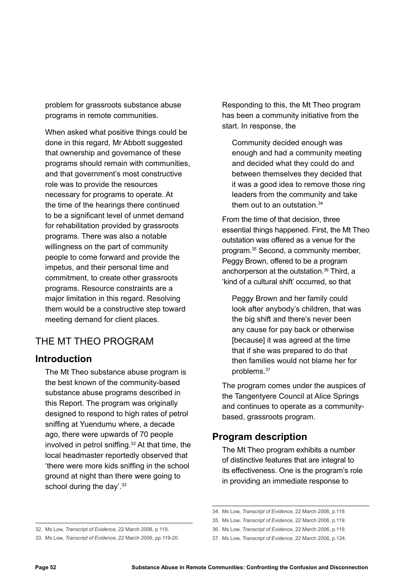problem for grassroots substance abuse programs in remote communities.

When asked what positive things could be done in this regard, Mr Abbott suggested that ownership and governance of these programs should remain with communities, and that government's most constructive role was to provide the resources necessary for programs to operate. At the time of the hearings there continued to be a significant level of unmet demand for rehabilitation provided by grassroots programs. There was also a notable willingness on the part of community people to come forward and provide the impetus, and their personal time and commitment, to create other grassroots programs. Resource constraints are a major limitation in this regard. Resolving them would be a constructive step toward meeting demand for client places.

# The Mt Theo program

## **Introduction**

The Mt Theo substance abuse program is the best known of the community-based substance abuse programs described in this Report. The program was originally designed to respond to high rates of petrol sniffing at Yuendumu where, a decade ago, there were upwards of 70 people involved in petrol sniffing.32 At that time, the local headmaster reportedly observed that 'there were more kids sniffing in the school ground at night than there were going to school during the day'.<sup>33</sup>

Responding to this, the Mt Theo program has been a community initiative from the start. In response, the

Community decided enough was enough and had a community meeting and decided what they could do and between themselves they decided that it was a good idea to remove those ring leaders from the community and take them out to an outstation  $34$ 

From the time of that decision, three essential things happened. First, the Mt Theo outstation was offered as a venue for the program.35 Second, a community member, Peggy Brown, offered to be a program anchorperson at the outstation.<sup>36</sup> Third, a 'kind of a cultural shift' occurred, so that

Peggy Brown and her family could look after anybody's children, that was the big shift and there's never been any cause for pay back or otherwise [because] it was agreed at the time that if she was prepared to do that then families would not blame her for problems.37

The program comes under the auspices of the Tangentyere Council at Alice Springs and continues to operate as a communitybased, grassroots program.

## **Program description**

The Mt Theo program exhibits a number of distinctive features that are integral to its effectiveness. One is the program's role in providing an immediate response to

<sup>32.</sup> Ms Low, *Transcript of Evidence*, 22 March 2006, p.119.

<sup>33.</sup> Ms Low, *Transcript of Evidence*, 22 March 2006, pp.119-20.

<sup>34.</sup> Ms Low, *Transcript of Evidence*, 22 March 2006, p.119.

<sup>35.</sup> Ms Low, *Transcript of Evidence*, 22 March 2006, p.119.

<sup>36.</sup> Ms Low, *Transcript of Evidence*, 22 March 2006, p.119.

<sup>37.</sup> Ms Low, *Transcript of Evidence*, 22 March 2006, p.124.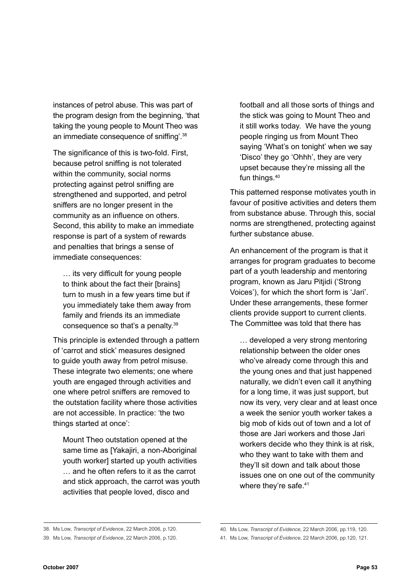instances of petrol abuse. This was part of the program design from the beginning, 'that taking the young people to Mount Theo was an immediate consequence of sniffing'.<sup>38</sup>

The significance of this is two-fold. First, because petrol sniffing is not tolerated within the community, social norms protecting against petrol sniffing are strengthened and supported, and petrol sniffers are no longer present in the community as an influence on others. Second, this ability to make an immediate response is part of a system of rewards and penalties that brings a sense of immediate consequences:

… its very difficult for young people to think about the fact their [brains] turn to mush in a few years time but if you immediately take them away from family and friends its an immediate consequence so that's a penalty.39

This principle is extended through a pattern of 'carrot and stick' measures designed to guide youth away from petrol misuse. These integrate two elements; one where youth are engaged through activities and one where petrol sniffers are removed to the outstation facility where those activities are not accessible. In practice: 'the two things started at once':

Mount Theo outstation opened at the same time as [Yakajiri, a non-Aboriginal youth worker] started up youth activities … and he often refers to it as the carrot and stick approach, the carrot was youth activities that people loved, disco and

football and all those sorts of things and the stick was going to Mount Theo and it still works today. We have the young people ringing us from Mount Theo saying 'What's on tonight' when we say 'Disco' they go 'Ohhh', they are very upset because they're missing all the fun things.40

This patterned response motivates youth in favour of positive activities and deters them from substance abuse. Through this, social norms are strengthened, protecting against further substance abuse.

An enhancement of the program is that it arranges for program graduates to become part of a youth leadership and mentoring program, known as Jaru Pitjidi ('Strong Voices'), for which the short form is 'Jari'. Under these arrangements, these former clients provide support to current clients. The Committee was told that there has

… developed a very strong mentoring relationship between the older ones who've already come through this and the young ones and that just happened naturally, we didn't even call it anything for a long time, it was just support, but now its very, very clear and at least once a week the senior youth worker takes a big mob of kids out of town and a lot of those are Jari workers and those Jari workers decide who they think is at risk, who they want to take with them and they'll sit down and talk about those issues one on one out of the community where they're safe.<sup>41</sup>

<sup>38.</sup> Ms Low, *Transcript of Evidence*, 22 March 2006, p.120.

<sup>39.</sup> Ms Low, *Transcript of Evidence*, 22 March 2006, p.120.

<sup>40.</sup> Ms Low, *Transcript of Evidence*, 22 March 2006, pp.119, 120.

<sup>41.</sup> Ms Low, *Transcript of Evidence*, 22 March 2006, pp.120, 121.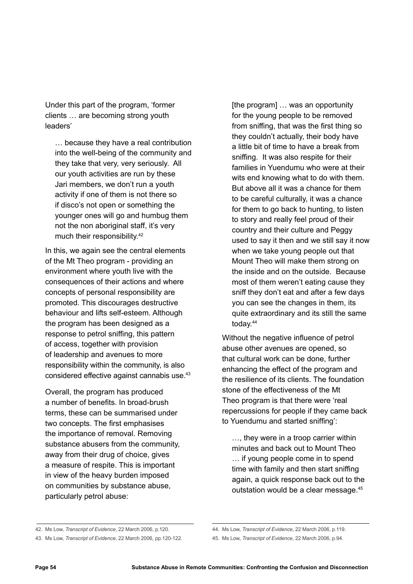Under this part of the program, 'former clients … are becoming strong youth leaders'

… because they have a real contribution into the well-being of the community and they take that very, very seriously. All our youth activities are run by these Jari members, we don't run a youth activity if one of them is not there so if disco's not open or something the younger ones will go and humbug them not the non aboriginal staff, it's very much their responsibility.42

In this, we again see the central elements of the Mt Theo program - providing an environment where youth live with the consequences of their actions and where concepts of personal responsibility are promoted. This discourages destructive behaviour and lifts self-esteem. Although the program has been designed as a response to petrol sniffing, this pattern of access, together with provision of leadership and avenues to more responsibility within the community, is also considered effective against cannabis use.43

Overall, the program has produced a number of benefits. In broad-brush terms, these can be summarised under two concepts. The first emphasises the importance of removal. Removing substance abusers from the community, away from their drug of choice, gives a measure of respite. This is important in view of the heavy burden imposed on communities by substance abuse, particularly petrol abuse:

[the program] … was an opportunity for the young people to be removed from sniffing, that was the first thing so they couldn't actually, their body have a little bit of time to have a break from sniffing. It was also respite for their families in Yuendumu who were at their wits end knowing what to do with them. But above all it was a chance for them to be careful culturally, it was a chance for them to go back to hunting, to listen to story and really feel proud of their country and their culture and Peggy used to say it then and we still say it now when we take young people out that Mount Theo will make them strong on the inside and on the outside. Because most of them weren't eating cause they sniff they don't eat and after a few days you can see the changes in them, its quite extraordinary and its still the same today.44

Without the negative influence of petrol abuse other avenues are opened, so that cultural work can be done, further enhancing the effect of the program and the resilience of its clients. The foundation stone of the effectiveness of the Mt Theo program is that there were 'real repercussions for people if they came back to Yuendumu and started sniffing':

…, they were in a troop carrier within minutes and back out to Mount Theo … if young people come in to spend time with family and then start sniffing again, a quick response back out to the outstation would be a clear message.45

<sup>42.</sup> Ms Low, *Transcript of Evidence*, 22 March 2006, p.120.

<sup>43.</sup> Ms Low, *Transcript of Evidence*, 22 March 2006, pp.120-122.

<sup>44.</sup> Ms Low, *Transcript of Evidence*, 22 March 2006, p.119.

<sup>45.</sup> Ms Low, *Transcript of Evidence*, 22 March 2006, p.94.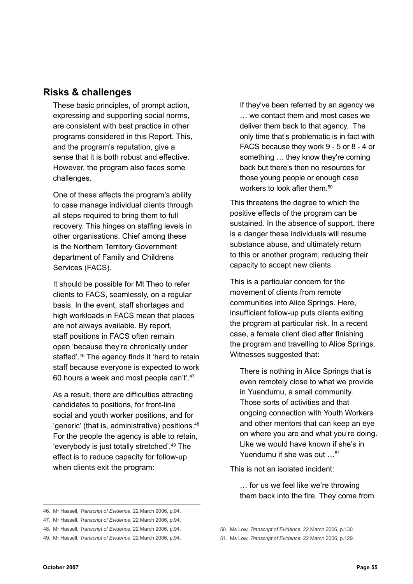## **Risks & challenges**

These basic principles, of prompt action, expressing and supporting social norms, are consistent with best practice in other programs considered in this Report. This, and the program's reputation, give a sense that it is both robust and effective. However, the program also faces some challenges.

One of these affects the program's ability to case manage individual clients through all steps required to bring them to full recovery. This hinges on staffing levels in other organisations. Chief among these is the Northern Territory Government department of Family and Childrens Services (FACS).

It should be possible for Mt Theo to refer clients to FACS, seamlessly, on a regular basis. In the event, staff shortages and high workloads in FACS mean that places are not always available. By report, staff positions in FACS often remain open 'because they're chronically under staffed'.46 The agency finds it 'hard to retain staff because everyone is expected to work 60 hours a week and most people can't'.47

As a result, there are difficulties attracting candidates to positions, for front-line social and youth worker positions, and for 'generic' (that is, administrative) positions.<sup>48</sup> For the people the agency is able to retain, 'everybody is just totally stretched'.49 The effect is to reduce capacity for follow-up when clients exit the program:

If they've been referred by an agency we … we contact them and most cases we deliver them back to that agency. The only time that's problematic is in fact with FACS because they work 9 - 5 or 8 - 4 or something … they know they're coming back but there's then no resources for those young people or enough case workers to look after them.<sup>50</sup>

This threatens the degree to which the positive effects of the program can be sustained. In the absence of support, there is a danger these individuals will resume substance abuse, and ultimately return to this or another program, reducing their capacity to accept new clients.

This is a particular concern for the movement of clients from remote communities into Alice Springs. Here, insufficient follow-up puts clients exiting the program at particular risk. In a recent case, a female client died after finishing the program and travelling to Alice Springs. Witnesses suggested that:

There is nothing in Alice Springs that is even remotely close to what we provide in Yuendumu, a small community. Those sorts of activities and that ongoing connection with Youth Workers and other mentors that can keep an eye on where you are and what you're doing. Like we would have known if she's in Yuendumu if she was out  $51$ 

This is not an isolated incident:

… for us we feel like we're throwing them back into the fire. They come from

<sup>46.</sup> Mr Hassell, *Transcript of Evidence*, 22 March 2006, p.94.

<sup>47.</sup> Mr Hassell, *Transcript of Evidence*, 22 March 2006, p.94.

<sup>48.</sup> Mr Hassell, *Transcript of Evidenc*e, 22 March 2006, p.94.

<sup>49.</sup> Mr Hassell, *Transcript of Evidence*, 22 March 2006, p.94.

<sup>50.</sup> Ms Low, *Transcript of Evidence*, 22 March 2006, p.130.

<sup>51.</sup> Ms Low, *Transcript of Evidence*, 22 March 2006, p.129.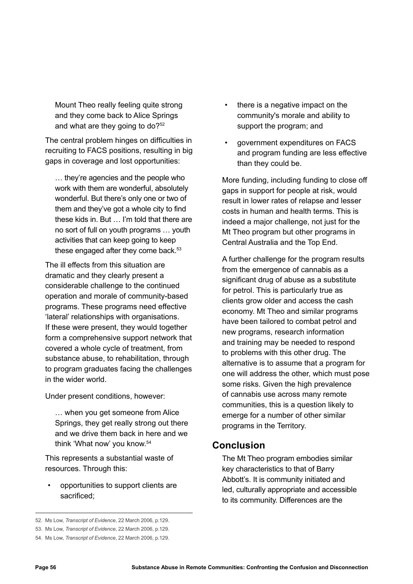Mount Theo really feeling quite strong and they come back to Alice Springs and what are they going to do?<sup>52</sup>

The central problem hinges on difficulties in recruiting to FACS positions, resulting in big gaps in coverage and lost opportunities:

… they're agencies and the people who work with them are wonderful, absolutely wonderful. But there's only one or two of them and they've got a whole city to find these kids in. But … I'm told that there are no sort of full on youth programs … youth activities that can keep going to keep these engaged after they come back.<sup>53</sup>

The ill effects from this situation are dramatic and they clearly present a considerable challenge to the continued operation and morale of community-based programs. These programs need effective 'lateral' relationships with organisations. If these were present, they would together form a comprehensive support network that covered a whole cycle of treatment, from substance abuse, to rehabilitation, through to program graduates facing the challenges in the wider world.

Under present conditions, however:

… when you get someone from Alice Springs, they get really strong out there and we drive them back in here and we think 'What now' you know.54

This represents a substantial waste of resources. Through this:

• opportunities to support clients are sacrificed;

- there is a negative impact on the community's morale and ability to support the program; and
- government expenditures on FACS and program funding are less effective than they could be.

More funding, including funding to close off gaps in support for people at risk, would result in lower rates of relapse and lesser costs in human and health terms. This is indeed a major challenge, not just for the Mt Theo program but other programs in Central Australia and the Top End.

A further challenge for the program results from the emergence of cannabis as a significant drug of abuse as a substitute for petrol. This is particularly true as clients grow older and access the cash economy. Mt Theo and similar programs have been tailored to combat petrol and new programs, research information and training may be needed to respond to problems with this other drug. The alternative is to assume that a program for one will address the other, which must pose some risks. Given the high prevalence of cannabis use across many remote communities, this is a question likely to emerge for a number of other similar programs in the Territory.

## **Conclusion**

The Mt Theo program embodies similar key characteristics to that of Barry Abbott's. It is community initiated and led, culturally appropriate and accessible to its community. Differences are the

<sup>52.</sup> Ms Low, *Transcript of Evidence*, 22 March 2006, p.129.

<sup>53.</sup> Ms Low, *Transcript of Evidence*, 22 March 2006, p.129.

<sup>54.</sup> Ms Low, *Transcript of Evidence*, 22 March 2006, p.129.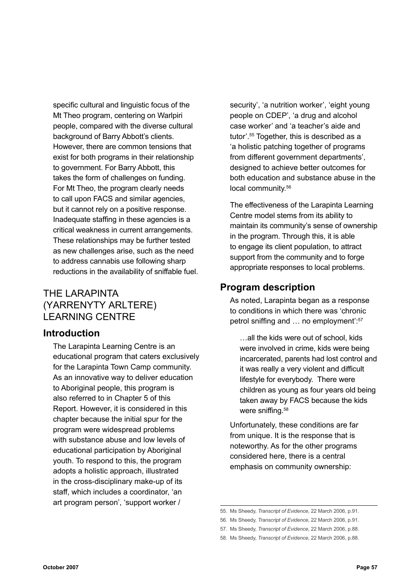specific cultural and linguistic focus of the Mt Theo program, centering on Warlpiri people, compared with the diverse cultural background of Barry Abbott's clients. However, there are common tensions that exist for both programs in their relationship to government. For Barry Abbott, this takes the form of challenges on funding. For Mt Theo, the program clearly needs to call upon FACS and similar agencies, but it cannot rely on a positive response. Inadequate staffing in these agencies is a critical weakness in current arrangements. These relationships may be further tested as new challenges arise, such as the need to address cannabis use following sharp reductions in the availability of sniffable fuel.

# The Larapinta (Yarrenyty Arltere) Learning Centre

## **Introduction**

The Larapinta Learning Centre is an educational program that caters exclusively for the Larapinta Town Camp community. As an innovative way to deliver education to Aboriginal people, this program is also referred to in Chapter 5 of this Report. However, it is considered in this chapter because the initial spur for the program were widespread problems with substance abuse and low levels of educational participation by Aboriginal youth. To respond to this, the program adopts a holistic approach, illustrated in the cross-disciplinary make-up of its staff, which includes a coordinator, 'an art program person', 'support worker /

security', 'a nutrition worker', 'eight young people on CDEP', 'a drug and alcohol case worker' and 'a teacher's aide and tutor'.<sup>55</sup> Together, this is described as a 'a holistic patching together of programs from different government departments'. designed to achieve better outcomes for both education and substance abuse in the local community.<sup>56</sup>

The effectiveness of the Larapinta Learning Centre model stems from its ability to maintain its community's sense of ownership in the program. Through this, it is able to engage its client population, to attract support from the community and to forge appropriate responses to local problems.

# **Program description**

As noted, Larapinta began as a response to conditions in which there was 'chronic petrol sniffing and … no employment':<sup>57</sup>

…all the kids were out of school, kids were involved in crime, kids were being incarcerated, parents had lost control and it was really a very violent and difficult lifestyle for everybody. There were children as young as four years old being taken away by FACS because the kids were sniffing.<sup>58</sup>

Unfortunately, these conditions are far from unique. It is the response that is noteworthy. As for the other programs considered here, there is a central emphasis on community ownership:

<sup>55.</sup> Ms Sheedy, *Transcript of Evidence*, 22 March 2006, p.91.

<sup>56.</sup> Ms Sheedy, *Transcript of Evidence*, 22 March 2006, p.91.

<sup>57.</sup> Ms Sheedy, *Transcript of Evidence*, 22 March 2006, p.88.

<sup>58.</sup> Ms Sheedy, *Transcript of Evidence*, 22 March 2006, p.88.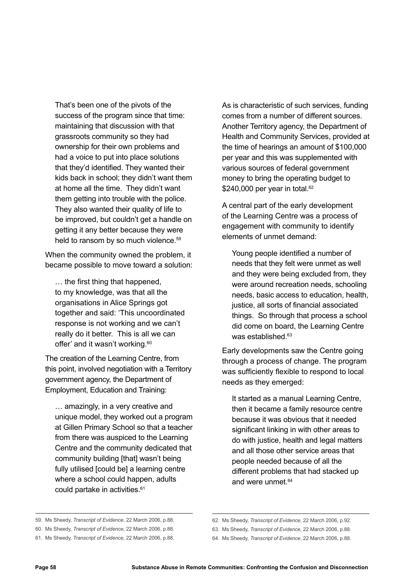That's been one of the pivots of the success of the program since that time: maintaining that discussion with that grassroots community so they had ownership for their own problems and had a voice to put into place solutions that they'd identified. They wanted their kids back in school; they didn't want them at home all the time. They didn't want them getting into trouble with the police. They also wanted their quality of life to be improved, but couldn't get a handle on getting it any better because they were held to ransom by so much violence.<sup>59</sup>

When the community owned the problem, it became possible to move toward a solution:

… the first thing that happened, to my knowledge, was that all the organisations in Alice Springs got together and said: 'This uncoordinated response is not working and we can't really do it better. This is all we can offer' and it wasn't working.<sup>60</sup>

The creation of the Learning Centre, from this point, involved negotiation with a Territory government agency, the Department of Employment, Education and Training:

… amazingly, in a very creative and unique model, they worked out a program at Gillen Primary School so that a teacher from there was auspiced to the Learning Centre and the community dedicated that community building [that] wasn't being fully utilised [could be] a learning centre where a school could happen, adults could partake in activities.<sup>61</sup>

As is characteristic of such services, funding comes from a number of different sources. Another Territory agency, the Department of Health and Community Services, provided at the time of hearings an amount of \$100,000 per year and this was supplemented with various sources of federal government money to bring the operating budget to  $$240,000$  per year in total.<sup>62</sup>

A central part of the early development of the Learning Centre was a process of engagement with community to identify elements of unmet demand:

Young people identified a number of needs that they felt were unmet as well and they were being excluded from, they were around recreation needs, schooling needs, basic access to education, health, justice, all sorts of financial associated things. So through that process a school did come on board, the Learning Centre was established.<sup>63</sup>

Early developments saw the Centre going through a process of change. The program was sufficiently flexible to respond to local needs as they emerged:

It started as a manual Learning Centre, then it became a family resource centre because it was obvious that it needed significant linking in with other areas to do with justice, health and legal matters and all those other service areas that people needed because of all the different problems that had stacked up and were unmet.<sup>64</sup>

<sup>59.</sup> Ms Sheedy, *Transcript of Evidence*, 22 March 2006, p.88.

<sup>60.</sup> Ms Sheedy, *Transcript of Evidence*, 22 March 2006, p.88.

<sup>61.</sup> Ms Sheedy, *Transcript of Evidence*, 22 March 2006, p.88.

<sup>62.</sup> Ms Sheedy, *Transcript of Evidence*, 22 March 2006, p.92.

<sup>63.</sup> Ms Sheedy, *Transcript of Evidence*, 22 March 2006, p.88.

<sup>64.</sup> Ms Sheedy, *Transcript of Evidence*, 22 March 2006, p.88.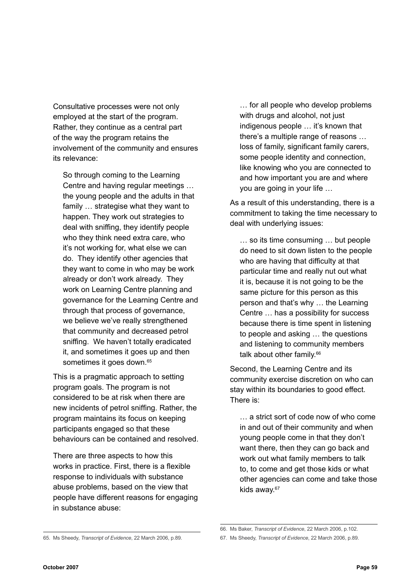Consultative processes were not only employed at the start of the program. Rather, they continue as a central part of the way the program retains the involvement of the community and ensures its relevance:

So through coming to the Learning Centre and having regular meetings … the young people and the adults in that family … strategise what they want to happen. They work out strategies to deal with sniffing, they identify people who they think need extra care, who it's not working for, what else we can do. They identify other agencies that they want to come in who may be work already or don't work already. They work on Learning Centre planning and governance for the Learning Centre and through that process of governance, we believe we've really strengthened that community and decreased petrol sniffing. We haven't totally eradicated it, and sometimes it goes up and then sometimes it goes down.<sup>65</sup>

This is a pragmatic approach to setting program goals. The program is not considered to be at risk when there are new incidents of petrol sniffing. Rather, the program maintains its focus on keeping participants engaged so that these behaviours can be contained and resolved.

There are three aspects to how this works in practice. First, there is a flexible response to individuals with substance abuse problems, based on the view that people have different reasons for engaging in substance abuse:

… for all people who develop problems with drugs and alcohol, not just indigenous people ... it's known that there's a multiple range of reasons … loss of family, significant family carers, some people identity and connection, like knowing who you are connected to and how important you are and where you are going in your life …

As a result of this understanding, there is a commitment to taking the time necessary to deal with underlying issues:

… so its time consuming … but people do need to sit down listen to the people who are having that difficulty at that particular time and really nut out what it is, because it is not going to be the same picture for this person as this person and that's why … the Learning Centre … has a possibility for success because there is time spent in listening to people and asking … the questions and listening to community members talk about other family.<sup>66</sup>

Second, the Learning Centre and its community exercise discretion on who can stay within its boundaries to good effect. There is:

… a strict sort of code now of who come in and out of their community and when young people come in that they don't want there, then they can go back and work out what family members to talk to, to come and get those kids or what other agencies can come and take those kids away.<sup>67</sup>

<sup>66.</sup> Ms Baker, *Transcript of Evidence*, 22 March 2006, p.102.

<sup>67.</sup> Ms Sheedy, *Transcript of Evidence*, 22 March 2006, p.89.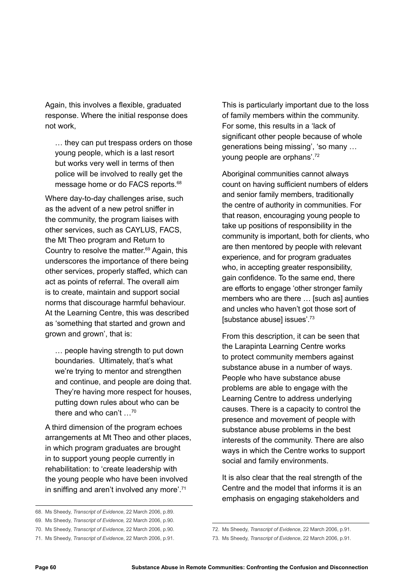Again, this involves a flexible, graduated response. Where the initial response does not work,

… they can put trespass orders on those young people, which is a last resort but works very well in terms of then police will be involved to really get the message home or do FACS reports.68

Where day-to-day challenges arise, such as the advent of a new petrol sniffer in the community, the program liaises with other services, such as CAYLUS, FACS, the Mt Theo program and Return to Country to resolve the matter.69 Again, this underscores the importance of there being other services, properly staffed, which can act as points of referral. The overall aim is to create, maintain and support social norms that discourage harmful behaviour. At the Learning Centre, this was described as 'something that started and grown and grown and grown', that is:

… people having strength to put down boundaries. Ultimately, that's what we're trying to mentor and strengthen and continue, and people are doing that. They're having more respect for houses, putting down rules about who can be there and who can't …70

A third dimension of the program echoes arrangements at Mt Theo and other places, in which program graduates are brought in to support young people currently in rehabilitation: to 'create leadership with the young people who have been involved in sniffing and aren't involved any more'.<sup>71</sup>

- 69. Ms Sheedy, *Transcript of Evidence,* 22 March 2006, p.90.
- 70. Ms Sheedy, *Transcript of Evidence*, 22 March 2006, p.90.

This is particularly important due to the loss of family members within the community. For some, this results in a 'lack of significant other people because of whole generations being missing', 'so many … young people are orphans'.72

Aboriginal communities cannot always count on having sufficient numbers of elders and senior family members, traditionally the centre of authority in communities. For that reason, encouraging young people to take up positions of responsibility in the community is important, both for clients, who are then mentored by people with relevant experience, and for program graduates who, in accepting greater responsibility, gain confidence. To the same end, there are efforts to engage 'other stronger family members who are there … [such as] aunties and uncles who haven't got those sort of [substance abuse] issues'.73

From this description, it can be seen that the Larapinta Learning Centre works to protect community members against substance abuse in a number of ways. People who have substance abuse problems are able to engage with the Learning Centre to address underlying causes. There is a capacity to control the presence and movement of people with substance abuse problems in the best interests of the community. There are also ways in which the Centre works to support social and family environments.

It is also clear that the real strength of the Centre and the model that informs it is an emphasis on engaging stakeholders and

<sup>68.</sup> Ms Sheedy, *Transcript of Evidence*, 22 March 2006, p.89.

<sup>71.</sup> Ms Sheedy, *Transcript of Evidence*, 22 March 2006, p.91.

<sup>72.</sup> Ms Sheedy, *Transcript of Evidence*, 22 March 2006, p.91.

<sup>73.</sup> Ms Sheedy, *Transcript of Evidence*, 22 March 2006, p.91.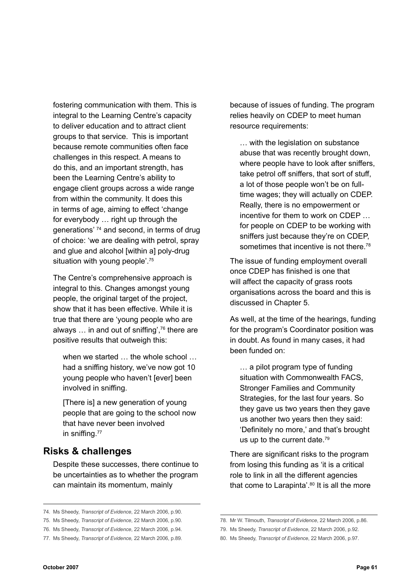fostering communication with them. This is integral to the Learning Centre's capacity to deliver education and to attract client groups to that service. This is important because remote communities often face challenges in this respect. A means to do this, and an important strength, has been the Learning Centre's ability to engage client groups across a wide range from within the community. It does this in terms of age, aiming to effect 'change for everybody ... right up through the generations' 74 and second, in terms of drug of choice: 'we are dealing with petrol, spray and glue and alcohol [within a] poly-drug situation with young people'.<sup>75</sup>

The Centre's comprehensive approach is integral to this. Changes amongst young people, the original target of the project, show that it has been effective. While it is true that there are 'young people who are always  $\ldots$  in and out of sniffing',  $76$  there are positive results that outweigh this:

when we started … the whole school … had a sniffing history, we've now got 10 young people who haven't [ever] been involved in sniffing.

[There is] a new generation of young people that are going to the school now that have never been involved in sniffing.<sup>77</sup>

## **Risks & challenges**

Despite these successes, there continue to be uncertainties as to whether the program can maintain its momentum, mainly

because of issues of funding. The program relies heavily on CDEP to meet human resource requirements:

… with the legislation on substance abuse that was recently brought down, where people have to look after sniffers. take petrol off sniffers, that sort of stuff, a lot of those people won't be on fulltime wages; they will actually on CDEP. Really, there is no empowerment or incentive for them to work on CDEP … for people on CDEP to be working with sniffers just because they're on CDEP, sometimes that incentive is not there.<sup>78</sup>

The issue of funding employment overall once CDEP has finished is one that will affect the capacity of grass roots organisations across the board and this is discussed in Chapter 5.

As well, at the time of the hearings, funding for the program's Coordinator position was in doubt. As found in many cases, it had been funded on:

… a pilot program type of funding situation with Commonwealth FACS, Stronger Families and Community Strategies, for the last four years. So they gave us two years then they gave us another two years then they said: 'Definitely no more,' and that's brought us up to the current date.<sup>79</sup>

There are significant risks to the program from losing this funding as 'it is a critical role to link in all the different agencies that come to Larapinta'.<sup>80</sup> It is all the more

<sup>74.</sup> Ms Sheedy, *Transcript of Evidence*, 22 March 2006, p.90.

<sup>75.</sup> Ms Sheedy, *Transcript of Evidence*, 22 March 2006, p.90.

<sup>76.</sup> Ms Sheedy, *Transcript of Evidence*, 22 March 2006, p.94.

<sup>77.</sup> Ms Sheedy, *Transcript of Evidence,* 22 March 2006, p.89.

<sup>78.</sup> Mr W. Tilmouth, *Transcript of Evidence*, 22 March 2006, p.86.

<sup>79.</sup> Ms Sheedy, *Transcript of Evidence*, 22 March 2006, p.92.

<sup>80.</sup> Ms Sheedy, *Transcript of Evidence*, 22 March 2006, p.97.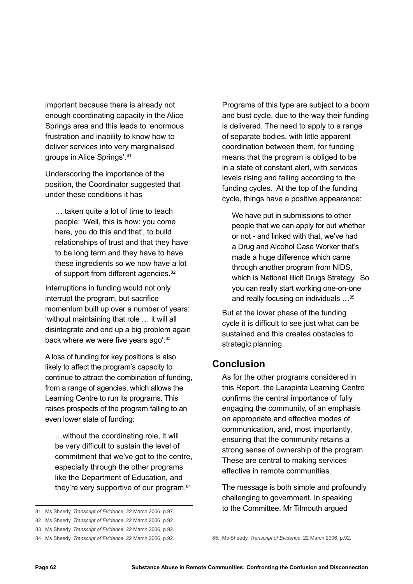important because there is already not enough coordinating capacity in the Alice Springs area and this leads to 'enormous frustration and inability to know how to deliver services into very marginalised groups in Alice Springs'.81

Underscoring the importance of the position, the Coordinator suggested that under these conditions it has

... taken quite a lot of time to teach people: 'Well, this is how: you come here, you do this and that', to build relationships of trust and that they have to be long term and they have to have these ingredients so we now have a lot of support from different agencies.<sup>82</sup>

Interruptions in funding would not only interrupt the program, but sacrifice momentum built up over a number of years: 'without maintaining that role … it will all disintegrate and end up a big problem again back where we were five years ago'.<sup>83</sup>

A loss of funding for key positions is also likely to affect the program's capacity to continue to attract the combination of funding, from a range of agencies, which allows the Learning Centre to run its programs. This raises prospects of the program falling to an even lower state of funding:

…without the coordinating role, it will be very difficult to sustain the level of commitment that we've got to the centre, especially through the other programs like the Department of Education, and they're very supportive of our program.84

- 82. Ms Sheedy, *Transcript of Evidence*, 22 March 2006, p.92.
- 83. Ms Sheedy, *Transcript of Evidence*, 22 March 2006, p.92.

Programs of this type are subject to a boom and bust cycle, due to the way their funding is delivered. The need to apply to a range of separate bodies, with little apparent coordination between them, for funding means that the program is obliged to be in a state of constant alert, with services levels rising and falling according to the funding cycles. At the top of the funding cycle, things have a positive appearance:

We have put in submissions to other people that we can apply for but whether or not - and linked with that, we've had a Drug and Alcohol Case Worker that's made a huge difference which came through another program from NIDS, which is National Illicit Drugs Strategy. So you can really start working one-on-one and really focusing on individuals …85

But at the lower phase of the funding cycle it is difficult to see just what can be sustained and this creates obstacles to strategic planning.

#### **Conclusion**

As for the other programs considered in this Report, the Larapinta Learning Centre confirms the central importance of fully engaging the community, of an emphasis on appropriate and effective modes of communication, and, most importantly, ensuring that the community retains a strong sense of ownership of the program. These are central to making services effective in remote communities.

The message is both simple and profoundly challenging to government. In speaking to the Committee, Mr Tilmouth argued 81. Ms Sheedy, *Transcript of Evidence*, 22 March 2006, p.97.

<sup>84.</sup> Ms Sheedy, *Transcript of Evidence*, 22 March 2006, p.92. 85. Ms Sheedy, *Transcript of Evidence*, 22 March 2006, p.92.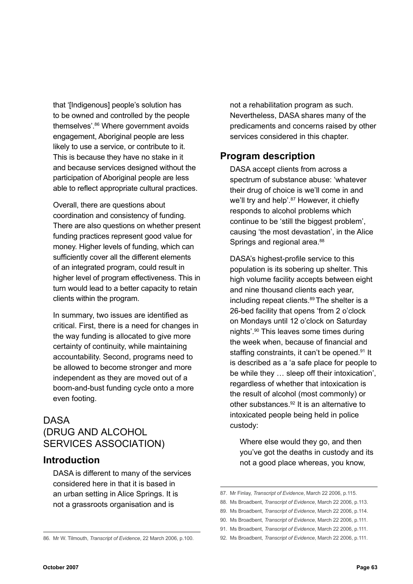that '[Indigenous] people's solution has to be owned and controlled by the people themselves'.<sup>86</sup> Where government avoids engagement, Aboriginal people are less likely to use a service, or contribute to it. This is because they have no stake in it and because services designed without the participation of Aboriginal people are less able to reflect appropriate cultural practices.

Overall, there are questions about coordination and consistency of funding. There are also questions on whether present funding practices represent good value for money. Higher levels of funding, which can sufficiently cover all the different elements of an integrated program, could result in higher level of program effectiveness. This in turn would lead to a better capacity to retain clients within the program.

In summary, two issues are identified as critical. First, there is a need for changes in the way funding is allocated to give more certainty of continuity, while maintaining accountability. Second, programs need to be allowed to become stronger and more independent as they are moved out of a boom-and-bust funding cycle onto a more even footing.

# **DASA** (Drug and Alcohol Services Association)

## **Introduction**

DASA is different to many of the services considered here in that it is based in an urban setting in Alice Springs. It is not a grassroots organisation and is

not a rehabilitation program as such. Nevertheless, DASA shares many of the predicaments and concerns raised by other services considered in this chapter.

## **Program description**

DASA accept clients from across a spectrum of substance abuse: 'whatever their drug of choice is we'll come in and we'll try and help'.<sup>87</sup> However, it chiefly responds to alcohol problems which continue to be 'still the biggest problem', causing 'the most devastation', in the Alice Springs and regional area.<sup>88</sup>

DASA's highest-profile service to this population is its sobering up shelter. This high volume facility accepts between eight and nine thousand clients each year, including repeat clients.<sup>89</sup> The shelter is a 26-bed facility that opens 'from 2 o'clock on Mondays until 12 o'clock on Saturday nights'.90 This leaves some times during the week when, because of financial and staffing constraints, it can't be opened.<sup>91</sup> It is described as a 'a safe place for people to be while they … sleep off their intoxication', regardless of whether that intoxication is the result of alcohol (most commonly) or other substances.<sup>92</sup> It is an alternative to intoxicated people being held in police custody:

Where else would they go, and then you've got the deaths in custody and its not a good place whereas, you know,

87. Mr Finlay, *Transcript of Evidence*, March 22 2006, p.115.

- 89. Ms Broadbent, *Transcript of Evidence*, March 22 2006, p.114.
- 90. Ms Broadbent, *Transcript of Evidence*, March 22 2006, p.111.
- 91. Ms Broadbent, *Transcript of Evidence*, March 22 2006, p.111.
- 92. Ms Broadbent, *Transcript of Evidence*, March 22 2006, p.111.

<sup>86.</sup> Mr W. Tilmouth, *Transcript of Evidence*, 22 March 2006, p.100.

<sup>88.</sup> Ms Broadbent, *Transcript of Evidence*, March 22 2006, p.113.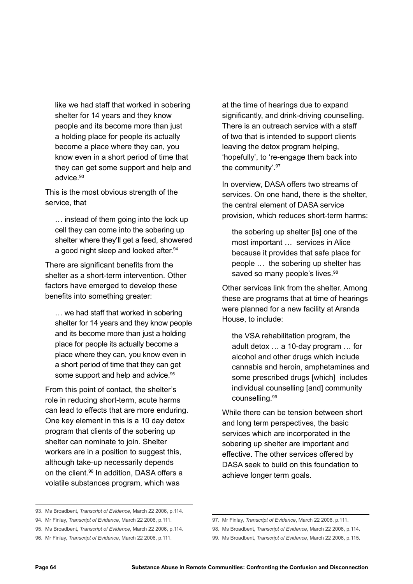like we had staff that worked in sobering shelter for 14 years and they know people and its become more than just a holding place for people its actually become a place where they can, you know even in a short period of time that they can get some support and help and advice.<sup>93</sup>

This is the most obvious strength of the service, that

… instead of them going into the lock up cell they can come into the sobering up shelter where they'll get a feed, showered a good night sleep and looked after.<sup>94</sup>

There are significant benefits from the shelter as a short-term intervention. Other factors have emerged to develop these benefits into something greater:

… we had staff that worked in sobering shelter for 14 years and they know people and its become more than just a holding place for people its actually become a place where they can, you know even in a short period of time that they can get some support and help and advice. 95

From this point of contact, the shelter's role in reducing short-term, acute harms can lead to effects that are more enduring. One key element in this is a 10 day detox program that clients of the sobering up shelter can nominate to join. Shelter workers are in a position to suggest this. although take-up necessarily depends on the client.<sup>96</sup> In addition, DASA offers a volatile substances program, which was

at the time of hearings due to expand significantly, and drink-driving counselling. There is an outreach service with a staff of two that is intended to support clients leaving the detox program helping, 'hopefully', to 're-engage them back into the community'.97

In overview, DASA offers two streams of services. On one hand, there is the shelter, the central element of DASA service provision, which reduces short-term harms:

the sobering up shelter [is] one of the most important … services in Alice because it provides that safe place for people … the sobering up shelter has saved so many people's lives.<sup>98</sup>

Other services link from the shelter. Among these are programs that at time of hearings were planned for a new facility at Aranda House, to include:

the VSA rehabilitation program, the adult detox … a 10-day program … for alcohol and other drugs which include cannabis and heroin, amphetamines and some prescribed drugs [which] includes individual counselling [and] community counselling.99

While there can be tension between short and long term perspectives, the basic services which are incorporated in the sobering up shelter are important and effective. The other services offered by DASA seek to build on this foundation to achieve longer term goals.

- 94. Mr Finlay, *Transcript of Evidence*, March 22 2006, p.111.
- 95. Ms Broadbent, *Transcript of Evidence*, March 22 2006, p.114.

<sup>93.</sup> Ms Broadbent, *Transcript of Evidence*, March 22 2006, p.114.

<sup>96.</sup> Mr Finlay, *Transcript of Evidence*, March 22 2006, p.111.

<sup>97.</sup> Mr Finlay, *Transcript of Evidence*, March 22 2006, p.111.

<sup>98.</sup> Ms Broadbent, *Transcript of Evidence*, March 22 2006, p.114.

<sup>99.</sup> Ms Broadbent, *Transcript of Evidence*, March 22 2006, p.115.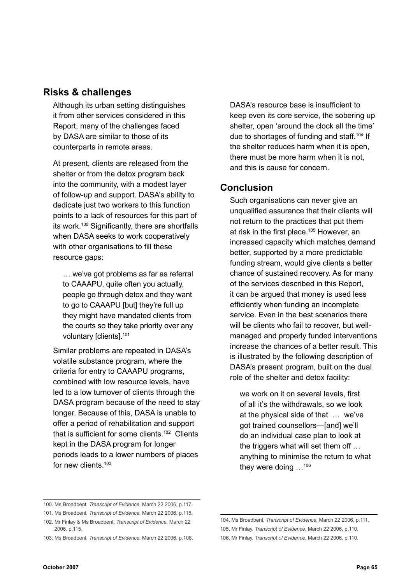## **Risks & challenges**

Although its urban setting distinguishes it from other services considered in this Report, many of the challenges faced by DASA are similar to those of its counterparts in remote areas.

At present, clients are released from the shelter or from the detox program back into the community, with a modest layer of follow-up and support. DASA's ability to dedicate just two workers to this function points to a lack of resources for this part of its work.100 Significantly, there are shortfalls when DASA seeks to work cooperatively with other organisations to fill these resource gaps:

… we've got problems as far as referral to CAAAPU, quite often you actually, people go through detox and they want to go to CAAAPU [but] they're full up they might have mandated clients from the courts so they take priority over any voluntary [clients].<sup>101</sup>

Similar problems are repeated in DASA's volatile substance program, where the criteria for entry to CAAAPU programs, combined with low resource levels, have led to a low turnover of clients through the DASA program because of the need to stay longer. Because of this, DASA is unable to offer a period of rehabilitation and support that is sufficient for some clients.102 Clients kept in the DASA program for longer periods leads to a lower numbers of places for new clients.103

DASA's resource base is insufficient to keep even its core service, the sobering up shelter, open 'around the clock all the time' due to shortages of funding and staff.104 If the shelter reduces harm when it is open, there must be more harm when it is not, and this is cause for concern.

# **Conclusion**

Such organisations can never give an unqualified assurance that their clients will not return to the practices that put them at risk in the first place.105 However, an increased capacity which matches demand better, supported by a more predictable funding stream, would give clients a better chance of sustained recovery. As for many of the services described in this Report, it can be argued that money is used less efficiently when funding an incomplete service. Even in the best scenarios there will be clients who fail to recover, but wellmanaged and properly funded interventions increase the chances of a better result. This is illustrated by the following description of DASA's present program, built on the dual role of the shelter and detox facility:

we work on it on several levels, first of all it's the withdrawals, so we look at the physical side of that … we've got trained counsellors—[and] we'll do an individual case plan to look at the triggers what will set them off … anything to minimise the return to what they were doing …106

<sup>100.</sup> Ms Broadbent, *Transcript of Evidence*, March 22 2006, p.117.

<sup>101.</sup> Ms Broadbent, *Transcript of Evidence*, March 22 2006, p.115.

<sup>102.</sup> Mr Finlay & Ms Broadbent, *Transcript of Evidence*, March 22 2006, p.115.

<sup>103.</sup> Ms Broadbent, *Transcript of Evidence*, March 22 2006, p.108.

<sup>104.</sup> Ms Broadbent, *Transcript of Evidence*, March 22 2006, p.111. 105. Mr Finlay, *Transcript of Evidence*, March 22 2006, p.110. 106. Mr Finlay, *Transcript of Evidence*, March 22 2006, p.110.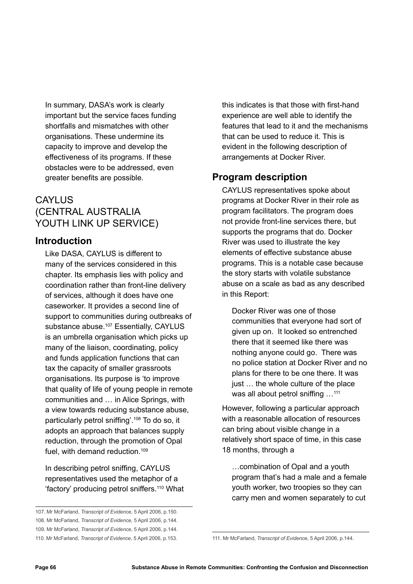In summary, DASA's work is clearly important but the service faces funding shortfalls and mismatches with other organisations. These undermine its capacity to improve and develop the effectiveness of its programs. If these obstacles were to be addressed, even greater benefits are possible.

# CAYLUS (Central Australia Youth Link Up Service)

# **Introduction**

Like DASA, CAYLUS is different to many of the services considered in this chapter. Its emphasis lies with policy and coordination rather than front-line delivery of services, although it does have one caseworker. It provides a second line of support to communities during outbreaks of substance abuse.<sup>107</sup> Essentially, CAYLUS is an umbrella organisation which picks up many of the liaison, coordinating, policy and funds application functions that can tax the capacity of smaller grassroots organisations. Its purpose is 'to improve that quality of life of young people in remote communities and … in Alice Springs, with a view towards reducing substance abuse, particularly petrol sniffing'.<sup>108</sup> To do so, it adopts an approach that balances supply reduction, through the promotion of Opal fuel, with demand reduction.109

In describing petrol sniffing, CAYLUS representatives used the metaphor of a 'factory' producing petrol sniffers.110 What this indicates is that those with first-hand experience are well able to identify the features that lead to it and the mechanisms that can be used to reduce it. This is evident in the following description of arrangements at Docker River.

# **Program description**

CAYLUS representatives spoke about programs at Docker River in their role as program facilitators. The program does not provide front-line services there, but supports the programs that do. Docker River was used to illustrate the key elements of effective substance abuse programs. This is a notable case because the story starts with volatile substance abuse on a scale as bad as any described in this Report:

Docker River was one of those communities that everyone had sort of given up on. It looked so entrenched there that it seemed like there was nothing anyone could go. There was no police station at Docker River and no plans for there to be one there. It was just … the whole culture of the place was all about petrol sniffing ...<sup>111</sup>

However, following a particular approach with a reasonable allocation of resources can bring about visible change in a relatively short space of time, in this case 18 months, through a

…combination of Opal and a youth program that's had a male and a female youth worker, two troopies so they can carry men and women separately to cut

<sup>107.</sup> Mr McFarland, *Transcript of Evidence*, 5 April 2006, p.150. 108. Mr McFarland, *Transcript of Evidence,* 5 April 2006, p.144. 109. Mr McFarland, *Transcript of Evidence*, 5 April 2006, p.144. 110. Mr McFarland, *Transcript of Evidence*, 5 April 2006, p.153. 111. Mr McFarland, *Transcript of Evidence*, 5 April 2006, p.144.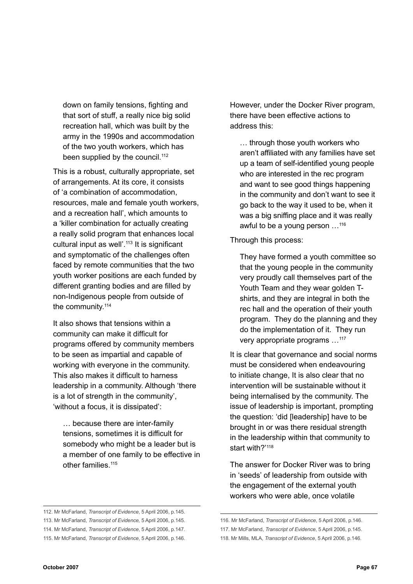down on family tensions, fighting and that sort of stuff, a really nice big solid recreation hall, which was built by the army in the 1990s and accommodation of the two youth workers, which has been supplied by the council.<sup>112</sup>

This is a robust, culturally appropriate, set of arrangements. At its core, it consists of 'a combination of accommodation, resources, male and female youth workers, and a recreation hall', which amounts to a 'killer combination for actually creating a really solid program that enhances local cultural input as well'.113 It is significant and symptomatic of the challenges often faced by remote communities that the two youth worker positions are each funded by different granting bodies and are filled by non-Indigenous people from outside of the community.<sup>114</sup>

It also shows that tensions within a community can make it difficult for programs offered by community members to be seen as impartial and capable of working with everyone in the community. This also makes it difficult to harness leadership in a community. Although 'there is a lot of strength in the community', 'without a focus, it is dissipated':

… because there are inter-family tensions, sometimes it is difficult for somebody who might be a leader but is a member of one family to be effective in other families.<sup>115</sup>

112. Mr McFarland, *Transcript of Evidence*, 5 April 2006, p.145.

However, under the Docker River program, there have been effective actions to address this:

… through those youth workers who aren't affiliated with any families have set up a team of self-identified young people who are interested in the rec program and want to see good things happening in the community and don't want to see it go back to the way it used to be, when it was a big sniffing place and it was really awful to be a young person …116

Through this process:

They have formed a youth committee so that the young people in the community very proudly call themselves part of the Youth Team and they wear golden Tshirts, and they are integral in both the rec hall and the operation of their youth program. They do the planning and they do the implementation of it. They run very appropriate programs …117

It is clear that governance and social norms must be considered when endeavouring to initiate change, It is also clear that no intervention will be sustainable without it being internalised by the community. The issue of leadership is important, prompting the question: 'did [leadership] have to be brought in or was there residual strength in the leadership within that community to start with?'<sup>118</sup>

The answer for Docker River was to bring in 'seeds' of leadership from outside with the engagement of the external youth workers who were able, once volatile

<sup>113.</sup> Mr McFarland, *Transcript of Evidence,* 5 April 2006, p.145.

<sup>114.</sup> Mr McFarland, *Transcript of Evidence*, 5 April 2006, p.147.

<sup>115.</sup> Mr McFarland, *Transcript of Evidence*, 5 April 2006, p.146.

<sup>116.</sup> Mr McFarland, *Transcript of Evidence*, 5 April 2006, p.146.

<sup>117.</sup> Mr McFarland, *Transcript of Evidence*, 5 April 2006, p.145.

<sup>118.</sup> Mr Mills, MLA, *Transcript of Evidence*, 5 April 2006, p.146.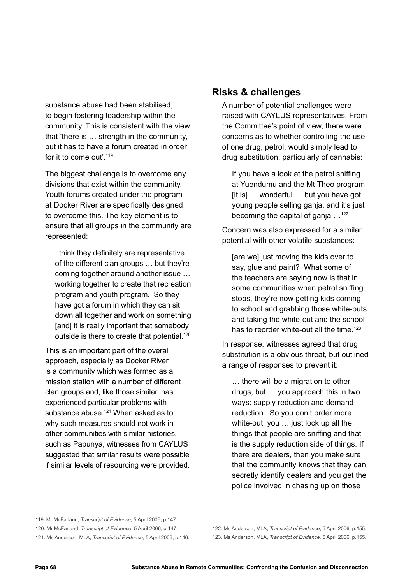substance abuse had been stabilised, to begin fostering leadership within the community. This is consistent with the view that 'there is … strength in the community, but it has to have a forum created in order for it to come out'.<sup>119</sup>

The biggest challenge is to overcome any divisions that exist within the community. Youth forums created under the program at Docker River are specifically designed to overcome this. The key element is to ensure that all groups in the community are represented:

I think they definitely are representative of the different clan groups … but they're coming together around another issue … working together to create that recreation program and youth program. So they have got a forum in which they can sit down all together and work on something [and] it is really important that somebody outside is there to create that potential.<sup>120</sup>

This is an important part of the overall approach, especially as Docker River is a community which was formed as a mission station with a number of different clan groups and, like those similar, has experienced particular problems with substance abuse.<sup>121</sup> When asked as to why such measures should not work in other communities with similar histories, such as Papunya, witnesses from CAYLUS suggested that similar results were possible if similar levels of resourcing were provided.

## **Risks & challenges**

A number of potential challenges were raised with CAYLUS representatives. From the Committee's point of view, there were concerns as to whether controlling the use of one drug, petrol, would simply lead to drug substitution, particularly of cannabis:

If you have a look at the petrol sniffing at Yuendumu and the Mt Theo program [it is] … wonderful … but you have got young people selling ganja, and it's just becoming the capital of ganja …122

Concern was also expressed for a similar potential with other volatile substances:

[are we] just moving the kids over to, say, glue and paint? What some of the teachers are saying now is that in some communities when petrol sniffing stops, they're now getting kids coming to school and grabbing those white-outs and taking the white-out and the school has to reorder white-out all the time.<sup>123</sup>

In response, witnesses agreed that drug substitution is a obvious threat, but outlined a range of responses to prevent it:

… there will be a migration to other drugs, but … you approach this in two ways: supply reduction and demand reduction. So you don't order more white-out, you … just lock up all the things that people are sniffing and that is the supply reduction side of things. If there are dealers, then you make sure that the community knows that they can secretly identify dealers and you get the police involved in chasing up on those

<sup>119.</sup> Mr McFarland, *Transcript of Evidence*, 5 April 2006, p.147.

<sup>120.</sup> Mr McFarland, *Transcript of Evidence*, 5 April 2006, p.147.

<sup>121.</sup> Ms Anderson, MLA, *Transcript of Evidence*, 5 April 2006, p.146.

<sup>122.</sup> Ms Anderson, MLA, *Transcript of Evidence*, 5 April 2006, p.155. 123. Ms Anderson, MLA, *Transcript of Evidence,* 5 April 2006, p.155.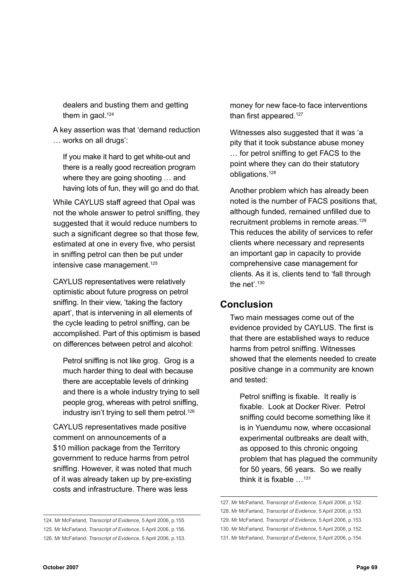dealers and busting them and getting them in gaol. $124$ 

A key assertion was that 'demand reduction … works on all drugs':

If you make it hard to get white-out and there is a really good recreation program where they are going shooting … and having lots of fun, they will go and do that.

While CAYLUS staff agreed that Opal was not the whole answer to petrol sniffing, they suggested that it would reduce numbers to such a significant degree so that those few, estimated at one in every five, who persist in sniffing petrol can then be put under intensive case management.<sup>125</sup>

CAYLUS representatives were relatively optimistic about future progress on petrol sniffing. In their view, 'taking the factory apart', that is intervening in all elements of the cycle leading to petrol sniffing, can be accomplished. Part of this optimism is based on differences between petrol and alcohol:

Petrol sniffing is not like grog. Grog is a much harder thing to deal with because there are acceptable levels of drinking and there is a whole industry trying to sell people grog, whereas with petrol sniffing, industry isn't trying to sell them petrol.<sup>126</sup>

CAYLUS representatives made positive comment on announcements of a \$10 million package from the Territory government to reduce harms from petrol sniffing. However, it was noted that much of it was already taken up by pre-existing costs and infrastructure. There was less

money for new face-to face interventions than first appeared.<sup>127</sup>

Witnesses also suggested that it was 'a pity that it took substance abuse money … for petrol sniffing to get FACS to the point where they can do their statutory obligations.128

Another problem which has already been noted is the number of FACS positions that, although funded, remained unfilled due to recruitment problems in remote areas.129 This reduces the ability of services to refer clients where necessary and represents an important gap in capacity to provide comprehensive case management for clients. As it is, clients tend to 'fall through the net'.<sup>130</sup>

## **Conclusion**

Two main messages come out of the evidence provided by CAYLUS. The first is that there are established ways to reduce harms from petrol sniffing. Witnesses showed that the elements needed to create positive change in a community are known and tested:

Petrol sniffing is fixable. It really is fixable. Look at Docker River. Petrol sniffing could become something like it is in Yuendumu now, where occasional experimental outbreaks are dealt with, as opposed to this chronic ongoing problem that has plagued the community for 50 years, 56 years. So we really think it is fixable  $\ldots$ <sup>131</sup>

<sup>124.</sup> Mr McFarland, *Transcript of Evidence*, 5 April 2006, p.155 125. Mr McFarland, *Transcript of Evidence*, 5 April 2006, p.156. 126. Mr McFarland, *Transcript of Evidence*, 5 April 2006, p.153.

<sup>127.</sup> Mr McFarland, *Transcript of Evidence*, 5 April 2006, p.152.

<sup>128.</sup> Mr McFarland, *Transcript of Evidence*, 5 April 2006, p.153.

<sup>129.</sup> Mr McFarland, *Transcript of Evidence*, 5 April 2006, p.153.

<sup>130.</sup> Mr McFarland, *Transcript of Evidence*, 5 April 2006, p.152.

<sup>131.</sup> Mr McFarland, *Transcript of Evidence*, 5 April 2006, p.154.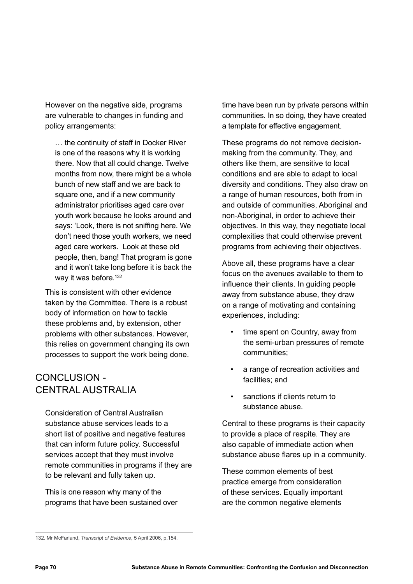However on the negative side, programs are vulnerable to changes in funding and policy arrangements:

… the continuity of staff in Docker River is one of the reasons why it is working there. Now that all could change. Twelve months from now, there might be a whole bunch of new staff and we are back to square one, and if a new community administrator prioritises aged care over youth work because he looks around and says: 'Look, there is not sniffing here. We don't need those youth workers, we need aged care workers. Look at these old people, then, bang! That program is gone and it won't take long before it is back the way it was before.<sup>132</sup>

This is consistent with other evidence taken by the Committee. There is a robust body of information on how to tackle these problems and, by extension, other problems with other substances. However, this relies on government changing its own processes to support the work being done.

# Conclusion - Central Australia

Consideration of Central Australian substance abuse services leads to a short list of positive and negative features that can inform future policy. Successful services accept that they must involve remote communities in programs if they are to be relevant and fully taken up.

This is one reason why many of the programs that have been sustained over time have been run by private persons within communities. In so doing, they have created a template for effective engagement.

These programs do not remove decisionmaking from the community. They, and others like them, are sensitive to local conditions and are able to adapt to local diversity and conditions. They also draw on a range of human resources, both from in and outside of communities, Aboriginal and non-Aboriginal, in order to achieve their objectives. In this way, they negotiate local complexities that could otherwise prevent programs from achieving their objectives.

Above all, these programs have a clear focus on the avenues available to them to influence their clients. In guiding people away from substance abuse, they draw on a range of motivating and containing experiences, including:

- time spent on Country, away from the semi-urban pressures of remote communities;
- a range of recreation activities and facilities; and
- sanctions if clients return to substance abuse.

Central to these programs is their capacity to provide a place of respite. They are also capable of immediate action when substance abuse flares up in a community.

These common elements of best practice emerge from consideration of these services. Equally important are the common negative elements

<sup>132.</sup> Mr McFarland, *Transcript of Evidence*, 5 April 2006, p.154.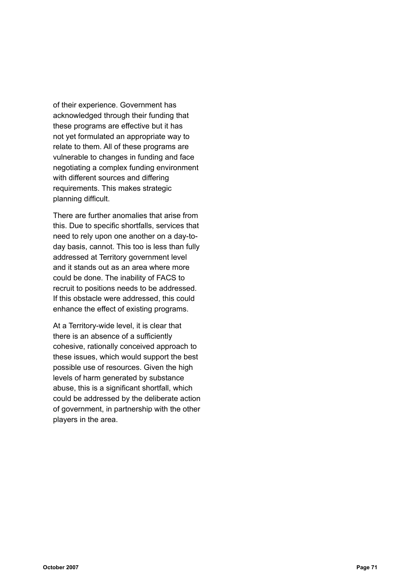of their experience. Government has acknowledged through their funding that these programs are effective but it has not yet formulated an appropriate way to relate to them. All of these programs are vulnerable to changes in funding and face negotiating a complex funding environment with different sources and differing requirements. This makes strategic planning difficult.

There are further anomalies that arise from this. Due to specific shortfalls, services that need to rely upon one another on a day-today basis, cannot. This too is less than fully addressed at Territory government level and it stands out as an area where more could be done. The inability of FACS to recruit to positions needs to be addressed. If this obstacle were addressed, this could enhance the effect of existing programs.

At a Territory-wide level, it is clear that there is an absence of a sufficiently cohesive, rationally conceived approach to these issues, which would support the best possible use of resources. Given the high levels of harm generated by substance abuse, this is a significant shortfall, which could be addressed by the deliberate action of government, in partnership with the other players in the area.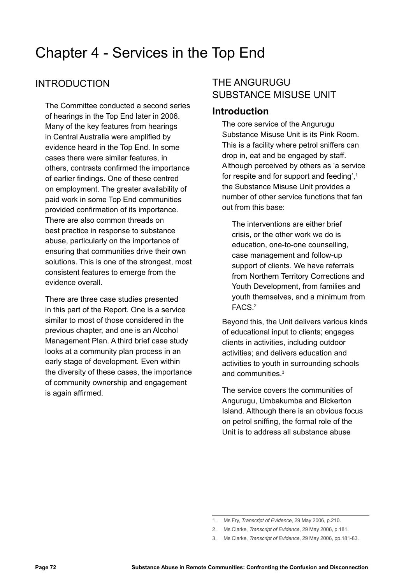# Chapter 4 - Services in the Top End

# **INTRODUCTION**

The Committee conducted a second series of hearings in the Top End later in 2006. Many of the key features from hearings in Central Australia were amplified by evidence heard in the Top End. In some cases there were similar features, in others, contrasts confirmed the importance of earlier findings. One of these centred on employment. The greater availability of paid work in some Top End communities provided confirmation of its importance. There are also common threads on best practice in response to substance abuse, particularly on the importance of ensuring that communities drive their own solutions. This is one of the strongest, most consistent features to emerge from the evidence overall.

There are three case studies presented in this part of the Report. One is a service similar to most of those considered in the previous chapter, and one is an Alcohol Management Plan. A third brief case study looks at a community plan process in an early stage of development. Even within the diversity of these cases, the importance of community ownership and engagement is again affirmed.

# The Angurugu Substance Misuse Unit

## **Introduction**

The core service of the Angurugu Substance Misuse Unit is its Pink Room. This is a facility where petrol sniffers can drop in, eat and be engaged by staff. Although perceived by others as 'a service for respite and for support and feeding',<sup>1</sup> the Substance Misuse Unit provides a number of other service functions that fan out from this base:

The interventions are either brief crisis, or the other work we do is education, one-to-one counselling, case management and follow-up support of clients. We have referrals from Northern Territory Corrections and Youth Development, from families and youth themselves, and a minimum from FACS.2

Beyond this, the Unit delivers various kinds of educational input to clients; engages clients in activities, including outdoor activities; and delivers education and activities to youth in surrounding schools and communities  $3$ 

The service covers the communities of Angurugu, Umbakumba and Bickerton Island. Although there is an obvious focus on petrol sniffing, the formal role of the Unit is to address all substance abuse

<sup>1.</sup> Ms Fry, *Transcript of Evidence*, 29 May 2006, p.210.

<sup>2.</sup> Ms Clarke, *Transcript of Evidence*, 29 May 2006, p.181.

<sup>3.</sup> Ms Clarke, *Transcript of Evidence*, 29 May 2006, pp.181-83.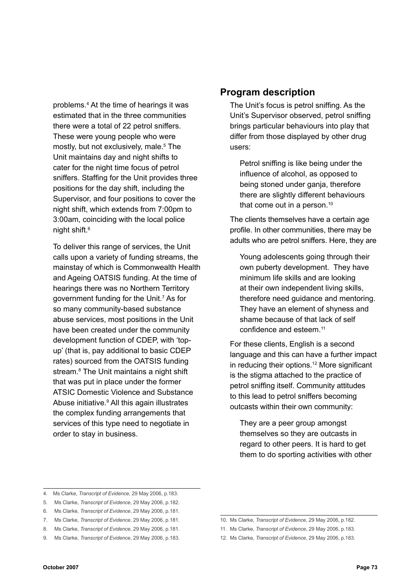problems.4 At the time of hearings it was estimated that in the three communities there were a total of 22 petrol sniffers. These were young people who were mostly, but not exclusively, male.<sup>5</sup> The Unit maintains day and night shifts to cater for the night time focus of petrol sniffers. Staffing for the Unit provides three positions for the day shift, including the Supervisor, and four positions to cover the night shift, which extends from 7:00pm to 3:00am, coinciding with the local police night shift.6

To deliver this range of services, the Unit calls upon a variety of funding streams, the mainstay of which is Commonwealth Health and Ageing OATSIS funding. At the time of hearings there was no Northern Territory government funding for the Unit.<sup>7</sup> As for so many community-based substance abuse services, most positions in the Unit have been created under the community development function of CDEP, with 'topup' (that is, pay additional to basic CDEP rates) sourced from the OATSIS funding stream.<sup>8</sup> The Unit maintains a night shift that was put in place under the former ATSIC Domestic Violence and Substance Abuse initiative.<sup>9</sup> All this again illustrates the complex funding arrangements that services of this type need to negotiate in order to stay in business.

## **Program description**

The Unit's focus is petrol sniffing. As the Unit's Supervisor observed, petrol sniffing brings particular behaviours into play that differ from those displayed by other drug users:

Petrol sniffing is like being under the influence of alcohol, as opposed to being stoned under ganja, therefore there are slightly different behaviours that come out in a person.<sup>10</sup>

The clients themselves have a certain age profile. In other communities, there may be adults who are petrol sniffers. Here, they are

Young adolescents going through their own puberty development. They have minimum life skills and are looking at their own independent living skills, therefore need guidance and mentoring. They have an element of shyness and shame because of that lack of self confidence and esteem.11

For these clients, English is a second language and this can have a further impact in reducing their options.12 More significant is the stigma attached to the practice of petrol sniffing itself. Community attitudes to this lead to petrol sniffers becoming outcasts within their own community:

They are a peer group amongst themselves so they are outcasts in regard to other peers. It is hard to get them to do sporting activities with other

- 7. Ms Clarke, *Transcript of Evidence*, 29 May 2006, p.181.
- 8. Ms Clarke, *Transcript of Evidence*, 29 May 2006, p.181.
- 9. Ms Clarke, *Transcript of Evidence*, 29 May 2006, p.183.
- 10. Ms Clarke, *Transcript of Evidence*, 29 May 2006, p.182.

<sup>4.</sup> Ms Clarke, *Transcript of Evidence*, 29 May 2006, p.183.

<sup>5.</sup> Ms Clarke, *Transcript of Evidence*, 29 May 2006, p.182.

<sup>6.</sup> Ms Clarke, *Transcript of Evidence*, 29 May 2006, p.181.

<sup>11.</sup> Ms Clarke, *Transcript of Evidence*, 29 May 2006, p.183.

<sup>12.</sup> Ms Clarke, *Transcript of Evidence*, 29 May 2006, p.183.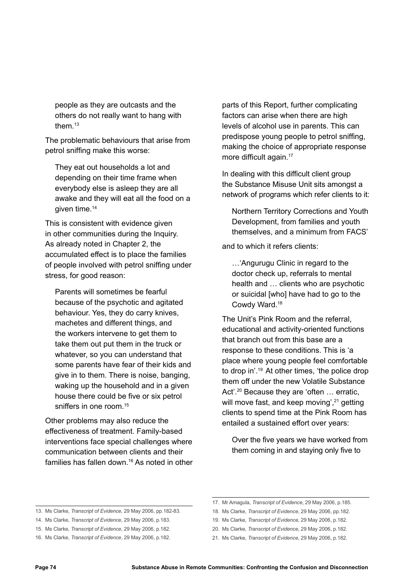people as they are outcasts and the others do not really want to hang with them.<sup>13</sup>

The problematic behaviours that arise from petrol sniffing make this worse:

They eat out households a lot and depending on their time frame when everybody else is asleep they are all awake and they will eat all the food on a given time.14

This is consistent with evidence given in other communities during the Inquiry. As already noted in Chapter 2, the accumulated effect is to place the families of people involved with petrol sniffing under stress, for good reason:

Parents will sometimes be fearful because of the psychotic and agitated behaviour. Yes, they do carry knives, machetes and different things, and the workers intervene to get them to take them out put them in the truck or whatever, so you can understand that some parents have fear of their kids and give in to them. There is noise, banging, waking up the household and in a given house there could be five or six petrol sniffers in one room.<sup>15</sup>

Other problems may also reduce the effectiveness of treatment. Family-based interventions face special challenges where communication between clients and their families has fallen down.16 As noted in other parts of this Report, further complicating factors can arise when there are high levels of alcohol use in parents. This can predispose young people to petrol sniffing, making the choice of appropriate response more difficult again.<sup>17</sup>

In dealing with this difficult client group the Substance Misuse Unit sits amongst a network of programs which refer clients to it:

Northern Territory Corrections and Youth Development, from families and youth themselves, and a minimum from FACS'

and to which it refers clients:

…'Angurugu Clinic in regard to the doctor check up, referrals to mental health and … clients who are psychotic or suicidal [who] have had to go to the Cowdy Ward.18

The Unit's Pink Room and the referral, educational and activity-oriented functions that branch out from this base are a response to these conditions. This is 'a place where young people feel comfortable to drop in'.19 At other times, 'the police drop them off under the new Volatile Substance Act'.<sup>20</sup> Because they are 'often ... erratic, will move fast, and keep moving',<sup>21</sup> getting clients to spend time at the Pink Room has entailed a sustained effort over years:

Over the five years we have worked from them coming in and staying only five to

<sup>13.</sup> Ms Clarke, *Transcript of Evidence,* 29 May 2006, pp.182-83.

<sup>14.</sup> Ms Clarke, *Transcript of Evidence*, 29 May 2006, p.183.

<sup>15.</sup> Ms Clarke, *Transcript of Evidence*, 29 May 2006, p.182.

<sup>16.</sup> Ms Clarke, *Transcript of Evidence*, 29 May 2006, p.182.

<sup>17.</sup> Mr Amagula, *Transcript of Evidence*, 29 May 2006, p.185.

<sup>18.</sup> Ms Clarke, *Transcript of Evidence*, 29 May 2006, pp.182.

<sup>19.</sup> Ms Clarke, *Transcript of Evidence*, 29 May 2006, p.182.

<sup>20.</sup> Ms Clarke, *Transcript of Evidence*, 29 May 2006, p.182.

<sup>21.</sup> Ms Clarke, *Transcript of Evidence*, 29 May 2006, p.182.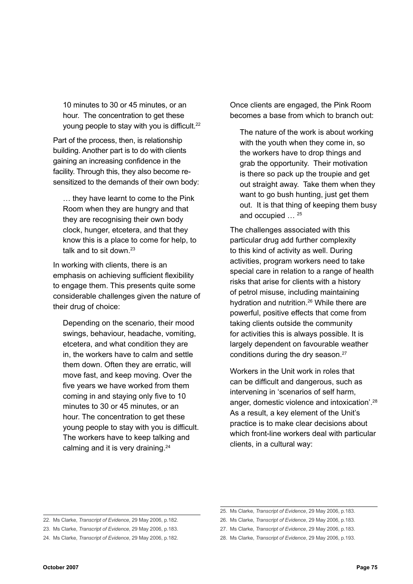10 minutes to 30 or 45 minutes, or an hour. The concentration to get these young people to stay with you is difficult.<sup>22</sup>

Part of the process, then, is relationship building. Another part is to do with clients gaining an increasing confidence in the facility. Through this, they also become resensitized to the demands of their own body:

… they have learnt to come to the Pink Room when they are hungry and that they are recognising their own body clock, hunger, etcetera, and that they know this is a place to come for help, to talk and to sit down. $23$ 

In working with clients, there is an emphasis on achieving sufficient flexibility to engage them. This presents quite some considerable challenges given the nature of their drug of choice:

Depending on the scenario, their mood swings, behaviour, headache, vomiting, etcetera, and what condition they are in, the workers have to calm and settle them down. Often they are erratic, will move fast, and keep moving. Over the five years we have worked from them coming in and staying only five to 10 minutes to 30 or 45 minutes, or an hour. The concentration to get these young people to stay with you is difficult. The workers have to keep talking and calming and it is very draining.<sup>24</sup>

Once clients are engaged, the Pink Room becomes a base from which to branch out:

The nature of the work is about working with the youth when they come in, so the workers have to drop things and grab the opportunity. Their motivation is there so pack up the troupie and get out straight away. Take them when they want to go bush hunting, just get them out. It is that thing of keeping them busy and occupied … 25

The challenges associated with this particular drug add further complexity to this kind of activity as well. During activities, program workers need to take special care in relation to a range of health risks that arise for clients with a history of petrol misuse, including maintaining hydration and nutrition.<sup>26</sup> While there are powerful, positive effects that come from taking clients outside the community for activities this is always possible. It is largely dependent on favourable weather conditions during the dry season.<sup>27</sup>

Workers in the Unit work in roles that can be difficult and dangerous, such as intervening in 'scenarios of self harm, anger, domestic violence and intoxication'.28 As a result, a key element of the Unit's practice is to make clear decisions about which front-line workers deal with particular clients, in a cultural way:

<sup>22.</sup> Ms Clarke, *Transcript of Evidence*, 29 May 2006, p.182.

<sup>23.</sup> Ms Clarke, *Transcript of Evidence*, 29 May 2006, p.183.

<sup>24.</sup> Ms Clarke, *Transcript of Evidence*, 29 May 2006, p.182.

<sup>25.</sup> Ms Clarke, *Transcript of Evidence*, 29 May 2006, p.183.

<sup>26.</sup> Ms Clarke, *Transcript of Evidence*, 29 May 2006, p.183.

<sup>27.</sup> Ms Clarke, *Transcript of Evidence*, 29 May 2006, p.183.

<sup>28.</sup> Ms Clarke, *Transcript of Evidence*, 29 May 2006, p.193.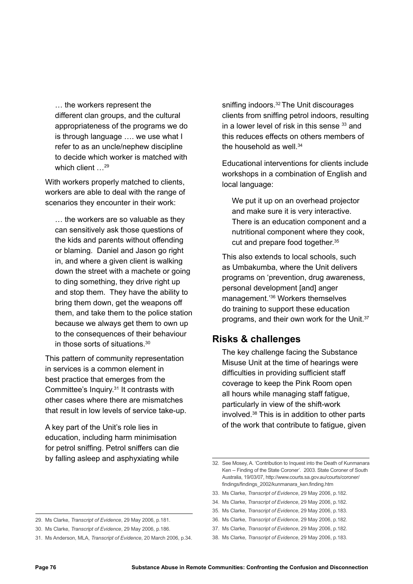… the workers represent the different clan groups, and the cultural appropriateness of the programs we do is through language …. we use what I refer to as an uncle/nephew discipline to decide which worker is matched with which client ...<sup>29</sup>

With workers properly matched to clients, workers are able to deal with the range of scenarios they encounter in their work:

… the workers are so valuable as they can sensitively ask those questions of the kids and parents without offending or blaming. Daniel and Jason go right in, and where a given client is walking down the street with a machete or going to ding something, they drive right up and stop them. They have the ability to bring them down, get the weapons off them, and take them to the police station because we always get them to own up to the consequences of their behaviour in those sorts of situations.30

This pattern of community representation in services is a common element in best practice that emerges from the Committee's Inquiry.31 It contrasts with other cases where there are mismatches that result in low levels of service take-up.

A key part of the Unit's role lies in education, including harm minimisation for petrol sniffing. Petrol sniffers can die by falling asleep and asphyxiating while

sniffing indoors.<sup>32</sup> The Unit discourages clients from sniffing petrol indoors, resulting in a lower level of risk in this sense  $33$  and this reduces effects on others members of the household as well  $34$ 

Educational interventions for clients include workshops in a combination of English and local language:

We put it up on an overhead projector and make sure it is very interactive. There is an education component and a nutritional component where they cook, cut and prepare food together.<sup>35</sup>

This also extends to local schools, such as Umbakumba, where the Unit delivers programs on 'prevention, drug awareness, personal development [and] anger management.'36 Workers themselves do training to support these education programs, and their own work for the Unit.37

## **Risks & challenges**

The key challenge facing the Substance Misuse Unit at the time of hearings were difficulties in providing sufficient staff coverage to keep the Pink Room open all hours while managing staff fatigue, particularly in view of the shift-work involved.38 This is in addition to other parts of the work that contribute to fatigue, given

36. Ms Clarke, *Transcript of Evidence*, 29 May 2006, p.182.

<sup>29.</sup> Ms Clarke, *Transcript of Evidence*, 29 May 2006, p.181.

<sup>30.</sup> Ms Clarke, *Transcript of Evidence*, 29 May 2006, p.186.

<sup>31.</sup> Ms Anderson, MLA, *Transcript of Evidence*, 20 March 2006, p.34.

<sup>32.</sup> See Mosey, A. 'Contribution to Inquest into the Death of Kunmanara Ken -- Finding of the State Coroner'. 2003. State Coroner of South Australia, 19/03/07, http://www.courts.sa.gov.au/courts/coroner/ findings/findings\_2002/kunmanara\_ken.finding.htm

<sup>33.</sup> Ms Clarke, *Transcript of Evidence*, 29 May 2006, p.182.

<sup>34.</sup> Ms Clarke, *Transcript of Evidence*, 29 May 2006, p.182.

<sup>35.</sup> Ms Clarke, *Transcript of Evidence*, 29 May 2006, p.183.

<sup>37.</sup> Ms Clarke, *Transcript of Evidence*, 29 May 2006, p.182.

<sup>38.</sup> Ms Clarke, *Transcript of Evidence*, 29 May 2006, p.183.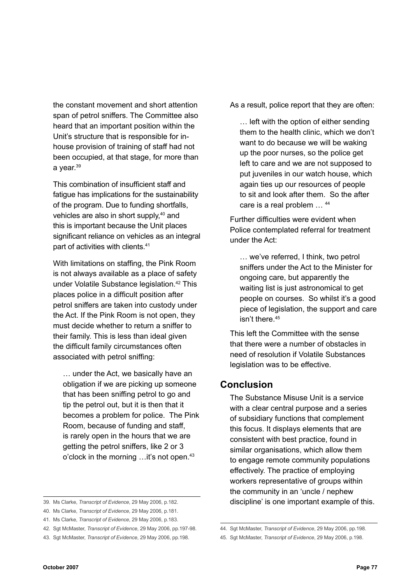the constant movement and short attention span of petrol sniffers. The Committee also heard that an important position within the Unit's structure that is responsible for inhouse provision of training of staff had not been occupied, at that stage, for more than a year.39

This combination of insufficient staff and fatigue has implications for the sustainability of the program. Due to funding shortfalls, vehicles are also in short supply,<sup>40</sup> and this is important because the Unit places significant reliance on vehicles as an integral part of activities with clients.<sup>41</sup>

With limitations on staffing, the Pink Room is not always available as a place of safety under Volatile Substance legislation.<sup>42</sup> This places police in a difficult position after petrol sniffers are taken into custody under the Act. If the Pink Room is not open, they must decide whether to return a sniffer to their family. This is less than ideal given the difficult family circumstances often associated with petrol sniffing:

… under the Act, we basically have an obligation if we are picking up someone that has been sniffing petrol to go and tip the petrol out, but it is then that it becomes a problem for police. The Pink Room, because of funding and staff, is rarely open in the hours that we are getting the petrol sniffers, like 2 or 3 o'clock in the morning ... it's not open.<sup>43</sup>

39. Ms Clarke, *Transcript of Evidence*, 29 May 2006, p.182.

As a result, police report that they are often:

… left with the option of either sending them to the health clinic, which we don't want to do because we will be waking up the poor nurses, so the police get left to care and we are not supposed to put juveniles in our watch house, which again ties up our resources of people to sit and look after them. So the after care is a real problem … 44

Further difficulties were evident when Police contemplated referral for treatment under the Act:

… we've referred, I think, two petrol sniffers under the Act to the Minister for ongoing care, but apparently the waiting list is just astronomical to get people on courses. So whilst it's a good piece of legislation, the support and care isn't there.45

This left the Committee with the sense that there were a number of obstacles in need of resolution if Volatile Substances legislation was to be effective.

## **Conclusion**

The Substance Misuse Unit is a service with a clear central purpose and a series of subsidiary functions that complement this focus. It displays elements that are consistent with best practice, found in similar organisations, which allow them to engage remote community populations effectively. The practice of employing workers representative of groups within the community in an 'uncle / nephew discipline' is one important example of this.

<sup>40.</sup> Ms Clarke, *Transcript of Evidence*, 29 May 2006, p.181.

<sup>41.</sup> Ms Clarke, *Transcript of Evidence*, 29 May 2006, p.183.

<sup>42.</sup> Sgt McMaster, *Transcript of Evidence*, 29 May 2006, pp.197-98.

<sup>43.</sup> Sgt McMaster, *Transcript of Evidence*, 29 May 2006, pp.198.

<sup>44.</sup> Sgt McMaster, *Transcript of Evidence*, 29 May 2006, pp.198.

<sup>45.</sup> Sgt McMaster, *Transcript of Evidence*, 29 May 2006, p.198.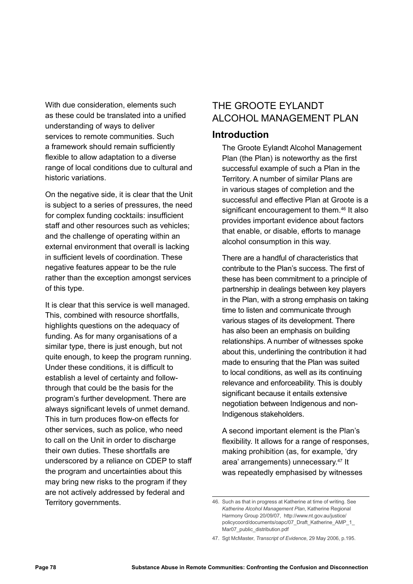With due consideration, elements such as these could be translated into a unified understanding of ways to deliver services to remote communities. Such a framework should remain sufficiently flexible to allow adaptation to a diverse range of local conditions due to cultural and historic variations.

On the negative side, it is clear that the Unit is subject to a series of pressures, the need for complex funding cocktails: insufficient staff and other resources such as vehicles; and the challenge of operating within an external environment that overall is lacking in sufficient levels of coordination. These negative features appear to be the rule rather than the exception amongst services of this type.

It is clear that this service is well managed. This, combined with resource shortfalls, highlights questions on the adequacy of funding. As for many organisations of a similar type, there is just enough, but not quite enough, to keep the program running. Under these conditions, it is difficult to establish a level of certainty and followthrough that could be the basis for the program's further development. There are always significant levels of unmet demand. This in turn produces flow-on effects for other services, such as police, who need to call on the Unit in order to discharge their own duties. These shortfalls are underscored by a reliance on CDEP to staff the program and uncertainties about this may bring new risks to the program if they are not actively addressed by federal and Territory governments.

# The Groote Eylandt Alcohol Management Plan

## **Introduction**

The Groote Eylandt Alcohol Management Plan (the Plan) is noteworthy as the first successful example of such a Plan in the Territory. A number of similar Plans are in various stages of completion and the successful and effective Plan at Groote is a significant encouragement to them.<sup>46</sup> It also provides important evidence about factors that enable, or disable, efforts to manage alcohol consumption in this way.

There are a handful of characteristics that contribute to the Plan's success. The first of these has been commitment to a principle of partnership in dealings between key players in the Plan, with a strong emphasis on taking time to listen and communicate through various stages of its development. There has also been an emphasis on building relationships. A number of witnesses spoke about this, underlining the contribution it had made to ensuring that the Plan was suited to local conditions, as well as its continuing relevance and enforceability. This is doubly significant because it entails extensive negotiation between Indigenous and non-Indigenous stakeholders.

A second important element is the Plan's flexibility. It allows for a range of responses, making prohibition (as, for example, 'dry area' arrangements) unnecessary.47 It was repeatedly emphasised by witnesses

<sup>46.</sup> Such as that in progress at Katherine at time of writing. See *Katherine Alcohol Management Plan*, Katherine Regional Harmony Group 20/09/07, http://www.nt.gov.au/justice/ policycoord/documents/oapc/07\_Draft\_Katherine\_AMP\_1\_ Mar07 public distribution.pdf

<sup>47.</sup> Sgt McMaster, *Transcript of Evidence*, 29 May 2006, p.195.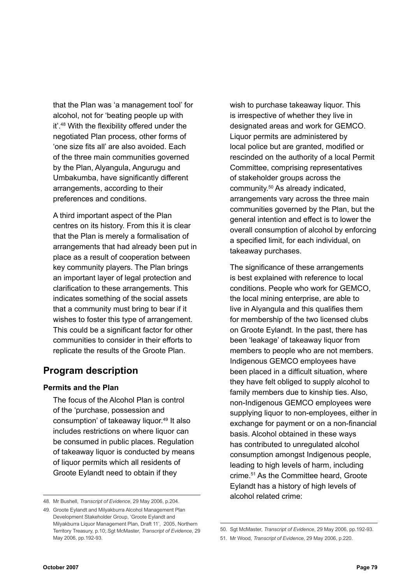that the Plan was 'a management tool' for alcohol, not for 'beating people up with it'.48 With the flexibility offered under the negotiated Plan process, other forms of 'one size fits all' are also avoided. Each of the three main communities governed by the Plan, Alyangula, Angurugu and Umbakumba, have significantly different arrangements, according to their preferences and conditions.

A third important aspect of the Plan centres on its history. From this it is clear that the Plan is merely a formalisation of arrangements that had already been put in place as a result of cooperation between key community players. The Plan brings an important layer of legal protection and clarification to these arrangements. This indicates something of the social assets that a community must bring to bear if it wishes to foster this type of arrangement. This could be a significant factor for other communities to consider in their efforts to replicate the results of the Groote Plan.

## **Program description**

#### **Permits and the Plan**

The focus of the Alcohol Plan is control of the 'purchase, possession and consumption' of takeaway liquor.49 It also includes restrictions on where liquor can be consumed in public places. Regulation of takeaway liquor is conducted by means of liquor permits which all residents of Groote Eylandt need to obtain if they

wish to purchase takeaway liquor. This is irrespective of whether they live in designated areas and work for GEMCO. Liquor permits are administered by local police but are granted, modified or rescinded on the authority of a local Permit Committee, comprising representatives of stakeholder groups across the community.50 As already indicated, arrangements vary across the three main communities governed by the Plan, but the general intention and effect is to lower the overall consumption of alcohol by enforcing a specified limit, for each individual, on takeaway purchases.

The significance of these arrangements is best explained with reference to local conditions. People who work for GEMCO, the local mining enterprise, are able to live in Alyangula and this qualifies them for membership of the two licensed clubs on Groote Eylandt. In the past, there has been 'leakage' of takeaway liquor from members to people who are not members. Indigenous GEMCO employees have been placed in a difficult situation, where they have felt obliged to supply alcohol to family members due to kinship ties. Also, non-Indigenous GEMCO employees were supplying liquor to non-employees, either in exchange for payment or on a non-financial basis. Alcohol obtained in these ways has contributed to unregulated alcohol consumption amongst Indigenous people, leading to high levels of harm, including crime.51 As the Committee heard, Groote Eylandt has a history of high levels of alcohol related crime:

<sup>48.</sup> Mr Bushell, *Transcript of Evidence*, 29 May 2006, p.204.

<sup>49.</sup> Groote Eylandt and Milyakburra Alcohol Management Plan Development Stakeholder Group, 'Groote Eylandt and Milyakburra Liquor Management Plan, Draft 11', 2005, Northern Territory Treasury, p.10;.Sgt McMaster, *Transcript of Evidence*, 29 May 2006, pp.192-93.

<sup>50.</sup> Sgt McMaster, *Transcript of Evidence*, 29 May 2006, pp.192-93.

<sup>51.</sup> Mr Wood, *Transcript of Evidence*, 29 May 2006, p.220.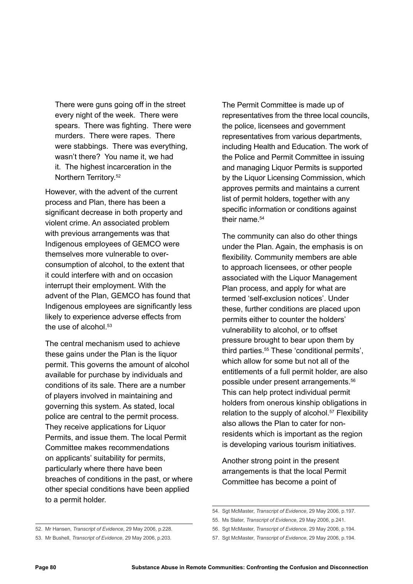There were guns going off in the street every night of the week. There were spears. There was fighting. There were murders. There were rapes. There were stabbings. There was everything, wasn't there? You name it, we had it. The highest incarceration in the Northern Territory.52

However, with the advent of the current process and Plan, there has been a significant decrease in both property and violent crime. An associated problem with previous arrangements was that Indigenous employees of GEMCO were themselves more vulnerable to overconsumption of alcohol, to the extent that it could interfere with and on occasion interrupt their employment. With the advent of the Plan, GEMCO has found that Indigenous employees are significantly less likely to experience adverse effects from the use of alcohol. $53$ 

The central mechanism used to achieve these gains under the Plan is the liquor permit. This governs the amount of alcohol available for purchase by individuals and conditions of its sale. There are a number of players involved in maintaining and governing this system. As stated, local police are central to the permit process. They receive applications for Liquor Permits, and issue them. The local Permit Committee makes recommendations on applicants' suitability for permits, particularly where there have been breaches of conditions in the past, or where other special conditions have been applied to a permit holder.

The Permit Committee is made up of representatives from the three local councils, the police, licensees and government representatives from various departments, including Health and Education. The work of the Police and Permit Committee in issuing and managing Liquor Permits is supported by the Liquor Licensing Commission, which approves permits and maintains a current list of permit holders, together with any specific information or conditions against their name.<sup>54</sup>

The community can also do other things under the Plan. Again, the emphasis is on flexibility. Community members are able to approach licensees, or other people associated with the Liquor Management Plan process, and apply for what are termed 'self-exclusion notices'. Under these, further conditions are placed upon permits either to counter the holders' vulnerability to alcohol, or to offset pressure brought to bear upon them by third parties.55 These 'conditional permits', which allow for some but not all of the entitlements of a full permit holder, are also possible under present arrangements.56 This can help protect individual permit holders from onerous kinship obligations in relation to the supply of alcohol.<sup>57</sup> Flexibility also allows the Plan to cater for nonresidents which is important as the region is developing various tourism initiatives.

Another strong point in the present arrangements is that the local Permit Committee has become a point of

<sup>54.</sup> Sgt McMaster, *Transcript of Evidence*, 29 May 2006, p.197.

<sup>55.</sup> Ms Slater, *Transcript of Evidence*, 29 May 2006, p.241.

<sup>56.</sup> Sgt McMaster, *Transcript of Evidence*, 29 May 2006, p.194.

<sup>57.</sup> Sgt McMaster, *Transcript of Evidence*, 29 May 2006, p.194.

<sup>52.</sup> Mr Hansen, *Transcript of Evidence*, 29 May 2006, p.228.

<sup>53.</sup> Mr Bushell, *Transcript of Evidence*, 29 May 2006, p.203.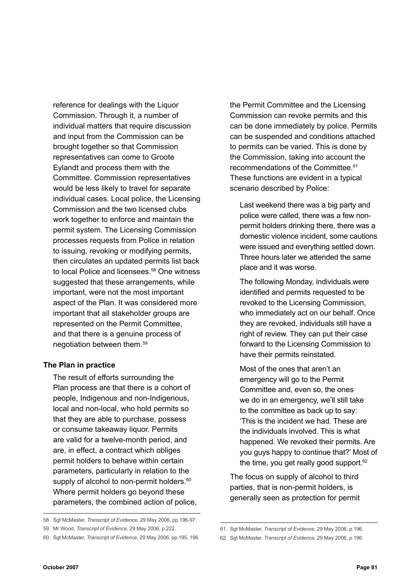reference for dealings with the Liquor Commission. Through it, a number of individual matters that require discussion and input from the Commission can be brought together so that Commission representatives can come to Groote Eylandt and process them with the Committee. Commission representatives would be less likely to travel for separate individual cases. Local police, the Licensing Commission and the two licensed clubs work together to enforce and maintain the permit system. The Licensing Commission processes requests from Police in relation to issuing, revoking or modifying permits, then circulates an updated permits list back to local Police and licensees.<sup>58</sup> One witness suggested that these arrangements, while important, were not the most important aspect of the Plan. It was considered more important that all stakeholder groups are represented on the Permit Committee, and that there is a genuine process of negotiation between them.59

#### **The Plan in practice**

The result of efforts surrounding the Plan process are that there is a cohort of people, Indigenous and non-Indigenous, local and non-local, who hold permits so that they are able to purchase, possess or consume takeaway liquor. Permits are valid for a twelve-month period, and are, in effect, a contract which obliges permit holders to behave within certain parameters, particularly in relation to the supply of alcohol to non-permit holders.<sup>60</sup> Where permit holders go beyond these parameters, the combined action of police, the Permit Committee and the Licensing Commission can revoke permits and this can be done immediately by police. Permits can be suspended and conditions attached to permits can be varied. This is done by the Commission, taking into account the recommendations of the Committee.<sup>61</sup> These functions are evident in a typical scenario described by Police:

Last weekend there was a big party and police were called, there was a few nonpermit holders drinking there, there was a domestic violence incident, some cautions were issued and everything settled down. Three hours later we attended the same place and it was worse.

The following Monday, individuals were identified and permits requested to be revoked to the Licensing Commission, who immediately act on our behalf. Once they are revoked, individuals still have a right of review. They can put their case forward to the Licensing Commission to have their permits reinstated.

Most of the ones that aren't an emergency will go to the Permit Committee and, even so, the ones we do in an emergency, we'll still take to the committee as back up to say: 'This is the incident we had. These are the individuals involved. This is what happened. We revoked their permits. Are you guys happy to continue that?' Most of the time, you get really good support.<sup>62</sup>

The focus on supply of alcohol to third parties, that is non-permit holders, is generally seen as protection for permit

<sup>58.</sup> Sgt McMaster, *Transcript of Evidence*, 29 May 2006, pp.196-97.

<sup>59.</sup> Mr Wood, *Transcript of Evidence*, 29 May 2006, p.222.

<sup>60.</sup> Sgt McMaster, *Transcript of Evidence*, 29 May 2006, pp.195, 196.

<sup>61.</sup> Sgt McMaster, *Transcript of Evidence*, 29 May 2006, p.196.

<sup>62.</sup> Sgt McMaster, *Transcript of Evidence,* 29 May 2006, p.196.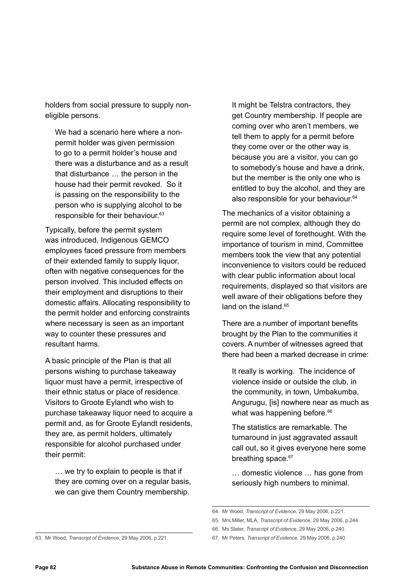holders from social pressure to supply noneligible persons.

We had a scenario here where a nonpermit holder was given permission to go to a permit holder's house and there was a disturbance and as a result that disturbance … the person in the house had their permit revoked. So it is passing on the responsibility to the person who is supplying alcohol to be responsible for their behaviour.63

Typically, before the permit system was introduced, Indigenous GEMCO employees faced pressure from members of their extended family to supply liquor, often with negative consequences for the person involved. This included effects on their employment and disruptions to their domestic affairs. Allocating responsibility to the permit holder and enforcing constraints where necessary is seen as an important way to counter these pressures and resultant harms.

A basic principle of the Plan is that all persons wishing to purchase takeaway liquor must have a permit, irrespective of their ethnic status or place of residence. Visitors to Groote Eylandt who wish to purchase takeaway liquor need to acquire a permit and, as for Groote Eylandt residents, they are, as permit holders, ultimately responsible for alcohol purchased under their permit:

… we try to explain to people is that if they are coming over on a regular basis, we can give them Country membership.

It might be Telstra contractors, they get Country membership. If people are coming over who aren't members, we tell them to apply for a permit before they come over or the other way is because you are a visitor, you can go to somebody's house and have a drink, but the member is the only one who is entitled to buy the alcohol, and they are also responsible for your behaviour.<sup>64</sup>

The mechanics of a visitor obtaining a permit are not complex, although they do require some level of forethought. With the importance of tourism in mind, Committee members took the view that any potential inconvenience to visitors could be reduced with clear public information about local requirements, displayed so that visitors are well aware of their obligations before they land on the island.<sup>65</sup>

There are a number of important benefits brought by the Plan to the communities it covers. A number of witnesses agreed that there had been a marked decrease in crime:

It really is working. The incidence of violence inside or outside the club, in the community, in town, Umbakumba, Angurugu, [is] nowhere near as much as what was happening before.<sup>66</sup>

The statistics are remarkable. The turnaround in just aggravated assault call out, so it gives everyone here some breathing space.<sup>67</sup>

… domestic violence … has gone from seriously high numbers to minimal.

<sup>64.</sup> Mr Wood, *Transcript of Evidence*, 29 May 2006, p.221.

<sup>65.</sup> Mrs Miller, MLA, *Transcript of Evidence*, 29 May 2006, p.244.

<sup>66.</sup> Ms Slater, *Transcript of Evidence*, 29 May 2006, p.240.

<sup>67.</sup> Mr Peters, *Transcript of Evidence*, 29 May 2006, p.240.

<sup>63.</sup> Mr Wood, *Transcript of Evidence*, 29 May 2006, p.221.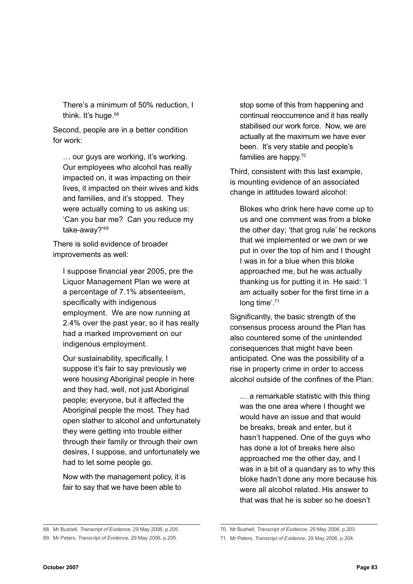There's a minimum of 50% reduction, I think. It's huge.<sup>68</sup>

Second, people are in a better condition for work:

… our guys are working, it's working. Our employees who alcohol has really impacted on, it was impacting on their lives, it impacted on their wives and kids and families, and it's stopped. They were actually coming to us asking us: 'Can you bar me? Can you reduce my take-away?'69

There is solid evidence of broader improvements as well:

I suppose financial year 2005, pre the Liquor Management Plan we were at a percentage of 7.1% absenteeism, specifically with indigenous employment. We are now running at 2.4% over the past year, so it has really had a marked improvement on our indigenous employment.

Our sustainability, specifically, I suppose it's fair to say previously we were housing Aboriginal people in here and they had, well, not just Aboriginal people; everyone, but it affected the Aboriginal people the most. They had open slather to alcohol and unfortunately they were getting into trouble either through their family or through their own desires, I suppose, and unfortunately we had to let some people go.

Now with the management policy, it is fair to say that we have been able to

stop some of this from happening and continual reoccurrence and it has really stabilised our work force. Now, we are actually at the maximum we have ever been. It's very stable and people's families are happy.70

Third, consistent with this last example, is mounting evidence of an associated change in attitudes toward alcohol:

Blokes who drink here have come up to us and one comment was from a bloke the other day; 'that grog rule' he reckons that we implemented or we own or we put in over the top of him and I thought I was in for a blue when this bloke approached me, but he was actually thanking us for putting it in. He said: 'I am actually sober for the first time in a long time'.<sup>71</sup>

Significantly, the basic strength of the consensus process around the Plan has also countered some of the unintended consequences that might have been anticipated. One was the possibility of a rise in property crime in order to access alcohol outside of the confines of the Plan:

… a remarkable statistic with this thing was the one area where I thought we would have an issue and that would be breaks, break and enter, but it hasn't happened. One of the guys who has done a lot of breaks here also approached me the other day, and I was in a bit of a quandary as to why this bloke hadn't done any more because his were all alcohol related. His answer to that was that he is sober so he doesn't

<sup>68.</sup> Mr Bushell, *Transcript of Evidence*, 29 May 2006, p.205.

<sup>69.</sup> Mr Peters, *Transcript of Evidence*, 29 May 2006, p.205.

<sup>70.</sup> Mr Bushell, *Transcript of Evidence*, 29 May 2006, p.203.

<sup>71.</sup> Mr Peters, *Transcript of Evidence*, 29 May 2006, p.204.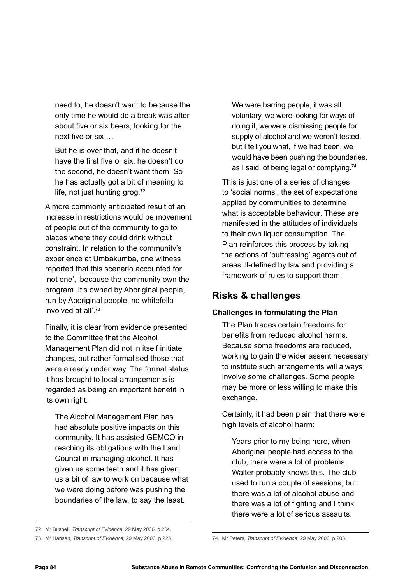need to, he doesn't want to because the only time he would do a break was after about five or six beers, looking for the next five or six …

But he is over that, and if he doesn't have the first five or six, he doesn't do the second, he doesn't want them. So he has actually got a bit of meaning to life, not just hunting grog. $72$ 

A more commonly anticipated result of an increase in restrictions would be movement of people out of the community to go to places where they could drink without constraint. In relation to the community's experience at Umbakumba, one witness reported that this scenario accounted for 'not one', 'because the community own the program. It's owned by Aboriginal people, run by Aboriginal people, no whitefella involved at all'.73

Finally, it is clear from evidence presented to the Committee that the Alcohol Management Plan did not in itself initiate changes, but rather formalised those that were already under way. The formal status it has brought to local arrangements is regarded as being an important benefit in its own right:

The Alcohol Management Plan has had absolute positive impacts on this community. It has assisted GEMCO in reaching its obligations with the Land Council in managing alcohol. It has given us some teeth and it has given us a bit of law to work on because what we were doing before was pushing the boundaries of the law, to say the least.

We were barring people, it was all voluntary, we were looking for ways of doing it, we were dismissing people for supply of alcohol and we weren't tested, but I tell you what, if we had been, we would have been pushing the boundaries, as I said, of being legal or complying.74

This is just one of a series of changes to 'social norms', the set of expectations applied by communities to determine what is acceptable behaviour. These are manifested in the attitudes of individuals to their own liquor consumption. The Plan reinforces this process by taking the actions of 'buttressing' agents out of areas ill-defined by law and providing a framework of rules to support them.

# **Risks & challenges**

## **Challenges in formulating the Plan**

The Plan trades certain freedoms for benefits from reduced alcohol harms. Because some freedoms are reduced, working to gain the wider assent necessary to institute such arrangements will always involve some challenges. Some people may be more or less willing to make this exchange.

Certainly, it had been plain that there were high levels of alcohol harm:

Years prior to my being here, when Aboriginal people had access to the club, there were a lot of problems. Walter probably knows this. The club used to run a couple of sessions, but there was a lot of alcohol abuse and there was a lot of fighting and I think there were a lot of serious assaults.

<sup>72.</sup> Mr Bushell, *Transcript of Evidence*, 29 May 2006, p.204.

<sup>73.</sup> Mr Hansen, *Transcript of Evidence*, 29 May 2006, p.225. 74. Mr Peters, *Transcript of Evidence*, 29 May 2006, p.203.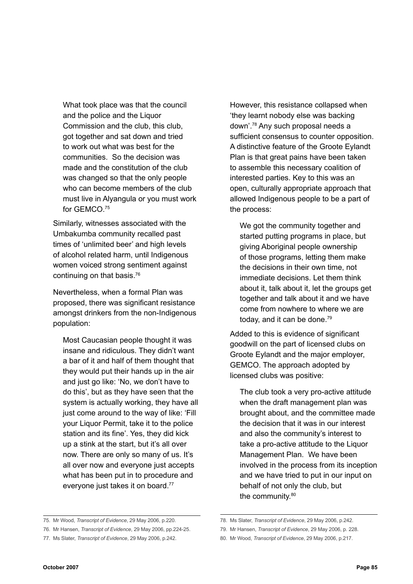What took place was that the council and the police and the Liquor Commission and the club, this club, got together and sat down and tried to work out what was best for the communities. So the decision was made and the constitution of the club was changed so that the only people who can become members of the club must live in Alyangula or you must work for GEMCO.75

Similarly, witnesses associated with the Umbakumba community recalled past times of 'unlimited beer' and high levels of alcohol related harm, until Indigenous women voiced strong sentiment against continuing on that basis.76

Nevertheless, when a formal Plan was proposed, there was significant resistance amongst drinkers from the non-Indigenous population:

Most Caucasian people thought it was insane and ridiculous. They didn't want a bar of it and half of them thought that they would put their hands up in the air and just go like: 'No, we don't have to do this', but as they have seen that the system is actually working, they have all just come around to the way of like: 'Fill your Liquor Permit, take it to the police station and its fine'. Yes, they did kick up a stink at the start, but it's all over now. There are only so many of us. It's all over now and everyone just accepts what has been put in to procedure and everyone just takes it on board.77

However, this resistance collapsed when 'they learnt nobody else was backing down'.78 Any such proposal needs a sufficient consensus to counter opposition. A distinctive feature of the Groote Eylandt Plan is that great pains have been taken to assemble this necessary coalition of interested parties. Key to this was an open, culturally appropriate approach that allowed Indigenous people to be a part of the process:

We got the community together and started putting programs in place, but giving Aboriginal people ownership of those programs, letting them make the decisions in their own time, not immediate decisions. Let them think about it, talk about it, let the groups get together and talk about it and we have come from nowhere to where we are today, and it can be done.79

Added to this is evidence of significant goodwill on the part of licensed clubs on Groote Eylandt and the major employer, GEMCO. The approach adopted by licensed clubs was positive:

The club took a very pro-active attitude when the draft management plan was brought about, and the committee made the decision that it was in our interest and also the community's interest to take a pro-active attitude to the Liquor Management Plan. We have been involved in the process from its inception and we have tried to put in our input on behalf of not only the club, but the community.<sup>80</sup>

<sup>75.</sup> Mr Wood, *Transcript of Evidence*, 29 May 2006, p.220.

<sup>76.</sup> Mr Hansen, *Transcript of Evidence*, 29 May 2006, pp.224-25.

<sup>77.</sup> Ms Slater, *Transcript of Evidence*, 29 May 2006, p.242.

<sup>78.</sup> Ms Slater, *Transcript of Evidence*, 29 May 2006, p.242.

<sup>79.</sup> Mr Hansen, *Transcript of Evidence*, 29 May 2006, p. 228.

<sup>80.</sup> Mr Wood, *Transcript of Evidence*, 29 May 2006, p.217.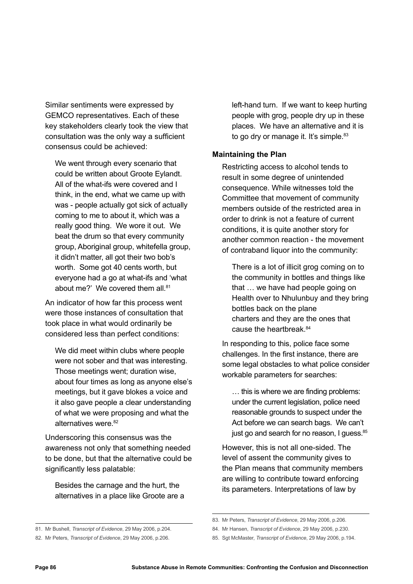Similar sentiments were expressed by GEMCO representatives. Each of these key stakeholders clearly took the view that consultation was the only way a sufficient consensus could be achieved:

We went through every scenario that could be written about Groote Eylandt. All of the what-ifs were covered and I think, in the end, what we came up with was - people actually got sick of actually coming to me to about it, which was a really good thing. We wore it out. We beat the drum so that every community group, Aboriginal group, whitefella group, it didn't matter, all got their two bob's worth. Some got 40 cents worth, but everyone had a go at what-ifs and 'what about me?' We covered them all.<sup>81</sup>

An indicator of how far this process went were those instances of consultation that took place in what would ordinarily be considered less than perfect conditions:

We did meet within clubs where people were not sober and that was interesting. Those meetings went; duration wise, about four times as long as anyone else's meetings, but it gave blokes a voice and it also gave people a clear understanding of what we were proposing and what the alternatives were  $82$ 

Underscoring this consensus was the awareness not only that something needed to be done, but that the alternative could be significantly less palatable:

Besides the carnage and the hurt, the alternatives in a place like Groote are a left-hand turn. If we want to keep hurting people with grog, people dry up in these places. We have an alternative and it is to go dry or manage it. It's simple.<sup>83</sup>

#### **Maintaining the Plan**

Restricting access to alcohol tends to result in some degree of unintended consequence. While witnesses told the Committee that movement of community members outside of the restricted area in order to drink is not a feature of current conditions, it is quite another story for another common reaction - the movement of contraband liquor into the community:

There is a lot of illicit grog coming on to the community in bottles and things like that … we have had people going on Health over to Nhulunbuy and they bring bottles back on the plane charters and they are the ones that cause the heartbreak.84

In responding to this, police face some challenges. In the first instance, there are some legal obstacles to what police consider workable parameters for searches:

… this is where we are finding problems: under the current legislation, police need reasonable grounds to suspect under the Act before we can search bags. We can't just go and search for no reason, I guess.<sup>85</sup>

However, this is not all one-sided. The level of assent the community gives to the Plan means that community members are willing to contribute toward enforcing its parameters. Interpretations of law by

<sup>81.</sup> Mr Bushell, *Transcript of Evidence*, 29 May 2006, p.204.

<sup>82.</sup> Mr Peters, *Transcript of Evidence*, 29 May 2006, p.206.

<sup>83.</sup> Mr Peters, *Transcript of Evidence*, 29 May 2006, p.206.

<sup>84.</sup> Mr Hansen, *Transcript of Evidence*, 29 May 2006, p.230.

<sup>85.</sup> Sgt McMaster, *Transcript of Evidence*, 29 May 2006, p.194.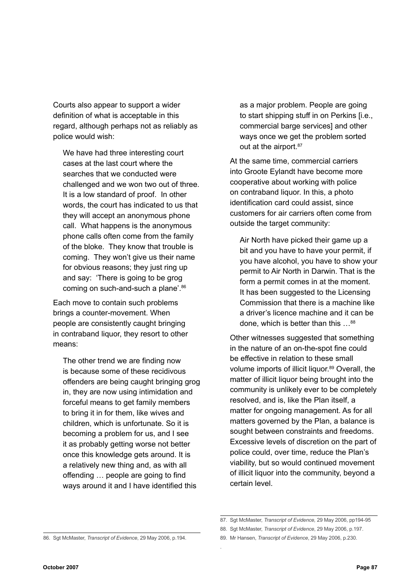Courts also appear to support a wider definition of what is acceptable in this regard, although perhaps not as reliably as police would wish:

We have had three interesting court cases at the last court where the searches that we conducted were challenged and we won two out of three. It is a low standard of proof. In other words, the court has indicated to us that they will accept an anonymous phone call. What happens is the anonymous phone calls often come from the family of the bloke. They know that trouble is coming. They won't give us their name for obvious reasons; they just ring up and say: 'There is going to be grog coming on such-and-such a plane'.<sup>86</sup>

Each move to contain such problems brings a counter-movement. When people are consistently caught bringing in contraband liquor, they resort to other means:

The other trend we are finding now is because some of these recidivous offenders are being caught bringing grog in, they are now using intimidation and forceful means to get family members to bring it in for them, like wives and children, which is unfortunate. So it is becoming a problem for us, and I see it as probably getting worse not better once this knowledge gets around. It is a relatively new thing and, as with all offending … people are going to find ways around it and I have identified this

as a major problem. People are going to start shipping stuff in on Perkins [i.e., commercial barge services] and other ways once we get the problem sorted out at the airport.<sup>87</sup>

At the same time, commercial carriers into Groote Eylandt have become more cooperative about working with police on contraband liquor. In this, a photo identification card could assist, since customers for air carriers often come from outside the target community:

Air North have picked their game up a bit and you have to have your permit, if you have alcohol, you have to show your permit to Air North in Darwin. That is the form a permit comes in at the moment. It has been suggested to the Licensing Commission that there is a machine like a driver's licence machine and it can be done, which is better than this …88

Other witnesses suggested that something in the nature of an on-the-spot fine could be effective in relation to these small volume imports of illicit liquor.<sup>89</sup> Overall, the matter of illicit liquor being brought into the community is unlikely ever to be completely resolved, and is, like the Plan itself, a matter for ongoing management. As for all matters governed by the Plan, a balance is sought between constraints and freedoms. Excessive levels of discretion on the part of police could, over time, reduce the Plan's viability, but so would continued movement of illicit liquor into the community, beyond a certain level.

.

<sup>87.</sup> Sgt McMaster, *Transcript of Evidence,* 29 May 2006, pp194-95

<sup>88.</sup> Sgt McMaster, *Transcript of Evidence*, 29 May 2006, p.197.

<sup>89.</sup> Mr Hansen, *Transcript of Evidence*, 29 May 2006, p.230.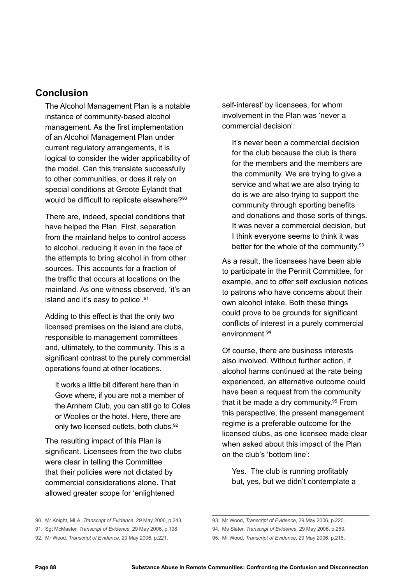## **Conclusion**

The Alcohol Management Plan is a notable instance of community-based alcohol management. As the first implementation of an Alcohol Management Plan under current regulatory arrangements, it is logical to consider the wider applicability of the model. Can this translate successfully to other communities, or does it rely on special conditions at Groote Eylandt that would be difficult to replicate elsewhere?<sup>90</sup>

There are, indeed, special conditions that have helped the Plan. First, separation from the mainland helps to control access to alcohol, reducing it even in the face of the attempts to bring alcohol in from other sources. This accounts for a fraction of the traffic that occurs at locations on the mainland. As one witness observed, 'it's an island and it's easy to police'.<sup>91</sup>

Adding to this effect is that the only two licensed premises on the island are clubs, responsible to management committees and, ultimately, to the community. This is a significant contrast to the purely commercial operations found at other locations.

It works a little bit different here than in Gove where, if you are not a member of the Arnhem Club, you can still go to Coles or Woolies or the hotel. Here, there are only two licensed outlets, both clubs.<sup>92</sup>

The resulting impact of this Plan is significant. Licensees from the two clubs were clear in telling the Committee that their policies were not dictated by commercial considerations alone. That allowed greater scope for 'enlightened

self-interest' by licensees, for whom involvement in the Plan was 'never a commercial decision':

It's never been a commercial decision for the club because the club is there for the members and the members are the community. We are trying to give a service and what we are also trying to do is we are also trying to support the community through sporting benefits and donations and those sorts of things. It was never a commercial decision, but I think everyone seems to think it was better for the whole of the community.<sup>93</sup>

As a result, the licensees have been able to participate in the Permit Committee, for example, and to offer self exclusion notices to patrons who have concerns about their own alcohol intake. Both these things could prove to be grounds for significant conflicts of interest in a purely commercial environment.94

Of course, there are business interests also involved. Without further action, if alcohol harms continued at the rate being experienced, an alternative outcome could have been a request from the community that it be made a dry community.95 From this perspective, the present management regime is a preferable outcome for the licensed clubs, as one licensee made clear when asked about this impact of the Plan on the club's 'bottom line':

Yes. The club is running profitably but, yes, but we didn't contemplate a

91. Sgt McMaster, *Transcript of Evidence*, 29 May 2006, p.198.

<sup>90.</sup> Mr Knight, MLA, *Transcript of Evidence*, 29 May 2006, p.243.

<sup>92.</sup> Mr Wood, *Transcript of Evidence*, 29 May 2006, p.221.

<sup>93.</sup> Mr Wood, *Transcript of Evidence*, 29 May 2006, p.220.

<sup>94.</sup> Ms Slater, *Transcript of Evidence*, 29 May 2006, p.253.

<sup>95.</sup> Mr Wood, *Transcript of Evidence*, 29 May 2006, p.218.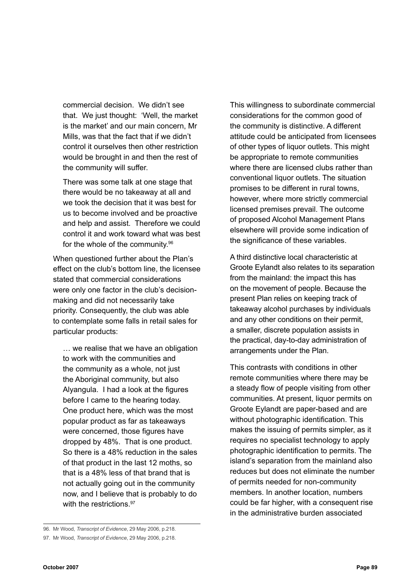commercial decision. We didn't see that. We just thought: 'Well, the market is the market' and our main concern, Mr Mills, was that the fact that if we didn't control it ourselves then other restriction would be brought in and then the rest of the community will suffer.

There was some talk at one stage that there would be no takeaway at all and we took the decision that it was best for us to become involved and be proactive and help and assist. Therefore we could control it and work toward what was best for the whole of the community.96

When questioned further about the Plan's effect on the club's bottom line, the licensee stated that commercial considerations were only one factor in the club's decisionmaking and did not necessarily take priority. Consequently, the club was able to contemplate some falls in retail sales for particular products:

… we realise that we have an obligation to work with the communities and the community as a whole, not just the Aboriginal community, but also Alyangula. I had a look at the figures before I came to the hearing today. One product here, which was the most popular product as far as takeaways were concerned, those figures have dropped by 48%. That is one product. So there is a 48% reduction in the sales of that product in the last 12 moths, so that is a 48% less of that brand that is not actually going out in the community now, and I believe that is probably to do with the restrictions.<sup>97</sup>

This willingness to subordinate commercial considerations for the common good of the community is distinctive. A different attitude could be anticipated from licensees of other types of liquor outlets. This might be appropriate to remote communities where there are licensed clubs rather than conventional liquor outlets. The situation promises to be different in rural towns, however, where more strictly commercial licensed premises prevail. The outcome of proposed Alcohol Management Plans elsewhere will provide some indication of the significance of these variables.

A third distinctive local characteristic at Groote Eylandt also relates to its separation from the mainland: the impact this has on the movement of people. Because the present Plan relies on keeping track of takeaway alcohol purchases by individuals and any other conditions on their permit, a smaller, discrete population assists in the practical, day-to-day administration of arrangements under the Plan.

This contrasts with conditions in other remote communities where there may be a steady flow of people visiting from other communities. At present, liquor permits on Groote Eylandt are paper-based and are without photographic identification. This makes the issuing of permits simpler, as it requires no specialist technology to apply photographic identification to permits. The island's separation from the mainland also reduces but does not eliminate the number of permits needed for non-community members. In another location, numbers could be far higher, with a consequent rise in the administrative burden associated

<sup>96.</sup> Mr Wood, *Transcript of Evidence*, 29 May 2006, p.218.

<sup>97.</sup> Mr Wood, *Transcript of Evidence*, 29 May 2006, p.218.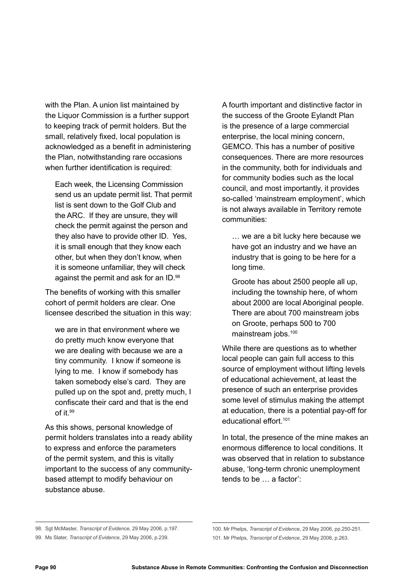with the Plan. A union list maintained by the Liquor Commission is a further support to keeping track of permit holders. But the small, relatively fixed, local population is acknowledged as a benefit in administering the Plan, notwithstanding rare occasions when further identification is required:

Each week, the Licensing Commission send us an update permit list. That permit list is sent down to the Golf Club and the ARC. If they are unsure, they will check the permit against the person and they also have to provide other ID. Yes, it is small enough that they know each other, but when they don't know, when it is someone unfamiliar, they will check against the permit and ask for an ID.98

The benefits of working with this smaller cohort of permit holders are clear. One licensee described the situation in this way:

we are in that environment where we do pretty much know everyone that we are dealing with because we are a tiny community. I know if someone is lying to me. I know if somebody has taken somebody else's card. They are pulled up on the spot and, pretty much, I confiscate their card and that is the end of it.99

As this shows, personal knowledge of permit holders translates into a ready ability to express and enforce the parameters of the permit system, and this is vitally important to the success of any communitybased attempt to modify behaviour on substance abuse.

A fourth important and distinctive factor in the success of the Groote Eylandt Plan is the presence of a large commercial enterprise, the local mining concern, GEMCO. This has a number of positive consequences. There are more resources in the community, both for individuals and for community bodies such as the local council, and most importantly, it provides so-called 'mainstream employment', which is not always available in Territory remote communities:

… we are a bit lucky here because we have got an industry and we have an industry that is going to be here for a long time.

Groote has about 2500 people all up, including the township here, of whom about 2000 are local Aboriginal people. There are about 700 mainstream jobs on Groote, perhaps 500 to 700 mainstream jobs.100

While there are questions as to whether local people can gain full access to this source of employment without lifting levels of educational achievement, at least the presence of such an enterprise provides some level of stimulus making the attempt at education, there is a potential pay-off for educational effort.101

In total, the presence of the mine makes an enormous difference to local conditions. It was observed that in relation to substance abuse, 'long-term chronic unemployment tends to be … a factor':

<sup>98.</sup> Sgt McMaster, *Transcript of Evidence*, 29 May 2006, p.197.

<sup>99.</sup> Ms Slater, *Transcript of Evidence*, 29 May 2006, p.239.

<sup>100.</sup> Mr Phelps, *Transcript of Evidence*, 29 May 2006, pp.250-251. 101. Mr Phelps, *Transcript of Evidence*, 29 May 2006, p.263.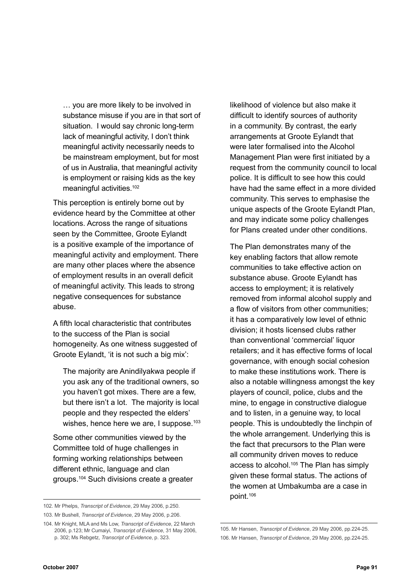… you are more likely to be involved in substance misuse if you are in that sort of situation. I would say chronic long-term lack of meaningful activity, I don't think meaningful activity necessarily needs to be mainstream employment, but for most of us in Australia, that meaningful activity is employment or raising kids as the key meaningful activities.<sup>102</sup>

This perception is entirely borne out by evidence heard by the Committee at other locations. Across the range of situations seen by the Committee, Groote Eylandt is a positive example of the importance of meaningful activity and employment. There are many other places where the absence of employment results in an overall deficit of meaningful activity. This leads to strong negative consequences for substance abuse.

A fifth local characteristic that contributes to the success of the Plan is social homogeneity. As one witness suggested of Groote Eylandt, 'it is not such a big mix':

The majority are Anindilyakwa people if you ask any of the traditional owners, so you haven't got mixes. There are a few, but there isn't a lot. The majority is local people and they respected the elders' wishes, hence here we are, I suppose.<sup>103</sup>

Some other communities viewed by the Committee told of huge challenges in forming working relationships between different ethnic, language and clan groups.104 Such divisions create a greater likelihood of violence but also make it difficult to identify sources of authority in a community. By contrast, the early arrangements at Groote Eylandt that were later formalised into the Alcohol Management Plan were first initiated by a request from the community council to local police. It is difficult to see how this could have had the same effect in a more divided community. This serves to emphasise the unique aspects of the Groote Eylandt Plan, and may indicate some policy challenges for Plans created under other conditions.

The Plan demonstrates many of the key enabling factors that allow remote communities to take effective action on substance abuse. Groote Eylandt has access to employment; it is relatively removed from informal alcohol supply and a flow of visitors from other communities; it has a comparatively low level of ethnic division; it hosts licensed clubs rather than conventional 'commercial' liquor retailers; and it has effective forms of local governance, with enough social cohesion to make these institutions work. There is also a notable willingness amongst the key players of council, police, clubs and the mine, to engage in constructive dialogue and to listen, in a genuine way, to local people. This is undoubtedly the linchpin of the whole arrangement. Underlying this is the fact that precursors to the Plan were all community driven moves to reduce access to alcohol.<sup>105</sup> The Plan has simply given these formal status. The actions of the women at Umbakumba are a case in point.106

<sup>102.</sup> Mr Phelps, *Transcript of Evidence*, 29 May 2006, p.250.

<sup>103.</sup> Mr Bushell, *Transcript of Evidence*, 29 May 2006, p.206.

<sup>104.</sup> Mr Knight, MLA and Ms Low, *Transcript of Evidence*, 22 March 2006, p.123; Mr Cumaiyi, *Transcript of Evidence*, 31 May 2006, p. 302; Ms Rebgetz, *Transcript of Evidence*, p. 323.

<sup>105.</sup> Mr Hansen, *Transcript of Evidence*, 29 May 2006, pp.224-25. 106. Mr Hansen, *Transcript of Evidence*, 29 May 2006, pp.224-25.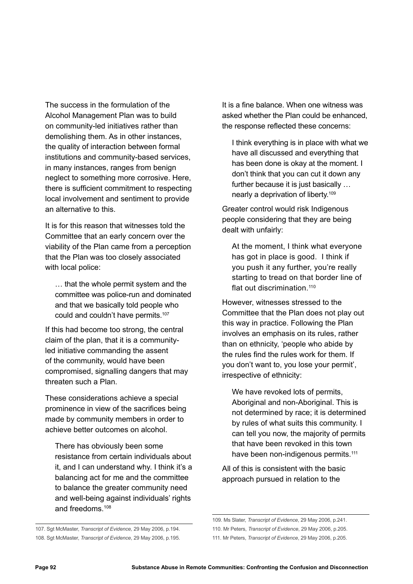The success in the formulation of the Alcohol Management Plan was to build on community-led initiatives rather than demolishing them. As in other instances, the quality of interaction between formal institutions and community-based services, in many instances, ranges from benign neglect to something more corrosive. Here, there is sufficient commitment to respecting local involvement and sentiment to provide an alternative to this.

It is for this reason that witnesses told the Committee that an early concern over the viability of the Plan came from a perception that the Plan was too closely associated with local police:

… that the whole permit system and the committee was police-run and dominated and that we basically told people who could and couldn't have permits.107

If this had become too strong, the central claim of the plan, that it is a communityled initiative commanding the assent of the community, would have been compromised, signalling dangers that may threaten such a Plan.

These considerations achieve a special prominence in view of the sacrifices being made by community members in order to achieve better outcomes on alcohol.

There has obviously been some resistance from certain individuals about it, and I can understand why. I think it's a balancing act for me and the committee to balance the greater community need and well-being against individuals' rights and freedoms.108

107. Sgt McMaster, *Transcript of Evidence,* 29 May 2006, p.194. 108. Sgt McMaster, *Transcript of Evidence*, 29 May 2006, p.195. It is a fine balance. When one witness was asked whether the Plan could be enhanced, the response reflected these concerns:

I think everything is in place with what we have all discussed and everything that has been done is okay at the moment. I don't think that you can cut it down any further because it is just basically … nearly a deprivation of liberty.109

Greater control would risk Indigenous people considering that they are being dealt with unfairly:

At the moment, I think what everyone has got in place is good. I think if you push it any further, you're really starting to tread on that border line of flat out discrimination.<sup>110</sup>

However, witnesses stressed to the Committee that the Plan does not play out this way in practice. Following the Plan involves an emphasis on its rules, rather than on ethnicity, 'people who abide by the rules find the rules work for them. If you don't want to, you lose your permit', irrespective of ethnicity:

We have revoked lots of permits, Aboriginal and non-Aboriginal. This is not determined by race; it is determined by rules of what suits this community. I can tell you now, the majority of permits that have been revoked in this town have been non-indigenous permits.<sup>111</sup>

All of this is consistent with the basic approach pursued in relation to the

<sup>109.</sup> Ms Slater, *Transcript of Evidence*, 29 May 2006, p.241.

<sup>110.</sup> Mr Peters, *Transcript of Evidence*, 29 May 2006, p.205.

<sup>111.</sup> Mr Peters, *Transcript of Evidence*, 29 May 2006, p.205.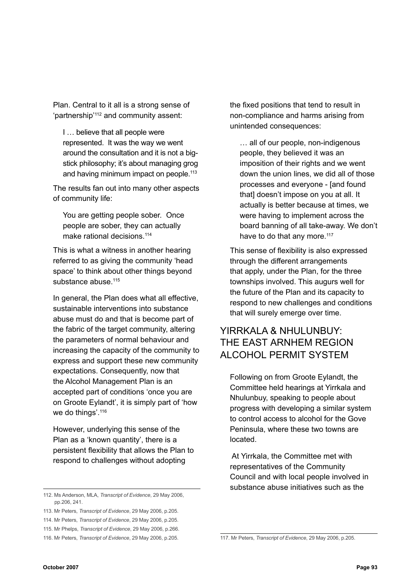Plan. Central to it all is a strong sense of 'partnership'112 and community assent:

I … believe that all people were represented. It was the way we went around the consultation and it is not a bigstick philosophy: it's about managing grog and having minimum impact on people.<sup>113</sup>

The results fan out into many other aspects of community life:

You are getting people sober. Once people are sober, they can actually make rational decisions.<sup>114</sup>

This is what a witness in another hearing referred to as giving the community 'head space' to think about other things beyond substance abuse.<sup>115</sup>

In general, the Plan does what all effective, sustainable interventions into substance abuse must do and that is become part of the fabric of the target community, altering the parameters of normal behaviour and increasing the capacity of the community to express and support these new community expectations. Consequently, now that the Alcohol Management Plan is an accepted part of conditions 'once you are on Groote Eylandt', it is simply part of 'how we do things'.<sup>116</sup>

However, underlying this sense of the Plan as a 'known quantity', there is a persistent flexibility that allows the Plan to respond to challenges without adopting

the fixed positions that tend to result in non-compliance and harms arising from unintended consequences:

… all of our people, non-indigenous people, they believed it was an imposition of their rights and we went down the union lines, we did all of those processes and everyone - [and found that doesn't impose on you at all. It actually is better because at times, we were having to implement across the board banning of all take-away. We don't have to do that any more.<sup>117</sup>

This sense of flexibility is also expressed through the different arrangements that apply, under the Plan, for the three townships involved. This augurs well for the future of the Plan and its capacity to respond to new challenges and conditions that will surely emerge over time.

# YIRRKAI A & NHUI UNBUY: the East Arnhem Region Alcohol Permit System

Following on from Groote Eylandt, the Committee held hearings at Yirrkala and Nhulunbuy, speaking to people about progress with developing a similar system to control access to alcohol for the Gove Peninsula, where these two towns are located.

 At Yirrkala, the Committee met with representatives of the Community Council and with local people involved in substance abuse initiatives such as the

<sup>112.</sup> Ms Anderson, MLA, *Transcript of Evidence*, 29 May 2006, pp.206, 241.

<sup>113.</sup> Mr Peters, *Transcript of Evidence*, 29 May 2006, p.205.

<sup>114.</sup> Mr Peters, *Transcript of Evidence*, 29 May 2006, p.205.

<sup>115.</sup> Mr Phelps, *Transcript of Evidence*, 29 May 2006, p.266.

<sup>116.</sup> Mr Peters, *Transcript of Evidence*, 29 May 2006, p.205. 117. Mr Peters, *Transcript of Evidence*, 29 May 2006, p.205.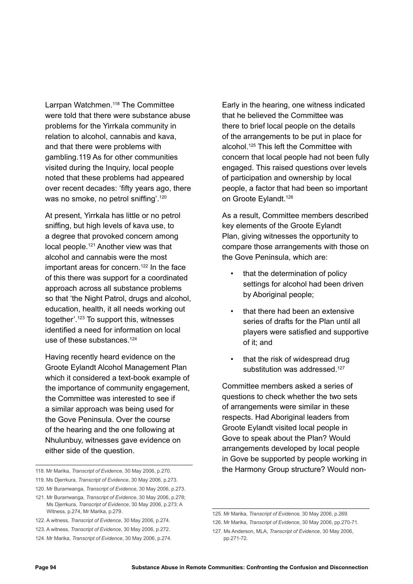Larrpan Watchmen.<sup>118</sup> The Committee were told that there were substance abuse problems for the Yirrkala community in relation to alcohol, cannabis and kava, and that there were problems with gambling.119 As for other communities visited during the Inquiry, local people noted that these problems had appeared over recent decades: 'fifty years ago, there was no smoke, no petrol sniffing'.<sup>120</sup>

At present, Yirrkala has little or no petrol sniffing, but high levels of kava use, to a degree that provoked concern among local people.121 Another view was that alcohol and cannabis were the most important areas for concern.<sup>122</sup> In the face of this there was support for a coordinated approach across all substance problems so that 'the Night Patrol, drugs and alcohol, education, health, it all needs working out together'.123 To support this, witnesses identified a need for information on local use of these substances.<sup>124</sup>

Having recently heard evidence on the Groote Eylandt Alcohol Management Plan which it considered a text-book example of the importance of community engagement, the Committee was interested to see if a similar approach was being used for the Gove Peninsula. Over the course of the hearing and the one following at Nhulunbuy, witnesses gave evidence on either side of the question.

Early in the hearing, one witness indicated that he believed the Committee was there to brief local people on the details of the arrangements to be put in place for alcohol.125 This left the Committee with concern that local people had not been fully engaged. This raised questions over levels of participation and ownership by local people, a factor that had been so important on Groote Eylandt.126

As a result, Committee members described key elements of the Groote Eylandt Plan, giving witnesses the opportunity to compare those arrangements with those on the Gove Peninsula, which are:

- that the determination of policy settings for alcohol had been driven by Aboriginal people;
- that there had been an extensive series of drafts for the Plan until all players were satisfied and supportive of it; and
- that the risk of widespread drug substitution was addressed.<sup>127</sup>

Committee members asked a series of questions to check whether the two sets of arrangements were similar in these respects. Had Aboriginal leaders from Groote Eylandt visited local people in Gove to speak about the Plan? Would arrangements developed by local people in Gove be supported by people working in 118. Mr Marika, *Transcript of Evidence*, 30 May 2006, p.270. the Harmony Group structure? Would non-

<sup>119.</sup> Ms Djerrkura, *Transcript of Evidence*, 30 May 2006, p.273.

<sup>120.</sup> Mr Burarrwanga, *Transcript of Evidence*, 30 May 2006, p.273.

<sup>121.</sup> Mr Burarrwanga, *Transcript of Evidence*, 30 May 2006, p.278; Ms Djerrkura, *Transcript of Evidence*, 30 May 2006, p.273; A Witness, p.274, Mr Marika, p.279.

<sup>122.</sup> A witness, *Transcript of Evidence*, 30 May 2006, p.274.

<sup>123.</sup> A witness, *Transcript of Evidence*, 30 May 2006, p.272.

<sup>124.</sup> Mr Marika, *Transcript of Evidence*, 30 May 2006, p.274.

<sup>125.</sup> Mr Marika, *Transcript of Evidence,* 30 May 2006, p.269.

<sup>126.</sup> Mr Marika, *Transcript of Evidence*, 30 May 2006, pp.270-71.

<sup>127.</sup> Ms Anderson, MLA, *Transcript of Evidence*, 30 May 2006, pp.271-72.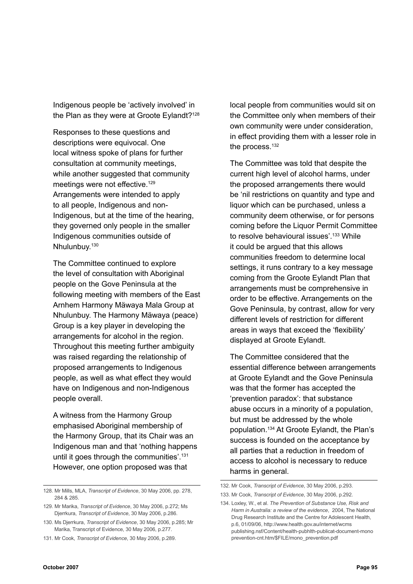Indigenous people be 'actively involved' in the Plan as they were at Groote Eylandt?<sup>128</sup>

Responses to these questions and descriptions were equivocal. One local witness spoke of plans for further consultation at community meetings, while another suggested that community meetings were not effective.<sup>129</sup> Arrangements were intended to apply to all people, Indigenous and non-Indigenous, but at the time of the hearing, they governed only people in the smaller Indigenous communities outside of Nhulunbuy.130

The Committee continued to explore the level of consultation with Aboriginal people on the Gove Peninsula at the following meeting with members of the East Arnhem Harmony Mäwaya Mala Group at Nhulunbuy. The Harmony Mäwaya (peace) Group is a key player in developing the arrangements for alcohol in the region. Throughout this meeting further ambiguity was raised regarding the relationship of proposed arrangements to Indigenous people, as well as what effect they would have on Indigenous and non-Indigenous people overall.

A witness from the Harmony Group emphasised Aboriginal membership of the Harmony Group, that its Chair was an Indigenous man and that 'nothing happens until it goes through the communities'.131 However, one option proposed was that

local people from communities would sit on the Committee only when members of their own community were under consideration, in effect providing them with a lesser role in the process.<sup>132</sup>

The Committee was told that despite the current high level of alcohol harms, under the proposed arrangements there would be 'nil restrictions on quantity and type and liquor which can be purchased, unless a community deem otherwise, or for persons coming before the Liquor Permit Committee to resolve behavioural issues'.133 While it could be argued that this allows communities freedom to determine local settings, it runs contrary to a key message coming from the Groote Eylandt Plan that arrangements must be comprehensive in order to be effective. Arrangements on the Gove Peninsula, by contrast, allow for very different levels of restriction for different areas in ways that exceed the 'flexibility' displayed at Groote Eylandt.

The Committee considered that the essential difference between arrangements at Groote Eylandt and the Gove Peninsula was that the former has accepted the 'prevention paradox': that substance abuse occurs in a minority of a population, but must be addressed by the whole population.134 At Groote Eylandt, the Plan's success is founded on the acceptance by all parties that a reduction in freedom of access to alcohol is necessary to reduce harms in general.

<sup>128.</sup> Mr Mills, MLA, *Transcript of Evidence*, 30 May 2006, pp. 278, 284 & 285.

<sup>129.</sup> Mr Marika, *Transcript of Evidence*, 30 May 2006, p.272; Ms Djerrkura, *Transcript of Evidence*, 30 May 2006, p.286.

<sup>130.</sup> Ms Djerrkura, *Transcript of Evidence*, 30 May 2006, p.285; Mr Marika, Transcript of Evidence, 30 May 2006, p.277.

<sup>131.</sup> Mr Cook, *Transcript of Evidence*, 30 May 2006, p.289.

<sup>132.</sup> Mr Cook, *Transcript of Evidence*, 30 May 2006, p.293.

<sup>133.</sup> Mr Cook, *Transcript of Evidence*, 30 May 2006, p.292.

<sup>134.</sup> Loxley, W., et al. *The Prevention of Substance Use, Risk and Harm in Australia: a review of the evidence*, 2004, The National Drug Research Institute and the Centre for Adolescent Health, p.6, 01/09/06, http://www.health.gov.au/internet/wcms publishing.nsf/Content/health-pubhlth-publicat-document-mono prevention-cnt.htm/\$FILE/mono\_prevention.pdf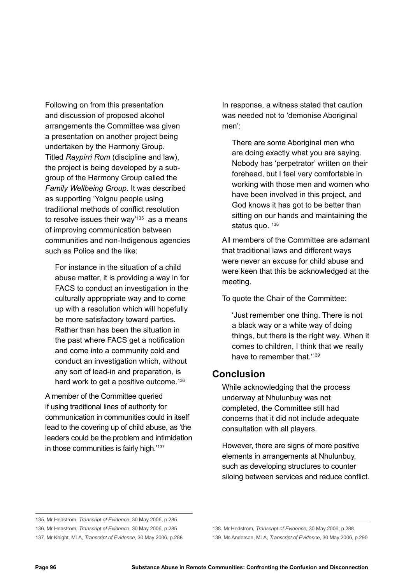Following on from this presentation and discussion of proposed alcohol arrangements the Committee was given a presentation on another project being undertaken by the Harmony Group. Titled *Raypirri Rom* (discipline and law), the project is being developed by a subgroup of the Harmony Group called the *Family Wellbeing Group*. It was described as supporting 'Yolgnu people using traditional methods of conflict resolution to resolve issues their way<sup>'135</sup> as a means of improving communication between communities and non-Indigenous agencies such as Police and the like:

For instance in the situation of a child abuse matter, it is providing a way in for FACS to conduct an investigation in the culturally appropriate way and to come up with a resolution which will hopefully be more satisfactory toward parties. Rather than has been the situation in the past where FACS get a notification and come into a community cold and conduct an investigation which, without any sort of lead-in and preparation, is hard work to get a positive outcome.<sup>136</sup>

A member of the Committee queried if using traditional lines of authority for communication in communities could in itself lead to the covering up of child abuse, as 'the leaders could be the problem and intimidation in those communities is fairly high.<sup>'137</sup>

In response, a witness stated that caution was needed not to 'demonise Aboriginal men':

There are some Aboriginal men who are doing exactly what you are saying. Nobody has 'perpetrator' written on their forehead, but I feel very comfortable in working with those men and women who have been involved in this project, and God knows it has got to be better than sitting on our hands and maintaining the status quo. 138

All members of the Committee are adamant that traditional laws and different ways were never an excuse for child abuse and were keen that this be acknowledged at the meeting.

To quote the Chair of the Committee:

'Just remember one thing. There is not a black way or a white way of doing things, but there is the right way. When it comes to children, I think that we really have to remember that '139

## **Conclusion**

While acknowledging that the process underway at Nhulunbuy was not completed, the Committee still had concerns that it did not include adequate consultation with all players.

However, there are signs of more positive elements in arrangements at Nhulunbuy, such as developing structures to counter siloing between services and reduce conflict.

135. Mr Hedstrom, *Transcript of Evidence*, 30 May 2006, p.285 136. Mr Hedstrom, *Transcript of Evidence*, 30 May 2006, p.285 137. Mr Knight, MLA, *Transcript of Evidence*, 30 May 2006, p.288

138. Mr Hedstrom, *Transcript of Evidence*, 30 May 2006, p.288 139. Ms Anderson, MLA, *Transcript of Evidence*, 30 May 2006, p.290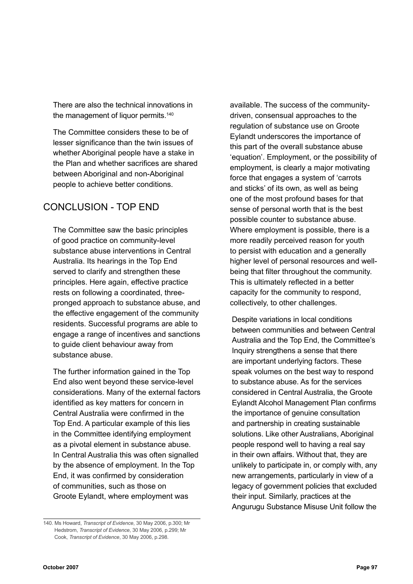There are also the technical innovations in the management of liquor permits.<sup>140</sup>

The Committee considers these to be of lesser significance than the twin issues of whether Aboriginal people have a stake in the Plan and whether sacrifices are shared between Aboriginal and non-Aboriginal people to achieve better conditions.

# Conclusion - Top End

The Committee saw the basic principles of good practice on community-level substance abuse interventions in Central Australia. Its hearings in the Top End served to clarify and strengthen these principles. Here again, effective practice rests on following a coordinated, threepronged approach to substance abuse, and the effective engagement of the community residents. Successful programs are able to engage a range of incentives and sanctions to guide client behaviour away from substance abuse.

The further information gained in the Top End also went beyond these service-level considerations. Many of the external factors identified as key matters for concern in Central Australia were confirmed in the Top End. A particular example of this lies in the Committee identifying employment as a pivotal element in substance abuse. In Central Australia this was often signalled by the absence of employment. In the Top End, it was confirmed by consideration of communities, such as those on Groote Eylandt, where employment was

available. The success of the communitydriven, consensual approaches to the regulation of substance use on Groote Eylandt underscores the importance of this part of the overall substance abuse 'equation'. Employment, or the possibility of employment, is clearly a major motivating force that engages a system of 'carrots and sticks' of its own, as well as being one of the most profound bases for that sense of personal worth that is the best possible counter to substance abuse. Where employment is possible, there is a more readily perceived reason for youth to persist with education and a generally higher level of personal resources and wellbeing that filter throughout the community. This is ultimately reflected in a better capacity for the community to respond, collectively, to other challenges.

Despite variations in local conditions between communities and between Central Australia and the Top End, the Committee's Inquiry strengthens a sense that there are important underlying factors. These speak volumes on the best way to respond to substance abuse. As for the services considered in Central Australia, the Groote Eylandt Alcohol Management Plan confirms the importance of genuine consultation and partnership in creating sustainable solutions. Like other Australians, Aboriginal people respond well to having a real say in their own affairs. Without that, they are unlikely to participate in, or comply with, any new arrangements, particularly in view of a legacy of government policies that excluded their input. Similarly, practices at the Angurugu Substance Misuse Unit follow the

<sup>140.</sup> Ms Howard, *Transcript of Evidence*, 30 May 2006, p.300; Mr Hedstrom, *Transcript of Evidence*, 30 May 2006, p.299; Mr Cook, *Transcript of Evidence*, 30 May 2006, p.298.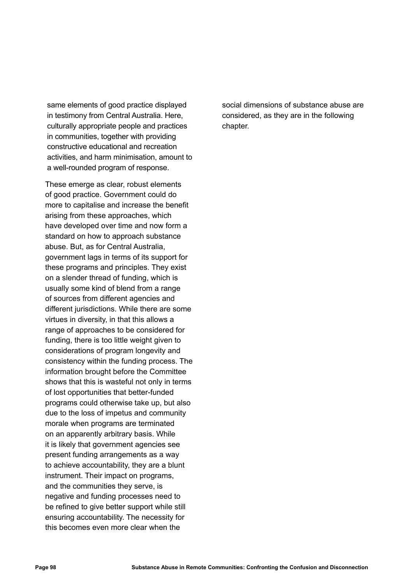same elements of good practice displayed in testimony from Central Australia. Here, culturally appropriate people and practices in communities, together with providing constructive educational and recreation activities, and harm minimisation, amount to a well-rounded program of response.

These emerge as clear, robust elements of good practice. Government could do more to capitalise and increase the benefit arising from these approaches, which have developed over time and now form a standard on how to approach substance abuse. But, as for Central Australia, government lags in terms of its support for these programs and principles. They exist on a slender thread of funding, which is usually some kind of blend from a range of sources from different agencies and different jurisdictions. While there are some virtues in diversity, in that this allows a range of approaches to be considered for funding, there is too little weight given to considerations of program longevity and consistency within the funding process. The information brought before the Committee shows that this is wasteful not only in terms of lost opportunities that better-funded programs could otherwise take up, but also due to the loss of impetus and community morale when programs are terminated on an apparently arbitrary basis. While it is likely that government agencies see present funding arrangements as a way to achieve accountability, they are a blunt instrument. Their impact on programs, and the communities they serve, is negative and funding processes need to be refined to give better support while still ensuring accountability. The necessity for this becomes even more clear when the

social dimensions of substance abuse are considered, as they are in the following chapter.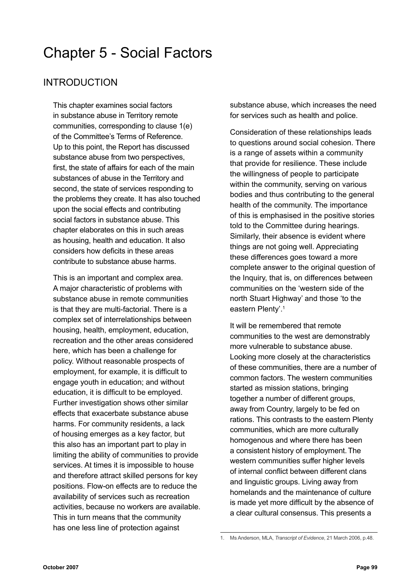# Chapter 5 - Social Factors

# **INTRODUCTION**

This chapter examines social factors in substance abuse in Territory remote communities, corresponding to clause 1(e) of the Committee's Terms of Reference. Up to this point, the Report has discussed substance abuse from two perspectives, first, the state of affairs for each of the main substances of abuse in the Territory and second, the state of services responding to the problems they create. It has also touched upon the social effects and contributing social factors in substance abuse. This chapter elaborates on this in such areas as housing, health and education. It also considers how deficits in these areas contribute to substance abuse harms.

This is an important and complex area. A major characteristic of problems with substance abuse in remote communities is that they are multi-factorial. There is a complex set of interrelationships between housing, health, employment, education, recreation and the other areas considered here, which has been a challenge for policy. Without reasonable prospects of employment, for example, it is difficult to engage youth in education; and without education, it is difficult to be employed. Further investigation shows other similar effects that exacerbate substance abuse harms. For community residents, a lack of housing emerges as a key factor, but this also has an important part to play in limiting the ability of communities to provide services. At times it is impossible to house and therefore attract skilled persons for key positions. Flow-on effects are to reduce the availability of services such as recreation activities, because no workers are available. This in turn means that the community has one less line of protection against

substance abuse, which increases the need for services such as health and police.

Consideration of these relationships leads to questions around social cohesion. There is a range of assets within a community that provide for resilience. These include the willingness of people to participate within the community, serving on various bodies and thus contributing to the general health of the community. The importance of this is emphasised in the positive stories told to the Committee during hearings. Similarly, their absence is evident where things are not going well. Appreciating these differences goes toward a more complete answer to the original question of the Inquiry, that is, on differences between communities on the 'western side of the north Stuart Highway' and those 'to the eastern Plenty'.<sup>1</sup>

It will be remembered that remote communities to the west are demonstrably more vulnerable to substance abuse. Looking more closely at the characteristics of these communities, there are a number of common factors. The western communities started as mission stations, bringing together a number of different groups, away from Country, largely to be fed on rations. This contrasts to the eastern Plenty communities, which are more culturally homogenous and where there has been a consistent history of employment.The western communities suffer higher levels of internal conflict between different clans and linguistic groups. Living away from homelands and the maintenance of culture is made yet more difficult by the absence of a clear cultural consensus. This presents a

<sup>1.</sup> Ms Anderson, MLA, *Transcript of Evidence*, 21 March 2006, p.48.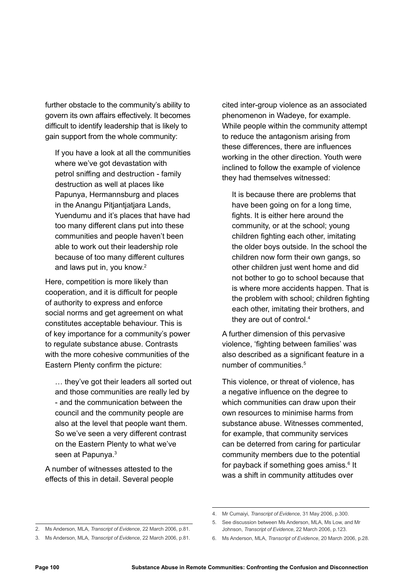further obstacle to the community's ability to govern its own affairs effectively. It becomes difficult to identify leadership that is likely to gain support from the whole community:

If you have a look at all the communities where we've got devastation with petrol sniffing and destruction - family destruction as well at places like Papunya, Hermannsburg and places in the Anangu Pitjantjatjara Lands, Yuendumu and it's places that have had too many different clans put into these communities and people haven't been able to work out their leadership role because of too many different cultures and laws put in, you know.<sup>2</sup>

Here, competition is more likely than cooperation, and it is difficult for people of authority to express and enforce social norms and get agreement on what constitutes acceptable behaviour. This is of key importance for a community's power to regulate substance abuse. Contrasts with the more cohesive communities of the Eastern Plenty confirm the picture:

… they've got their leaders all sorted out and those communities are really led by - and the communication between the council and the community people are also at the level that people want them. So we've seen a very different contrast on the Eastern Plenty to what we've seen at Papunya.<sup>3</sup>

A number of witnesses attested to the effects of this in detail. Several people cited inter-group violence as an associated phenomenon in Wadeye, for example. While people within the community attempt to reduce the antagonism arising from these differences, there are influences working in the other direction. Youth were inclined to follow the example of violence they had themselves witnessed:

It is because there are problems that have been going on for a long time, fights. It is either here around the community, or at the school; young children fighting each other, imitating the older boys outside. In the school the children now form their own gangs, so other children just went home and did not bother to go to school because that is where more accidents happen. That is the problem with school; children fighting each other, imitating their brothers, and they are out of control.4

A further dimension of this pervasive violence, 'fighting between families' was also described as a significant feature in a number of communities.<sup>5</sup>

This violence, or threat of violence, has a negative influence on the degree to which communities can draw upon their own resources to minimise harms from substance abuse. Witnesses commented, for example, that community services can be deterred from caring for particular community members due to the potential for payback if something goes amiss.<sup>6</sup> It was a shift in community attitudes over

<sup>4.</sup> Mr Cumaiyi, *Transcript of Evidence*, 31 May 2006, p.300.

<sup>5.</sup> See discussion between Ms Anderson, MLA, Ms Low, and Mr Johnson, *Transcript of Evidence*, 22 March 2006, p.123.

<sup>2.</sup> Ms Anderson, MLA, *Transcript of Evidence*, 22 March 2006, p.81. 3. Ms Anderson, MLA, *Transcript of Evidence*, 22 March 2006, p.81.

<sup>6.</sup> Ms Anderson, MLA, *Transcript of Evidence*, 20 March 2006, p.28.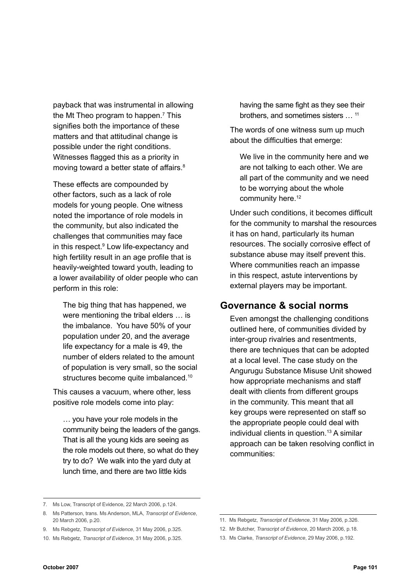payback that was instrumental in allowing the Mt Theo program to happen.<sup>7</sup> This signifies both the importance of these matters and that attitudinal change is possible under the right conditions. Witnesses flagged this as a priority in moving toward a better state of affairs.<sup>8</sup>

These effects are compounded by other factors, such as a lack of role models for young people. One witness noted the importance of role models in the community, but also indicated the challenges that communities may face in this respect.9 Low life-expectancy and high fertility result in an age profile that is heavily-weighted toward youth, leading to a lower availability of older people who can perform in this role:

The big thing that has happened, we were mentioning the tribal elders … is the imbalance. You have 50% of your population under 20, and the average life expectancy for a male is 49, the number of elders related to the amount of population is very small, so the social structures become quite imbalanced.<sup>10</sup>

This causes a vacuum, where other, less positive role models come into play:

… you have your role models in the community being the leaders of the gangs. That is all the young kids are seeing as the role models out there, so what do they try to do? We walk into the yard duty at lunch time, and there are two little kids

having the same fight as they see their brothers, and sometimes sisters ...<sup>11</sup>

The words of one witness sum up much about the difficulties that emerge:

We live in the community here and we are not talking to each other. We are all part of the community and we need to be worrying about the whole community here.<sup>12</sup>

Under such conditions, it becomes difficult for the community to marshal the resources it has on hand, particularly its human resources. The socially corrosive effect of substance abuse may itself prevent this. Where communities reach an impasse in this respect, astute interventions by external players may be important.

## **Governance & social norms**

Even amongst the challenging conditions outlined here, of communities divided by inter-group rivalries and resentments, there are techniques that can be adopted at a local level. The case study on the Angurugu Substance Misuse Unit showed how appropriate mechanisms and staff dealt with clients from different groups in the community. This meant that all key groups were represented on staff so the appropriate people could deal with individual clients in question.<sup>13</sup> A similar approach can be taken resolving conflict in communities:

<sup>7.</sup> Ms Low, Transcript of Evidence, 22 March 2006, p.124.

<sup>8.</sup> Ms Patterson, trans. Ms Anderson, MLA, *Transcript of Evidence*, 20 March 2006, p.20.

<sup>9.</sup> Ms Rebgetz, *Transcript of Evidence*, 31 May 2006, p.325.

<sup>10.</sup> Ms Rebgetz, *Transcript of Evidence*, 31 May 2006, p.325.

<sup>11.</sup> Ms Rebgetz, *Transcript of Evidence*, 31 May 2006, p.326.

<sup>12.</sup> Mr Butcher, *Transcript of Evidence*, 20 March 2006, p.18.

<sup>13.</sup> Ms Clarke, *Transcript of Evidence*, 29 May 2006, p.192.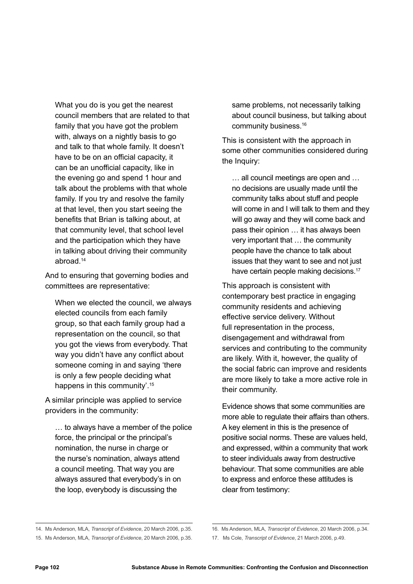What you do is you get the nearest council members that are related to that family that you have got the problem with, always on a nightly basis to go and talk to that whole family. It doesn't have to be on an official capacity, it can be an unofficial capacity, like in the evening go and spend 1 hour and talk about the problems with that whole family. If you try and resolve the family at that level, then you start seeing the benefits that Brian is talking about, at that community level, that school level and the participation which they have in talking about driving their community abroad.14

And to ensuring that governing bodies and committees are representative:

When we elected the council, we always elected councils from each family group, so that each family group had a representation on the council, so that you got the views from everybody. That way you didn't have any conflict about someone coming in and saying 'there is only a few people deciding what happens in this community'.15

A similar principle was applied to service providers in the community:

… to always have a member of the police force, the principal or the principal's nomination, the nurse in charge or the nurse's nomination, always attend a council meeting. That way you are always assured that everybody's in on the loop, everybody is discussing the

same problems, not necessarily talking about council business, but talking about community business.16

This is consistent with the approach in some other communities considered during the Inquiry:

… all council meetings are open and … no decisions are usually made until the community talks about stuff and people will come in and I will talk to them and they will go away and they will come back and pass their opinion … it has always been very important that … the community people have the chance to talk about issues that they want to see and not just have certain people making decisions.<sup>17</sup>

This approach is consistent with contemporary best practice in engaging community residents and achieving effective service delivery. Without full representation in the process, disengagement and withdrawal from services and contributing to the community are likely. With it, however, the quality of the social fabric can improve and residents are more likely to take a more active role in their community.

Evidence shows that some communities are more able to regulate their affairs than others. A key element in this is the presence of positive social norms. These are values held, and expressed, within a community that work to steer individuals away from destructive behaviour. That some communities are able to express and enforce these attitudes is clear from testimony:

<sup>14.</sup> Ms Anderson, MLA, *Transcript of Evidence*, 20 March 2006, p.35.

<sup>15.</sup> Ms Anderson, MLA, *Transcript of Evidence*, 20 March 2006, p.35.

<sup>16.</sup> Ms Anderson, MLA, *Transcript of Evidence*, 20 March 2006, p.34.

<sup>17.</sup> Ms Cole, *Transcript of Evidence*, 21 March 2006, p.49.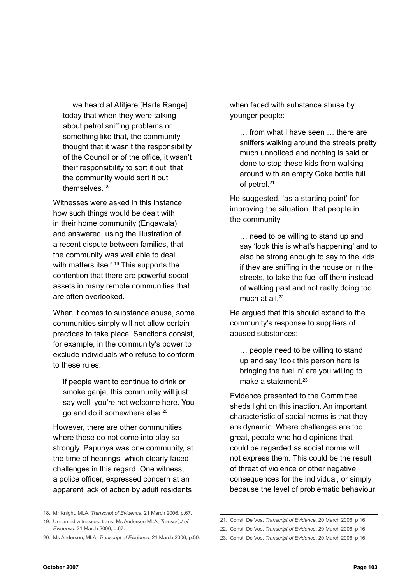… we heard at Atitjere [Harts Range] today that when they were talking about petrol sniffing problems or something like that, the community thought that it wasn't the responsibility of the Council or of the office, it wasn't their responsibility to sort it out, that the community would sort it out themselves.<sup>18</sup>

Witnesses were asked in this instance how such things would be dealt with in their home community (Engawala) and answered, using the illustration of a recent dispute between families, that the community was well able to deal with matters itself.<sup>19</sup> This supports the contention that there are powerful social assets in many remote communities that are often overlooked.

When it comes to substance abuse, some communities simply will not allow certain practices to take place. Sanctions consist, for example, in the community's power to exclude individuals who refuse to conform to these rules:

if people want to continue to drink or smoke ganja, this community will just say well, you're not welcome here. You go and do it somewhere else.<sup>20</sup>

However, there are other communities where these do not come into play so strongly. Papunya was one community, at the time of hearings, which clearly faced challenges in this regard. One witness, a police officer, expressed concern at an apparent lack of action by adult residents

- 19. Unnamed witnesses, trans. Ms Anderson MLA, *Transcript of Evidence*, 21 March 2006, p.67.
- 20. Ms Anderson, MLA, *Transcript of Evidence*, 21 March 2006, p.50.

when faced with substance abuse by younger people:

… from what I have seen … there are sniffers walking around the streets pretty much unnoticed and nothing is said or done to stop these kids from walking around with an empty Coke bottle full of petrol.<sup>21</sup>

He suggested, 'as a starting point' for improving the situation, that people in the community

… need to be willing to stand up and say 'look this is what's happening' and to also be strong enough to say to the kids, if they are sniffing in the house or in the streets, to take the fuel off them instead of walking past and not really doing too much at all. $22$ 

He argued that this should extend to the community's response to suppliers of abused substances:

… people need to be willing to stand up and say 'look this person here is bringing the fuel in' are you willing to make a statement.<sup>23</sup>

Evidence presented to the Committee sheds light on this inaction. An important characteristic of social norms is that they are dynamic. Where challenges are too great, people who hold opinions that could be regarded as social norms will not express them. This could be the result of threat of violence or other negative consequences for the individual, or simply because the level of problematic behaviour

<sup>18.</sup> Mr Knight, MLA, *Transcript of Evidence*, 21 March 2006, p.67.

<sup>21.</sup> Const. De Vos, *Transcript of Evidence*, 20 March 2006, p.16.

<sup>22.</sup> Const. De Vos, *Transcript of Evidence*, 20 March 2006, p.16.

<sup>23.</sup> Const. De Vos, *Transcript of Evidence*, 20 March 2006, p.16.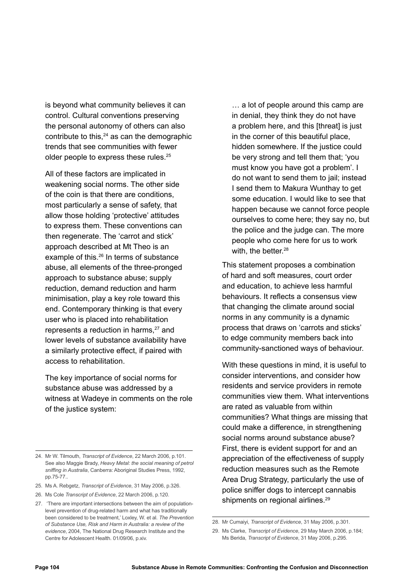is beyond what community believes it can control. Cultural conventions preserving the personal autonomy of others can also contribute to this,<sup>24</sup> as can the demographic trends that see communities with fewer older people to express these rules.25

All of these factors are implicated in weakening social norms. The other side of the coin is that there are conditions, most particularly a sense of safety, that allow those holding 'protective' attitudes to express them. These conventions can then regenerate. The 'carrot and stick' approach described at Mt Theo is an example of this.<sup>26</sup> In terms of substance abuse, all elements of the three-pronged approach to substance abuse; supply reduction, demand reduction and harm minimisation, play a key role toward this end. Contemporary thinking is that every user who is placed into rehabilitation represents a reduction in harms,<sup>27</sup> and lower levels of substance availability have a similarly protective effect, if paired with access to rehabilitation.

The key importance of social norms for substance abuse was addressed by a witness at Wadeye in comments on the role of the justice system:

26. Ms Cole *Transcript of Evidence*, 22 March 2006, p.120.

… a lot of people around this camp are in denial, they think they do not have a problem here, and this [threat] is just in the corner of this beautiful place, hidden somewhere. If the justice could be very strong and tell them that; 'you must know you have got a problem'. I do not want to send them to jail; instead I send them to Makura Wunthay to get some education. I would like to see that happen because we cannot force people ourselves to come here; they say no, but the police and the judge can. The more people who come here for us to work with, the better.<sup>28</sup>

This statement proposes a combination of hard and soft measures, court order and education, to achieve less harmful behaviours. It reflects a consensus view that changing the climate around social norms in any community is a dynamic process that draws on 'carrots and sticks' to edge community members back into community-sanctioned ways of behaviour.

With these questions in mind, it is useful to consider interventions, and consider how residents and service providers in remote communities view them. What interventions are rated as valuable from within communities? What things are missing that could make a difference, in strengthening social norms around substance abuse? First, there is evident support for and an appreciation of the effectiveness of supply reduction measures such as the Remote Area Drug Strategy, particularly the use of police sniffer dogs to intercept cannabis shipments on regional airlines.<sup>29</sup>

<sup>24.</sup> Mr W. Tilmouth, *Transcript of Evidence*, 22 March 2006, p.101. See also Maggie Brady, *Heavy Metal: the social meaning of petrol sniffing in Australia*, Canberra: Aboriginal Studies Press, 1992, pp.75-77..

<sup>25.</sup> Ms A. Rebgetz, *Transcript of Evidence*, 31 May 2006, p.326.

<sup>27. &#</sup>x27;There are important intersections between the aim of populationlevel prevention of drug-related harm and what has traditionally been considered to be treatment,' Loxley, W. et al. *The Prevention of Substance Use, Risk and Harm in Australia: a review of the evidence*, 2004, The National Drug Research Institute and the Centre for Adolescent Health. 01/09/06, p.xiv.

<sup>28.</sup> Mr Cumaiyi, *Transcript of Evidence*, 31 May 2006, p.301.

<sup>29.</sup> Ms Clarke, *Transcript of Evidence*, 29 May March 2006, p.184; Ms Berida, *Transcript of Evidence*, 31 May 2006, p.295.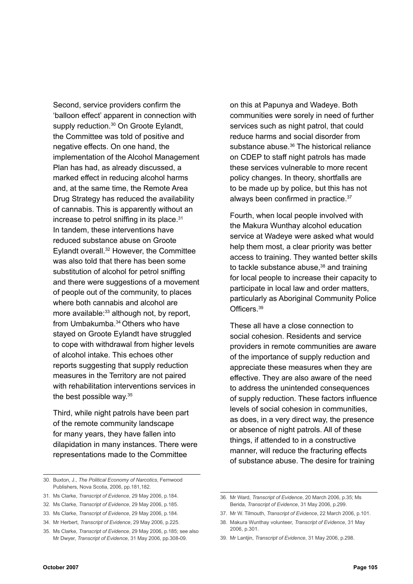Second, service providers confirm the 'balloon effect' apparent in connection with supply reduction.<sup>30</sup> On Groote Eylandt. the Committee was told of positive and negative effects. On one hand, the implementation of the Alcohol Management Plan has had, as already discussed, a marked effect in reducing alcohol harms and, at the same time, the Remote Area Drug Strategy has reduced the availability of cannabis. This is apparently without an increase to petrol sniffing in its place. $31$ In tandem, these interventions have reduced substance abuse on Groote Eylandt overall.32 However, the Committee was also told that there has been some substitution of alcohol for petrol sniffing and there were suggestions of a movement of people out of the community, to places where both cannabis and alcohol are more available:<sup>33</sup> although not, by report, from Umbakumba.34 Others who have stayed on Groote Eylandt have struggled to cope with withdrawal from higher levels of alcohol intake. This echoes other reports suggesting that supply reduction measures in the Territory are not paired with rehabilitation interventions services in the best possible way.35

Third, while night patrols have been part of the remote community landscape for many years, they have fallen into dilapidation in many instances. There were representations made to the Committee

on this at Papunya and Wadeye. Both communities were sorely in need of further services such as night patrol, that could reduce harms and social disorder from substance abuse.<sup>36</sup> The historical reliance on CDEP to staff night patrols has made these services vulnerable to more recent policy changes. In theory, shortfalls are to be made up by police, but this has not always been confirmed in practice.<sup>37</sup>

Fourth, when local people involved with the Makura Wunthay alcohol education service at Wadeye were asked what would help them most, a clear priority was better access to training. They wanted better skills to tackle substance abuse, $38$  and training for local people to increase their capacity to participate in local law and order matters, particularly as Aboriginal Community Police Officers<sup>39</sup>

These all have a close connection to social cohesion. Residents and service providers in remote communities are aware of the importance of supply reduction and appreciate these measures when they are effective. They are also aware of the need to address the unintended consequences of supply reduction. These factors influence levels of social cohesion in communities, as does, in a very direct way, the presence or absence of night patrols. All of these things, if attended to in a constructive manner, will reduce the fracturing effects of substance abuse. The desire for training

- 33. Ms Clarke, *Transcript of Evidence*, 29 May 2006, p.184.
- 34. Mr Herbert, *Transcript of Evidence*, 29 May 2006, p.225.
- 35. Ms Clarke, *Transcript of Evidence*, 29 May 2006, p.185; see also Mr Dwyer, *Transcript of Evidence*, 31 May 2006, pp.308-09.
- 37. Mr W. Tilmouth, *Transcript of Evidence*, 22 March 2006, p.101.
- 38. Makura Wunthay volunteer, *Transcript of Evidence*, 31 May 2006, p.301.
- 39. Mr Lantjin, *Transcript of Evidence*, 31 May 2006, p.298.

<sup>30.</sup> Buxton, J., *The Political Economy of Narcotics*, Fernwood Publishers, Nova Scotia, 2006, pp.181,182.

<sup>31.</sup> Ms Clarke, *Transcript of Evidence*, 29 May 2006, p.184.

<sup>32.</sup> Ms Clarke, *Transcript of Evidence*, 29 May 2006, p.185.

<sup>36.</sup> Mr Ward, *Transcript of Evidence*, 20 March 2006, p.35; Ms Berida, *Transcript of Evidence*, 31 May 2006, p.299.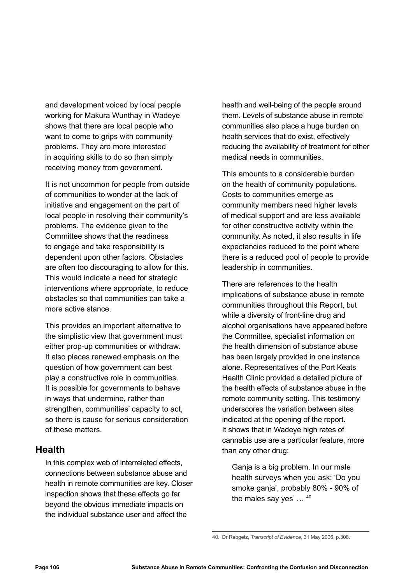and development voiced by local people working for Makura Wunthay in Wadeye shows that there are local people who want to come to grips with community problems. They are more interested in acquiring skills to do so than simply receiving money from government.

It is not uncommon for people from outside of communities to wonder at the lack of initiative and engagement on the part of local people in resolving their community's problems. The evidence given to the Committee shows that the readiness to engage and take responsibility is dependent upon other factors. Obstacles are often too discouraging to allow for this. This would indicate a need for strategic interventions where appropriate, to reduce obstacles so that communities can take a more active stance.

This provides an important alternative to the simplistic view that government must either prop-up communities or withdraw. It also places renewed emphasis on the question of how government can best play a constructive role in communities. It is possible for governments to behave in ways that undermine, rather than strengthen, communities' capacity to act, so there is cause for serious consideration of these matters.

## **Health**

In this complex web of interrelated effects, connections between substance abuse and health in remote communities are key. Closer inspection shows that these effects go far beyond the obvious immediate impacts on the individual substance user and affect the

health and well-being of the people around them. Levels of substance abuse in remote communities also place a huge burden on health services that do exist, effectively reducing the availability of treatment for other medical needs in communities.

This amounts to a considerable burden on the health of community populations. Costs to communities emerge as community members need higher levels of medical support and are less available for other constructive activity within the community. As noted, it also results in life expectancies reduced to the point where there is a reduced pool of people to provide leadership in communities.

There are references to the health implications of substance abuse in remote communities throughout this Report, but while a diversity of front-line drug and alcohol organisations have appeared before the Committee, specialist information on the health dimension of substance abuse has been largely provided in one instance alone. Representatives of the Port Keats Health Clinic provided a detailed picture of the health effects of substance abuse in the remote community setting. This testimony underscores the variation between sites indicated at the opening of the report. It shows that in Wadeye high rates of cannabis use are a particular feature, more than any other drug:

Ganja is a big problem. In our male health surveys when you ask; 'Do you smoke ganja', probably 80% - 90% of the males say yes' … 40

40. Dr Rebgetz, *Transcript of Evidence*, 31 May 2006, p.308.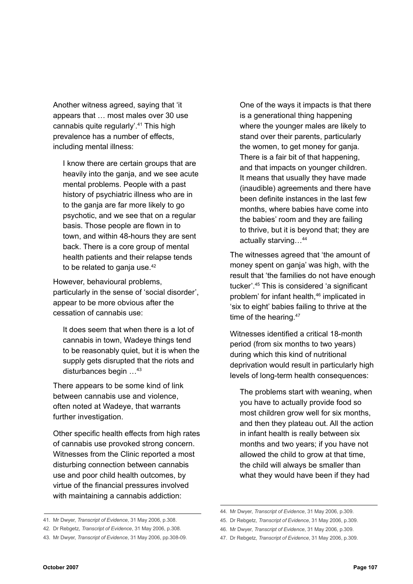Another witness agreed, saying that 'it appears that … most males over 30 use cannabis quite regularly'.41 This high prevalence has a number of effects, including mental illness:

I know there are certain groups that are heavily into the ganja, and we see acute mental problems. People with a past history of psychiatric illness who are in to the ganja are far more likely to go psychotic, and we see that on a regular basis. Those people are flown in to town, and within 48-hours they are sent back. There is a core group of mental health patients and their relapse tends to be related to ganja use.<sup>42</sup>

However, behavioural problems, particularly in the sense of 'social disorder', appear to be more obvious after the cessation of cannabis use:

It does seem that when there is a lot of cannabis in town, Wadeye things tend to be reasonably quiet, but it is when the supply gets disrupted that the riots and disturbances begin …43

There appears to be some kind of link between cannabis use and violence, often noted at Wadeye, that warrants further investigation.

Other specific health effects from high rates of cannabis use provoked strong concern. Witnesses from the Clinic reported a most disturbing connection between cannabis use and poor child health outcomes, by virtue of the financial pressures involved with maintaining a cannabis addiction:

One of the ways it impacts is that there is a generational thing happening where the younger males are likely to stand over their parents, particularly the women, to get money for ganja. There is a fair bit of that happening, and that impacts on younger children. It means that usually they have made (inaudible) agreements and there have been definite instances in the last few months, where babies have come into the babies' room and they are failing to thrive, but it is beyond that; they are actually starving…44

The witnesses agreed that 'the amount of money spent on ganja' was high, with the result that 'the families do not have enough tucker'.45 This is considered 'a significant problem' for infant health,<sup>46</sup> implicated in 'six to eight' babies failing to thrive at the time of the hearing.<sup>47</sup>

Witnesses identified a critical 18-month period (from six months to two years) during which this kind of nutritional deprivation would result in particularly high levels of long-term health consequences:

The problems start with weaning, when you have to actually provide food so most children grow well for six months, and then they plateau out. All the action in infant health is really between six months and two years; if you have not allowed the child to grow at that time, the child will always be smaller than what they would have been if they had

<sup>41.</sup> Mr Dwyer, *Transcript of Evidence*, 31 May 2006, p.308.

<sup>42.</sup> Dr Rebgetz, *Transcript of Evidence*, 31 May 2006, p.308.

<sup>43.</sup> Mr Dwyer, *Transcript of Evidence*, 31 May 2006, pp.308-09.

<sup>44.</sup> Mr Dwyer, *Transcript of Evidence*, 31 May 2006, p.309.

<sup>45.</sup> Dr Rebgetz, *Transcript of Evidence*, 31 May 2006, p.309.

<sup>46.</sup> Mr Dwyer, *Transcript of Evidence*, 31 May 2006, p.309.

<sup>47.</sup> Dr Rebgetz, *Transcript of Evidence*, 31 May 2006, p.309.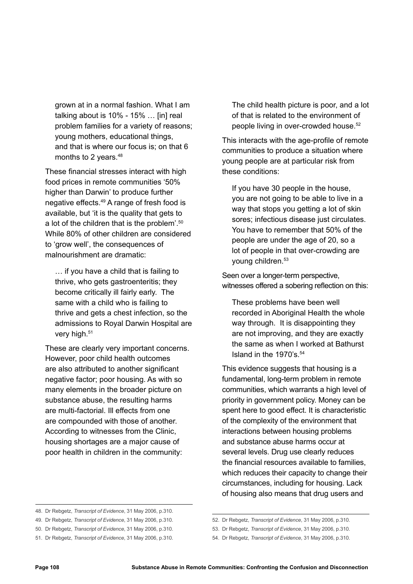grown at in a normal fashion. What I am talking about is 10% - 15% … [in] real problem families for a variety of reasons; young mothers, educational things, and that is where our focus is; on that 6 months to 2 years.48

These financial stresses interact with high food prices in remote communities '50% higher than Darwin' to produce further negative effects.49 A range of fresh food is available, but 'it is the quality that gets to a lot of the children that is the problem'.50 While 80% of other children are considered to 'grow well', the consequences of malnourishment are dramatic:

… if you have a child that is failing to thrive, who gets gastroenteritis; they become critically ill fairly early. The same with a child who is failing to thrive and gets a chest infection, so the admissions to Royal Darwin Hospital are very high.<sup>51</sup>

These are clearly very important concerns. However, poor child health outcomes are also attributed to another significant negative factor; poor housing. As with so many elements in the broader picture on substance abuse, the resulting harms are multi-factorial. Ill effects from one are compounded with those of another. According to witnesses from the Clinic, housing shortages are a major cause of poor health in children in the community:

The child health picture is poor, and a lot of that is related to the environment of people living in over-crowded house.52

This interacts with the age-profile of remote communities to produce a situation where young people are at particular risk from these conditions:

If you have 30 people in the house, you are not going to be able to live in a way that stops you getting a lot of skin sores; infectious disease just circulates. You have to remember that 50% of the people are under the age of 20, so a lot of people in that over-crowding are young children.<sup>53</sup>

Seen over a longer-term perspective, witnesses offered a sobering reflection on this:

These problems have been well recorded in Aboriginal Health the whole way through. It is disappointing they are not improving, and they are exactly the same as when I worked at Bathurst Island in the 1970's.54

This evidence suggests that housing is a fundamental, long-term problem in remote communities, which warrants a high level of priority in government policy. Money can be spent here to good effect. It is characteristic of the complexity of the environment that interactions between housing problems and substance abuse harms occur at several levels. Drug use clearly reduces the financial resources available to families, which reduces their capacity to change their circumstances, including for housing. Lack of housing also means that drug users and

- 49. Dr Rebgetz, *Transcript of Evidence*, 31 May 2006, p.310.
- 50. Dr Rebgetz, *Transcript of Evidence*, 31 May 2006, p.310.

<sup>48.</sup> Dr Rebgetz, *Transcript of Evidence*, 31 May 2006, p.310.

<sup>51.</sup> Dr Rebgetz, *Transcript of Evidence*, 31 May 2006, p.310.

<sup>52.</sup> Dr Rebgetz, *Transcript of Evidence*, 31 May 2006, p.310.

<sup>53.</sup> Dr Rebgetz, *Transcript of Evidence*, 31 May 2006, p.310.

<sup>54.</sup> Dr Rebgetz, *Transcript of Evidence*, 31 May 2006, p.310.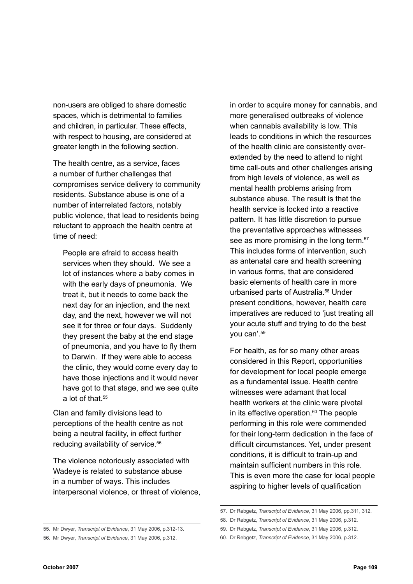non-users are obliged to share domestic spaces, which is detrimental to families and children, in particular. These effects, with respect to housing, are considered at greater length in the following section.

The health centre, as a service, faces a number of further challenges that compromises service delivery to community residents. Substance abuse is one of a number of interrelated factors, notably public violence, that lead to residents being reluctant to approach the health centre at time of need:

People are afraid to access health services when they should. We see a lot of instances where a baby comes in with the early days of pneumonia. We treat it, but it needs to come back the next day for an injection, and the next day, and the next, however we will not see it for three or four days. Suddenly they present the baby at the end stage of pneumonia, and you have to fly them to Darwin. If they were able to access the clinic, they would come every day to have those injections and it would never have got to that stage, and we see quite a lot of that.<sup>55</sup>

Clan and family divisions lead to perceptions of the health centre as not being a neutral facility, in effect further reducing availability of service.56

The violence notoriously associated with Wadeye is related to substance abuse in a number of ways. This includes interpersonal violence, or threat of violence, in order to acquire money for cannabis, and more generalised outbreaks of violence when cannabis availability is low. This leads to conditions in which the resources of the health clinic are consistently overextended by the need to attend to night time call-outs and other challenges arising from high levels of violence, as well as mental health problems arising from substance abuse. The result is that the health service is locked into a reactive pattern. It has little discretion to pursue the preventative approaches witnesses see as more promising in the long term.<sup>57</sup> This includes forms of intervention, such as antenatal care and health screening in various forms, that are considered basic elements of health care in more urbanised parts of Australia.<sup>58</sup> Under present conditions, however, health care imperatives are reduced to 'just treating all your acute stuff and trying to do the best you can'.59

For health, as for so many other areas considered in this Report, opportunities for development for local people emerge as a fundamental issue. Health centre witnesses were adamant that local health workers at the clinic were pivotal in its effective operation.<sup>60</sup> The people performing in this role were commended for their long-term dedication in the face of difficult circumstances. Yet, under present conditions, it is difficult to train-up and maintain sufficient numbers in this role. This is even more the case for local people aspiring to higher levels of qualification

<sup>57.</sup> Dr Rebgetz, *Transcript of Evidence*, 31 May 2006, pp.311, 312.

<sup>58.</sup> Dr Rebgetz, *Transcript of Evidence*, 31 May 2006, p.312.

<sup>59.</sup> Dr Rebgetz, *Transcript of Evidence*, 31 May 2006, p.312.

<sup>60.</sup> Dr Rebgetz, *Transcript of Evidence*, 31 May 2006, p.312.

<sup>55.</sup> Mr Dwyer, *Transcript of Evidence*, 31 May 2006, p.312-13.

<sup>56.</sup> Mr Dwyer, *Transcript of Evidence*, 31 May 2006, p.312.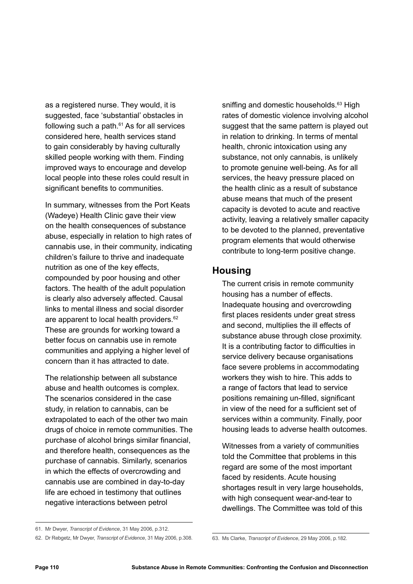as a registered nurse. They would, it is suggested, face 'substantial' obstacles in following such a path. $61$  As for all services considered here, health services stand to gain considerably by having culturally skilled people working with them. Finding improved ways to encourage and develop local people into these roles could result in significant benefits to communities.

In summary, witnesses from the Port Keats (Wadeye) Health Clinic gave their view on the health consequences of substance abuse, especially in relation to high rates of cannabis use, in their community, indicating children's failure to thrive and inadequate nutrition as one of the key effects, compounded by poor housing and other factors. The health of the adult population is clearly also adversely affected. Causal links to mental illness and social disorder are apparent to local health providers.<sup>62</sup> These are grounds for working toward a better focus on cannabis use in remote communities and applying a higher level of concern than it has attracted to date.

The relationship between all substance abuse and health outcomes is complex. The scenarios considered in the case study, in relation to cannabis, can be extrapolated to each of the other two main drugs of choice in remote communities. The purchase of alcohol brings similar financial, and therefore health, consequences as the purchase of cannabis. Similarly, scenarios in which the effects of overcrowding and cannabis use are combined in day-to-day life are echoed in testimony that outlines negative interactions between petrol

sniffing and domestic households.<sup>63</sup> High rates of domestic violence involving alcohol suggest that the same pattern is played out in relation to drinking. In terms of mental health, chronic intoxication using any substance, not only cannabis, is unlikely to promote genuine well-being. As for all services, the heavy pressure placed on the health clinic as a result of substance abuse means that much of the present capacity is devoted to acute and reactive activity, leaving a relatively smaller capacity to be devoted to the planned, preventative program elements that would otherwise contribute to long-term positive change.

## **Housing**

The current crisis in remote community housing has a number of effects. Inadequate housing and overcrowding first places residents under great stress and second, multiplies the ill effects of substance abuse through close proximity. It is a contributing factor to difficulties in service delivery because organisations face severe problems in accommodating workers they wish to hire. This adds to a range of factors that lead to service positions remaining un-filled, significant in view of the need for a sufficient set of services within a community. Finally, poor housing leads to adverse health outcomes.

Witnesses from a variety of communities told the Committee that problems in this regard are some of the most important faced by residents. Acute housing shortages result in very large households, with high consequent wear-and-tear to dwellings. The Committee was told of this

<sup>61.</sup> Mr Dwyer, *Transcript of Evidence*, 31 May 2006, p.312.

<sup>62.</sup> Dr Rebgetz, Mr Dwyer, *Transcript of Evidence*, 31 May 2006, p.308.

<sup>63.</sup> Ms Clarke, *Transcript of Evidence*, 29 May 2006, p.182.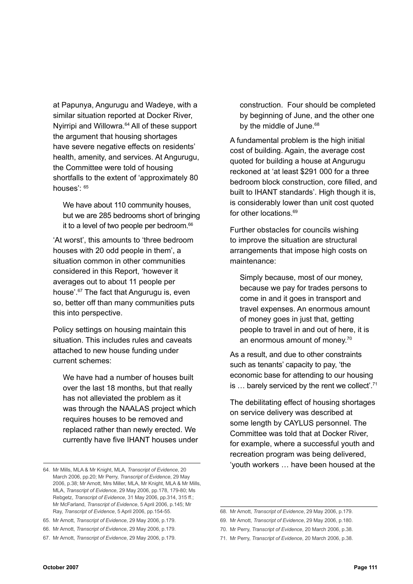at Papunya, Angurugu and Wadeye, with a similar situation reported at Docker River, Nyirripi and Willowra.<sup>64</sup> All of these support the argument that housing shortages have severe negative effects on residents' health, amenity, and services. At Angurugu, the Committee were told of housing shortfalls to the extent of 'approximately 80 houses $^{\prime}$ :  $65$ 

We have about 110 community houses. but we are 285 bedrooms short of bringing it to a level of two people per bedroom.<sup>66</sup>

'At worst', this amounts to 'three bedroom houses with 20 odd people in them', a situation common in other communities considered in this Report, 'however it averages out to about 11 people per house'.67 The fact that Angurugu is, even so, better off than many communities puts this into perspective.

Policy settings on housing maintain this situation. This includes rules and caveats attached to new house funding under current schemes:

We have had a number of houses built over the last 18 months, but that really has not alleviated the problem as it was through the NAALAS project which requires houses to be removed and replaced rather than newly erected. We currently have five IHANT houses under construction. Four should be completed by beginning of June, and the other one by the middle of June.<sup>68</sup>

A fundamental problem is the high initial cost of building. Again, the average cost quoted for building a house at Angurugu reckoned at 'at least \$291 000 for a three bedroom block construction, core filled, and built to IHANT standards'. High though it is, is considerably lower than unit cost quoted for other locations.69

Further obstacles for councils wishing to improve the situation are structural arrangements that impose high costs on maintenance:

Simply because, most of our money, because we pay for trades persons to come in and it goes in transport and travel expenses. An enormous amount of money goes in just that, getting people to travel in and out of here, it is an enormous amount of money.70

As a result, and due to other constraints such as tenants' capacity to pay, 'the economic base for attending to our housing is ... barely serviced by the rent we collect'.<sup>71</sup>

The debilitating effect of housing shortages on service delivery was described at some length by CAYLUS personnel. The Committee was told that at Docker River, for example, where a successful youth and recreation program was being delivered, 'youth workers … have been housed at the

<sup>64.</sup> Mr Mills, MLA & Mr Knight, MLA, *Transcript of Evidence*, 20 March 2006, pp.20; Mr Perry, *Transcript of Evidence*, 29 May 2006, p.38; Mr Arnott, Mrs Miller, MLA, Mr Knight, MLA & Mr Mills, MLA, *Transcript of Evidence*, 29 May 2006, pp.178, 179-80; Ms Rebgetz, *Transcript of Evidence*, 31 May 2006, pp.314, 315 ff.; Mr McFarland, *Transcript of Evidence*, 5 April 2006, p.145; Mr Ray, *Transcript of Evidence*, 5 April 2006, pp.154-55.

<sup>65.</sup> Mr Arnott, *Transcript of Evidence*, 29 May 2006, p.179.

<sup>66.</sup> Mr Arnott, *Transcript of Evidence*, 29 May 2006, p.179.

<sup>67.</sup> Mr Arnott, *Transcript of Evidence*, 29 May 2006, p.179.

<sup>68.</sup> Mr Arnott, *Transcript of Evidence*, 29 May 2006, p.179.

<sup>69.</sup> Mr Arnott, *Transcript of Evidence*, 29 May 2006, p.180.

<sup>70.</sup> Mr Perry, *Transcript of Evidence*, 20 March 2006, p.38.

<sup>71.</sup> Mr Perry, *Transcript of Evidence*, 20 March 2006, p.38.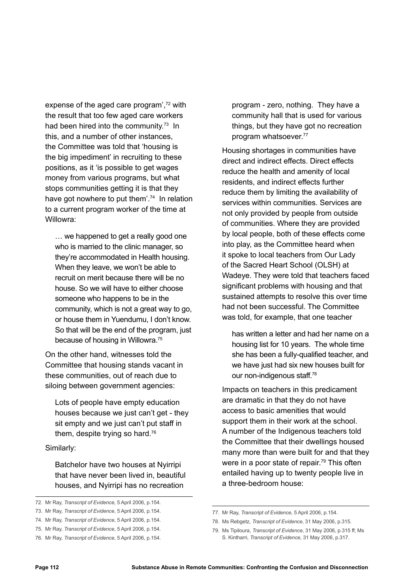expense of the aged care program'.<sup>72</sup> with the result that too few aged care workers had been hired into the community.<sup>73</sup> In this, and a number of other instances, the Committee was told that 'housing is the big impediment' in recruiting to these positions, as it 'is possible to get wages money from various programs, but what stops communities getting it is that they have got nowhere to put them'.<sup>74</sup> In relation to a current program worker of the time at Willowra:

… we happened to get a really good one who is married to the clinic manager, so they're accommodated in Health housing. When they leave, we won't be able to recruit on merit because there will be no house. So we will have to either choose someone who happens to be in the community, which is not a great way to go, or house them in Yuendumu, I don't know. So that will be the end of the program, just because of housing in Willowra.75

On the other hand, witnesses told the Committee that housing stands vacant in these communities, out of reach due to siloing between government agencies:

Lots of people have empty education houses because we just can't get - they sit empty and we just can't put staff in them, despite trying so hard.76

Similarly:

Batchelor have two houses at Nyirripi that have never been lived in, beautiful houses, and Nyirripi has no recreation

program - zero, nothing. They have a community hall that is used for various things, but they have got no recreation program whatsoever.<sup>77</sup>

Housing shortages in communities have direct and indirect effects. Direct effects reduce the health and amenity of local residents, and indirect effects further reduce them by limiting the availability of services within communities. Services are not only provided by people from outside of communities. Where they are provided by local people, both of these effects come into play, as the Committee heard when it spoke to local teachers from Our Lady of the Sacred Heart School (OLSH) at Wadeye. They were told that teachers faced significant problems with housing and that sustained attempts to resolve this over time had not been successful. The Committee was told, for example, that one teacher

has written a letter and had her name on a housing list for 10 years. The whole time she has been a fully-qualified teacher, and we have just had six new houses built for our non-indigenous staff.<sup>78</sup>

Impacts on teachers in this predicament are dramatic in that they do not have access to basic amenities that would support them in their work at the school. A number of the Indigenous teachers told the Committee that their dwellings housed many more than were built for and that they were in a poor state of repair.<sup>79</sup> This often entailed having up to twenty people live in a three-bedroom house:

<sup>72.</sup> Mr Ray, *Transcript of Evidence,* 5 April 2006, p.154.

<sup>73.</sup> Mr Ray, *Transcript of Evidence*, 5 April 2006, p.154.

<sup>74.</sup> Mr Ray, *Transcript of Evidence*, 5 April 2006, p.154.

<sup>75.</sup> Mr Ray, *Transcript of Evidence*, 5 April 2006, p.154.

<sup>76.</sup> Mr Ray, *Transcript of Evidence*, 5 April 2006, p.154.

<sup>77.</sup> Mr Ray, *Transcript of Evidence*, 5 April 2006, p.154.

<sup>78.</sup> Ms Rebgetz, *Transcript of Evidence*, 31 May 2006, p.315.

<sup>79.</sup> Ms Tipiloura, *Transcript of Evidence*, 31 May 2006, p.315 ff; Ms

S. Kintharri, *Transcript of Evidence*, 31 May 2006, p.317.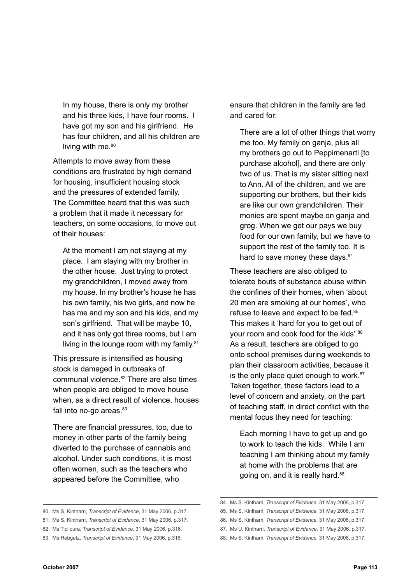In my house, there is only my brother and his three kids, I have four rooms. I have got my son and his girlfriend. He has four children, and all his children are living with me.<sup>80</sup>

Attempts to move away from these conditions are frustrated by high demand for housing, insufficient housing stock and the pressures of extended family. The Committee heard that this was such a problem that it made it necessary for teachers, on some occasions, to move out of their houses:

At the moment I am not staying at my place. I am staying with my brother in the other house. Just trying to protect my grandchildren, I moved away from my house. In my brother's house he has his own family, his two girls, and now he has me and my son and his kids, and my son's girlfriend. That will be maybe 10, and it has only got three rooms, but I am living in the lounge room with my family.<sup>81</sup>

This pressure is intensified as housing stock is damaged in outbreaks of communal violence.82 There are also times when people are obliged to move house when, as a direct result of violence, houses fall into no-go areas.<sup>83</sup>

There are financial pressures, too, due to money in other parts of the family being diverted to the purchase of cannabis and alcohol. Under such conditions, it is most often women, such as the teachers who appeared before the Committee, who

ensure that children in the family are fed and cared for:

There are a lot of other things that worry me too. My family on ganja, plus all my brothers go out to Peppimenarti [to purchase alcohol], and there are only two of us. That is my sister sitting next to Ann. All of the children, and we are supporting our brothers, but their kids are like our own grandchildren. Their monies are spent maybe on ganja and grog. When we get our pays we buy food for our own family, but we have to support the rest of the family too. It is hard to save money these days.<sup>84</sup>

These teachers are also obliged to tolerate bouts of substance abuse within the confines of their homes, when 'about 20 men are smoking at our homes', who refuse to leave and expect to be fed.<sup>85</sup> This makes it 'hard for you to get out of your room and cook food for the kids'.<sup>86</sup> As a result, teachers are obliged to go onto school premises during weekends to plan their classroom activities, because it is the only place quiet enough to work.<sup>87</sup> Taken together, these factors lead to a level of concern and anxiety, on the part of teaching staff, in direct conflict with the mental focus they need for teaching:

Each morning I have to get up and go to work to teach the kids. While I am teaching I am thinking about my family at home with the problems that are going on, and it is really hard.<sup>88</sup>

<sup>80.</sup> Ms S. Kintharri, *Transcript of Evidence*, 31 May 2006, p.317.

<sup>81.</sup> Ms S. Kintharri, *Transcript of Evidence*, 31 May 2006, p.317.

<sup>82.</sup> Ms Tipiloura, *Transcript of Evidence*, 31 May 2006, p.316.

<sup>83.</sup> Ms Rebgetz, *Transcript of Evidence*, 31 May 2006, p.316.

<sup>84.</sup> Ms S. Kintharri, *Transcript of Evidence*, 31 May 2006, p.317.

<sup>85.</sup> Ms S. Kintharri, *Transcript of Evidence*, 31 May 2006, p.317.

<sup>86.</sup> Ms S. Kintharri, *Transcript of Evidence*, 31 May 2006, p.317.

<sup>87.</sup> Ms U. Kintharri, *Transcript of Evidence*, 31 May 2006, p.317.

<sup>88.</sup> Ms S. Kintharri, *Transcript of Evidence*, 31 May 2006, p.317.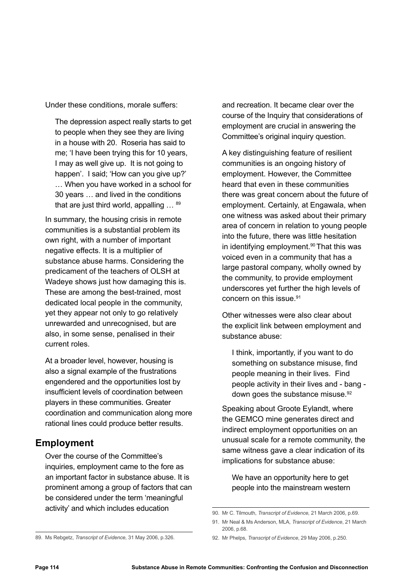Under these conditions, morale suffers:

The depression aspect really starts to get to people when they see they are living in a house with 20. Roseria has said to me; 'I have been trying this for 10 years, I may as well give up. It is not going to happen'. I said; 'How can you give up?' … When you have worked in a school for 30 years … and lived in the conditions that are just third world, appalling  $\ldots$   $89$ 

In summary, the housing crisis in remote communities is a substantial problem its own right, with a number of important negative effects. It is a multiplier of substance abuse harms. Considering the predicament of the teachers of OLSH at Wadeye shows just how damaging this is. These are among the best-trained, most dedicated local people in the community, yet they appear not only to go relatively unrewarded and unrecognised, but are also, in some sense, penalised in their current roles.

At a broader level, however, housing is also a signal example of the frustrations engendered and the opportunities lost by insufficient levels of coordination between players in these communities. Greater coordination and communication along more rational lines could produce better results.

## **Employment**

Over the course of the Committee's inquiries, employment came to the fore as an important factor in substance abuse. It is prominent among a group of factors that can be considered under the term 'meaningful activity' and which includes education

and recreation. It became clear over the course of the Inquiry that considerations of employment are crucial in answering the Committee's original inquiry question.

A key distinguishing feature of resilient communities is an ongoing history of employment. However, the Committee heard that even in these communities there was great concern about the future of employment. Certainly, at Engawala, when one witness was asked about their primary area of concern in relation to young people into the future, there was little hesitation in identifying employment.<sup>90</sup> That this was voiced even in a community that has a large pastoral company, wholly owned by the community, to provide employment underscores yet further the high levels of concern on this issue.<sup>91</sup>

Other witnesses were also clear about the explicit link between employment and substance abuse:

I think, importantly, if you want to do something on substance misuse, find people meaning in their lives. Find people activity in their lives and - bang down goes the substance misuse.92

Speaking about Groote Eylandt, where the GEMCO mine generates direct and indirect employment opportunities on an unusual scale for a remote community, the same witness gave a clear indication of its implications for substance abuse:

We have an opportunity here to get people into the mainstream western

<sup>90.</sup> Mr C. Tilmouth, *Transcript of Evidence,* 21 March 2006, p.69.

<sup>91.</sup> Mr Neal & Ms Anderson, MLA, *Transcript of Evidence*, 21 March 2006, p.68.

<sup>92.</sup> Mr Phelps, *Transcript of Evidence*, 29 May 2006, p.250.

<sup>89.</sup> Ms Rebgetz, *Transcript of Evidence,* 31 May 2006, p.326.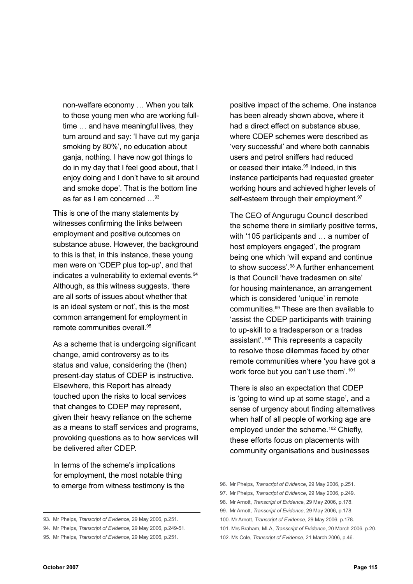non-welfare economy … When you talk to those young men who are working fulltime … and have meaningful lives, they turn around and say: 'I have cut my ganja smoking by 80%', no education about ganja, nothing. I have now got things to do in my day that I feel good about, that I enjoy doing and I don't have to sit around and smoke dope'. That is the bottom line as far as I am concerned …93

This is one of the many statements by witnesses confirming the links between employment and positive outcomes on substance abuse. However, the background to this is that, in this instance, these young men were on 'CDEP plus top-up', and that indicates a vulnerability to external events.<sup>94</sup> Although, as this witness suggests, 'there are all sorts of issues about whether that is an ideal system or not', this is the most common arrangement for employment in remote communities overall.95

As a scheme that is undergoing significant change, amid controversy as to its status and value, considering the (then) present-day status of CDEP is instructive. Elsewhere, this Report has already touched upon the risks to local services that changes to CDEP may represent, given their heavy reliance on the scheme as a means to staff services and programs, provoking questions as to how services will be delivered after CDEP.

In terms of the scheme's implications for employment, the most notable thing to emerge from witness testimony is the positive impact of the scheme. One instance has been already shown above, where it had a direct effect on substance abuse, where CDEP schemes were described as 'very successful' and where both cannabis users and petrol sniffers had reduced or ceased their intake.<sup>96</sup> Indeed, in this instance participants had requested greater working hours and achieved higher levels of self-esteem through their employment.<sup>97</sup>

The CEO of Angurugu Council described the scheme there in similarly positive terms, with '105 participants and … a number of host employers engaged', the program being one which 'will expand and continue to show success'.98 A further enhancement is that Council 'have tradesmen on site' for housing maintenance, an arrangement which is considered 'unique' in remote communities.99 These are then available to 'assist the CDEP participants with training to up-skill to a tradesperson or a trades assistant'.100 This represents a capacity to resolve those dilemmas faced by other remote communities where 'you have got a work force but you can't use them'.<sup>101</sup>

There is also an expectation that CDEP is 'going to wind up at some stage', and a sense of urgency about finding alternatives when half of all people of working age are employed under the scheme.<sup>102</sup> Chiefly, these efforts focus on placements with community organisations and businesses

<sup>93.</sup> Mr Phelps, *Transcript of Evidence*, 29 May 2006, p.251.

<sup>94.</sup> Mr Phelps, *Transcript of Evidence*, 29 May 2006, p.249-51.

<sup>95.</sup> Mr Phelps, *Transcript of Evidence*, 29 May 2006, p.251.

<sup>96.</sup> Mr Phelps, *Transcript of Evidence*, 29 May 2006, p.251.

<sup>97.</sup> Mr Phelps, *Transcript of Evidence*, 29 May 2006, p.249.

<sup>98.</sup> Mr Arnott, *Transcript of Evidence*, 29 May 2006, p.178.

<sup>99.</sup> Mr Arnott, *Transcript of Evidence*, 29 May 2006, p.178.

<sup>100.</sup> Mr Arnott, *Transcript of Evidence*, 29 May 2006, p.178.

<sup>101.</sup> Mrs Braham, MLA, *Transcript of Evidence*, 20 March 2006, p.20.

<sup>102.</sup> Ms Cole, *Transcript of Evidence*, 21 March 2006, p.46.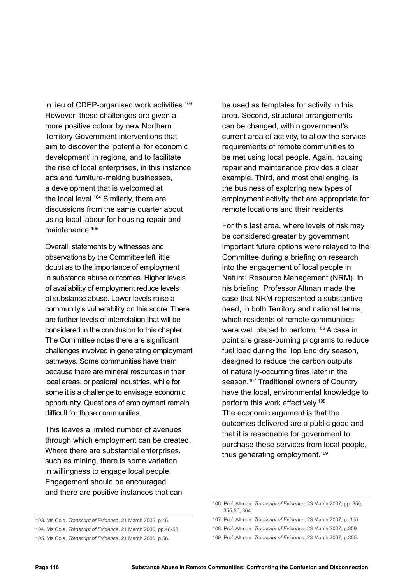in lieu of CDEP-organised work activities.<sup>103</sup> However, these challenges are given a more positive colour by new Northern Territory Government interventions that aim to discover the 'potential for economic development' in regions, and to facilitate the rise of local enterprises, in this instance arts and furniture-making businesses, a development that is welcomed at the local level.<sup>104</sup> Similarly, there are discussions from the same quarter about using local labour for housing repair and maintenance.105

Overall, statements by witnesses and observations by the Committee left little doubt as to the importance of employment in substance abuse outcomes. Higher levels of availability of employment reduce levels of substance abuse. Lower levels raise a community's vulnerability on this score. There are further levels of interrelation that will be considered in the conclusion to this chapter. The Committee notes there are significant challenges involved in generating employment pathways. Some communities have them because there are mineral resources in their local areas, or pastoral industries, while for some it is a challenge to envisage economic opportunity. Questions of employment remain difficult for those communities.

This leaves a limited number of avenues through which employment can be created. Where there are substantial enterprises, such as mining, there is some variation in willingness to engage local people. Engagement should be encouraged, and there are positive instances that can

103. Ms Cole, *Transcript of Evidence*, 21 March 2006, p.46. 104. Ms Cole, *Transcript of Evidence*, 21 March 2006, pp.48-58. 105. Ms Cole, *Transcript of Evidence*, 21 March 2006, p.56.

be used as templates for activity in this area. Second, structural arrangements can be changed, within government's current area of activity, to allow the service requirements of remote communities to be met using local people. Again, housing repair and maintenance provides a clear example. Third, and most challenging, is the business of exploring new types of employment activity that are appropriate for remote locations and their residents.

For this last area, where levels of risk may be considered greater by government, important future options were relayed to the Committee during a briefing on research into the engagement of local people in Natural Resource Management (NRM). In his briefing, Professor Altman made the case that NRM represented a substantive need, in both Territory and national terms, which residents of remote communities were well placed to perform.<sup>106</sup> A case in point are grass-burning programs to reduce fuel load during the Top End dry season, designed to reduce the carbon outputs of naturally-occurring fires later in the season.<sup>107</sup> Traditional owners of Country have the local, environmental knowledge to perform this work effectively.108 The economic argument is that the outcomes delivered are a public good and that it is reasonable for government to purchase these services from local people, thus generating employment.109

<sup>106.</sup> Prof. Altman, *Transcript of Evidence*, 23 March 2007, pp. 350, 355-56, 364.

<sup>107.</sup> Prof. Altman, *Transcript of Evidence*, 23 March 2007, p. 355.

<sup>108.</sup> Prof. Altman, *Transcript of Evidence*, 23 March 2007, p.359.

<sup>109.</sup> Prof. Altman, *Transcript of Evidence*, 23 March 2007, p.355.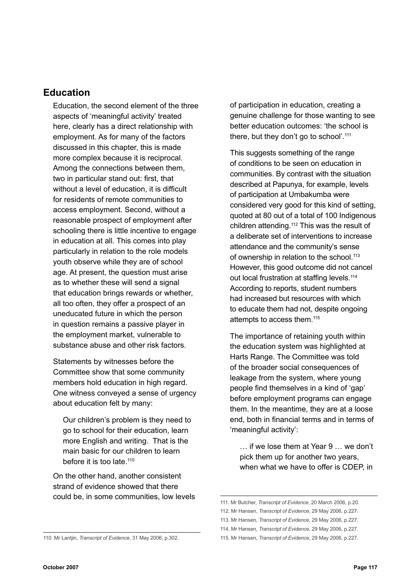### **Education**

Education, the second element of the three aspects of 'meaningful activity' treated here, clearly has a direct relationship with employment. As for many of the factors discussed in this chapter, this is made more complex because it is reciprocal. Among the connections between them, two in particular stand out: first, that without a level of education, it is difficult for residents of remote communities to access employment. Second, without a reasonable prospect of employment after schooling there is little incentive to engage in education at all. This comes into play particularly in relation to the role models youth observe while they are of school age. At present, the question must arise as to whether these will send a signal that education brings rewards or whether, all too often, they offer a prospect of an uneducated future in which the person in question remains a passive player in the employment market, vulnerable to substance abuse and other risk factors.

Statements by witnesses before the Committee show that some community members hold education in high regard. One witness conveyed a sense of urgency about education felt by many:

Our children's problem is they need to go to school for their education, learn more English and writing. That is the main basic for our children to learn before it is too late.<sup>110</sup>

On the other hand, another consistent strand of evidence showed that there could be, in some communities, low levels of participation in education, creating a genuine challenge for those wanting to see better education outcomes: 'the school is there, but they don't go to school'.<sup>111</sup>

This suggests something of the range of conditions to be seen on education in communities. By contrast with the situation described at Papunya, for example, levels of participation at Umbakumba were considered very good for this kind of setting, quoted at 80 out of a total of 100 Indigenous children attending.112 This was the result of a deliberate set of interventions to increase attendance and the community's sense of ownership in relation to the school.<sup>113</sup> However, this good outcome did not cancel out local frustration at staffing levels.<sup>114</sup> According to reports, student numbers had increased but resources with which to educate them had not, despite ongoing attempts to access them.115

The importance of retaining youth within the education system was highlighted at Harts Range. The Committee was told of the broader social consequences of leakage from the system, where young people find themselves in a kind of 'gap' before employment programs can engage them. In the meantime, they are at a loose end, both in financial terms and in terms of 'meaningful activity':

… if we lose them at Year 9 … we don't pick them up for another two years, when what we have to offer is CDEP, in

<sup>111.</sup> Mr Butcher, *Transcript of Evidence*, 20 March 2006, p.20.

<sup>112.</sup> Mr Hansen, *Transcript of Evidence*, 29 May 2006, p.227.

<sup>113.</sup> Mr Hansen, *Transcript of Evidence*, 29 May 2006, p.227.

<sup>114.</sup> Mr Hansen, *Transcript of Evidence*, 29 May 2006, p.227.

<sup>115.</sup> Mr Hansen, *Transcript of Evidence*, 29 May 2006, p.227.

<sup>110.</sup> Mr Lantjin, *Transcript of Evidence*, 31 May 2006, p.302.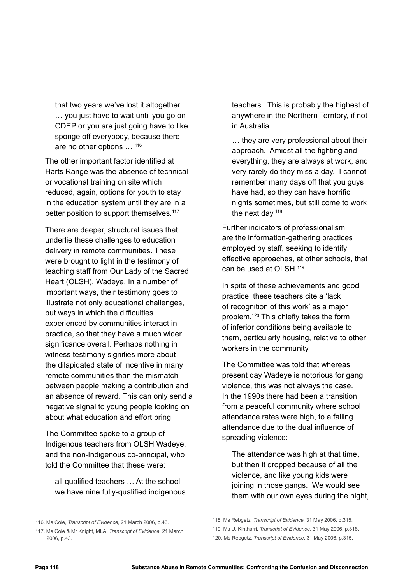that two years we've lost it altogether … you just have to wait until you go on CDEP or you are just going have to like sponge off everybody, because there are no other options ... <sup>116</sup>

The other important factor identified at Harts Range was the absence of technical or vocational training on site which reduced, again, options for youth to stay in the education system until they are in a better position to support themselves.<sup>117</sup>

There are deeper, structural issues that underlie these challenges to education delivery in remote communities. These were brought to light in the testimony of teaching staff from Our Lady of the Sacred Heart (OLSH), Wadeye. In a number of important ways, their testimony goes to illustrate not only educational challenges, but ways in which the difficulties experienced by communities interact in practice, so that they have a much wider significance overall. Perhaps nothing in witness testimony signifies more about the dilapidated state of incentive in many remote communities than the mismatch between people making a contribution and an absence of reward. This can only send a negative signal to young people looking on about what education and effort bring.

The Committee spoke to a group of Indigenous teachers from OLSH Wadeye, and the non-Indigenous co-principal, who told the Committee that these were:

all qualified teachers … At the school we have nine fully-qualified indigenous

116. Ms Cole, *Transcript of Evidence*, 21 March 2006, p.43.

117. Ms Cole & Mr Knight, MLA, *Transcript of Evidence*, 21 March 2006, p.43.

teachers. This is probably the highest of anywhere in the Northern Territory, if not in Australia …

… they are very professional about their approach. Amidst all the fighting and everything, they are always at work, and very rarely do they miss a day. I cannot remember many days off that you guys have had, so they can have horrific nights sometimes, but still come to work the next day.<sup>118</sup>

Further indicators of professionalism are the information-gathering practices employed by staff, seeking to identify effective approaches, at other schools, that can be used at OLSH.<sup>119</sup>

In spite of these achievements and good practice, these teachers cite a 'lack of recognition of this work' as a major problem.120 This chiefly takes the form of inferior conditions being available to them, particularly housing, relative to other workers in the community.

The Committee was told that whereas present day Wadeye is notorious for gang violence, this was not always the case. In the 1990s there had been a transition from a peaceful community where school attendance rates were high, to a falling attendance due to the dual influence of spreading violence:

The attendance was high at that time, but then it dropped because of all the violence, and like young kids were joining in those gangs. We would see them with our own eyes during the night,

<sup>118.</sup> Ms Rebgetz, *Transcript of Evidence*, 31 May 2006, p.315.

<sup>119.</sup> Ms U. Kintharri, *Transcript of Evidence*, 31 May 2006, p.318.

<sup>120.</sup> Ms Rebgetz, *Transcript of Evidence*, 31 May 2006, p.315.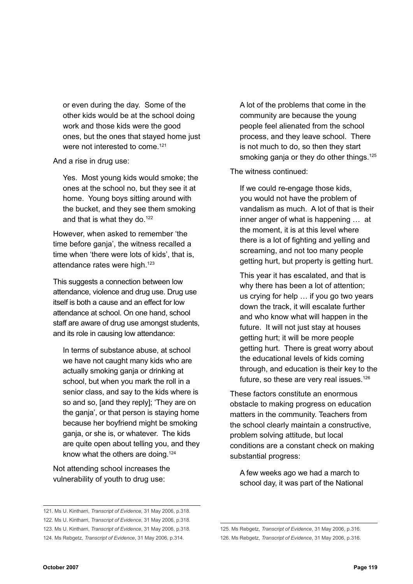or even during the day. Some of the other kids would be at the school doing work and those kids were the good ones, but the ones that stayed home just were not interested to come.<sup>121</sup>

And a rise in drug use:

Yes. Most young kids would smoke; the ones at the school no, but they see it at home. Young boys sitting around with the bucket, and they see them smoking and that is what they do.<sup>122</sup>

However, when asked to remember 'the time before ganja', the witness recalled a time when 'there were lots of kids', that is, attendance rates were high.<sup>123</sup>

This suggests a connection between low attendance, violence and drug use. Drug use itself is both a cause and an effect for low attendance at school. On one hand, school staff are aware of drug use amongst students, and its role in causing low attendance:

In terms of substance abuse, at school we have not caught many kids who are actually smoking ganja or drinking at school, but when you mark the roll in a senior class, and say to the kids where is so and so, [and they reply]; 'They are on the ganja', or that person is staying home because her boyfriend might be smoking ganja, or she is, or whatever. The kids are quite open about telling you, and they know what the others are doing.124

Not attending school increases the vulnerability of youth to drug use:

A lot of the problems that come in the community are because the young people feel alienated from the school process, and they leave school. There is not much to do, so then they start smoking ganja or they do other things.<sup>125</sup>

The witness continued:

If we could re-engage those kids, you would not have the problem of vandalism as much. A lot of that is their inner anger of what is happening … at the moment, it is at this level where there is a lot of fighting and yelling and screaming, and not too many people getting hurt, but property is getting hurt.

This year it has escalated, and that is why there has been a lot of attention; us crying for help … if you go two years down the track, it will escalate further and who know what will happen in the future. It will not just stay at houses getting hurt; it will be more people getting hurt. There is great worry about the educational levels of kids coming through, and education is their key to the future, so these are very real issues.126

These factors constitute an enormous obstacle to making progress on education matters in the community. Teachers from the school clearly maintain a constructive, problem solving attitude, but local conditions are a constant check on making substantial progress:

A few weeks ago we had a march to school day, it was part of the National

<sup>121.</sup> Ms U. Kintharri, *Transcript of Evidence,* 31 May 2006, p.318. 122. Ms U. Kintharri, *Transcript of Evidence*, 31 May 2006, p.318. 123. Ms U. Kintharri, *Transcript of Evidence*, 31 May 2006, p.318. 124. Ms Rebgetz, *Transcript of Evidence*, 31 May 2006, p.314.

<sup>125.</sup> Ms Rebgetz, *Transcript of Evidence*, 31 May 2006, p.316. 126. Ms Rebgetz, *Transcript of Evidence*, 31 May 2006, p.316.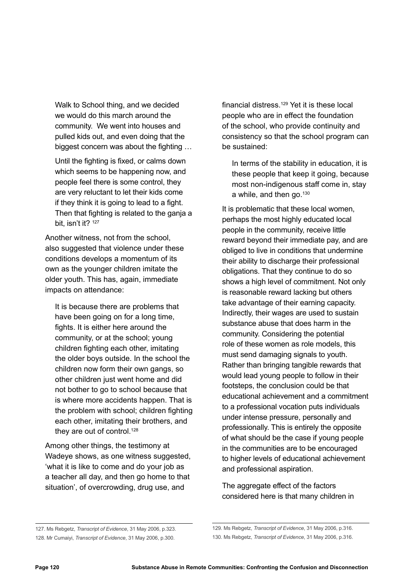Walk to School thing, and we decided we would do this march around the community. We went into houses and pulled kids out, and even doing that the biggest concern was about the fighting …

Until the fighting is fixed, or calms down which seems to be happening now, and people feel there is some control, they are very reluctant to let their kids come if they think it is going to lead to a fight. Then that fighting is related to the ganja a bit, isn't it? 127

Another witness, not from the school, also suggested that violence under these conditions develops a momentum of its own as the younger children imitate the older youth. This has, again, immediate impacts on attendance:

It is because there are problems that have been going on for a long time, fights. It is either here around the community, or at the school; young children fighting each other, imitating the older boys outside. In the school the children now form their own gangs, so other children just went home and did not bother to go to school because that is where more accidents happen. That is the problem with school; children fighting each other, imitating their brothers, and they are out of control.<sup>128</sup>

Among other things, the testimony at Wadeye shows, as one witness suggested, 'what it is like to come and do your job as a teacher all day, and then go home to that situation', of overcrowding, drug use, and

financial distress.129 Yet it is these local people who are in effect the foundation of the school, who provide continuity and consistency so that the school program can be sustained:

In terms of the stability in education, it is these people that keep it going, because most non-indigenous staff come in, stay a while, and then  $q_0$ ,  $130$ 

It is problematic that these local women, perhaps the most highly educated local people in the community, receive little reward beyond their immediate pay, and are obliged to live in conditions that undermine their ability to discharge their professional obligations. That they continue to do so shows a high level of commitment. Not only is reasonable reward lacking but others take advantage of their earning capacity. Indirectly, their wages are used to sustain substance abuse that does harm in the community. Considering the potential role of these women as role models, this must send damaging signals to youth. Rather than bringing tangible rewards that would lead young people to follow in their footsteps, the conclusion could be that educational achievement and a commitment to a professional vocation puts individuals under intense pressure, personally and professionally. This is entirely the opposite of what should be the case if young people in the communities are to be encouraged to higher levels of educational achievement and professional aspiration.

The aggregate effect of the factors considered here is that many children in

129. Ms Rebgetz, *Transcript of Evidence*, 31 May 2006, p.316. 130. Ms Rebgetz, *Transcript of Evidence*, 31 May 2006, p.316.

<sup>127.</sup> Ms Rebgetz, *Transcript of Evidence*, 31 May 2006, p.323. 128. Mr Cumaiyi, *Transcript of Evidence*, 31 May 2006, p.300.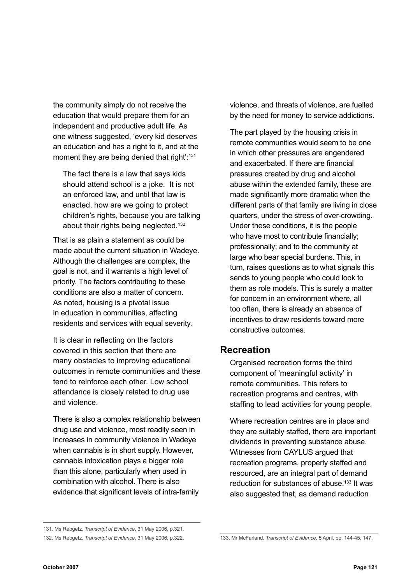the community simply do not receive the education that would prepare them for an independent and productive adult life. As one witness suggested, 'every kid deserves an education and has a right to it, and at the moment they are being denied that right':<sup>131</sup>

The fact there is a law that says kids should attend school is a joke. It is not an enforced law, and until that law is enacted, how are we going to protect children's rights, because you are talking about their rights being neglected.<sup>132</sup>

That is as plain a statement as could be made about the current situation in Wadeye. Although the challenges are complex, the goal is not, and it warrants a high level of priority. The factors contributing to these conditions are also a matter of concern. As noted, housing is a pivotal issue in education in communities, affecting residents and services with equal severity.

It is clear in reflecting on the factors covered in this section that there are many obstacles to improving educational outcomes in remote communities and these tend to reinforce each other. Low school attendance is closely related to drug use and violence.

There is also a complex relationship between drug use and violence, most readily seen in increases in community violence in Wadeye when cannabis is in short supply. However, cannabis intoxication plays a bigger role than this alone, particularly when used in combination with alcohol. There is also evidence that significant levels of intra-family

violence, and threats of violence, are fuelled by the need for money to service addictions.

The part played by the housing crisis in remote communities would seem to be one in which other pressures are engendered and exacerbated. If there are financial pressures created by drug and alcohol abuse within the extended family, these are made significantly more dramatic when the different parts of that family are living in close quarters, under the stress of over-crowding. Under these conditions, it is the people who have most to contribute financially; professionally; and to the community at large who bear special burdens. This, in turn, raises questions as to what signals this sends to young people who could look to them as role models. This is surely a matter for concern in an environment where, all too often, there is already an absence of incentives to draw residents toward more constructive outcomes.

### **Recreation**

Organised recreation forms the third component of 'meaningful activity' in remote communities. This refers to recreation programs and centres, with staffing to lead activities for young people.

Where recreation centres are in place and they are suitably staffed, there are important dividends in preventing substance abuse. Witnesses from CAYLUS argued that recreation programs, properly staffed and resourced, are an integral part of demand reduction for substances of abuse.<sup>133</sup> It was also suggested that, as demand reduction

<sup>131.</sup> Ms Rebgetz, *Transcript of Evidence*, 31 May 2006, p.321.

<sup>132.</sup> Ms Rebgetz, *Transcript of Evidence*, 31 May 2006, p.322. 133. Mr McFarland, *Transcript of Evidence*, 5 April, pp. 144-45, 147.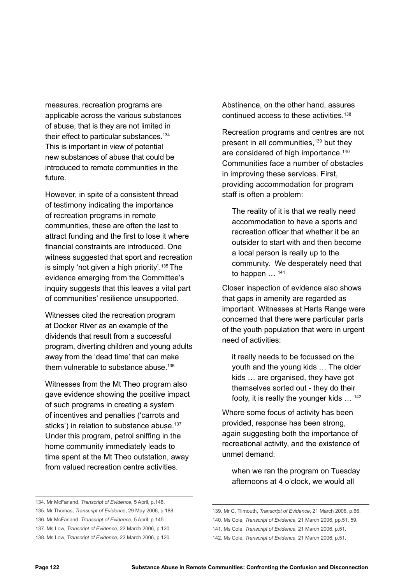measures, recreation programs are applicable across the various substances of abuse, that is they are not limited in their effect to particular substances.<sup>134</sup> This is important in view of potential new substances of abuse that could be introduced to remote communities in the future.

However, in spite of a consistent thread of testimony indicating the importance of recreation programs in remote communities, these are often the last to attract funding and the first to lose it where financial constraints are introduced. One witness suggested that sport and recreation is simply 'not given a high priority'.<sup>135</sup> The evidence emerging from the Committee's inquiry suggests that this leaves a vital part of communities' resilience unsupported.

Witnesses cited the recreation program at Docker River as an example of the dividends that result from a successful program, diverting children and young adults away from the 'dead time' that can make them vulnerable to substance abuse.136

Witnesses from the Mt Theo program also gave evidence showing the positive impact of such programs in creating a system of incentives and penalties ('carrots and sticks') in relation to substance abuse.<sup>137</sup> Under this program, petrol sniffing in the home community immediately leads to time spent at the Mt Theo outstation, away from valued recreation centre activities.

Abstinence, on the other hand, assures continued access to these activities.138

Recreation programs and centres are not present in all communities.<sup>139</sup> but they are considered of high importance.<sup>140</sup> Communities face a number of obstacles in improving these services. First, providing accommodation for program staff is often a problem:

The reality of it is that we really need accommodation to have a sports and recreation officer that whether it be an outsider to start with and then become a local person is really up to the community. We desperately need that to happen ... <sup>141</sup>

Closer inspection of evidence also shows that gaps in amenity are regarded as important. Witnesses at Harts Range were concerned that there were particular parts of the youth population that were in urgent need of activities:

it really needs to be focussed on the youth and the young kids … The older kids … are organised, they have got themselves sorted out - they do their footy, it is really the younger kids … 142

Where some focus of activity has been provided, response has been strong, again suggesting both the importance of recreational activity, and the existence of unmet demand:

when we ran the program on Tuesday afternoons at 4 o'clock, we would all

<sup>134.</sup> Mr McFarland, *Transcript of Evidence*, 5 April, p.148.

<sup>135.</sup> Mr Thomas, *Transcript of Evidence*, 29 May 2006, p.188.

<sup>136.</sup> Mr McFarland, *Transcript of Evidence*, 5 April, p.145.

<sup>137.</sup> Ms Low, *Transcript of Evidence*, 22 March 2006, p.120.

<sup>138.</sup> Ms Low, *Transcript of Evidence*, 22 March 2006, p.120.

<sup>139.</sup> Mr C. Tilmouth, *Transcript of Evidence*, 21 March 2006, p.66.

<sup>140.</sup> Ms Cole, *Transcript of Evidence*, 21 March 2006, pp.51, 59.

<sup>141.</sup> Ms Cole, *Transcript of Evidence*, 21 March 2006, p.51.

<sup>142.</sup> Ms Cole, *Transcript of Evidence*, 21 March 2006, p.51.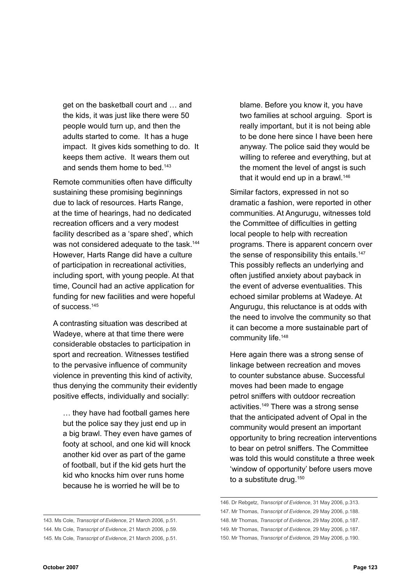get on the basketball court and … and the kids, it was just like there were 50 people would turn up, and then the adults started to come. It has a huge impact. It gives kids something to do. It keeps them active. It wears them out and sends them home to bed.143

Remote communities often have difficulty sustaining these promising beginnings due to lack of resources. Harts Range, at the time of hearings, had no dedicated recreation officers and a very modest facility described as a 'spare shed', which was not considered adequate to the task.<sup>144</sup> However, Harts Range did have a culture of participation in recreational activities, including sport, with young people. At that time, Council had an active application for funding for new facilities and were hopeful of success.<sup>145</sup>

A contrasting situation was described at Wadeye, where at that time there were considerable obstacles to participation in sport and recreation. Witnesses testified to the pervasive influence of community violence in preventing this kind of activity, thus denying the community their evidently positive effects, individually and socially:

… they have had football games here but the police say they just end up in a big brawl. They even have games of footy at school, and one kid will knock another kid over as part of the game of football, but if the kid gets hurt the kid who knocks him over runs home because he is worried he will be to

blame. Before you know it, you have two families at school arguing. Sport is really important, but it is not being able to be done here since I have been here anyway. The police said they would be willing to referee and everything, but at the moment the level of angst is such that it would end up in a brawl.<sup>146</sup>

Similar factors, expressed in not so dramatic a fashion, were reported in other communities. At Angurugu, witnesses told the Committee of difficulties in getting local people to help with recreation programs. There is apparent concern over the sense of responsibility this entails.<sup>147</sup> This possibly reflects an underlying and often justified anxiety about payback in the event of adverse eventualities. This echoed similar problems at Wadeye. At Angurugu, this reluctance is at odds with the need to involve the community so that it can become a more sustainable part of community life.<sup>148</sup>

Here again there was a strong sense of linkage between recreation and moves to counter substance abuse. Successful moves had been made to engage petrol sniffers with outdoor recreation activities.149 There was a strong sense that the anticipated advent of Opal in the community would present an important opportunity to bring recreation interventions to bear on petrol sniffers. The Committee was told this would constitute a three week 'window of opportunity' before users move to a substitute drug.<sup>150</sup>

<sup>143.</sup> Ms Cole, *Transcript of Evidence*, 21 March 2006, p.51. 144. Ms Cole, *Transcript of Evidence*, 21 March 2006, p.59. 145. Ms Cole, *Transcript of Evidence*, 21 March 2006, p.51.

<sup>146.</sup> Dr Rebgetz, *Transcript of Evidence*, 31 May 2006, p.313.

<sup>147.</sup> Mr Thomas, *Transcript of Evidence*, 29 May 2006, p.188.

<sup>148.</sup> Mr Thomas, *Transcript of Evidence*, 29 May 2006, p.187.

<sup>149.</sup> Mr Thomas, *Transcript of Evidence*, 29 May 2006, p.187.

<sup>150.</sup> Mr Thomas, *Transcript of Evidence,* 29 May 2006, p.190.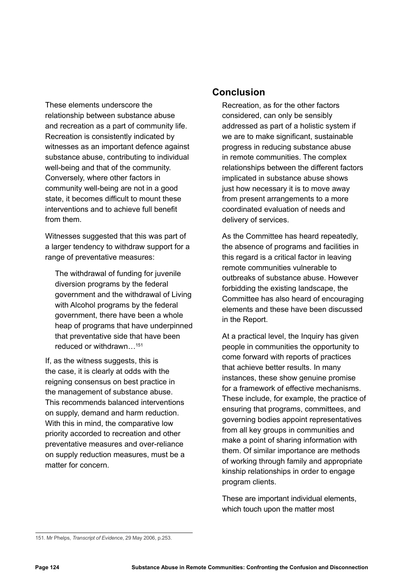These elements underscore the relationship between substance abuse and recreation as a part of community life. Recreation is consistently indicated by witnesses as an important defence against substance abuse, contributing to individual well-being and that of the community. Conversely, where other factors in community well-being are not in a good state, it becomes difficult to mount these interventions and to achieve full benefit from them.

Witnesses suggested that this was part of a larger tendency to withdraw support for a range of preventative measures:

The withdrawal of funding for juvenile diversion programs by the federal government and the withdrawal of Living with Alcohol programs by the federal government, there have been a whole heap of programs that have underpinned that preventative side that have been reduced or withdrawn…151

If, as the witness suggests, this is the case, it is clearly at odds with the reigning consensus on best practice in the management of substance abuse. This recommends balanced interventions on supply, demand and harm reduction. With this in mind, the comparative low priority accorded to recreation and other preventative measures and over-reliance on supply reduction measures, must be a matter for concern.

#### **Conclusion**

Recreation, as for the other factors considered, can only be sensibly addressed as part of a holistic system if we are to make significant, sustainable progress in reducing substance abuse in remote communities. The complex relationships between the different factors implicated in substance abuse shows just how necessary it is to move away from present arrangements to a more coordinated evaluation of needs and delivery of services.

As the Committee has heard repeatedly, the absence of programs and facilities in this regard is a critical factor in leaving remote communities vulnerable to outbreaks of substance abuse. However forbidding the existing landscape, the Committee has also heard of encouraging elements and these have been discussed in the Report.

At a practical level, the Inquiry has given people in communities the opportunity to come forward with reports of practices that achieve better results. In many instances, these show genuine promise for a framework of effective mechanisms. These include, for example, the practice of ensuring that programs, committees, and governing bodies appoint representatives from all key groups in communities and make a point of sharing information with them. Of similar importance are methods of working through family and appropriate kinship relationships in order to engage program clients.

These are important individual elements, which touch upon the matter most

<sup>151.</sup> Mr Phelps, *Transcript of Evidence*, 29 May 2006, p.253.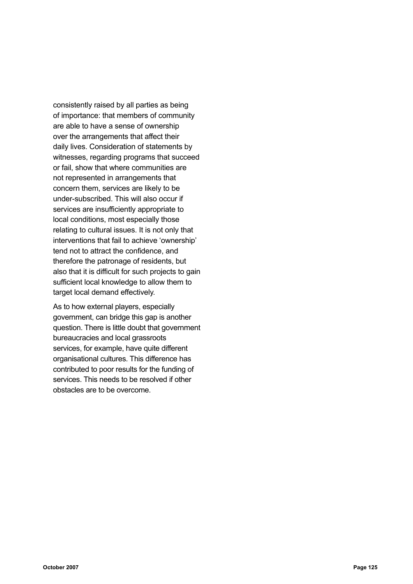consistently raised by all parties as being of importance: that members of community are able to have a sense of ownership over the arrangements that affect their daily lives. Consideration of statements by witnesses, regarding programs that succeed or fail, show that where communities are not represented in arrangements that concern them, services are likely to be under-subscribed. This will also occur if services are insufficiently appropriate to local conditions, most especially those relating to cultural issues. It is not only that interventions that fail to achieve 'ownership' tend not to attract the confidence, and therefore the patronage of residents, but also that it is difficult for such projects to gain sufficient local knowledge to allow them to target local demand effectively.

As to how external players, especially government, can bridge this gap is another question. There is little doubt that government bureaucracies and local grassroots services, for example, have quite different organisational cultures. This difference has contributed to poor results for the funding of services. This needs to be resolved if other obstacles are to be overcome.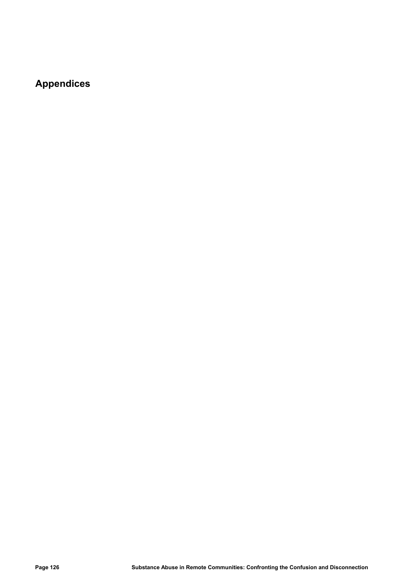# **Appendices**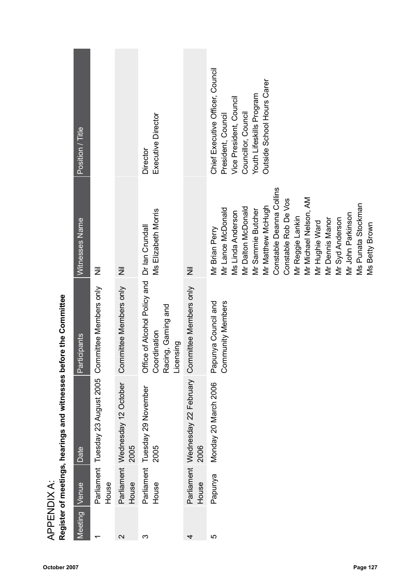| Witnesses Name | $\bar{\bar{z}}$                                     | $\bar{\bar{z}}$                                             |                                                                             | $\bar{\bar{z}}$                                                                                                                                                                                         | Constable Deanna Collins<br>Mr Michael Nelson, AM<br>Constable Rob De Vos<br>Ms Punata Stockman<br>Mr Matthew McHugh<br>Mr Dalton McDonald<br>Mr Lance McDonald<br>Mr Sammie Butcher<br>Ms Linda Anderson<br>Mr John Parkinson<br>Mr Reggie Lankin<br>Mr Dennis Manor<br>Mr Syd Anderson<br>Mr Hughie Ward<br>Ms Betty Brown<br>Mr Brian Perry<br>Community Members<br>Papunya Council and |
|----------------|-----------------------------------------------------|-------------------------------------------------------------|-----------------------------------------------------------------------------|---------------------------------------------------------------------------------------------------------------------------------------------------------------------------------------------------------|--------------------------------------------------------------------------------------------------------------------------------------------------------------------------------------------------------------------------------------------------------------------------------------------------------------------------------------------------------------------------------------------|
|                |                                                     |                                                             |                                                                             |                                                                                                                                                                                                         | Monday 20 March 2006                                                                                                                                                                                                                                                                                                                                                                       |
| Venue          | House                                               | House                                                       | House                                                                       | House                                                                                                                                                                                                   | Papunya                                                                                                                                                                                                                                                                                                                                                                                    |
|                | Position / Title<br>Participants<br>Date<br>Meeting | Committee Members only<br>Parliament Tuesday 23 August 2005 | Committee Members only<br>Parliament Wednesday 12 October<br>2005<br>$\sim$ | Executive Director<br>Director<br>Ms Elizabeth Morris<br>Office of Alcohol Policy and Dr Ian Crundall<br>Racing, Gaming and<br>Coordination<br>Licensing<br>Parliament Tuesday 29 November<br>2005<br>ς | Committee Members only<br>Parliament Wednesday 22 February<br>2006<br>4                                                                                                                                                                                                                                                                                                                    |

APPENDIX A:<br>Register of meeting

Appendix A: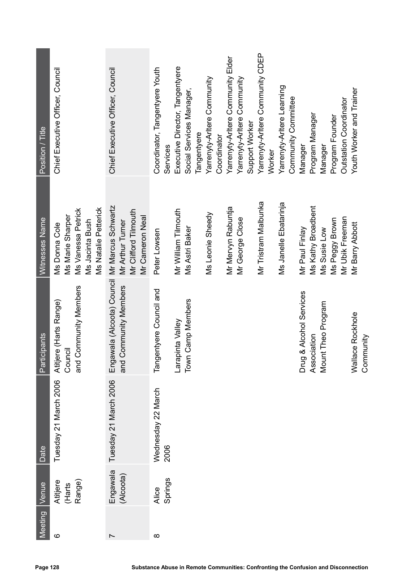| Position / Title             | Chief Executive Officer, Council                                                                   | Chief Executive Officer, Council                                                  | Coordinator, Tangentyere Youth<br>Services                                         | Executive Director, Tangentyere | Social Services Manager,<br>Tangentyere | Yarrenyty-Arltere Community<br>Coordinator | Yarrenyty-Aritere Community Elder | Yarrenyty-Arttere Community | Support Worker | Yarrenyty-Arttere Community CDEP<br>Worker | Yarrenyty-Arttere Learning | Community Committee | Manager        | Program Manager                                              | Manager      | Program Founder | Outstation Coordinator | Youth Worker and Trainer |           |
|------------------------------|----------------------------------------------------------------------------------------------------|-----------------------------------------------------------------------------------|------------------------------------------------------------------------------------|---------------------------------|-----------------------------------------|--------------------------------------------|-----------------------------------|-----------------------------|----------------|--------------------------------------------|----------------------------|---------------------|----------------|--------------------------------------------------------------|--------------|-----------------|------------------------|--------------------------|-----------|
| Witnesses Name               | Ms Natalie Petterick<br>Ms Vanessa Petrick<br>Ms Marie Sharper<br>Ms Jacinta Bush<br>Ms Donna Cole | Mr Marcus Schwartz<br>Mr Clifford Tilmouth<br>Mr Cameron Neal<br>Mr Arthur Turner | Peter Lowsen                                                                       | Mr William Tilmouth             | Ms Astri Baker                          | Ms Leonie Sheedy                           | Mr Mervyn Rabuntja                | Mr George Close             |                | Mr Tristram Malbunka                       | Ms Janelle Ebatarinja      |                     | Mr Paul Finlay | Ms Kathy Broadbent                                           | Ms Susie Low | Ms Peggy Brown  | Mr Ubik Freeman        | Mr Barry Abbott          |           |
| rticipants<br>$\overline{P}$ | and Community Members<br>ijere (Harts Range)<br>Atitjere (<br>Council                              | Engawala (Alcoota) Council<br>and Community Members                               | ngentyere Council and<br>高                                                         | Larapinta Valley                | Town Camp Members                       |                                            |                                   |                             |                |                                            |                            |                     |                | Drug & Alcohol Services<br>Association<br>Mount Theo Program |              |                 |                        | Wallace Rockhole         | Community |
| Date                         | Tuesday 21 March 2006                                                                              | Tuesday 21 March 2006                                                             | Wednesday 22 March<br>2006                                                         |                                 |                                         |                                            |                                   |                             |                |                                            |                            |                     |                |                                                              |              |                 |                        |                          |           |
| Venue                        | Atitjere<br>Range)<br>(Harts                                                                       | Engawala<br>(Alcoota)                                                             | Springs<br>Alice                                                                   |                                 |                                         |                                            |                                   |                             |                |                                            |                            |                     |                |                                                              |              |                 |                        |                          |           |
| Meeting                      | ဖ                                                                                                  | $\overline{\phantom{0}}$                                                          | $\infty$                                                                           |                                 |                                         |                                            |                                   |                             |                |                                            |                            |                     |                |                                                              |              |                 |                        |                          |           |
| Page 128                     |                                                                                                    |                                                                                   | Substance Abuse in Remote Communities: Confronting the Confusion and Disconnection |                                 |                                         |                                            |                                   |                             |                |                                            |                            |                     |                |                                                              |              |                 |                        |                          |           |

í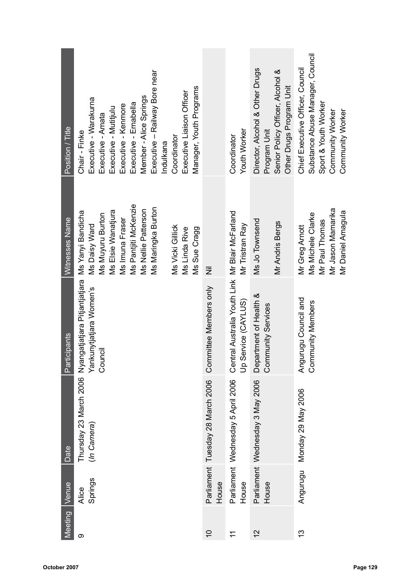| <b>Meeting</b> | Venue            | Date                              | ticipants<br>ng<br>Par                                                                     | Witnesses Name                                                                                                                                                                                                                   | Position / Title                                                                                                                                                                                                                                                                    |
|----------------|------------------|-----------------------------------|--------------------------------------------------------------------------------------------|----------------------------------------------------------------------------------------------------------------------------------------------------------------------------------------------------------------------------------|-------------------------------------------------------------------------------------------------------------------------------------------------------------------------------------------------------------------------------------------------------------------------------------|
| တ              | Springs<br>Alice | (In Camera)                       | Thursday 23 March 2006 Nyangatjatjara Pitjantjatjara<br>Yankunytjatjara Women's<br>Council | Ms Pantjiti McKenzie<br>Ms Maringka Burton<br>Ms Nellie Patterson<br>Ms Elsie Wanatjura<br>Ms Yanyi Bandicha<br>Ms Muyuru Burton<br>Ms Imuna Fraser<br><b>Ms Daisy Ward</b><br>Ms Vicki Gillick<br>Ms Linda Rive<br>Ms Sue Cragg | Executive - Railway Bore near<br>Manager, Youth Programs<br>Executive Liaison Officer<br>Member - Alice Springs<br>Executive - Warakurna<br>Executive - Ernabella<br>Executive - Kenmore<br>Executive - Mutitjulu<br>Executive - Amata<br>Chair - Finke<br>Coordinator<br>Indulkana |
| $\overline{0}$ | House            | Parliament Tuesday 28 March 2006  | mmittee Members only<br>$\overline{S}$                                                     | $\bar{z}$                                                                                                                                                                                                                        |                                                                                                                                                                                                                                                                                     |
| H              | House            | Parliament Wednesday 5 April 2006 | Central Australia Youth Link Mr Blair McFarland<br>Up Service (CAYLUS)                     | Mr Tristran Ray                                                                                                                                                                                                                  | <b>Youth Worker</b><br>Coordinator                                                                                                                                                                                                                                                  |
| $\overline{c}$ | House            | Parliament Wednesday 3 May 2006   | Department of Health &<br>Community Services                                               | Ms Jo Townsend<br>Mr Andris Bergs                                                                                                                                                                                                | Director, Alcohol & Other Drugs<br>Senior Policy Officer, Alcohol &<br>Other Drugs Program Unit<br>Program Unit                                                                                                                                                                     |
| $\frac{3}{2}$  | Angurugu         | Monday 29 May 2006                | Angurugu Council and<br>Community Members                                                  | Mr Jason Mamarika<br>Mr Daniel Amagula<br>Ms Michele Clarke<br>Mr Paul Thomas<br>Mr Greg Arnott                                                                                                                                  | Substance Abuse Manager, Council<br>Chief Executive Officer, Council<br>Sport & Youth Worker<br>Community Worker<br>Community Worker                                                                                                                                                |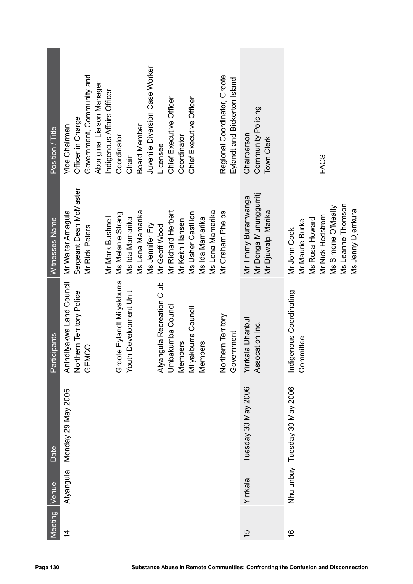| Position / Title | Officer in Charge<br>Vice Chairman                     | Government, Community and | Aboriginal Liaison Manager | Indigenous Affairs Officer | Coordinator                        |                             | <b>Board Member</b> | Juvenile Diversion Case Worker | Licensee      | Chief Executive Officer | Coordinator     | Chief Executive Officer |                                                                                             |                  | Regional Coordinator, Groote<br>Eylandt and Bickerton Island | Community Policing<br>Chairperson<br>Town Clerk                      |                                                                                                                                        |
|------------------|--------------------------------------------------------|---------------------------|----------------------------|----------------------------|------------------------------------|-----------------------------|---------------------|--------------------------------|---------------|-------------------------|-----------------|-------------------------|---------------------------------------------------------------------------------------------|------------------|--------------------------------------------------------------|----------------------------------------------------------------------|----------------------------------------------------------------------------------------------------------------------------------------|
|                  |                                                        |                           |                            |                            |                                    | Chair                       |                     |                                |               |                         |                 |                         |                                                                                             |                  |                                                              |                                                                      | <b>FACS</b>                                                                                                                            |
| Witnesses Name   | Sergeant Dean McMaster<br>Mr Walter Amagula            | Mr Rick Peters            |                            | Mr Mark Bushnell           | Ms Melanie Strang                  | Ms Ida Mamarika             | Ms Lena Mamarika    | Ms Jennifer Fry                | Mr Geoff Wood | Mr Richard Herbert      | Mr Keith Hansen | Ms Usher Castillon      | Ms Ida Mamarika                                                                             | Ms Lena Mamarika | Mr Graham Phelps                                             | Mr Donga Mununggurritj<br>Mr Timmy Burarrwanga<br>Mr Djuwalpi Marika | Ms Leanne Thomson<br>Ms Simone O'Meally<br>Ms Jenny Djerrkura<br>Mr Nick Hedstrom<br>Ms Rosa Howard<br>Mr Maurie Burke<br>Mr John Cook |
| Participants     | Anindilyakwa Land Council<br>Northern Territory Police | GEMCO                     |                            |                            | ote Eylandt Milyakburra<br>ბი<br>ნ | th Development Unit<br>Yout |                     |                                |               |                         |                 |                         | Alyangula Recreation Club<br>Umbakumba Council<br>Members<br>Milyakburra Council<br>Members |                  | Northern Territory<br>Government                             | Yirrkala Dhanbul<br>pcation Inc.<br>Asso                             | Indigenous Coordinating<br>Committee                                                                                                   |
| Date             | Monday 29 May 2006                                     |                           |                            |                            |                                    |                             |                     |                                |               |                         |                 |                         |                                                                                             |                  |                                                              | Tuesday 30 May 2006                                                  | Tuesday 30 May 2006                                                                                                                    |
| Venue            | Alyangula                                              |                           |                            |                            |                                    |                             |                     |                                |               |                         |                 |                         |                                                                                             |                  |                                                              | Yirrkala                                                             | Nhulunbuy                                                                                                                              |
| <b>Meeting</b>   | $\overline{4}$                                         |                           |                            |                            |                                    |                             |                     |                                |               |                         |                 |                         |                                                                                             |                  |                                                              | $\frac{5}{1}$                                                        | $\frac{6}{1}$                                                                                                                          |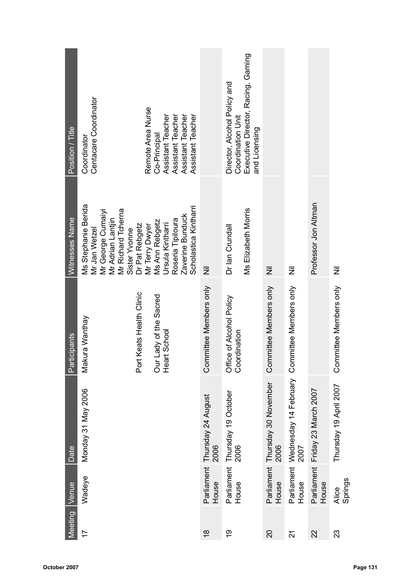| Meeting         | Venue               | Date                                                 | Participants                                                                            | Witnesses Name                                                                                                                                                                                                                                                    | Position / Title                                                                                                                                              |
|-----------------|---------------------|------------------------------------------------------|-----------------------------------------------------------------------------------------|-------------------------------------------------------------------------------------------------------------------------------------------------------------------------------------------------------------------------------------------------------------------|---------------------------------------------------------------------------------------------------------------------------------------------------------------|
| $\overline{1}$  | Wadeye              | Monday 31 May 2006                                   | Keats Health Clinic<br>Our Lady of the Sacred<br>Makura Wanthay<br>Heart School<br>Port | Ms Stephanie Berida<br>Scholastica Kintharri<br>Mr George Cumaiyi<br>Mr Richard Tcherna<br>Zaverine Bunduck<br>Mr Adrian Lantjin<br>Roseria Tipiloura<br>Ms Ann Rebgetz<br>Ursula Kintharri<br>Dr Pat Rebgetz<br>Mr Terry Dwyer<br>Sister Yvonne<br>Mr Jan Wetzel | Centacare Coordinator<br>Remote Area Nurse<br>Assistant Teacher<br>Assistant Teacher<br>Assistant Teacher<br>Assistant Teacher<br>Co-Principal<br>Coordinator |
| $\frac{8}{1}$   | Parliament<br>House | Thursday 24 August<br>2006                           | Committee Members only                                                                  | $\bar{\bar{z}}$                                                                                                                                                                                                                                                   |                                                                                                                                                               |
| $\frac{6}{1}$   | Parliament<br>House | Thursday 19 October<br>2006                          | Office of Alcohol Policy<br>Coordination                                                | Ms Elizabeth Morris<br>Dr Ian Crundall                                                                                                                                                                                                                            | Executive Director, Racing, Gaming<br>Director, Alcohol Policy and<br><b>Coordination Unit</b><br>and Licensing                                               |
| $\overline{20}$ | House               | Parliament Thursday 30 November<br>2006              | Committee Members only                                                                  | $\bar{\bar{z}}$                                                                                                                                                                                                                                                   |                                                                                                                                                               |
| 24              | Parliament<br>House | Wednesday 14 February Committee Members only<br>2007 |                                                                                         | $\bar{\bar{z}}$                                                                                                                                                                                                                                                   |                                                                                                                                                               |
| 22              | Parliament<br>House | Friday 23 March 2007                                 |                                                                                         | Professor Jon Altman                                                                                                                                                                                                                                              |                                                                                                                                                               |
| 23              | Springs<br>Alice    | Thursday 19 April 2007                               | Committee Members only                                                                  | ž                                                                                                                                                                                                                                                                 |                                                                                                                                                               |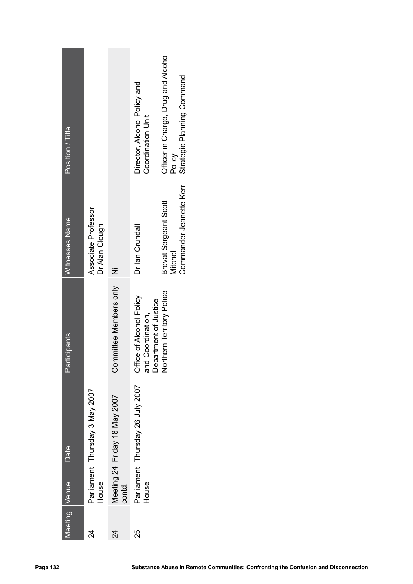|          | Position / Title |                                         |                               | Director, Alcohol Policy and<br>Coordination Unit                                                   | Officer in Charge, Drug and Alcohol<br>Strategic Planning Command<br>Policy        |
|----------|------------------|-----------------------------------------|-------------------------------|-----------------------------------------------------------------------------------------------------|------------------------------------------------------------------------------------|
|          | Witnesses Name   | Associate Professor<br>Dr Alan Clough   | $\overline{\overline{z}}$     | Dr Ian Crundall                                                                                     | Commander Jeanette Kerr<br><b>Brevat Sergeant Scott</b><br>Mitchell                |
|          | Participants     |                                         | Committee Members only        | Office of Alcohol Policy<br>and Coordination,<br>Department of Justice<br>Northern Territory Police |                                                                                    |
|          | Date             | Parliament Thursday 3 May 2007<br>House | Meeting 24 Friday 18 May 2007 | Parliament Thursday 26 July 2007<br>House                                                           |                                                                                    |
|          | Venue            |                                         | contd.                        |                                                                                                     |                                                                                    |
|          | Meeting          | $\overline{24}$                         | $\overline{24}$               | 25                                                                                                  |                                                                                    |
| Page 132 |                  |                                         |                               |                                                                                                     | Substance Abuse in Remote Communities: Confronting the Confusion and Disconnection |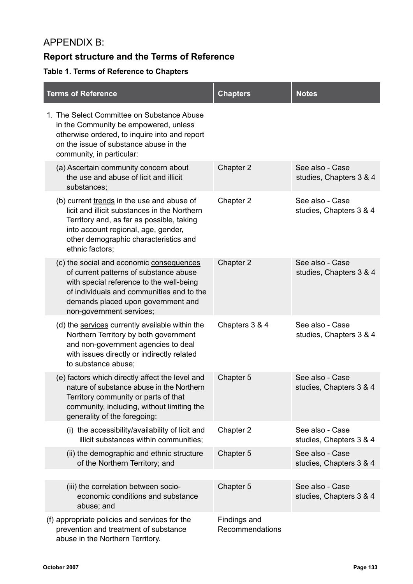## Appendix B:

## **Report structure and the Terms of Reference**

#### **Table 1. Terms of Reference to Chapters**

| <b>Terms of Reference</b>                                                                                                                                                                                                                     | <b>Chapters</b>                 | <b>Notes</b>                               |
|-----------------------------------------------------------------------------------------------------------------------------------------------------------------------------------------------------------------------------------------------|---------------------------------|--------------------------------------------|
| 1. The Select Committee on Substance Abuse<br>in the Community be empowered, unless<br>otherwise ordered, to inquire into and report<br>on the issue of substance abuse in the<br>community, in particular:                                   |                                 |                                            |
| (a) Ascertain community concern about<br>the use and abuse of licit and illicit<br>substances;                                                                                                                                                | Chapter 2                       | See also - Case<br>studies, Chapters 3 & 4 |
| (b) current trends in the use and abuse of<br>licit and illicit substances in the Northern<br>Territory and, as far as possible, taking<br>into account regional, age, gender,<br>other demographic characteristics and<br>ethnic factors;    | Chapter 2                       | See also - Case<br>studies, Chapters 3 & 4 |
| (c) the social and economic consequences<br>of current patterns of substance abuse<br>with special reference to the well-being<br>of individuals and communities and to the<br>demands placed upon government and<br>non-government services; | Chapter 2                       | See also - Case<br>studies, Chapters 3 & 4 |
| (d) the services currently available within the<br>Northern Territory by both government<br>and non-government agencies to deal<br>with issues directly or indirectly related<br>to substance abuse;                                          | Chapters 3 & 4                  | See also - Case<br>studies, Chapters 3 & 4 |
| (e) factors which directly affect the level and<br>nature of substance abuse in the Northern<br>Territory community or parts of that<br>community, including, without limiting the<br>generality of the foregoing:                            | Chapter 5                       | See also - Case<br>studies, Chapters 3 & 4 |
| (i) the accessibility/availability of licit and<br>illicit substances within communities;                                                                                                                                                     | Chapter 2                       | See also - Case<br>studies, Chapters 3 & 4 |
| (ii) the demographic and ethnic structure<br>of the Northern Territory; and                                                                                                                                                                   | Chapter 5                       | See also - Case<br>studies, Chapters 3 & 4 |
| (iii) the correlation between socio-<br>economic conditions and substance<br>abuse; and                                                                                                                                                       | Chapter 5                       | See also - Case<br>studies, Chapters 3 & 4 |
| (f) appropriate policies and services for the<br>prevention and treatment of substance<br>abuse in the Northern Territory.                                                                                                                    | Findings and<br>Recommendations |                                            |